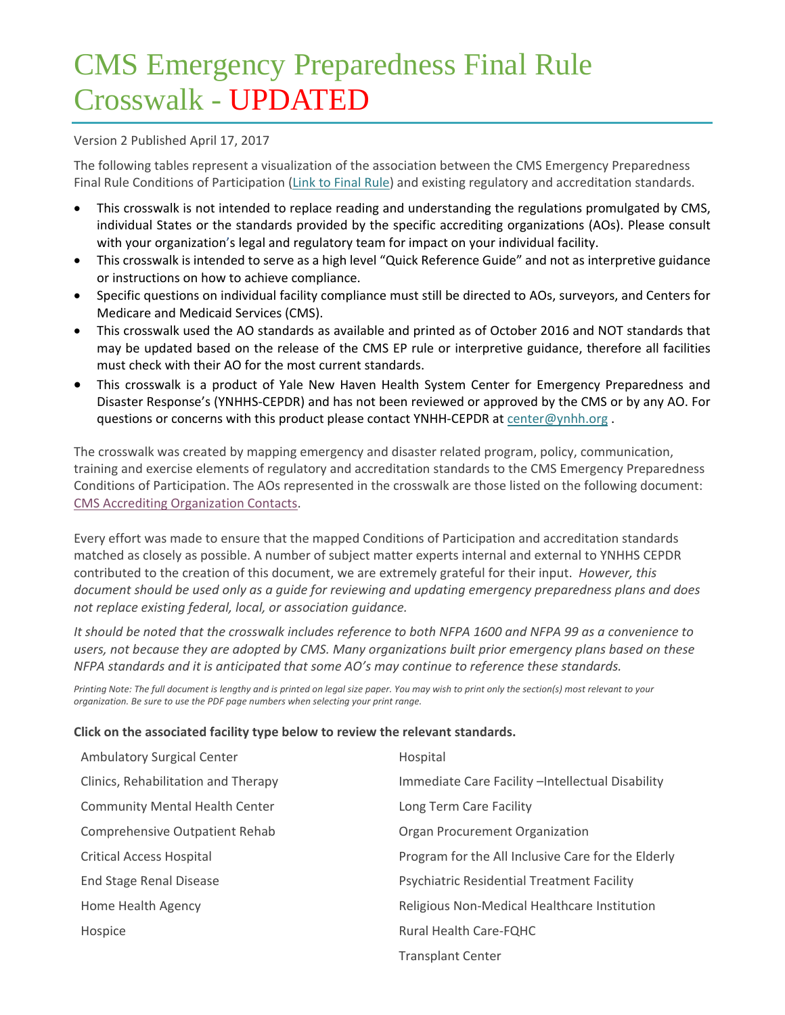# CMS Emergency Preparedness Final Rule Crosswalk - UPDATED

# Version 2 Published April 17, 2017

The following tables represent a visualization of the association between the CMS Emergency Preparedness Final Rule Conditions of Participation (Link to Final Rule) and existing regulatory and accreditation standards.

- This crosswalk is not intended to replace reading and understanding the regulations promulgated by CMS, individual States or the standards provided by the specific accrediting organizations (AOs). Please consult with your organization's legal and regulatory team for impact on your individual facility.
- This crosswalk is intended to serve as a high level "Quick Reference Guide" and not as interpretive guidance or instructions on how to achieve compliance.
- Specific questions on individual facility compliance must still be directed to AOs, surveyors, and Centers for Medicare and Medicaid Services (CMS).
- This crosswalk used the AO standards as available and printed as of October 2016 and NOT standards that may be updated based on the release of the CMS EP rule or interpretive guidance, therefore all facilities must check with their AO for the most current standards.
- This crosswalk is a product of Yale New Haven Health System Center for Emergency Preparedness and Disaster Response's (YNHHS‐CEPDR) and has not been reviewed or approved by the CMS or by any AO. For questions or concerns with this product please contact YNHH-CEPDR at center@ynhh.org.

The crosswalk was created by mapping emergency and disaster related program, policy, communication, training and exercise elements of regulatory and accreditation standards to the CMS Emergency Preparedness Conditions of Participation. The AOs represented in the crosswalk are those listed on the following document: CMS Accrediting Organization Contacts.

Every effort was made to ensure that the mapped Conditions of Participation and accreditation standards matched as closely as possible. A number of subject matter experts internal and external to YNHHS CEPDR contributed to the creation of this document, we are extremely grateful for their input. *However, this document should be used only as a guide for reviewing and updating emergency preparedness plans and does not replace existing federal, local, or association guidance.*

It should be noted that the crosswalk includes reference to both NFPA 1600 and NFPA 99 as a convenience to *users, not because they are adopted by CMS. Many organizations built prior emergency plans based on these NFPA standards and it is anticipated that some AO's may continue to reference these standards.*

Printing Note: The full document is lengthy and is printed on legal size paper. You may wish to print only the section(s) most relevant to your *organization. Be sure to use the PDF page numbers when selecting your print range.*

## **Click on the associated facility type below to review the relevant standards.**

| <b>Ambulatory Surgical Center</b>     | Hospital                                           |
|---------------------------------------|----------------------------------------------------|
| Clinics, Rehabilitation and Therapy   | Immediate Care Facility - Intellectual Disability  |
| <b>Community Mental Health Center</b> | Long Term Care Facility                            |
| Comprehensive Outpatient Rehab        | Organ Procurement Organization                     |
| <b>Critical Access Hospital</b>       | Program for the All Inclusive Care for the Elderly |
| End Stage Renal Disease               | <b>Psychiatric Residential Treatment Facility</b>  |
| Home Health Agency                    | Religious Non-Medical Healthcare Institution       |
| Hospice                               | <b>Rural Health Care-FOHC</b>                      |
|                                       | <b>Transplant Center</b>                           |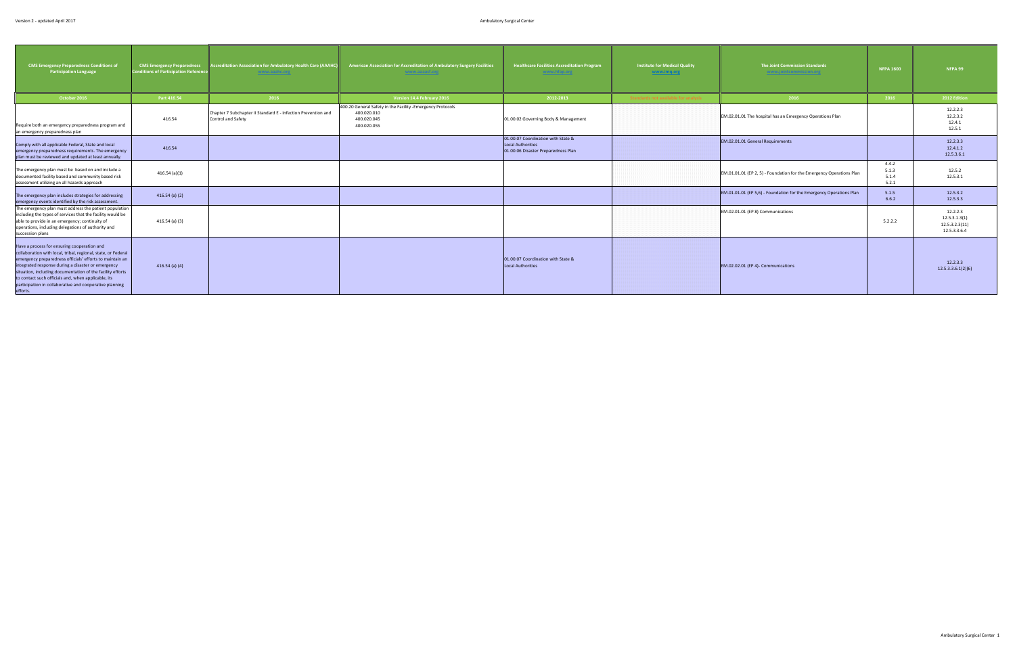<span id="page-1-0"></span>

| <b>CMS Emergency Preparedness Conditions of</b><br>Participation Language                                                                                                                                                                                                                                                                                                                                                  | <b>CMS Emergency Preparedness</b><br><b>Conditions of Participation Reference</b> | <b>Accreditation Association for Ambulatory Health Care (AAAHC</b><br>www.aaahc.org | American Association for Accreditation of Ambulatory Surgery Facilities<br>www.aaaasf.org               | <b>Healthcare Facilities Accreditation Program</b><br>www.hfap.org                                    | <b>Institute for Medical Quality</b><br>www.imq.org | The Joint Commission Standards<br>www.jointcommission.org            | <b>NFPA 1600</b>                 | NFPA 99                                                     |
|----------------------------------------------------------------------------------------------------------------------------------------------------------------------------------------------------------------------------------------------------------------------------------------------------------------------------------------------------------------------------------------------------------------------------|-----------------------------------------------------------------------------------|-------------------------------------------------------------------------------------|---------------------------------------------------------------------------------------------------------|-------------------------------------------------------------------------------------------------------|-----------------------------------------------------|----------------------------------------------------------------------|----------------------------------|-------------------------------------------------------------|
| October 2016                                                                                                                                                                                                                                                                                                                                                                                                               | Part 416.54                                                                       | 2016                                                                                | Version 14.4 February 2016                                                                              | 2012-2013                                                                                             |                                                     | 2016                                                                 | 2016                             | 2012 Edition                                                |
| Require both an emergency preparedness program and<br>an emergency preparedness plan                                                                                                                                                                                                                                                                                                                                       | 416.54                                                                            | Chapter 7 Subchapter II Standard E - Infection Prevention and<br>Control and Safety | 400.20 General Safety in the Facility -Emergency Protocols<br>400.020.010<br>400.020.045<br>400.020.055 | 01.00.02 Governing Body & Management                                                                  |                                                     | EM.02.01.01 The hospital has an Emergency Operations Plan            |                                  | 12.2.2.3<br>12.2.3.2<br>12.4.1<br>12.5.1                    |
| Comply with all applicable Federal, State and local<br>emergency preparedness requirements. The emergency<br>plan must be reviewed and updated at least annually.                                                                                                                                                                                                                                                          | 416.54                                                                            |                                                                                     |                                                                                                         | 01.00.07 Coordination with State &<br><b>Local Authorities</b><br>01.00.06 Disaster Preparedness Plan |                                                     | EM.02.01.01 General Requirements                                     |                                  | 12.2.3.3<br>12.4.1.2<br>12.5.3.6.1                          |
| The emergency plan must be based on and include a<br>documented facility based and community based risk<br>assessment utilizing an all hazards approach                                                                                                                                                                                                                                                                    | 416.54(a)(1)                                                                      |                                                                                     |                                                                                                         |                                                                                                       |                                                     | EM.01.01.01 (EP 2, 5) - Foundation for the Emergency Operations Plan | 4.4.2<br>5.1.3<br>5.1.4<br>5.2.1 | 12.5.2<br>12.5.3.1                                          |
| The emergency plan includes strategies for addressing<br>emergency events identified by the risk assessment.                                                                                                                                                                                                                                                                                                               | $416.54$ (a) (2)                                                                  |                                                                                     |                                                                                                         |                                                                                                       |                                                     | EM.01.01.01 (EP 5,6) - Foundation for the Emergency Operations Plan  | 5.1.5<br>6.6.2                   | 12.5.3.2<br>12.5.3.3                                        |
| The emergency plan must address the patient population<br>including the types of services that the facility would be<br>able to provide in an emergency; continuity of<br>operations, including delegations of authority and<br>succession plans                                                                                                                                                                           | 416.54 (a) (3)                                                                    |                                                                                     |                                                                                                         |                                                                                                       |                                                     | EM.02.01.01 (EP 8) Communications                                    | 5.2.2.2                          | 12.2.2.3<br>12.5.3.1.3(1)<br>12.5.3.2.3(11)<br>12.5.3.3.6.4 |
| Have a process for ensuring cooperation and<br>collaboration with local, tribal, regional, state, or Federal<br>emergency preparedness officials' efforts to maintain an<br>integrated response during a disaster or emergency<br>situation, including documentation of the facility efforts<br>to contact such officials and, when applicable, its<br>participation in collaborative and cooperative planning<br>efforts. | $416.54$ (a) (4)                                                                  |                                                                                     |                                                                                                         | 01.00.07 Coordination with State &<br>Local Authorities                                               |                                                     | EM.02.02.01 (EP 4)- Communications                                   |                                  | 12.2.3.3<br>12.5.3.3.6.1(2)(6)                              |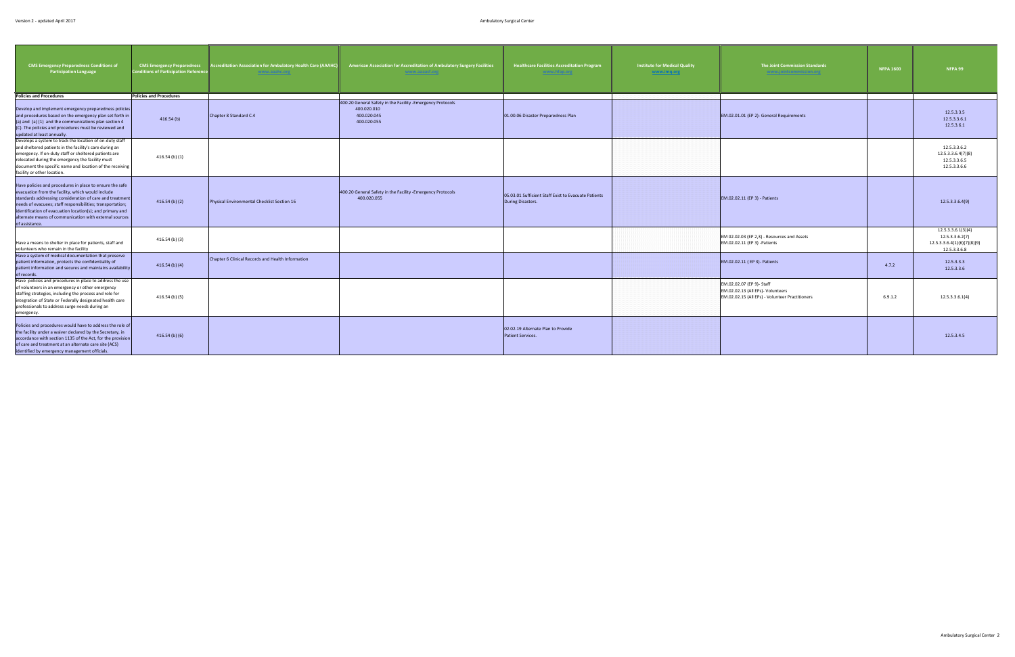| <b>CMS Emergency Preparedness Conditions of</b><br><b>Participation Language</b>                                                                                                                                                                                                                                                                                                 | <b>CMS Emergency Preparedness</b><br><b>Conditions of Participation Reference</b> | <b>ccreditation Association for Ambulatory Health Care (AAAHC)</b><br>www.aaahc.org | American Association for Accreditation of Ambulatory Surgery Facilities<br>www.aaaasf.org               | <b>Healthcare Facilities Accreditation Program</b><br>www.hfap.org        | <b>Institute for Medical Quality</b><br>www.imq.org | <b>The Joint Commission Standards</b><br>www.jointcommission.org                                                  | <b>NFPA 1600</b> | NFPA 99                                                                              |
|----------------------------------------------------------------------------------------------------------------------------------------------------------------------------------------------------------------------------------------------------------------------------------------------------------------------------------------------------------------------------------|-----------------------------------------------------------------------------------|-------------------------------------------------------------------------------------|---------------------------------------------------------------------------------------------------------|---------------------------------------------------------------------------|-----------------------------------------------------|-------------------------------------------------------------------------------------------------------------------|------------------|--------------------------------------------------------------------------------------|
| <b>Policies and Procedures</b>                                                                                                                                                                                                                                                                                                                                                   | <b>Policies and Procedures</b>                                                    |                                                                                     |                                                                                                         |                                                                           |                                                     |                                                                                                                   |                  |                                                                                      |
| Develop and implement emergency preparedness policies<br>and procedures based on the emergency plan set forth in<br>(a) and (a) (1) and the communications plan section 4<br>(C). The policies and procedures must be reviewed and<br>updated at least annually.                                                                                                                 | 416.54(b)                                                                         | Chapter 8 Standard C.4                                                              | 400.20 General Safety in the Facility -Emergency Protocols<br>400.020.010<br>400.020.045<br>400.020.055 | 01.00.06 Disaster Preparedness Plan                                       |                                                     | EM.02.01.01 (EP 2)- General Requirements                                                                          |                  | 12.5.3.3.5<br>12.5.3.3.6.1<br>12.5.3.6.1                                             |
| Develops a system to track the location of on-duty staff<br>and sheltered patients in the facility's care during an<br>emergency. If on-duty staff or sheltered patients are<br>relocated during the emergency the facility must<br>document the specific name and location of the receiving<br>facility or other location.                                                      | $416.54$ (b) $(1)$                                                                |                                                                                     |                                                                                                         |                                                                           |                                                     |                                                                                                                   |                  | 12.5.3.3.6.2<br>12.5.3.3.6.4(7)(8)<br>12.5.3.3.6.5<br>12.5.3.3.6.6                   |
| Have policies and procedures in place to ensure the safe<br>evacuation from the facility, which would include<br>standards addressing consideration of care and treatment<br>needs of evacuees; staff responsibilities; transportation;<br>identification of evacuation location(s); and primary and<br>alternate means of communication with external sources<br>of assistance. | $416.54$ (b) (2)                                                                  | Physical Environmental Checklist Section 16                                         | 400.20 General Safety in the Facility -Emergency Protocols<br>400.020.055                               | 05.03.01 Sufficient Staff Exist to Evacuate Patients<br>During Disasters. |                                                     | EM.02.02.11 (EP 3) - Patients                                                                                     |                  | 12.5.3.3.6.4(9)                                                                      |
| Have a means to shelter in place for patients, staff and<br>volunteers who remain in the facility                                                                                                                                                                                                                                                                                | 416.54 (b) (3)                                                                    |                                                                                     |                                                                                                         |                                                                           |                                                     | EM 02.02.03 (EP 2,3) - Resources and Assets<br>EM.02.02.11 (EP 3) -Patients                                       |                  | 12.5.3.3.6.1(3)(4)<br>12.5.3.3.6.2(7)<br>12.5.3.3.6.4(1)(6)(7)(8)(9)<br>12.5.3.3.6.8 |
| Have a system of medical documentation that preserve<br>patient information, protects the confidentiality of<br>patient information and secures and maintains availability<br>of records.                                                                                                                                                                                        | $416.54$ (b) (4)                                                                  | Chapter 6 Clinical Records and Health Information                                   |                                                                                                         |                                                                           |                                                     | EM.02.02.11 (EP 3)- Patients                                                                                      | 4.7.2            | 12.5.3.3.3<br>12.5.3.3.6                                                             |
| Have policies and procedures in place to address the use<br>of volunteers in an emergency or other emergency<br>staffing strategies, including the process and role for<br>integration of State or Federally designated health care<br>professionals to address surge needs during an<br>emergency.                                                                              | 416.54 (b) (5)                                                                    |                                                                                     |                                                                                                         |                                                                           |                                                     | EM.02.02.07 (EP 9)- Staff<br>EM.02.02.13 (All EPs)- Volunteers<br>EM.02.02.15 (All EPs) - Volunteer Practitioners | 6.9.1.2          | 12.5.3.3.6.1(4)                                                                      |
| Policies and procedures would have to address the role of<br>the facility under a waiver declared by the Secretary, in<br>accordance with section 1135 of the Act, for the provision<br>of care and treatment at an alternate care site (ACS)<br>identified by emergency management officials.                                                                                   | $416.54$ (b) (6)                                                                  |                                                                                     |                                                                                                         | 02.02.19 Alternate Plan to Provide<br><b>Patient Services.</b>            |                                                     |                                                                                                                   |                  | 12.5.3.4.5                                                                           |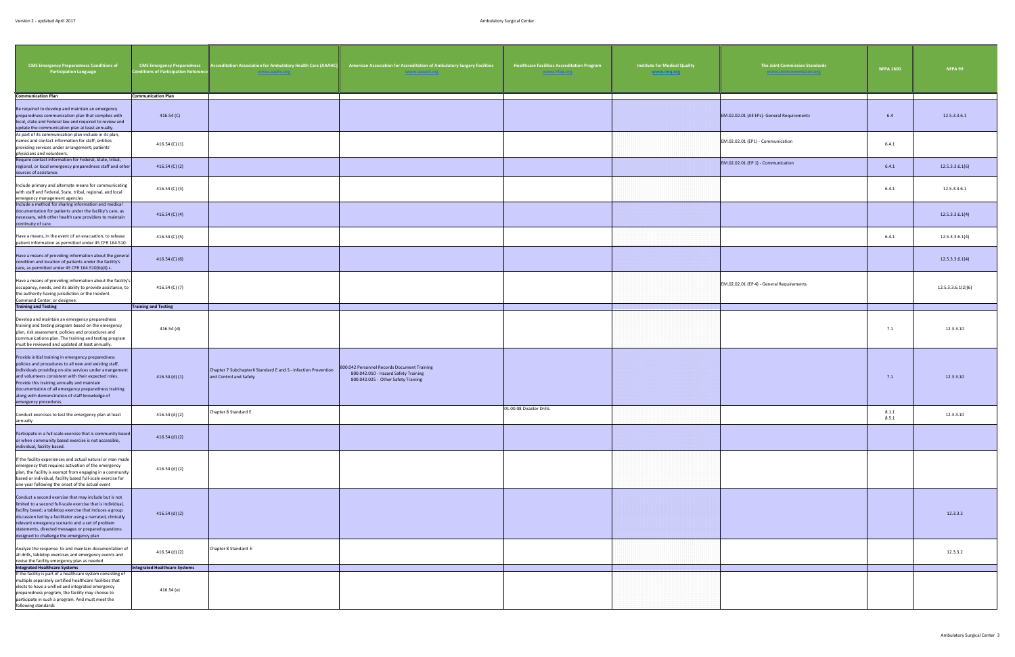| <b>CMS Emergency Preparedness Conditions of</b><br><b>Participation Language</b>                                                                                                                                                                                                                                                                                                                                   | <b>CMS Emergency Preparedness</b><br><b>Conditions of Participation Referend</b> | <b>Accreditation Association for Ambulatory Health Care (AAAHC</b><br>www.aaahc.org       | American Association for Accreditation of Ambulatory Surgery Facilities<br>www.aaaast.org                                  | <b>Healthcare Facilities Accreditation Program</b><br>www.htap.org | <b>Institute for Medical Quality</b><br>www.imq.org | The Joint Commission Standards<br>www.jointcommission.org | <b>NFPA 1600</b> | NFPA 99            |
|--------------------------------------------------------------------------------------------------------------------------------------------------------------------------------------------------------------------------------------------------------------------------------------------------------------------------------------------------------------------------------------------------------------------|----------------------------------------------------------------------------------|-------------------------------------------------------------------------------------------|----------------------------------------------------------------------------------------------------------------------------|--------------------------------------------------------------------|-----------------------------------------------------|-----------------------------------------------------------|------------------|--------------------|
| <b>Communication Plan</b>                                                                                                                                                                                                                                                                                                                                                                                          | <b>Communication Plan</b>                                                        |                                                                                           |                                                                                                                            |                                                                    |                                                     |                                                           |                  |                    |
| Be required to develop and maintain an emergency<br>preparedness communication plan that complies with<br>local, state and Federal law and required to review and<br>update the communication plan at least annually.                                                                                                                                                                                              | 416.54 (C)                                                                       |                                                                                           |                                                                                                                            |                                                                    |                                                     | EM.02.02.01 (All EPs)- General Requirements               | 6.4              | 12.5.3.3.6.1       |
| As part of its communication plan include in its plan,<br>names and contact information for staff; entities<br>providing services under arrangement; patients'<br>physicians and volunteers.                                                                                                                                                                                                                       | 416.54 (C) (1)                                                                   |                                                                                           |                                                                                                                            |                                                                    |                                                     | EM.02.02.01 (EP1) - Communication                         | 6.4.1            |                    |
| Require contact information for Federal, State, tribal,<br>regional, or local emergency preparedness staff and other<br>sources of assistance.                                                                                                                                                                                                                                                                     | 416.54 (C) (2)                                                                   |                                                                                           |                                                                                                                            |                                                                    |                                                     | EM.02.02.01 (EP 1) - Communication                        | 6.4.1            | 12.5.3.3.6.1(6)    |
| Include primary and alternate means for communicating<br>with staff and Federal, State, tribal, regional, and local<br>emergency management agencies<br>Include a method for sharing information and medical                                                                                                                                                                                                       | 416.54 (C) (3)                                                                   |                                                                                           |                                                                                                                            |                                                                    |                                                     |                                                           | 6.4.1            | 12.5.3.3.6.1       |
| documentation for patients under the facility's care, as<br>necessary, with other health care providers to maintain<br>continuity of care.                                                                                                                                                                                                                                                                         | 416.54 (C) (4)                                                                   |                                                                                           |                                                                                                                            |                                                                    |                                                     |                                                           |                  | 12.5.3.3.6.1(4)    |
| Have a means, in the event of an evacuation, to release<br>patient information as permitted under 45 CFR 164.510.                                                                                                                                                                                                                                                                                                  | 416.54 (C) (5)                                                                   |                                                                                           |                                                                                                                            |                                                                    |                                                     |                                                           | 6.4.1            | 12.5.3.3.6.1(4)    |
| Have a means of providing information about the general<br>condition and location of patients under the facility's<br>care, as permitted under 45 CFR 164.510(b)(4) s.                                                                                                                                                                                                                                             | 416.54 (C) (6)                                                                   |                                                                                           |                                                                                                                            |                                                                    |                                                     |                                                           |                  | 12.5.3.3.6.1(4)    |
| Have a means of providing information about the facility's<br>occupancy, needs, and its ability to provide assistance, to<br>the authority having jurisdiction or the Incident<br>Command Center, or designee.                                                                                                                                                                                                     | 416.54 (C) (7)                                                                   |                                                                                           |                                                                                                                            |                                                                    |                                                     | EM.02.02.01 (EP 4) - General Requirements                 |                  | 12.5.3.3.6.1(2)(6) |
| <b>Training and Testing</b>                                                                                                                                                                                                                                                                                                                                                                                        | <b>Training and Testing</b>                                                      |                                                                                           |                                                                                                                            |                                                                    |                                                     |                                                           |                  |                    |
| Develop and maintain an emergency preparedness<br>training and testing program based on the emergency<br>plan, risk assessment, policies and procedures and<br>communications plan. The training and testing program<br>must be reviewed and updated at least annually.                                                                                                                                            | 416.54 (d)                                                                       |                                                                                           |                                                                                                                            |                                                                    |                                                     |                                                           | 7.1              | 12.3.3.10          |
| Provide initial training in emergency preparedness<br>policies and procedures to all new and existing staff,<br>individuals providing on-site services under arrangement<br>and volunteers consistent with their expected roles.<br>Provide this training annually and maintain<br>documentation of all emergency preparedness training<br>along with demonstration of staff knowledge of<br>emergency procedures. | 416.54 (d) (1)                                                                   | Chapter 7 Subchapter II Standard E and S - Infection Prevention<br>and Control and Safety | 800.042 Personnel Records Document Training<br>800.042.010 - Hazard Safety Training<br>800.042.025 - Other Safety Training |                                                                    |                                                     |                                                           | 7.1              | 12.3.3.10          |
| Conduct exercises to test the emergency plan at least<br>annually                                                                                                                                                                                                                                                                                                                                                  | 416.54 (d) (2)                                                                   | Chapter 8 Standard E                                                                      |                                                                                                                            | 01.00.08 Disaster Drills.                                          |                                                     |                                                           | 8.1.1<br>8.5.1   | 12.3.3.10          |
| Participate in a full scale exercise that is community based<br>or when community based exercise is not accessible,<br>individual, facility-based.                                                                                                                                                                                                                                                                 | 416.54 (d) (2)                                                                   |                                                                                           |                                                                                                                            |                                                                    |                                                     |                                                           |                  |                    |
| If the facility experiences and actual natural or man made<br>emergency that requires activation of the emergency<br>plan, the facility is exempt from engaging in a community<br>based or individual, facility based full-scale exercise for<br>one year following the onset of the actual event                                                                                                                  | 416.54 (d) (2)                                                                   |                                                                                           |                                                                                                                            |                                                                    |                                                     |                                                           |                  |                    |
| Conduct a second exercise that may include but is not<br>limited to a second full-scale exercise that is individual,<br>facility based; a tabletop exercise that induces a group<br>discussion led by a facilitator using a narrated, clinically<br>relevant emergency scenario and a set of problem<br>statements, directed messages or prepared questions<br>designed to challenge the emergency plan            | 416.54 (d) (2)                                                                   |                                                                                           |                                                                                                                            |                                                                    |                                                     |                                                           |                  | 12.3.3.2           |
| Analyze the response to and maintain documentation of<br>all drills, tabletop exercises and emergency events and<br>revise the facility emergency plan as needed                                                                                                                                                                                                                                                   | 416.54 (d) (2)                                                                   | Chapter 8 Standard E                                                                      |                                                                                                                            |                                                                    |                                                     |                                                           |                  | 12.3.3.2           |
| <b>Integrated Healthcare Systems</b>                                                                                                                                                                                                                                                                                                                                                                               | <b>Integrated Healthcare Systems</b>                                             |                                                                                           |                                                                                                                            |                                                                    |                                                     |                                                           |                  |                    |
| If the facility is part of a healthcare system consisting of<br>multiple separately certified healthcare facilities that<br>elects to have a unified and integrated emergency<br>preparedness program, the facility may choose to<br>participate in such a program. And must meet the<br>following standards                                                                                                       | 416.54 (e)                                                                       |                                                                                           |                                                                                                                            |                                                                    |                                                     |                                                           |                  |                    |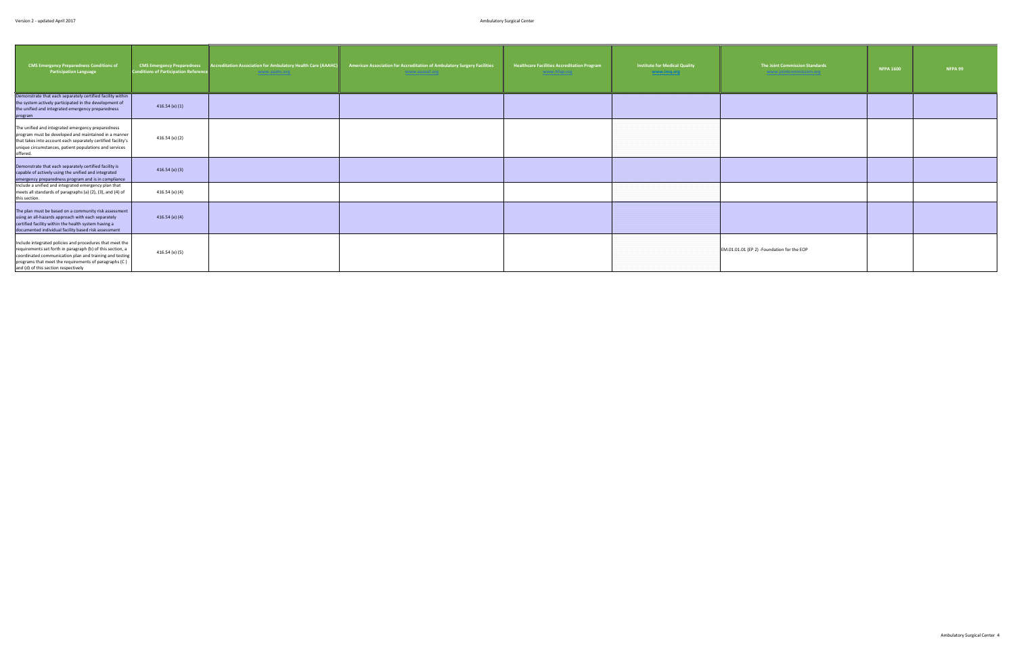| <b>CMS Emergency Preparedness Conditions of</b><br><b>Participation Language</b>                                                                                                                                                                                                   | <b>CMS Emergency Preparedness</b><br><b>Conditions of Participation Reference</b> | <b>Accreditation Association for Ambulatory Health Care (AAAHC</b><br>www.aaahc.org | American Association for Accreditation of Ambulatory Surgery Facilities<br>www.aaaasf.org | <b>Healthcare Facilities Accreditation Program</b><br>www.hfap.org | <b>Institute for Medical Quality</b><br>www.imq.org | The Joint Commission Standards<br>www.jointcommission.org | <b>NFPA 1600</b> | <b>NFPA 99</b> |
|------------------------------------------------------------------------------------------------------------------------------------------------------------------------------------------------------------------------------------------------------------------------------------|-----------------------------------------------------------------------------------|-------------------------------------------------------------------------------------|-------------------------------------------------------------------------------------------|--------------------------------------------------------------------|-----------------------------------------------------|-----------------------------------------------------------|------------------|----------------|
| Demonstrate that each separately certified facility within<br>the system actively participated in the development of<br>the unified and integrated emergency preparedness<br>program                                                                                               | $416.54$ (e) $(1)$                                                                |                                                                                     |                                                                                           |                                                                    |                                                     |                                                           |                  |                |
| The unified and integrated emergency preparedness<br>program must be developed and maintained in a manner<br>that takes into account each separately certified facility's<br>unique circumstances, patient populations and services<br>offered.                                    | 416.54 (e) (2)                                                                    |                                                                                     |                                                                                           |                                                                    |                                                     |                                                           |                  |                |
| Demonstrate that each separately certified facility is<br>capable of actively using the unified and integrated<br>emergency preparedness program and is in compliance                                                                                                              | $416.54$ (e) (3)                                                                  |                                                                                     |                                                                                           |                                                                    |                                                     |                                                           |                  |                |
| Include a unified and integrated emergency plan that<br>meets all standards of paragraphs (a) (2), (3), and (4) of<br>this section.                                                                                                                                                | 416.54 (e) (4)                                                                    |                                                                                     |                                                                                           |                                                                    |                                                     |                                                           |                  |                |
| The plan must be based on a community risk assessment<br>using an all-hazards approach with each separately<br>certified facility within the health system having a<br>documented individual facility based risk assessment                                                        | $416.54$ (e) (4)                                                                  |                                                                                     |                                                                                           |                                                                    |                                                     |                                                           |                  |                |
| Include integrated policies and procedures that meet the<br>requirements set forth in paragraph (b) of this section, a<br>coordinated communication plan and training and testing<br>programs that meet the requirements of paragraphs (C)<br>and (d) of this section respectively | 416.54 (e) (5)                                                                    |                                                                                     |                                                                                           |                                                                    |                                                     | EM.01.01.01 (EP 2) -Foundation for the EOP                |                  |                |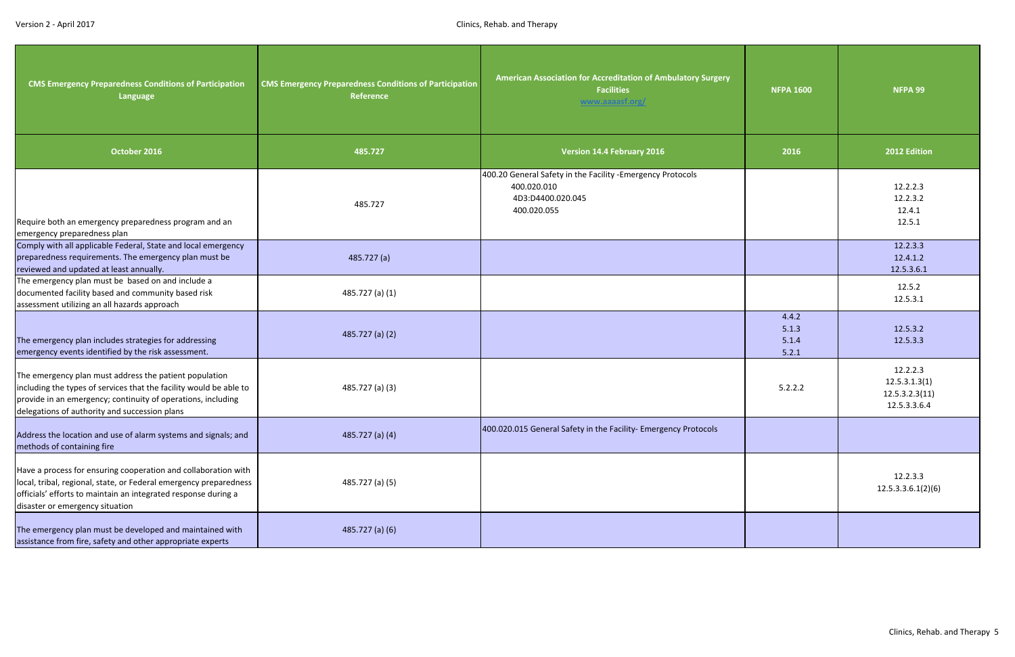<span id="page-5-0"></span>

| <b>CMS Emergency Preparedness Conditions of Participation</b><br>Language                                                                                                                                                                     | <b>CMS Emergency Preparedness Conditions of Participation</b><br>Reference | American Association for Accreditation of Ambulatory Surgery<br><b>Facilities</b><br>www.aaaasf.org/           | <b>NFPA 1600</b>                 | NFPA 99                                                     |
|-----------------------------------------------------------------------------------------------------------------------------------------------------------------------------------------------------------------------------------------------|----------------------------------------------------------------------------|----------------------------------------------------------------------------------------------------------------|----------------------------------|-------------------------------------------------------------|
| October 2016                                                                                                                                                                                                                                  | 485.727                                                                    | <b>Version 14.4 February 2016</b>                                                                              | 2016                             | 2012 Edition                                                |
| Require both an emergency preparedness program and an<br>emergency preparedness plan                                                                                                                                                          | 485.727                                                                    | 400.20 General Safety in the Facility - Emergency Protocols<br>400.020.010<br>4D3:D4400.020.045<br>400.020.055 |                                  | 12.2.2.3<br>12.2.3.2<br>12.4.1<br>12.5.1                    |
| Comply with all applicable Federal, State and local emergency<br>preparedness requirements. The emergency plan must be<br>reviewed and updated at least annually.                                                                             | 485.727 (a)                                                                |                                                                                                                |                                  | 12.2.3.3<br>12.4.1.2<br>12.5.3.6.1                          |
| The emergency plan must be based on and include a<br>documented facility based and community based risk<br>assessment utilizing an all hazards approach                                                                                       | 485.727 (a) (1)                                                            |                                                                                                                |                                  | 12.5.2<br>12.5.3.1                                          |
| The emergency plan includes strategies for addressing<br>emergency events identified by the risk assessment.                                                                                                                                  | $485.727$ (a) (2)                                                          |                                                                                                                | 4.4.2<br>5.1.3<br>5.1.4<br>5.2.1 | 12.5.3.2<br>12.5.3.3                                        |
| The emergency plan must address the patient population<br>including the types of services that the facility would be able to<br>provide in an emergency; continuity of operations, including<br>delegations of authority and succession plans | 485.727 (a) (3)                                                            |                                                                                                                | 5.2.2.2                          | 12.2.2.3<br>12.5.3.1.3(1)<br>12.5.3.2.3(11)<br>12.5.3.3.6.4 |
| Address the location and use of alarm systems and signals; and<br>methods of containing fire                                                                                                                                                  | 485.727 (a) (4)                                                            | 400.020.015 General Safety in the Facility- Emergency Protocols                                                |                                  |                                                             |
| Have a process for ensuring cooperation and collaboration with<br>local, tribal, regional, state, or Federal emergency preparedness<br>officials' efforts to maintain an integrated response during a<br>disaster or emergency situation      | 485.727 (a) (5)                                                            |                                                                                                                |                                  | 12.2.3.3<br>12.5.3.3.6.1(2)(6)                              |
| The emergency plan must be developed and maintained with<br>assistance from fire, safety and other appropriate experts                                                                                                                        | $485.727$ (a) (6)                                                          |                                                                                                                |                                  |                                                             |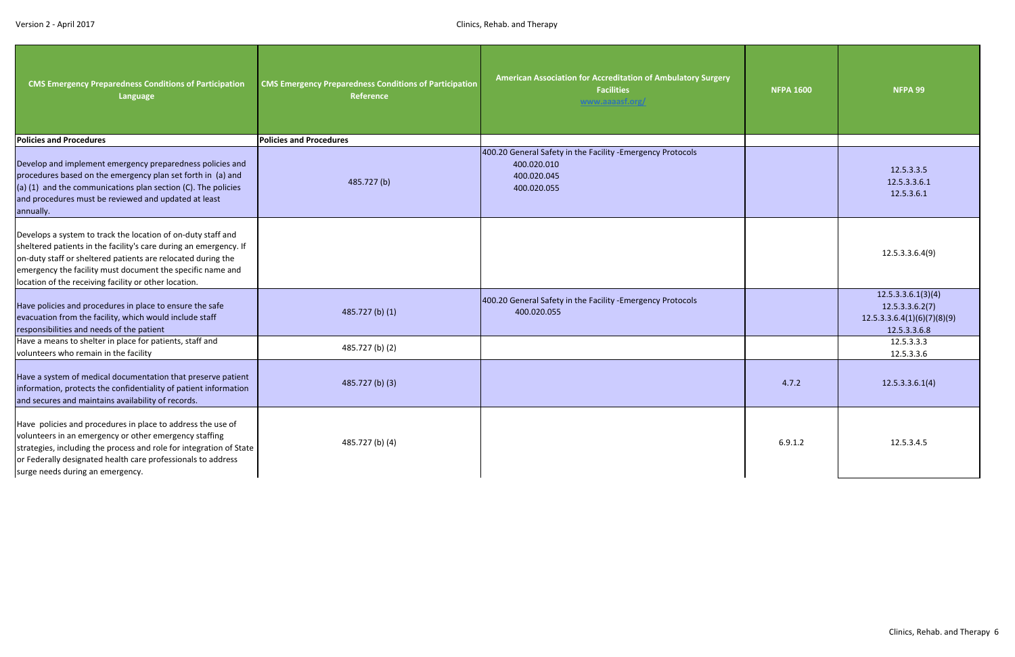| <b>CMS Emergency Preparedness Conditions of Participation</b><br>Language                                                                                                                                                                                                                                                | <b>CMS Emergency Preparedness Conditions of Participation</b><br>Reference | American Association for Accreditation of Ambulatory Surgery<br><b>Facilities</b><br>www.aaaasf.org/     | <b>NFPA 1600</b> | NFPA 99                                                                              |
|--------------------------------------------------------------------------------------------------------------------------------------------------------------------------------------------------------------------------------------------------------------------------------------------------------------------------|----------------------------------------------------------------------------|----------------------------------------------------------------------------------------------------------|------------------|--------------------------------------------------------------------------------------|
| <b>Policies and Procedures</b>                                                                                                                                                                                                                                                                                           | <b>Policies and Procedures</b>                                             |                                                                                                          |                  |                                                                                      |
| Develop and implement emergency preparedness policies and<br>procedures based on the emergency plan set forth in (a) and<br>$(a)$ (1) and the communications plan section (C). The policies<br>and procedures must be reviewed and updated at least<br>annually.                                                         | 485.727(b)                                                                 | 400.20 General Safety in the Facility - Emergency Protocols<br>400.020.010<br>400.020.045<br>400.020.055 |                  | 12.5.3.3.5<br>12.5.3.3.6.1<br>12.5.3.6.1                                             |
| Develops a system to track the location of on-duty staff and<br>sheltered patients in the facility's care during an emergency. If<br>on-duty staff or sheltered patients are relocated during the<br>emergency the facility must document the specific name and<br>location of the receiving facility or other location. |                                                                            |                                                                                                          |                  | 12.5.3.3.6.4(9)                                                                      |
| Have policies and procedures in place to ensure the safe<br>evacuation from the facility, which would include staff<br>responsibilities and needs of the patient                                                                                                                                                         | 485.727 (b) (1)                                                            | 400.20 General Safety in the Facility -Emergency Protocols<br>400.020.055                                |                  | 12.5.3.3.6.1(3)(4)<br>12.5.3.3.6.2(7)<br>12.5.3.3.6.4(1)(6)(7)(8)(9)<br>12.5.3.3.6.8 |
| Have a means to shelter in place for patients, staff and<br>volunteers who remain in the facility                                                                                                                                                                                                                        | 485.727 (b) (2)                                                            |                                                                                                          |                  | 12.5.3.3.3<br>12.5.3.3.6                                                             |
| Have a system of medical documentation that preserve patient<br>information, protects the confidentiality of patient information<br>and secures and maintains availability of records.                                                                                                                                   | 485.727 (b) (3)                                                            |                                                                                                          | 4.7.2            | 12.5.3.3.6.1(4)                                                                      |
| Have policies and procedures in place to address the use of<br>volunteers in an emergency or other emergency staffing<br>strategies, including the process and role for integration of State<br>or Federally designated health care professionals to address<br>surge needs during an emergency.                         | 485.727 (b) (4)                                                            |                                                                                                          | 6.9.1.2          | 12.5.3.4.5                                                                           |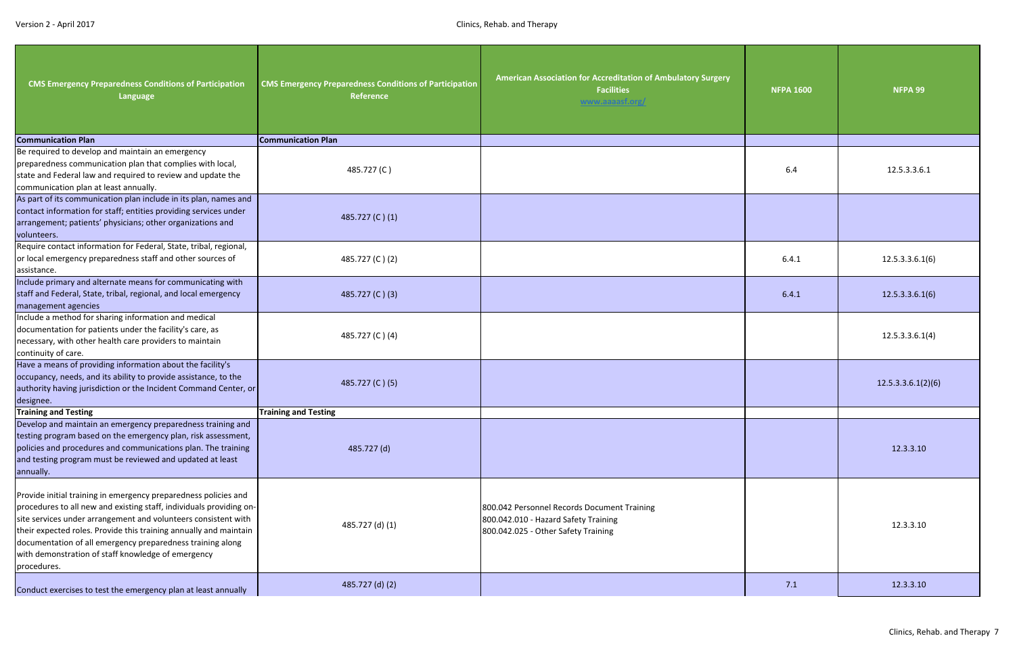| <b>CMS Emergency Preparedness Conditions of Participation</b><br>Language                                                                                                                                                                                                                                                                                                                                        | <b>CMS Emergency Preparedness Conditions of Participation</b><br><b>Reference</b> | American Association for Accreditation of Ambulatory Surgery<br><b>Facilities</b><br>www.aaaasf.org/                       | <b>NFPA 1600</b> | <b>NFPA 99</b>     |
|------------------------------------------------------------------------------------------------------------------------------------------------------------------------------------------------------------------------------------------------------------------------------------------------------------------------------------------------------------------------------------------------------------------|-----------------------------------------------------------------------------------|----------------------------------------------------------------------------------------------------------------------------|------------------|--------------------|
| <b>Communication Plan</b>                                                                                                                                                                                                                                                                                                                                                                                        | <b>Communication Plan</b>                                                         |                                                                                                                            |                  |                    |
| Be required to develop and maintain an emergency<br>preparedness communication plan that complies with local,<br>state and Federal law and required to review and update the<br>communication plan at least annually.                                                                                                                                                                                            | 485.727 (C)                                                                       |                                                                                                                            | 6.4              | 12.5.3.3.6.1       |
| As part of its communication plan include in its plan, names and<br>contact information for staff; entities providing services under<br>arrangement; patients' physicians; other organizations and<br>volunteers.                                                                                                                                                                                                | 485.727 (C)(1)                                                                    |                                                                                                                            |                  |                    |
| Require contact information for Federal, State, tribal, regional,<br>or local emergency preparedness staff and other sources of<br>assistance.                                                                                                                                                                                                                                                                   | 485.727 (C)(2)                                                                    |                                                                                                                            | 6.4.1            | 12.5.3.3.6.1(6)    |
| Include primary and alternate means for communicating with<br>staff and Federal, State, tribal, regional, and local emergency<br>management agencies                                                                                                                                                                                                                                                             | 485.727 (C) (3)                                                                   |                                                                                                                            | 6.4.1            | 12.5.3.3.6.1(6)    |
| Include a method for sharing information and medical<br>documentation for patients under the facility's care, as<br>necessary, with other health care providers to maintain<br>continuity of care.                                                                                                                                                                                                               | 485.727 (C)(4)                                                                    |                                                                                                                            |                  | 12.5.3.3.6.1(4)    |
| Have a means of providing information about the facility's<br>occupancy, needs, and its ability to provide assistance, to the<br>authority having jurisdiction or the Incident Command Center, or<br>designee.                                                                                                                                                                                                   | 485.727 (C)(5)                                                                    |                                                                                                                            |                  | 12.5.3.3.6.1(2)(6) |
| Training and Testing                                                                                                                                                                                                                                                                                                                                                                                             | Training and Testing                                                              |                                                                                                                            |                  |                    |
| Develop and maintain an emergency preparedness training and<br>testing program based on the emergency plan, risk assessment,<br>policies and procedures and communications plan. The training<br>and testing program must be reviewed and updated at least<br>annually.                                                                                                                                          | 485.727 (d)                                                                       |                                                                                                                            |                  | 12.3.3.10          |
| Provide initial training in emergency preparedness policies and<br>procedures to all new and existing staff, individuals providing on-<br>site services under arrangement and volunteers consistent with<br>their expected roles. Provide this training annually and maintain<br>documentation of all emergency preparedness training along<br>with demonstration of staff knowledge of emergency<br>procedures. | 485.727 (d) (1)                                                                   | 800.042 Personnel Records Document Training<br>800.042.010 - Hazard Safety Training<br>800.042.025 - Other Safety Training |                  | 12.3.3.10          |
| Conduct exercises to test the emergency plan at least annually                                                                                                                                                                                                                                                                                                                                                   | 485.727 (d) (2)                                                                   |                                                                                                                            | 7.1              | 12.3.3.10          |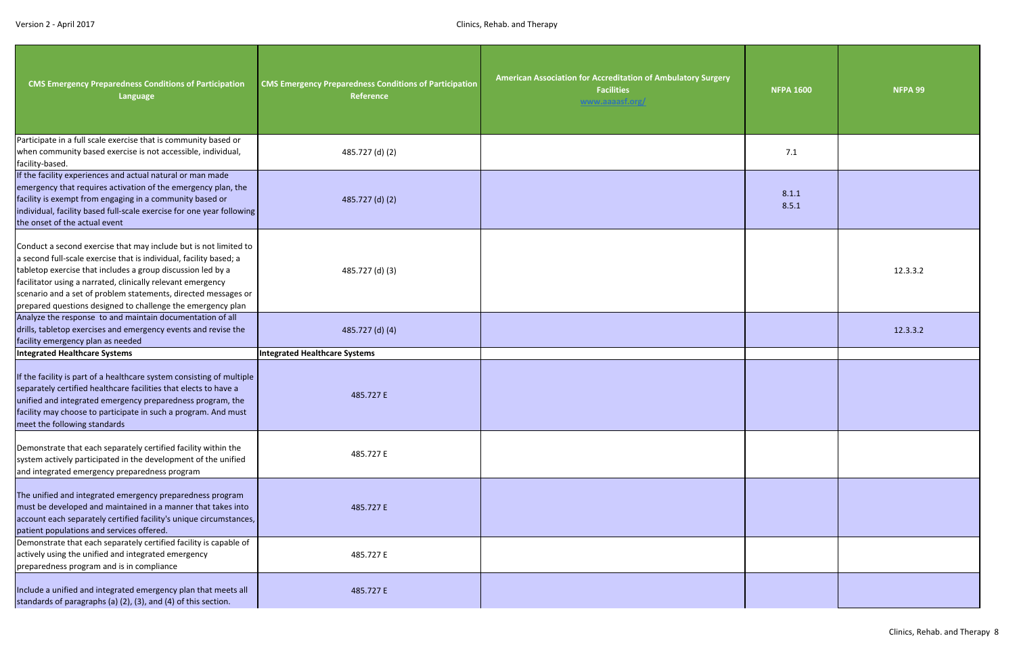| <b>CMS Emergency Preparedness Conditions of Participation</b><br>Language                                                                                                                                                                                                                                                                                                                             | <b>CMS Emergency Preparedness Conditions of Participation</b><br>Reference | American Association for Accreditation of Ambulatory Surgery<br><b>Facilities</b><br>www.aaaasf.org/ | <b>NFPA 1600</b> | NFPA 99  |
|-------------------------------------------------------------------------------------------------------------------------------------------------------------------------------------------------------------------------------------------------------------------------------------------------------------------------------------------------------------------------------------------------------|----------------------------------------------------------------------------|------------------------------------------------------------------------------------------------------|------------------|----------|
| Participate in a full scale exercise that is community based or<br>when community based exercise is not accessible, individual,<br>facility-based.                                                                                                                                                                                                                                                    | 485.727 (d) (2)                                                            |                                                                                                      | 7.1              |          |
| If the facility experiences and actual natural or man made<br>emergency that requires activation of the emergency plan, the<br>facility is exempt from engaging in a community based or<br>individual, facility based full-scale exercise for one year following<br>the onset of the actual event                                                                                                     | 485.727 (d) (2)                                                            |                                                                                                      | 8.1.1<br>8.5.1   |          |
| Conduct a second exercise that may include but is not limited to<br>a second full-scale exercise that is individual, facility based; a<br>tabletop exercise that includes a group discussion led by a<br>facilitator using a narrated, clinically relevant emergency<br>scenario and a set of problem statements, directed messages or<br>prepared questions designed to challenge the emergency plan | 485.727 (d) (3)                                                            |                                                                                                      |                  | 12.3.3.2 |
| Analyze the response to and maintain documentation of all<br>drills, tabletop exercises and emergency events and revise the<br>facility emergency plan as needed                                                                                                                                                                                                                                      | 485.727 (d) (4)                                                            |                                                                                                      |                  | 12.3.3.2 |
| <b>Integrated Healthcare Systems</b>                                                                                                                                                                                                                                                                                                                                                                  | <b>Integrated Healthcare Systems</b>                                       |                                                                                                      |                  |          |
| If the facility is part of a healthcare system consisting of multiple<br>separately certified healthcare facilities that elects to have a<br>unified and integrated emergency preparedness program, the<br>facility may choose to participate in such a program. And must<br>meet the following standards                                                                                             | 485.727 E                                                                  |                                                                                                      |                  |          |
| Demonstrate that each separately certified facility within the<br>system actively participated in the development of the unified<br>and integrated emergency preparedness program                                                                                                                                                                                                                     | 485.727 E                                                                  |                                                                                                      |                  |          |
| The unified and integrated emergency preparedness program<br>must be developed and maintained in a manner that takes into<br>account each separately certified facility's unique circumstances,<br>patient populations and services offered.                                                                                                                                                          | 485.727 E                                                                  |                                                                                                      |                  |          |
| Demonstrate that each separately certified facility is capable of<br>actively using the unified and integrated emergency<br>preparedness program and is in compliance                                                                                                                                                                                                                                 | 485.727 E                                                                  |                                                                                                      |                  |          |
| Include a unified and integrated emergency plan that meets all<br>standards of paragraphs (a) (2), (3), and (4) of this section.                                                                                                                                                                                                                                                                      | 485.727 E                                                                  |                                                                                                      |                  |          |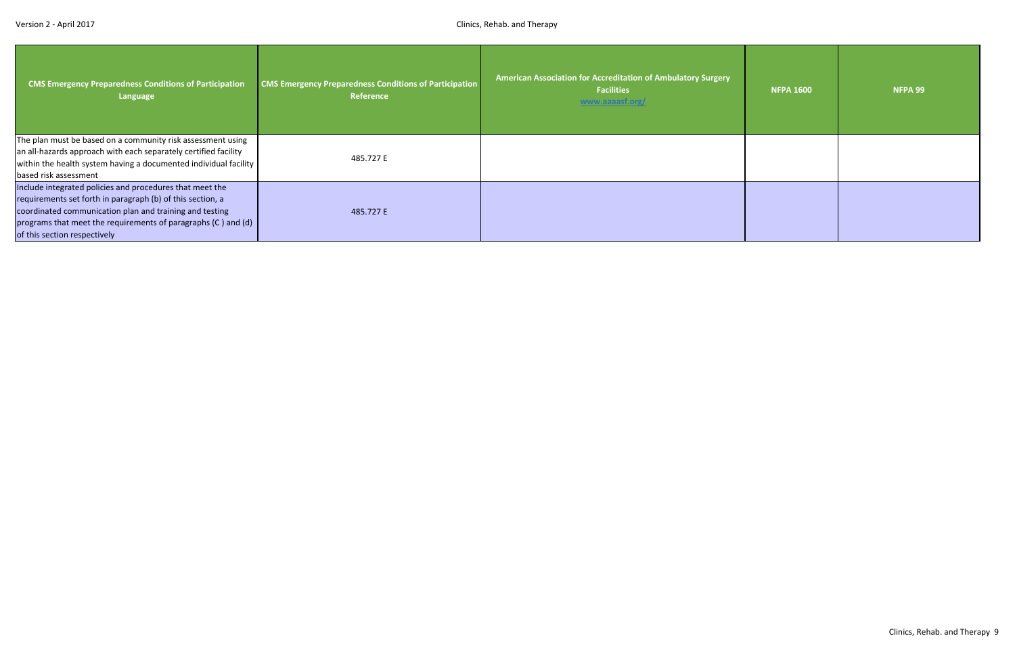| <b>CMS Emergency Preparedness Conditions of Participation</b><br>Language                                                                                                                                                                                                          | <b>CMS Emergency Preparedness Conditions of Participation</b><br>Reference | American Association for Accreditation of Ambulatory Surgery<br><b>Facilities</b><br>www.aaaasf.org/ | <b>NFPA 1600</b> | NFPA 99 |
|------------------------------------------------------------------------------------------------------------------------------------------------------------------------------------------------------------------------------------------------------------------------------------|----------------------------------------------------------------------------|------------------------------------------------------------------------------------------------------|------------------|---------|
| The plan must be based on a community risk assessment using<br>an all-hazards approach with each separately certified facility<br>within the health system having a documented individual facility<br>based risk assessment                                                        | 485.727 E                                                                  |                                                                                                      |                  |         |
| Include integrated policies and procedures that meet the<br>requirements set forth in paragraph (b) of this section, a<br>coordinated communication plan and training and testing<br>programs that meet the requirements of paragraphs (C) and (d)<br>of this section respectively | 485.727 E                                                                  |                                                                                                      |                  |         |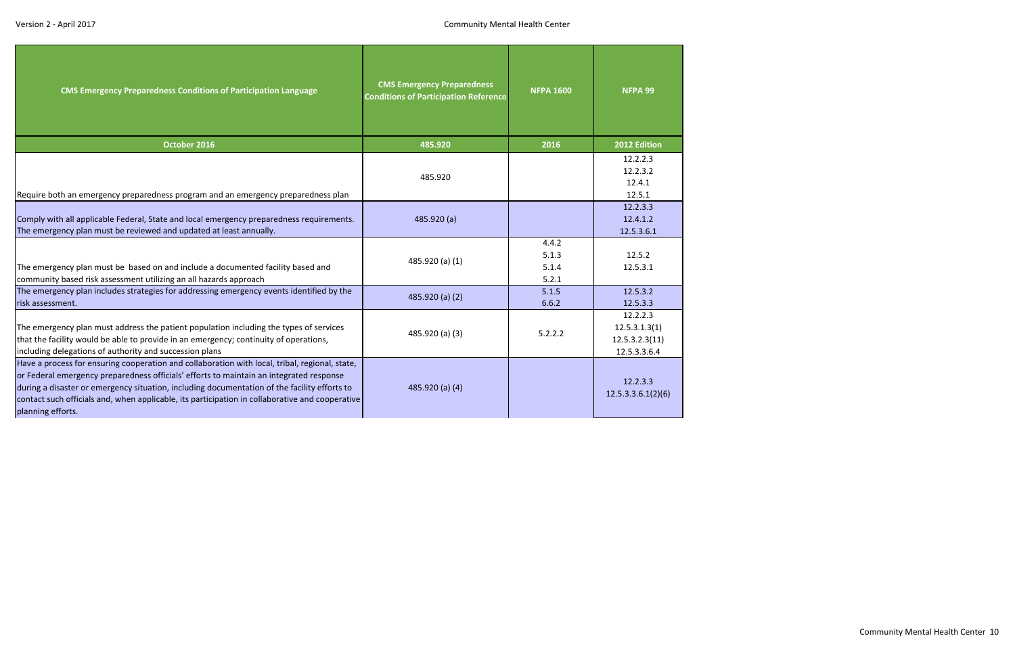<span id="page-10-0"></span>

| <b>CMS Emergency Preparedness Conditions of Participation Language</b>                                                                                                                                                                                                                                                                                                                                            | <b>CMS Emergency Preparedness</b><br><b>Conditions of Participation Reference</b> | <b>NFPA 1600</b>                 | NFPA 99                                                     |
|-------------------------------------------------------------------------------------------------------------------------------------------------------------------------------------------------------------------------------------------------------------------------------------------------------------------------------------------------------------------------------------------------------------------|-----------------------------------------------------------------------------------|----------------------------------|-------------------------------------------------------------|
| October 2016                                                                                                                                                                                                                                                                                                                                                                                                      | 485.920                                                                           | 2016                             | 2012 Edition                                                |
| Require both an emergency preparedness program and an emergency preparedness plan                                                                                                                                                                                                                                                                                                                                 | 485.920                                                                           |                                  | 12.2.2.3<br>12.2.3.2<br>12.4.1<br>12.5.1                    |
| Comply with all applicable Federal, State and local emergency preparedness requirements.<br>The emergency plan must be reviewed and updated at least annually.                                                                                                                                                                                                                                                    | 485.920 (a)                                                                       |                                  | 12.2.3.3<br>12.4.1.2<br>12.5.3.6.1                          |
| The emergency plan must be based on and include a documented facility based and<br>community based risk assessment utilizing an all hazards approach                                                                                                                                                                                                                                                              | 485.920 (a) (1)                                                                   | 4.4.2<br>5.1.3<br>5.1.4<br>5.2.1 | 12.5.2<br>12.5.3.1                                          |
| The emergency plan includes strategies for addressing emergency events identified by the<br>risk assessment.                                                                                                                                                                                                                                                                                                      | 485.920 (a) (2)                                                                   | 5.1.5<br>6.6.2                   | 12.5.3.2<br>12.5.3.3                                        |
| The emergency plan must address the patient population including the types of services<br>that the facility would be able to provide in an emergency; continuity of operations,<br>including delegations of authority and succession plans                                                                                                                                                                        | 485.920 (a) (3)                                                                   | 5.2.2.2                          | 12.2.2.3<br>12.5.3.1.3(1)<br>12.5.3.2.3(11)<br>12.5.3.3.6.4 |
| Have a process for ensuring cooperation and collaboration with local, tribal, regional, state,<br>or Federal emergency preparedness officials' efforts to maintain an integrated response<br>during a disaster or emergency situation, including documentation of the facility efforts to<br>contact such officials and, when applicable, its participation in collaborative and cooperative<br>planning efforts. | 485.920 (a) (4)                                                                   |                                  | 12.2.3.3<br>12.5.3.3.6.1(2)(6)                              |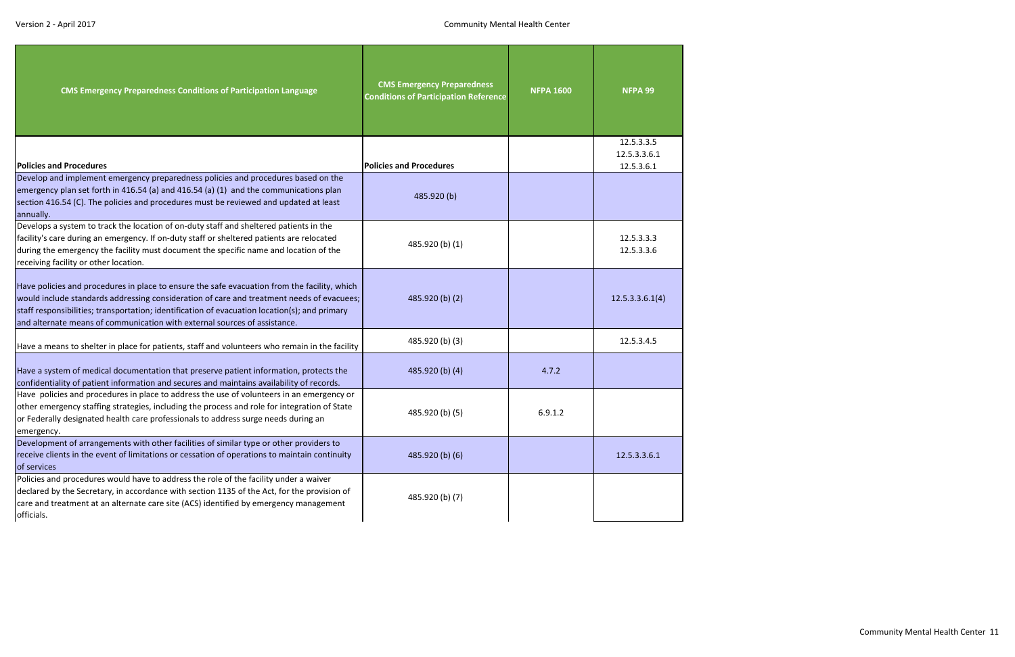| <b>CMS Emergency Preparedness Conditions of Participation Language</b>                                                                                                                                                                                                                                                                                                  | <b>CMS Emergency Preparedness</b><br><b>Conditions of Participation Reference</b> | <b>NFPA 1600</b> | <b>NFPA 99</b>                           |
|-------------------------------------------------------------------------------------------------------------------------------------------------------------------------------------------------------------------------------------------------------------------------------------------------------------------------------------------------------------------------|-----------------------------------------------------------------------------------|------------------|------------------------------------------|
| <b>Policies and Procedures</b>                                                                                                                                                                                                                                                                                                                                          | <b>Policies and Procedures</b>                                                    |                  | 12.5.3.3.5<br>12.5.3.3.6.1<br>12.5.3.6.1 |
| Develop and implement emergency preparedness policies and procedures based on the<br>emergency plan set forth in 416.54 (a) and 416.54 (a) (1) and the communications plan<br>section 416.54 (C). The policies and procedures must be reviewed and updated at least<br>annually.                                                                                        | 485.920(b)                                                                        |                  |                                          |
| Develops a system to track the location of on-duty staff and sheltered patients in the<br>facility's care during an emergency. If on-duty staff or sheltered patients are relocated<br>during the emergency the facility must document the specific name and location of the<br>receiving facility or other location.                                                   | 485.920 (b) (1)                                                                   |                  | 12.5.3.3.3<br>12.5.3.3.6                 |
| Have policies and procedures in place to ensure the safe evacuation from the facility, which<br>would include standards addressing consideration of care and treatment needs of evacuees;<br>staff responsibilities; transportation; identification of evacuation location(s); and primary<br>and alternate means of communication with external sources of assistance. | 485.920 (b) (2)                                                                   |                  | 12.5.3.3.6.1(4)                          |
| Have a means to shelter in place for patients, staff and volunteers who remain in the facility                                                                                                                                                                                                                                                                          | 485.920 (b) (3)                                                                   |                  | 12.5.3.4.5                               |
| Have a system of medical documentation that preserve patient information, protects the<br>confidentiality of patient information and secures and maintains availability of records.                                                                                                                                                                                     | 485.920 (b) (4)                                                                   | 4.7.2            |                                          |
| Have policies and procedures in place to address the use of volunteers in an emergency or<br>other emergency staffing strategies, including the process and role for integration of State<br>or Federally designated health care professionals to address surge needs during an<br>emergency.                                                                           | 485.920 (b) (5)                                                                   | 6.9.1.2          |                                          |
| Development of arrangements with other facilities of similar type or other providers to<br>receive clients in the event of limitations or cessation of operations to maintain continuity<br>of services                                                                                                                                                                 | 485.920 (b) (6)                                                                   |                  | 12.5.3.3.6.1                             |
| Policies and procedures would have to address the role of the facility under a waiver<br>declared by the Secretary, in accordance with section 1135 of the Act, for the provision of<br>care and treatment at an alternate care site (ACS) identified by emergency management<br>officials.                                                                             | 485.920 (b) (7)                                                                   |                  |                                          |

Community Mental Health Center 11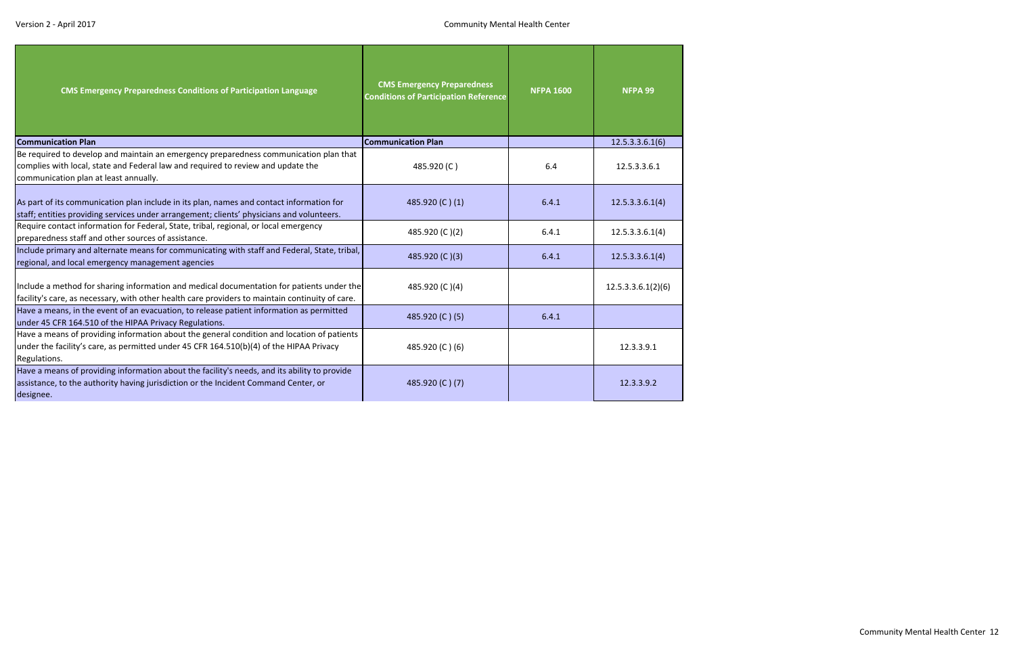| <b>CMS Emergency Preparedness Conditions of Participation Language</b>                                                                                                                                             | <b>CMS Emergency Preparedness</b><br><b>Conditions of Participation Reference</b> | <b>NFPA 1600</b> | NFPA 99            |
|--------------------------------------------------------------------------------------------------------------------------------------------------------------------------------------------------------------------|-----------------------------------------------------------------------------------|------------------|--------------------|
| <b>Communication Plan</b>                                                                                                                                                                                          | <b>Communication Plan</b>                                                         |                  | 12.5.3.3.6.1(6)    |
| Be required to develop and maintain an emergency preparedness communication plan that<br>complies with local, state and Federal law and required to review and update the<br>communication plan at least annually. | 485.920(C)                                                                        | 6.4              | 12.5.3.3.6.1       |
| As part of its communication plan include in its plan, names and contact information for<br>staff; entities providing services under arrangement; clients' physicians and volunteers.                              | 485.920 (C)(1)                                                                    | 6.4.1            | 12.5.3.3.6.1(4)    |
| Require contact information for Federal, State, tribal, regional, or local emergency<br>preparedness staff and other sources of assistance.                                                                        | 485.920 (C)(2)                                                                    | 6.4.1            | 12.5.3.3.6.1(4)    |
| Include primary and alternate means for communicating with staff and Federal, State, tribal,<br>regional, and local emergency management agencies                                                                  | 485.920 (C)(3)                                                                    | 6.4.1            | 12.5.3.3.6.1(4)    |
| Include a method for sharing information and medical documentation for patients under the<br>facility's care, as necessary, with other health care providers to maintain continuity of care.                       | 485.920 (C)(4)                                                                    |                  | 12.5.3.3.6.1(2)(6) |
| Have a means, in the event of an evacuation, to release patient information as permitted<br>under 45 CFR 164.510 of the HIPAA Privacy Regulations.                                                                 | 485.920 (C) (5)                                                                   | 6.4.1            |                    |
| Have a means of providing information about the general condition and location of patients<br>under the facility's care, as permitted under 45 CFR 164.510(b)(4) of the HIPAA Privacy<br>Regulations.              | 485.920 (C) (6)                                                                   |                  | 12.3.3.9.1         |
| Have a means of providing information about the facility's needs, and its ability to provide<br>assistance, to the authority having jurisdiction or the Incident Command Center, or<br>designee.                   | 485.920 (C) (7)                                                                   |                  | 12.3.3.9.2         |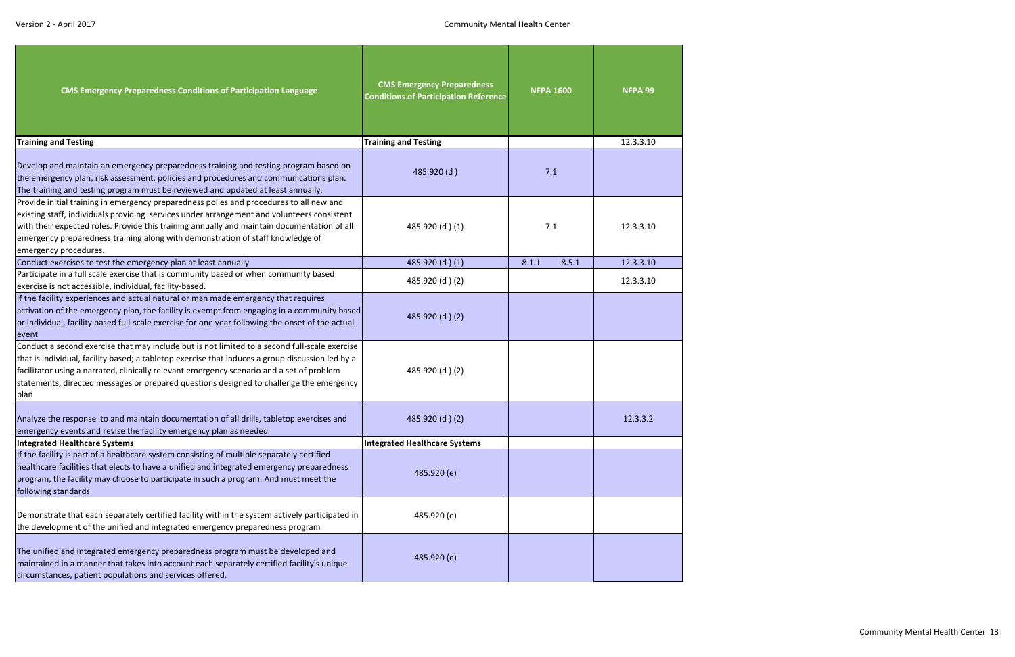| <b>CMS Emergency Preparedness Conditions of Participation Language</b>                                                                                                                                                                                                                                                                                                                            | <b>CMS Emergency Preparedness</b><br><b>Conditions of Participation Reference</b> | <b>NFPA 1600</b> | NFPA 99   |  |
|---------------------------------------------------------------------------------------------------------------------------------------------------------------------------------------------------------------------------------------------------------------------------------------------------------------------------------------------------------------------------------------------------|-----------------------------------------------------------------------------------|------------------|-----------|--|
| <b>Training and Testing</b>                                                                                                                                                                                                                                                                                                                                                                       | <b>Training and Testing</b>                                                       |                  | 12.3.3.10 |  |
| Develop and maintain an emergency preparedness training and testing program based on<br>the emergency plan, risk assessment, policies and procedures and communications plan.<br>The training and testing program must be reviewed and updated at least annually.                                                                                                                                 | 485.920 (d)                                                                       | 7.1              |           |  |
| Provide initial training in emergency preparedness polies and procedures to all new and<br>existing staff, individuals providing services under arrangement and volunteers consistent<br>with their expected roles. Provide this training annually and maintain documentation of all<br>emergency preparedness training along with demonstration of staff knowledge of<br>emergency procedures.   | 7.1<br>485.920 (d) (1)                                                            |                  | 12.3.3.10 |  |
| Conduct exercises to test the emergency plan at least annually                                                                                                                                                                                                                                                                                                                                    | 485.920 (d) (1)                                                                   | 8.5.1<br>8.1.1   | 12.3.3.10 |  |
| Participate in a full scale exercise that is community based or when community based<br>exercise is not accessible, individual, facility-based.                                                                                                                                                                                                                                                   | 485.920 (d) (2)                                                                   |                  | 12.3.3.10 |  |
| If the facility experiences and actual natural or man made emergency that requires<br>activation of the emergency plan, the facility is exempt from engaging in a community based<br>or individual, facility based full-scale exercise for one year following the onset of the actual<br>event                                                                                                    | 485.920 (d) (2)                                                                   |                  |           |  |
| Conduct a second exercise that may include but is not limited to a second full-scale exercise<br>that is individual, facility based; a tabletop exercise that induces a group discussion led by a<br>facilitator using a narrated, clinically relevant emergency scenario and a set of problem<br>statements, directed messages or prepared questions designed to challenge the emergency<br>plan | 485.920 (d) (2)                                                                   |                  |           |  |
| Analyze the response to and maintain documentation of all drills, tabletop exercises and<br>emergency events and revise the facility emergency plan as needed                                                                                                                                                                                                                                     | 485.920 (d) (2)                                                                   |                  | 12.3.3.2  |  |
| Integrated Healthcare Systems                                                                                                                                                                                                                                                                                                                                                                     | Integrated Healthcare Systems                                                     |                  |           |  |
| If the facility is part of a healthcare system consisting of multiple separately certified<br>healthcare facilities that elects to have a unified and integrated emergency preparedness<br>program, the facility may choose to participate in such a program. And must meet the<br>following standards                                                                                            | 485.920 (e)                                                                       |                  |           |  |
| Demonstrate that each separately certified facility within the system actively participated in<br>the development of the unified and integrated emergency preparedness program                                                                                                                                                                                                                    | 485.920 (e)                                                                       |                  |           |  |
| The unified and integrated emergency preparedness program must be developed and<br>maintained in a manner that takes into account each separately certified facility's unique<br>circumstances, patient populations and services offered.                                                                                                                                                         | 485.920 (e)                                                                       |                  |           |  |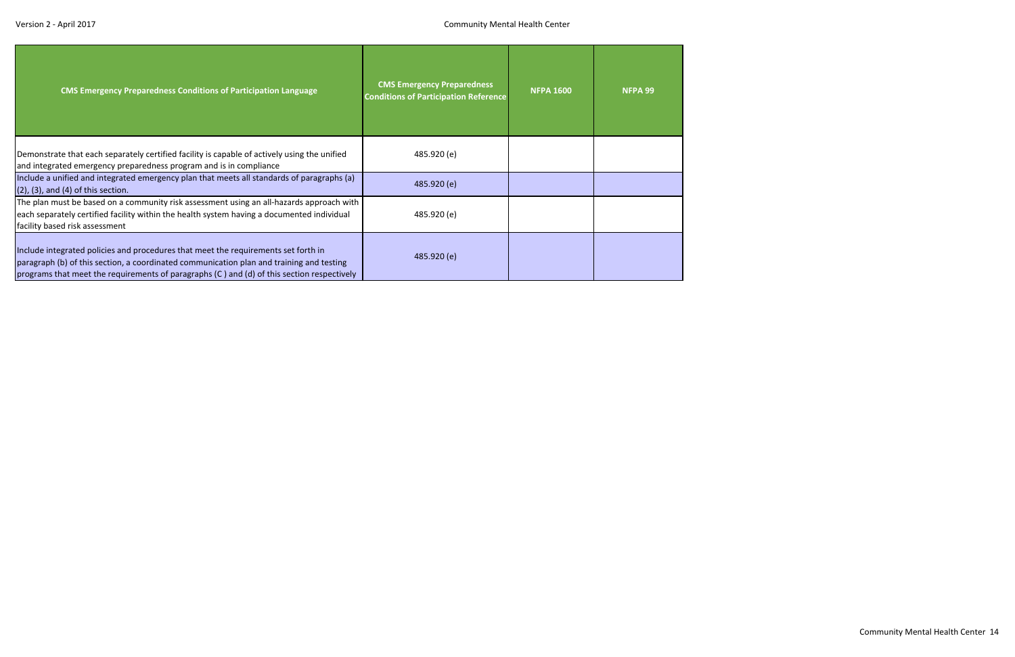| <b>CMS Emergency Preparedness Conditions of Participation Language</b>                                                                                                                                                                                                       | <b>CMS Emergency Preparedness</b><br><b>Conditions of Participation Reference</b> | <b>NFPA 1600</b> | NFPA 99 |
|------------------------------------------------------------------------------------------------------------------------------------------------------------------------------------------------------------------------------------------------------------------------------|-----------------------------------------------------------------------------------|------------------|---------|
| Demonstrate that each separately certified facility is capable of actively using the unified<br>and integrated emergency preparedness program and is in compliance                                                                                                           | 485.920 (e)                                                                       |                  |         |
| Include a unified and integrated emergency plan that meets all standards of paragraphs (a)<br>$(2)$ , $(3)$ , and $(4)$ of this section.                                                                                                                                     | 485.920 (e)                                                                       |                  |         |
| The plan must be based on a community risk assessment using an all-hazards approach with<br>each separately certified facility within the health system having a documented individual<br>facility based risk assessment                                                     | 485.920 (e)                                                                       |                  |         |
| Include integrated policies and procedures that meet the requirements set forth in<br>paragraph (b) of this section, a coordinated communication plan and training and testing<br>programs that meet the requirements of paragraphs (C) and (d) of this section respectively | 485.920 (e)                                                                       |                  |         |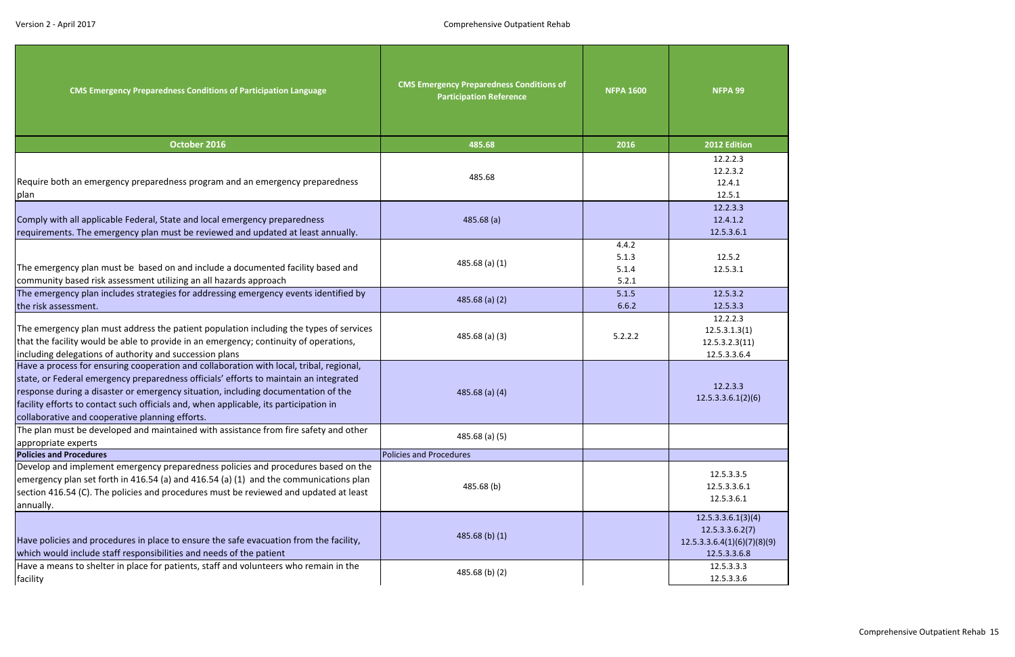<span id="page-15-0"></span>

| <b>CMS Emergency Preparedness Conditions of Participation Language</b>                                                                                                                                                                                                                                                                                                                                            | <b>CMS Emergency Preparedness Conditions of</b><br><b>Participation Reference</b> | <b>NFPA 1600</b>                 | NFPA 99                                                                              |  |
|-------------------------------------------------------------------------------------------------------------------------------------------------------------------------------------------------------------------------------------------------------------------------------------------------------------------------------------------------------------------------------------------------------------------|-----------------------------------------------------------------------------------|----------------------------------|--------------------------------------------------------------------------------------|--|
| October 2016                                                                                                                                                                                                                                                                                                                                                                                                      | 485.68                                                                            | 2016                             | 2012 Edition                                                                         |  |
| Require both an emergency preparedness program and an emergency preparedness<br>plan                                                                                                                                                                                                                                                                                                                              | 485.68                                                                            |                                  | 12.2.2.3<br>12.2.3.2<br>12.4.1<br>12.5.1                                             |  |
| Comply with all applicable Federal, State and local emergency preparedness<br>requirements. The emergency plan must be reviewed and updated at least annually.                                                                                                                                                                                                                                                    | 485.68(a)                                                                         |                                  | 12.2.3.3<br>12.4.1.2<br>12.5.3.6.1                                                   |  |
| The emergency plan must be based on and include a documented facility based and<br>community based risk assessment utilizing an all hazards approach                                                                                                                                                                                                                                                              | 485.68 $(a)$ $(1)$                                                                | 4.4.2<br>5.1.3<br>5.1.4<br>5.2.1 | 12.5.2<br>12.5.3.1                                                                   |  |
| The emergency plan includes strategies for addressing emergency events identified by<br>the risk assessment.                                                                                                                                                                                                                                                                                                      | $485.68$ (a) (2)                                                                  | 5.1.5<br>6.6.2                   | 12.5.3.2<br>12.5.3.3                                                                 |  |
| The emergency plan must address the patient population including the types of services<br>that the facility would be able to provide in an emergency; continuity of operations,<br>including delegations of authority and succession plans                                                                                                                                                                        | $485.68$ (a) (3)                                                                  | 5.2.2.2                          | 12.2.2.3<br>12.5.3.1.3(1)<br>12.5.3.2.3(11)<br>12.5.3.3.6.4                          |  |
| Have a process for ensuring cooperation and collaboration with local, tribal, regional,<br>state, or Federal emergency preparedness officials' efforts to maintain an integrated<br>response during a disaster or emergency situation, including documentation of the<br>facility efforts to contact such officials and, when applicable, its participation in<br>collaborative and cooperative planning efforts. | 485.68 $(a)$ $(4)$                                                                |                                  | 12.2.3.3<br>12.5.3.3.6.1(2)(6)                                                       |  |
| The plan must be developed and maintained with assistance from fire safety and other<br>appropriate experts                                                                                                                                                                                                                                                                                                       | $485.68$ (a) (5)                                                                  |                                  |                                                                                      |  |
| <b>Policies and Procedures</b>                                                                                                                                                                                                                                                                                                                                                                                    | <b>Policies and Procedures</b>                                                    |                                  |                                                                                      |  |
| Develop and implement emergency preparedness policies and procedures based on the<br>emergency plan set forth in 416.54 (a) and 416.54 (a) (1) and the communications plan<br>section 416.54 (C). The policies and procedures must be reviewed and updated at least<br>annually.                                                                                                                                  | 485.68(b)                                                                         |                                  | 12.5.3.3.5<br>12.5.3.3.6.1<br>12.5.3.6.1                                             |  |
| Have policies and procedures in place to ensure the safe evacuation from the facility,<br>which would include staff responsibilities and needs of the patient                                                                                                                                                                                                                                                     | 485.68 $(b)$ $(1)$                                                                |                                  | 12.5.3.3.6.1(3)(4)<br>12.5.3.3.6.2(7)<br>12.5.3.3.6.4(1)(6)(7)(8)(9)<br>12.5.3.3.6.8 |  |
| Have a means to shelter in place for patients, staff and volunteers who remain in the<br>facility                                                                                                                                                                                                                                                                                                                 | 485.68 (b) (2)                                                                    |                                  | 12.5.3.3.3<br>12.5.3.3.6                                                             |  |

| n            |
|--------------|
|              |
|              |
|              |
|              |
|              |
|              |
|              |
|              |
|              |
|              |
|              |
|              |
|              |
|              |
|              |
|              |
|              |
|              |
|              |
|              |
|              |
|              |
|              |
|              |
|              |
|              |
| 1)           |
|              |
| $\mathbf{1}$ |
|              |
| 4            |
|              |
|              |
|              |
|              |
|              |
| 2)(6)        |
|              |
|              |
|              |
|              |
|              |
|              |
|              |
|              |
|              |
| י<br>י       |
|              |
| $\mathbf{1}$ |
|              |
|              |
|              |
|              |
| 3)(4)        |
| (7)          |
|              |
| (7)(8)(9)    |
|              |
| 8            |
|              |
| ;<br>;       |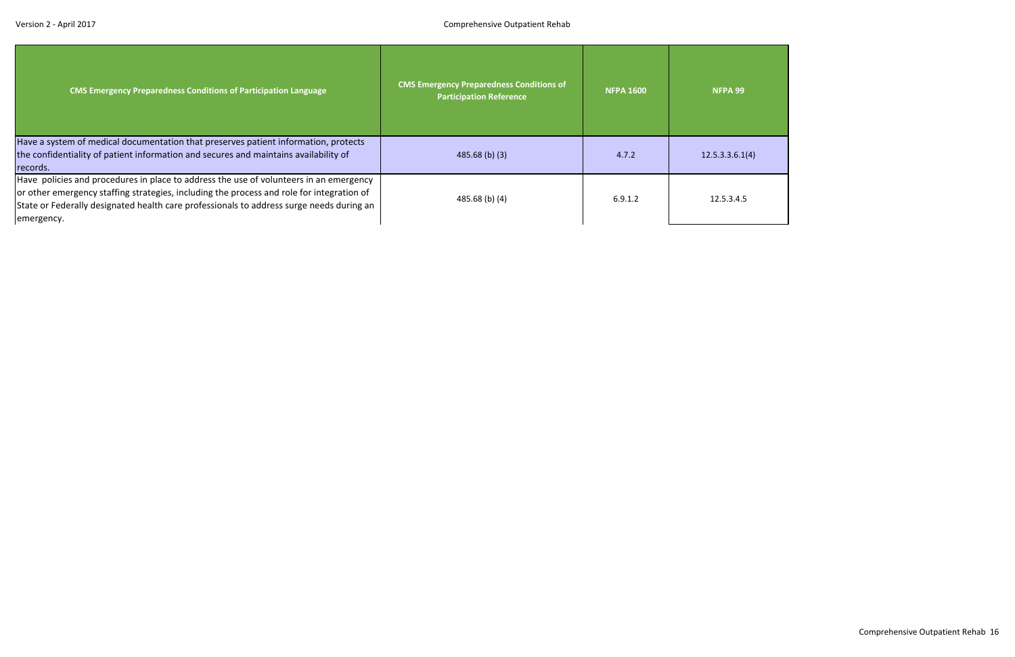| <b>CMS Emergency Preparedness Conditions of Participation Language</b>                                                                                                                                                                                                                        | <b>CMS Emergency Preparedness Conditions of</b><br><b>Participation Reference</b> | <b>NFPA 1600</b> | NFPA 99         |
|-----------------------------------------------------------------------------------------------------------------------------------------------------------------------------------------------------------------------------------------------------------------------------------------------|-----------------------------------------------------------------------------------|------------------|-----------------|
| Have a system of medical documentation that preserves patient information, protects<br>the confidentiality of patient information and secures and maintains availability of<br>records.                                                                                                       | $485.68$ (b) (3)                                                                  | 4.7.2            | 12.5.3.3.6.1(4) |
| Have policies and procedures in place to address the use of volunteers in an emergency<br>or other emergency staffing strategies, including the process and role for integration of<br>State or Federally designated health care professionals to address surge needs during an<br>emergency. | 485.68 (b) (4)                                                                    | 6.9.1.2          | 12.5.3.4.5      |

| (4)              |  |  |
|------------------|--|--|
|                  |  |  |
|                  |  |  |
|                  |  |  |
|                  |  |  |
| ֧֢֢֖֖֚֚֚֚֚֬֓֓֓֓֓ |  |  |
|                  |  |  |
|                  |  |  |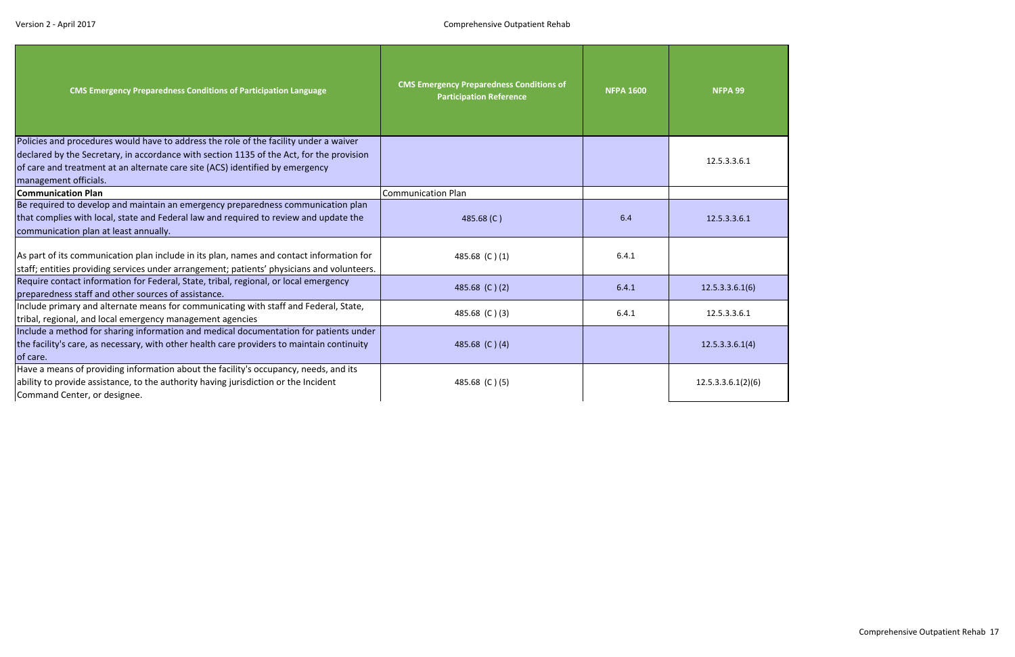| <b>CMS Emergency Preparedness Conditions of Participation Language</b>                                                                                                                                                                                                                      | <b>CMS Emergency Preparedness Conditions of</b><br><b>Participation Reference</b> | <b>NFPA 1600</b> | NFPA 99            |
|---------------------------------------------------------------------------------------------------------------------------------------------------------------------------------------------------------------------------------------------------------------------------------------------|-----------------------------------------------------------------------------------|------------------|--------------------|
| Policies and procedures would have to address the role of the facility under a waiver<br>declared by the Secretary, in accordance with section 1135 of the Act, for the provision<br>of care and treatment at an alternate care site (ACS) identified by emergency<br>management officials. |                                                                                   |                  | 12.5.3.3.6.1       |
| <b>Communication Plan</b>                                                                                                                                                                                                                                                                   | <b>Communication Plan</b>                                                         |                  |                    |
| Be required to develop and maintain an emergency preparedness communication plan<br>that complies with local, state and Federal law and required to review and update the<br>communication plan at least annually.                                                                          | 485.68 (C)                                                                        | 6.4              | 12.5.3.3.6.1       |
| As part of its communication plan include in its plan, names and contact information for<br>staff; entities providing services under arrangement; patients' physicians and volunteers.                                                                                                      | 485.68 (C)(1)                                                                     | 6.4.1            |                    |
| Require contact information for Federal, State, tribal, regional, or local emergency<br>preparedness staff and other sources of assistance.                                                                                                                                                 | 485.68 (C)(2)                                                                     | 6.4.1            | 12.5.3.3.6.1(6)    |
| Include primary and alternate means for communicating with staff and Federal, State,<br>tribal, regional, and local emergency management agencies                                                                                                                                           | 485.68 (C)(3)                                                                     | 6.4.1            | 12.5.3.3.6.1       |
| Include a method for sharing information and medical documentation for patients under<br>the facility's care, as necessary, with other health care providers to maintain continuity<br>of care.                                                                                             | 485.68 (C)(4)                                                                     |                  | 12.5.3.3.6.1(4)    |
| Have a means of providing information about the facility's occupancy, needs, and its<br>ability to provide assistance, to the authority having jurisdiction or the Incident<br>Command Center, or designee.                                                                                 | 485.68 (C)(5)                                                                     |                  | 12.5.3.3.6.1(2)(6) |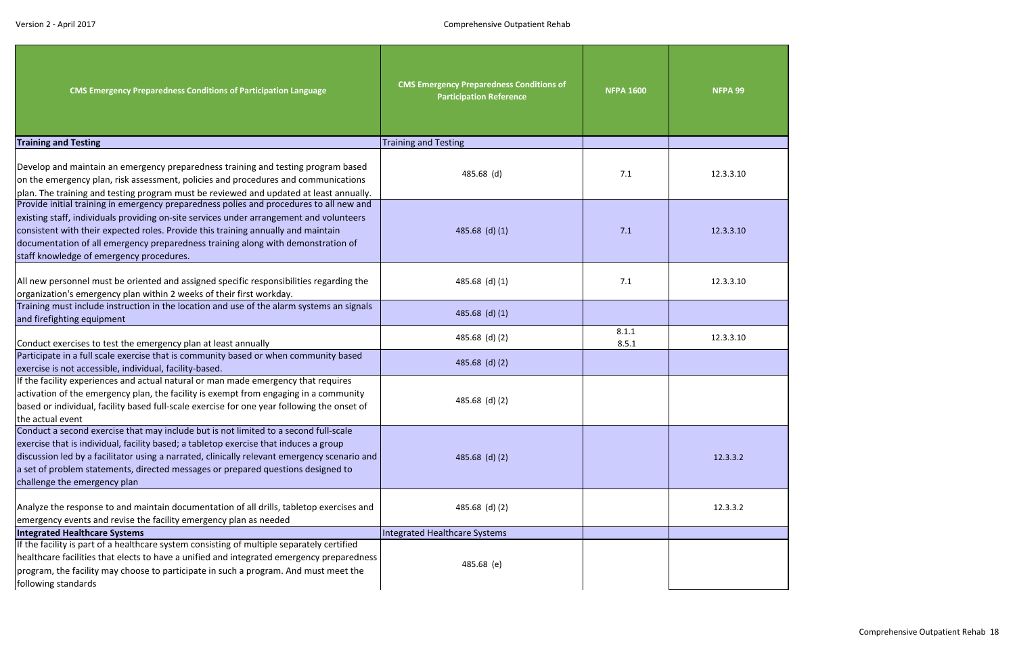| <b>CMS Emergency Preparedness Conditions of Participation Language</b>                                                                                                                                                                                                                                                                                                                                  | <b>CMS Emergency Preparedness Conditions of</b><br><b>Participation Reference</b> | <b>NFPA 1600</b> | NFPA 99   |
|---------------------------------------------------------------------------------------------------------------------------------------------------------------------------------------------------------------------------------------------------------------------------------------------------------------------------------------------------------------------------------------------------------|-----------------------------------------------------------------------------------|------------------|-----------|
| <b>Training and Testing</b>                                                                                                                                                                                                                                                                                                                                                                             | <b>Training and Testing</b>                                                       |                  |           |
| Develop and maintain an emergency preparedness training and testing program based<br>on the emergency plan, risk assessment, policies and procedures and communications<br>plan. The training and testing program must be reviewed and updated at least annually.                                                                                                                                       | 485.68 (d)                                                                        | 7.1              | 12.3.3.10 |
| Provide initial training in emergency preparedness polies and procedures to all new and<br>existing staff, individuals providing on-site services under arrangement and volunteers<br>consistent with their expected roles. Provide this training annually and maintain<br>documentation of all emergency preparedness training along with demonstration of<br>staff knowledge of emergency procedures. | 485.68 (d) $(1)$                                                                  | 7.1              | 12.3.3.10 |
| All new personnel must be oriented and assigned specific responsibilities regarding the<br>organization's emergency plan within 2 weeks of their first workday.                                                                                                                                                                                                                                         | 485.68 (d) $(1)$                                                                  | 7.1              | 12.3.3.10 |
| Training must include instruction in the location and use of the alarm systems an signals<br>and firefighting equipment                                                                                                                                                                                                                                                                                 | 485.68 (d) $(1)$                                                                  |                  |           |
| Conduct exercises to test the emergency plan at least annually                                                                                                                                                                                                                                                                                                                                          | 485.68 (d) (2)                                                                    | 8.1.1<br>8.5.1   | 12.3.3.10 |
| Participate in a full scale exercise that is community based or when community based<br>exercise is not accessible, individual, facility-based.                                                                                                                                                                                                                                                         | 485.68 (d) $(2)$                                                                  |                  |           |
| If the facility experiences and actual natural or man made emergency that requires<br>activation of the emergency plan, the facility is exempt from engaging in a community<br>based or individual, facility based full-scale exercise for one year following the onset of<br>the actual event                                                                                                          | 485.68 (d) (2)                                                                    |                  |           |
| Conduct a second exercise that may include but is not limited to a second full-scale<br>exercise that is individual, facility based; a tabletop exercise that induces a group<br>discussion led by a facilitator using a narrated, clinically relevant emergency scenario and<br>a set of problem statements, directed messages or prepared questions designed to<br>challenge the emergency plan       | 485.68 (d) $(2)$                                                                  |                  | 12.3.3.2  |
| Analyze the response to and maintain documentation of all drills, tabletop exercises and<br>emergency events and revise the facility emergency plan as needed                                                                                                                                                                                                                                           | 485.68 (d) (2)                                                                    |                  | 12.3.3.2  |
| <b>Integrated Healthcare Systems</b>                                                                                                                                                                                                                                                                                                                                                                    | Integrated Healthcare Systems                                                     |                  |           |
| If the facility is part of a healthcare system consisting of multiple separately certified<br>healthcare facilities that elects to have a unified and integrated emergency preparedness<br>program, the facility may choose to participate in such a program. And must meet the<br>following standards                                                                                                  | 485.68 (e)                                                                        |                  |           |

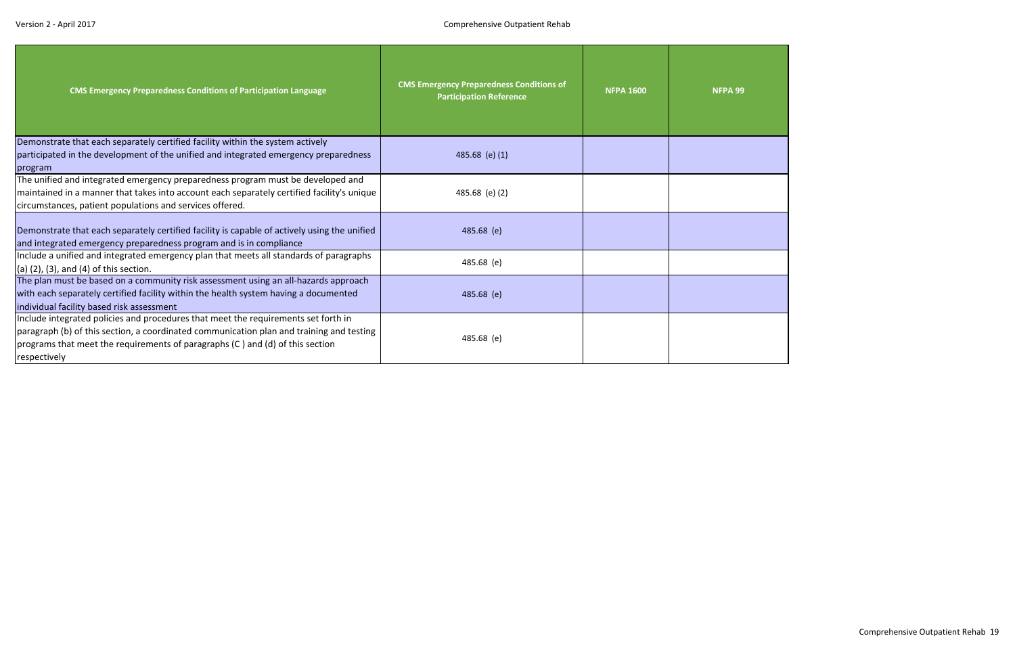| <b>CMS Emergency Preparedness Conditions of Participation Language</b>                                                                                                                                                                                                          | <b>CMS Emergency Preparedness Conditions of</b><br><b>Participation Reference</b> | <b>NFPA 1600</b> | NFPA 99 |
|---------------------------------------------------------------------------------------------------------------------------------------------------------------------------------------------------------------------------------------------------------------------------------|-----------------------------------------------------------------------------------|------------------|---------|
| Demonstrate that each separately certified facility within the system actively                                                                                                                                                                                                  |                                                                                   |                  |         |
| participated in the development of the unified and integrated emergency preparedness                                                                                                                                                                                            | 485.68 (e) (1)                                                                    |                  |         |
| program                                                                                                                                                                                                                                                                         |                                                                                   |                  |         |
| The unified and integrated emergency preparedness program must be developed and                                                                                                                                                                                                 |                                                                                   |                  |         |
| maintained in a manner that takes into account each separately certified facility's unique                                                                                                                                                                                      | 485.68 (e) (2)                                                                    |                  |         |
| circumstances, patient populations and services offered.                                                                                                                                                                                                                        |                                                                                   |                  |         |
| Demonstrate that each separately certified facility is capable of actively using the unified<br>and integrated emergency preparedness program and is in compliance                                                                                                              | 485.68 (e)                                                                        |                  |         |
| Include a unified and integrated emergency plan that meets all standards of paragraphs<br>(a) $(2)$ , $(3)$ , and $(4)$ of this section.                                                                                                                                        | 485.68 (e)                                                                        |                  |         |
| The plan must be based on a community risk assessment using an all-hazards approach<br>with each separately certified facility within the health system having a documented<br>individual facility based risk assessment                                                        | 485.68 (e)                                                                        |                  |         |
| Include integrated policies and procedures that meet the requirements set forth in<br>paragraph (b) of this section, a coordinated communication plan and training and testing<br>programs that meet the requirements of paragraphs (C) and (d) of this section<br>respectively | 485.68 (e)                                                                        |                  |         |

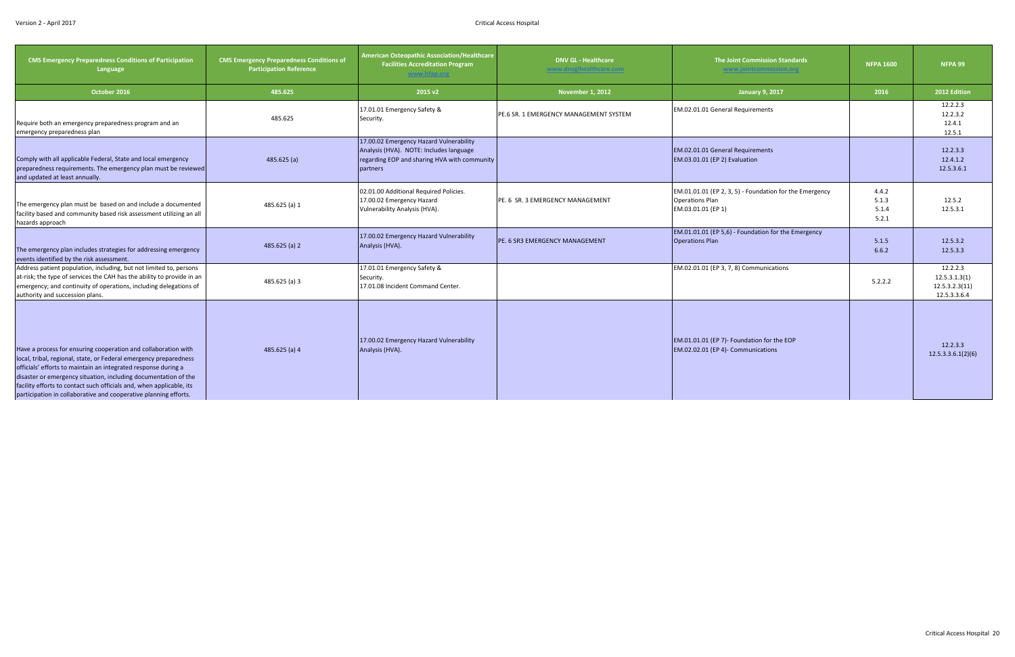<span id="page-20-0"></span>

| <b>CMS Emergency Preparedness Conditions of Participation</b><br>Language                                                                                                                                                                                                                                                                                                                                            | <b>CMS Emergency Preparedness Conditions of</b><br><b>Participation Reference</b> | American Osteopathic Association/Healthcare<br><b>Facilities Accreditation Program</b><br>www.hfap.org                                         | <b>DNV GL - Healthcare</b><br>www.dnvglhealthcare.com | <b>The Joint Commission Standards</b><br>www.jointcommission.org                                        | <b>NFPA 1600</b>                 | NFPA 99                                                     |
|----------------------------------------------------------------------------------------------------------------------------------------------------------------------------------------------------------------------------------------------------------------------------------------------------------------------------------------------------------------------------------------------------------------------|-----------------------------------------------------------------------------------|------------------------------------------------------------------------------------------------------------------------------------------------|-------------------------------------------------------|---------------------------------------------------------------------------------------------------------|----------------------------------|-------------------------------------------------------------|
| October 2016                                                                                                                                                                                                                                                                                                                                                                                                         | 485.625                                                                           | 2015 v2                                                                                                                                        | <b>November 1, 2012</b>                               | <b>January 9, 2017</b>                                                                                  | 2016                             | 2012 Edition                                                |
| Require both an emergency preparedness program and an<br>emergency preparedness plan                                                                                                                                                                                                                                                                                                                                 | 485.625                                                                           | 17.01.01 Emergency Safety &<br>Security.                                                                                                       | PE.6 SR. 1 EMERGENCY MANAGEMENT SYSTEM                | EM.02.01.01 General Requirements                                                                        |                                  | 12.2.2.3<br>12.2.3.2<br>12.4.1<br>12.5.1                    |
| Comply with all applicable Federal, State and local emergency<br>preparedness requirements. The emergency plan must be reviewed<br>and updated at least annually.                                                                                                                                                                                                                                                    | 485.625(a)                                                                        | 17.00.02 Emergency Hazard Vulnerability<br>Analysis (HVA). NOTE: Includes language<br>regarding EOP and sharing HVA with community<br>partners |                                                       | EM.02.01.01 General Requirements<br>EM.03.01.01 (EP 2) Evaluation                                       |                                  | 12.2.3.3<br>12.4.1.2<br>12.5.3.6.1                          |
| The emergency plan must be based on and include a documented<br>facility based and community based risk assessment utilizing an all<br>hazards approach                                                                                                                                                                                                                                                              | 485.625 (a) 1                                                                     | 02.01.00 Additional Required Policies.<br>17.00.02 Emergency Hazard<br>Vulnerability Analysis (HVA).                                           | PE. 6 SR. 3 EMERGENCY MANAGEMENT                      | EM.01.01.01 (EP 2, 3, 5) - Foundation for the Emergency<br><b>Operations Plan</b><br>EM.03.01.01 (EP 1) | 4.4.2<br>5.1.3<br>5.1.4<br>5.2.1 | 12.5.2<br>12.5.3.1                                          |
| The emergency plan includes strategies for addressing emergency<br>events identified by the risk assessment.                                                                                                                                                                                                                                                                                                         | $485.625$ (a) 2                                                                   | 17.00.02 Emergency Hazard Vulnerability<br>Analysis (HVA).                                                                                     | <b>IPE. 6 SR3 EMERGENCY MANAGEMENT</b>                | EM.01.01.01 (EP 5,6) - Foundation for the Emergency<br><b>Operations Plan</b>                           | 5.1.5<br>6.6.2                   | 12.5.3.2<br>12.5.3.3                                        |
| Address patient population, including, but not limited to, persons<br>at-risk; the type of services the CAH has the ability to provide in an<br>emergency; and continuity of operations, including delegations of<br>authority and succession plans.                                                                                                                                                                 | 485.625 (a) 3                                                                     | 17.01.01 Emergency Safety &<br>Security.<br>17.01.08 Incident Command Center.                                                                  |                                                       | EM.02.01.01 (EP 3, 7, 8) Communications                                                                 | 5.2.2.2                          | 12.2.2.3<br>12.5.3.1.3(1)<br>12.5.3.2.3(11)<br>12.5.3.3.6.4 |
| Have a process for ensuring cooperation and collaboration with<br>local, tribal, regional, state, or Federal emergency preparedness<br>officials' efforts to maintain an integrated response during a<br>disaster or emergency situation, including documentation of the<br>facility efforts to contact such officials and, when applicable, its<br>participation in collaborative and cooperative planning efforts. | 485.625 (a) 4                                                                     | 17.00.02 Emergency Hazard Vulnerability<br>Analysis (HVA).                                                                                     |                                                       | EM.01.01.01 (EP 7)- Foundation for the EOP<br>EM.02.02.01 (EP 4)- Communications                        |                                  | 12.2.3.3<br>12.5.3.3.6.1(2)(6)                              |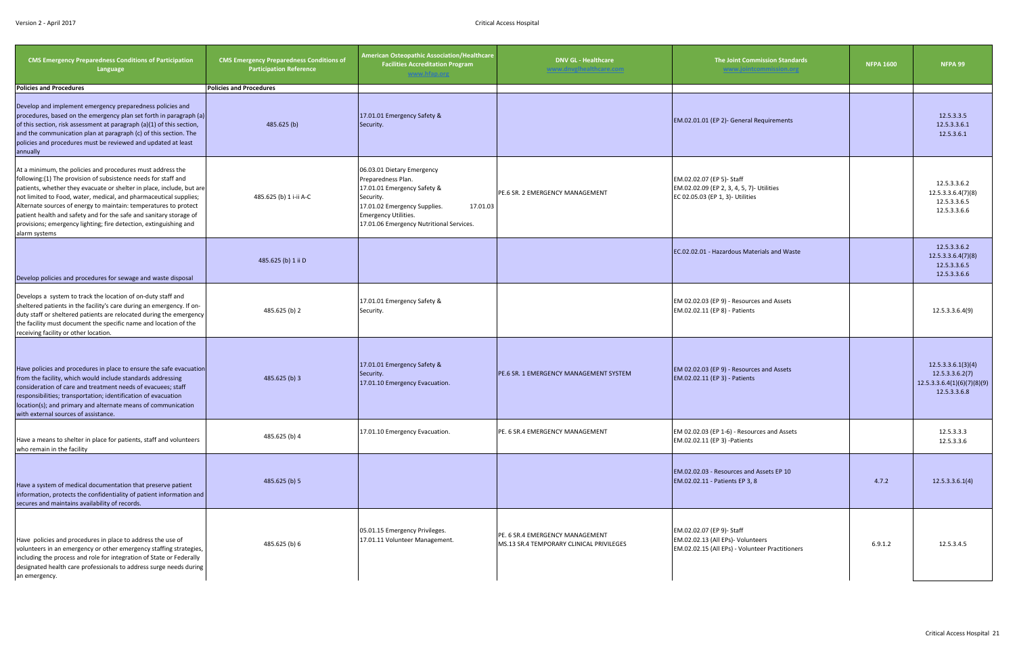| <b>CMS Emergency Preparedness Conditions of Participation</b><br>Language                                                                                                                                                                                                                                                                                                                                                                                                                                  | <b>CMS Emergency Preparedness Conditions of</b><br><b>Participation Reference</b> | American Osteopathic Association/Healthcare<br><b>Facilities Accreditation Program</b><br>www.htap.org                                                                                                              | <b>DNV GL - Healthcare</b><br>www.dnvglhealthcare.com                       | <b>The Joint Commission Standards</b><br>www.jointcommission.org                                                  | <b>NFPA 1600</b> | NFPA 99                                                                              |
|------------------------------------------------------------------------------------------------------------------------------------------------------------------------------------------------------------------------------------------------------------------------------------------------------------------------------------------------------------------------------------------------------------------------------------------------------------------------------------------------------------|-----------------------------------------------------------------------------------|---------------------------------------------------------------------------------------------------------------------------------------------------------------------------------------------------------------------|-----------------------------------------------------------------------------|-------------------------------------------------------------------------------------------------------------------|------------------|--------------------------------------------------------------------------------------|
| <b>Policies and Procedures</b>                                                                                                                                                                                                                                                                                                                                                                                                                                                                             | <b>Policies and Procedures</b>                                                    |                                                                                                                                                                                                                     |                                                                             |                                                                                                                   |                  |                                                                                      |
| Develop and implement emergency preparedness policies and<br>procedures, based on the emergency plan set forth in paragraph (a)<br>of this section, risk assessment at paragraph (a)(1) of this section,<br>and the communication plan at paragraph (c) of this section. The<br>policies and procedures must be reviewed and updated at least<br>annually                                                                                                                                                  | 485.625 (b)                                                                       | 17.01.01 Emergency Safety &<br>Security.                                                                                                                                                                            |                                                                             | EM.02.01.01 (EP 2)- General Requirements                                                                          |                  | 12.5.3.3.5<br>12.5.3.3.6.1<br>12.5.3.6.1                                             |
| At a minimum, the policies and procedures must address the<br>following:(1) The provision of subsistence needs for staff and<br>patients, whether they evacuate or shelter in place, include, but are<br>not limited to Food, water, medical, and pharmaceutical supplies;<br>Alternate sources of energy to maintain: temperatures to protect<br>patient health and safety and for the safe and sanitary storage of<br>provisions; emergency lighting; fire detection, extinguishing and<br>alarm systems | 485.625 (b) 1 i-ii A-C                                                            | 06.03.01 Dietary Emergency<br>Preparedness Plan.<br>17.01.01 Emergency Safety &<br>Security.<br>17.01.02 Emergency Supplies.<br>17.01.03<br><b>Emergency Utilities.</b><br>17.01.06 Emergency Nutritional Services. | PE.6 SR. 2 EMERGENCY MANAGEMENT                                             | EM.02.02.07 (EP 5)- Staff<br>EM.02.02.09 (EP 2, 3, 4, 5, 7)- Utilities<br>EC 02.05.03 (EP 1, 3)- Utilities        |                  | 12.5.3.3.6.2<br>12.5.3.3.6.4(7)(8)<br>12.5.3.3.6.5<br>12.5.3.3.6.6                   |
| Develop policies and procedures for sewage and waste disposal                                                                                                                                                                                                                                                                                                                                                                                                                                              | 485.625 (b) 1 ii D                                                                |                                                                                                                                                                                                                     |                                                                             | EC.02.02.01 - Hazardous Materials and Waste                                                                       |                  | 12.5.3.3.6.2<br>12.5.3.3.6.4(7)(8)<br>12.5.3.3.6.5<br>12.5.3.3.6.6                   |
| Develops a system to track the location of on-duty staff and<br>sheltered patients in the facility's care during an emergency. If on-<br>duty staff or sheltered patients are relocated during the emergency<br>the facility must document the specific name and location of the<br>receiving facility or other location.                                                                                                                                                                                  | 485.625 (b) 2                                                                     | 17.01.01 Emergency Safety &<br>Security.                                                                                                                                                                            |                                                                             | EM 02.02.03 (EP 9) - Resources and Assets<br>EM.02.02.11 (EP 8) - Patients                                        |                  | 12.5.3.3.6.4(9)                                                                      |
| Have policies and procedures in place to ensure the safe evacuation<br>from the facility, which would include standards addressing<br>consideration of care and treatment needs of evacuees; staff<br>responsibilities; transportation; identification of evacuation<br>location(s); and primary and alternate means of communication<br>with external sources of assistance.                                                                                                                              | 485.625 (b) 3                                                                     | 17.01.01 Emergency Safety &<br>Security.<br>17.01.10 Emergency Evacuation.                                                                                                                                          | <b>PE.6 SR. 1 EMERGENCY MANAGEMENT SYSTEM</b>                               | EM 02.02.03 (EP 9) - Resources and Assets<br>EM.02.02.11 (EP 3) - Patients                                        |                  | 12.5.3.3.6.1(3)(4)<br>12.5.3.3.6.2(7)<br>12.5.3.3.6.4(1)(6)(7)(8)(9)<br>12.5.3.3.6.8 |
| Have a means to shelter in place for patients, staff and volunteers<br>who remain in the facility                                                                                                                                                                                                                                                                                                                                                                                                          | 485.625 (b) 4                                                                     | 17.01.10 Emergency Evacuation.                                                                                                                                                                                      | PE. 6 SR.4 EMERGENCY MANAGEMENT                                             | EM 02.02.03 (EP 1-6) - Resources and Assets<br>EM.02.02.11 (EP 3) -Patients                                       |                  | 12.5.3.3.3<br>12.5.3.3.6                                                             |
| Have a system of medical documentation that preserve patient<br>information, protects the confidentiality of patient information and<br>secures and maintains availability of records.                                                                                                                                                                                                                                                                                                                     | 485.625 (b) 5                                                                     |                                                                                                                                                                                                                     |                                                                             | EM.02.02.03 - Resources and Assets EP 10<br>EM.02.02.11 - Patients EP 3, 8                                        | 4.7.2            | 12.5.3.3.6.1(4)                                                                      |
| Have policies and procedures in place to address the use of<br>volunteers in an emergency or other emergency staffing strategies,<br>including the process and role for integration of State or Federally<br>designated health care professionals to address surge needs during<br>an emergency.                                                                                                                                                                                                           | 485.625 (b) 6                                                                     | 05.01.15 Emergency Privileges.<br>17.01.11 Volunteer Management.                                                                                                                                                    | PE. 6 SR.4 EMERGENCY MANAGEMENT<br>MS.13 SR.4 TEMPORARY CLINICAL PRIVILEGES | EM.02.02.07 (EP 9)- Staff<br>EM.02.02.13 (All EPs)- Volunteers<br>EM.02.02.15 (All EPs) - Volunteer Practitioners | 6.9.1.2          | 12.5.3.4.5                                                                           |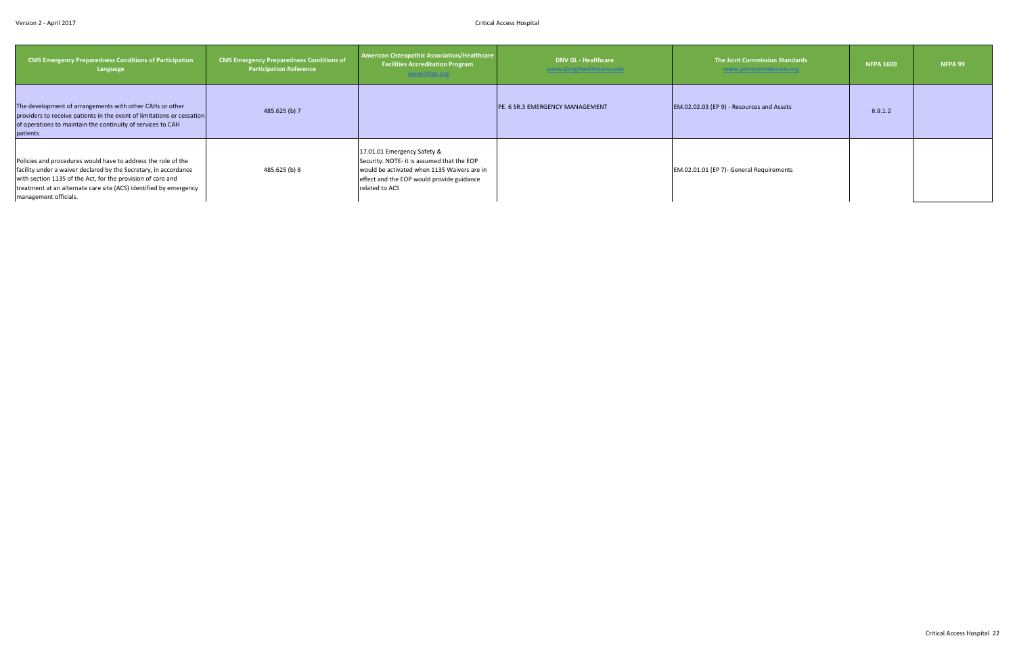| <b>CMS Emergency Preparedness Conditions of Participation</b><br>Language                                                                                                                                                                                                                      | <b>CMS Emergency Preparedness Conditions of</b><br><b>Participation Reference</b> | <b>American Osteopathic Association/Healthcare</b><br><b>Facilities Accreditation Program</b><br>www.hfap.org                                                                           | <b>DNV GL - Healthcare</b><br>www.dnvglhealthcare.com | The Joint Commission Standards<br>www.jointcommission.org | <b>NFPA 1600</b> | NFPA 99 |
|------------------------------------------------------------------------------------------------------------------------------------------------------------------------------------------------------------------------------------------------------------------------------------------------|-----------------------------------------------------------------------------------|-----------------------------------------------------------------------------------------------------------------------------------------------------------------------------------------|-------------------------------------------------------|-----------------------------------------------------------|------------------|---------|
| The development of arrangements with other CAHs or other<br>providers to receive patients in the event of limitations or cessation<br>of operations to maintain the continuity of services to CAH<br>patients.                                                                                 | 485.625 (b) 7                                                                     |                                                                                                                                                                                         | <b>PE. 6 SR.3 EMERGENCY MANAGEMENT</b>                | EM.02.02.03 (EP 9) - Resources and Assets                 | 6.9.1.2          |         |
| Policies and procedures would have to address the role of the<br>facility under a waiver declared by the Secretary, in accordance<br>with section 1135 of the Act, for the provision of care and<br>treatment at an alternate care site (ACS) identified by emergency<br>management officials. | 485.625 (b) 8                                                                     | 17.01.01 Emergency Safety &<br>Security. NOTE- it is assumed that the EOP<br>would be activated when 1135 Waivers are in<br>effect and the EOP would provide guidance<br>related to ACS |                                                       | EM.02.01.01 (EP 7)- General Requirements                  |                  |         |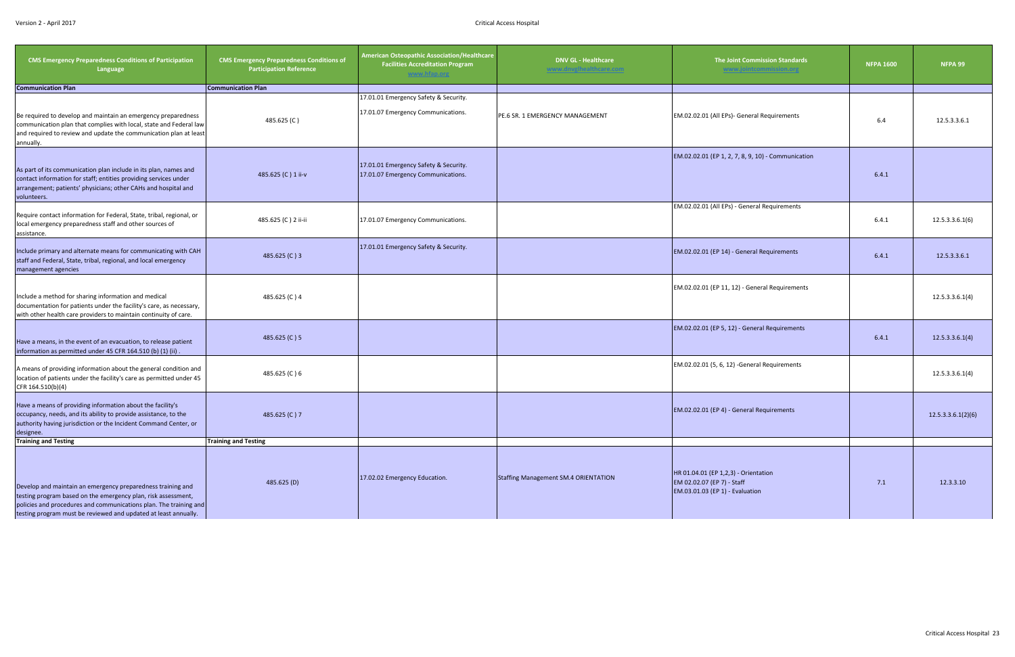| <b>CMS Emergency Preparedness Conditions of Participation</b><br>Language                                                                                                                                                                                            | <b>CMS Emergency Preparedness Conditions of</b><br><b>Participation Reference</b> | <b>American Osteopathic Association/Healthcare</b><br><b>Facilities Accreditation Program</b><br>www.hfap.org | <b>DNV GL - Healthcare</b><br>www.dnvglhealthcare.com | The Joint Commission Standards<br>www.jointcommission.org                                             | <b>NFPA 1600</b> | NFPA 99            |
|----------------------------------------------------------------------------------------------------------------------------------------------------------------------------------------------------------------------------------------------------------------------|-----------------------------------------------------------------------------------|---------------------------------------------------------------------------------------------------------------|-------------------------------------------------------|-------------------------------------------------------------------------------------------------------|------------------|--------------------|
| <b>Communication Plan</b>                                                                                                                                                                                                                                            | <b>Communication Plan</b>                                                         |                                                                                                               |                                                       |                                                                                                       |                  |                    |
| Be required to develop and maintain an emergency preparedness<br>communication plan that complies with local, state and Federal law<br>and required to review and update the communication plan at least<br>annually.                                                | 485.625 (C)                                                                       | 17.01.01 Emergency Safety & Security.<br>17.01.07 Emergency Communications.                                   | PE.6 SR. 1 EMERGENCY MANAGEMENT                       | EM.02.02.01 (All EPs)- General Requirements                                                           | 6.4              | 12.5.3.3.6.1       |
| As part of its communication plan include in its plan, names and<br>contact information for staff; entities providing services under<br>arrangement; patients' physicians; other CAHs and hospital and<br>volunteers.                                                | 485.625 (C) 1 ii-v                                                                | 17.01.01 Emergency Safety & Security.<br>17.01.07 Emergency Communications.                                   |                                                       | EM.02.02.01 (EP 1, 2, 7, 8, 9, 10) - Communication                                                    | 6.4.1            |                    |
| Require contact information for Federal, State, tribal, regional, or<br>local emergency preparedness staff and other sources of<br>assistance.                                                                                                                       | 485.625 (C) 2 ii-ii                                                               | 17.01.07 Emergency Communications.                                                                            |                                                       | EM.02.02.01 (All EPs) - General Requirements                                                          | 6.4.1            | 12.5.3.3.6.1(6)    |
| Include primary and alternate means for communicating with CAH<br>staff and Federal, State, tribal, regional, and local emergency<br>management agencies                                                                                                             | 485.625 (C) 3                                                                     | 17.01.01 Emergency Safety & Security.                                                                         |                                                       | EM.02.02.01 (EP 14) - General Requirements                                                            | 6.4.1            | 12.5.3.3.6.1       |
| Include a method for sharing information and medical<br>documentation for patients under the facility's care, as necessary,<br>with other health care providers to maintain continuity of care.                                                                      | 485.625 (C) 4                                                                     |                                                                                                               |                                                       | EM.02.02.01 (EP 11, 12) - General Requirements                                                        |                  | 12.5.3.3.6.1(4)    |
| Have a means, in the event of an evacuation, to release patient<br>information as permitted under 45 CFR 164.510 (b) (1) (ii).                                                                                                                                       | 485.625 (C) 5                                                                     |                                                                                                               |                                                       | EM.02.02.01 (EP 5, 12) - General Requirements                                                         | 6.4.1            | 12.5.3.3.6.1(4)    |
| A means of providing information about the general condition and<br>location of patients under the facility's care as permitted under 45<br>CFR 164.510(b)(4)                                                                                                        | 485.625 (C) 6                                                                     |                                                                                                               |                                                       | EM.02.02.01 (5, 6, 12) -General Requirements                                                          |                  | 12.5.3.3.6.1(4)    |
| Have a means of providing information about the facility's<br>occupancy, needs, and its ability to provide assistance, to the<br>authority having jurisdiction or the Incident Command Center, or<br>designee.                                                       | 485.625 (C) 7                                                                     |                                                                                                               |                                                       | EM.02.02.01 (EP 4) - General Requirements                                                             |                  | 12.5.3.3.6.1(2)(6) |
| <b>Training and Testing</b>                                                                                                                                                                                                                                          | <b>Training and Testing</b>                                                       |                                                                                                               |                                                       |                                                                                                       |                  |                    |
| Develop and maintain an emergency preparedness training and<br>testing program based on the emergency plan, risk assessment,<br>policies and procedures and communications plan. The training and<br>testing program must be reviewed and updated at least annually. | 485.625 (D)                                                                       | 17.02.02 Emergency Education.                                                                                 | <b>Staffing Management SM.4 ORIENTATION</b>           | HR 01.04.01 (EP 1,2,3) - Orientation<br>EM 02.02.07 (EP 7) - Staff<br>EM.03.01.03 (EP 1) - Evaluation | 7.1              | 12.3.3.10          |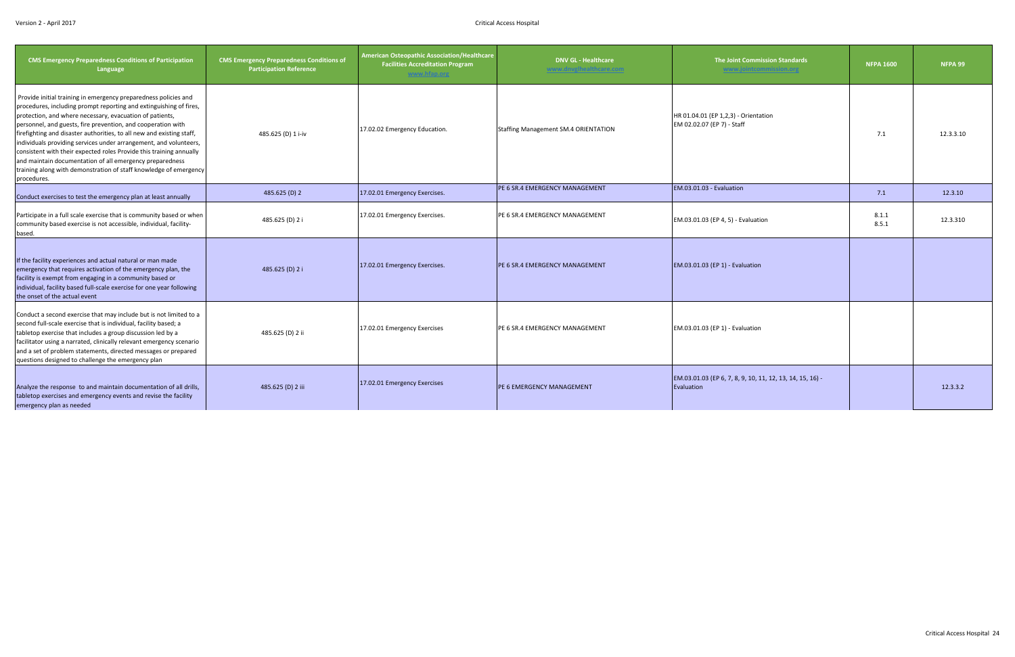| <b>CMS Emergency Preparedness Conditions of Participation</b><br>Language                                                                                                                                                                                                                                                                                                                                                                                                                                                                                                                                                              | <b>CMS Emergency Preparedness Conditions of</b><br><b>Participation Reference</b> | American Osteopathic Association/Healthcare<br><b>Facilities Accreditation Program</b><br>www.hfap.org | <b>DNV GL - Healthcare</b><br>www.dnvglhealthcare.com | <b>The Joint Commission Standards</b><br>www.jointcommission.org        | <b>NFPA 1600</b> | NFPA 99   |
|----------------------------------------------------------------------------------------------------------------------------------------------------------------------------------------------------------------------------------------------------------------------------------------------------------------------------------------------------------------------------------------------------------------------------------------------------------------------------------------------------------------------------------------------------------------------------------------------------------------------------------------|-----------------------------------------------------------------------------------|--------------------------------------------------------------------------------------------------------|-------------------------------------------------------|-------------------------------------------------------------------------|------------------|-----------|
| Provide initial training in emergency preparedness policies and<br>procedures, including prompt reporting and extinguishing of fires,<br>protection, and where necessary, evacuation of patients,<br>personnel, and guests, fire prevention, and cooperation with<br>firefighting and disaster authorities, to all new and existing staff,<br>individuals providing services under arrangement, and volunteers,<br>consistent with their expected roles Provide this training annually<br>and maintain documentation of all emergency preparedness<br>training along with demonstration of staff knowledge of emergency<br>procedures. | 485.625 (D) 1 i-iv                                                                | 17.02.02 Emergency Education.                                                                          | <b>Staffing Management SM.4 ORIENTATION</b>           | HR 01.04.01 (EP 1,2,3) - Orientation<br>EM 02.02.07 (EP 7) - Staff      | 7.1              | 12.3.3.10 |
| Conduct exercises to test the emergency plan at least annually                                                                                                                                                                                                                                                                                                                                                                                                                                                                                                                                                                         | 485.625 (D) 2                                                                     | 17.02.01 Emergency Exercises.                                                                          | PE 6 SR.4 EMERGENCY MANAGEMENT                        | EM.03.01.03 - Evaluation                                                | 7.1              | 12.3.10   |
| Participate in a full scale exercise that is community based or when<br>community based exercise is not accessible, individual, facility-<br>based.                                                                                                                                                                                                                                                                                                                                                                                                                                                                                    | 485.625 (D) 2 i                                                                   | 17.02.01 Emergency Exercises.                                                                          | PE 6 SR.4 EMERGENCY MANAGEMENT                        | EM.03.01.03 (EP 4, 5) - Evaluation                                      | 8.1.1<br>8.5.1   | 12.3.310  |
| If the facility experiences and actual natural or man made<br>emergency that requires activation of the emergency plan, the<br>facility is exempt from engaging in a community based or<br>individual, facility based full-scale exercise for one year following<br>the onset of the actual event                                                                                                                                                                                                                                                                                                                                      | 485.625 (D) 2 i                                                                   | 17.02.01 Emergency Exercises.                                                                          | <b>IPE 6 SR.4 EMERGENCY MANAGEMENT</b>                | EM.03.01.03 (EP 1) - Evaluation                                         |                  |           |
| Conduct a second exercise that may include but is not limited to a<br>second full-scale exercise that is individual, facility based; a<br>tabletop exercise that includes a group discussion led by a<br>facilitator using a narrated, clinically relevant emergency scenario<br>and a set of problem statements, directed messages or prepared<br>questions designed to challenge the emergency plan                                                                                                                                                                                                                                  | 485.625 (D) 2 ii                                                                  | 17.02.01 Emergency Exercises                                                                           | <b>PE 6 SR.4 EMERGENCY MANAGEMENT</b>                 | EM.03.01.03 (EP 1) - Evaluation                                         |                  |           |
| Analyze the response to and maintain documentation of all drills,<br>tabletop exercises and emergency events and revise the facility<br>emergency plan as needed                                                                                                                                                                                                                                                                                                                                                                                                                                                                       | 485.625 (D) 2 iii                                                                 | 17.02.01 Emergency Exercises                                                                           | <b>PE 6 EMERGENCY MANAGEMENT</b>                      | EM.03.01.03 (EP 6, 7, 8, 9, 10, 11, 12, 13, 14, 15, 16) -<br>Evaluation |                  | 12.3.3.2  |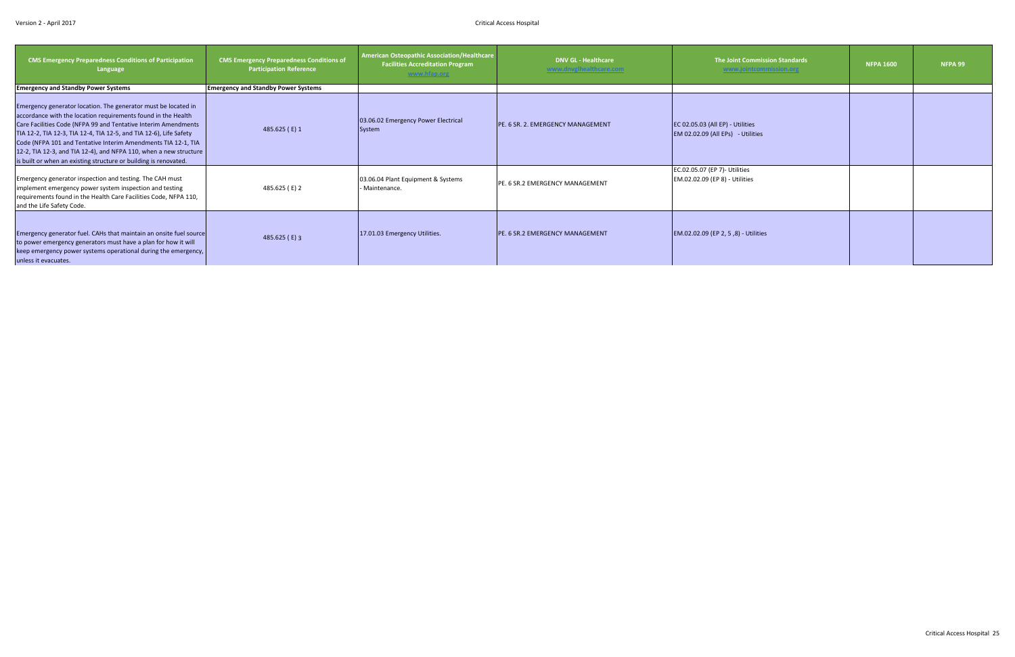| <b>CMS Emergency Preparedness Conditions of Participation</b><br>Language                                                                                                                                                                                                                                                                                                                                                                                                         | <b>CMS Emergency Preparedness Conditions of</b><br><b>Participation Reference</b> | <b>American Osteopathic Association/Healthcare</b><br><b>Facilities Accreditation Program</b><br>www.hfap.org | <b>DNV GL - Healthcare</b><br>www.dnvglhealthcare.com | The Joint Commission Standards<br>www.jointcommission.org             | <b>NFPA 1600</b> | NFPA 99 |
|-----------------------------------------------------------------------------------------------------------------------------------------------------------------------------------------------------------------------------------------------------------------------------------------------------------------------------------------------------------------------------------------------------------------------------------------------------------------------------------|-----------------------------------------------------------------------------------|---------------------------------------------------------------------------------------------------------------|-------------------------------------------------------|-----------------------------------------------------------------------|------------------|---------|
| <b>Emergency and Standby Power Systems</b>                                                                                                                                                                                                                                                                                                                                                                                                                                        | <b>Emergency and Standby Power Systems</b>                                        |                                                                                                               |                                                       |                                                                       |                  |         |
| Emergency generator location. The generator must be located in<br>accordance with the location requirements found in the Health<br>Care Facilities Code (NFPA 99 and Tentative Interim Amendments<br>TIA 12-2, TIA 12-3, TIA 12-4, TIA 12-5, and TIA 12-6), Life Safety<br>Code (NFPA 101 and Tentative Interim Amendments TIA 12-1, TIA<br>12-2, TIA 12-3, and TIA 12-4), and NFPA 110, when a new structure<br>is built or when an existing structure or building is renovated. | 485.625 (E) 1                                                                     | 03.06.02 Emergency Power Electrical<br>System                                                                 | PE. 6 SR. 2. EMERGENCY MANAGEMENT                     | EC 02.05.03 (All EP) - Utilities<br>EM 02.02.09 (All EPs) - Utilities |                  |         |
| Emergency generator inspection and testing. The CAH must<br>implement emergency power system inspection and testing<br>requirements found in the Health Care Facilities Code, NFPA 110,<br>and the Life Safety Code.                                                                                                                                                                                                                                                              | 485.625 (E) 2                                                                     | 03.06.04 Plant Equipment & Systems<br>Maintenance.                                                            | PE. 6 SR.2 EMERGENCY MANAGEMENT                       | EC.02.05.07 (EP 7)- Utilities<br>EM.02.02.09 (EP 8) - Utilities       |                  |         |
| Emergency generator fuel. CAHs that maintain an onsite fuel source<br>to power emergency generators must have a plan for how it will<br>keep emergency power systems operational during the emergency,<br>unless it evacuates.                                                                                                                                                                                                                                                    | 485.625 (E) 3                                                                     | 17.01.03 Emergency Utilities.                                                                                 | PE. 6 SR.2 EMERGENCY MANAGEMENT                       | EM.02.02.09 (EP 2, 5,8) - Utilities                                   |                  |         |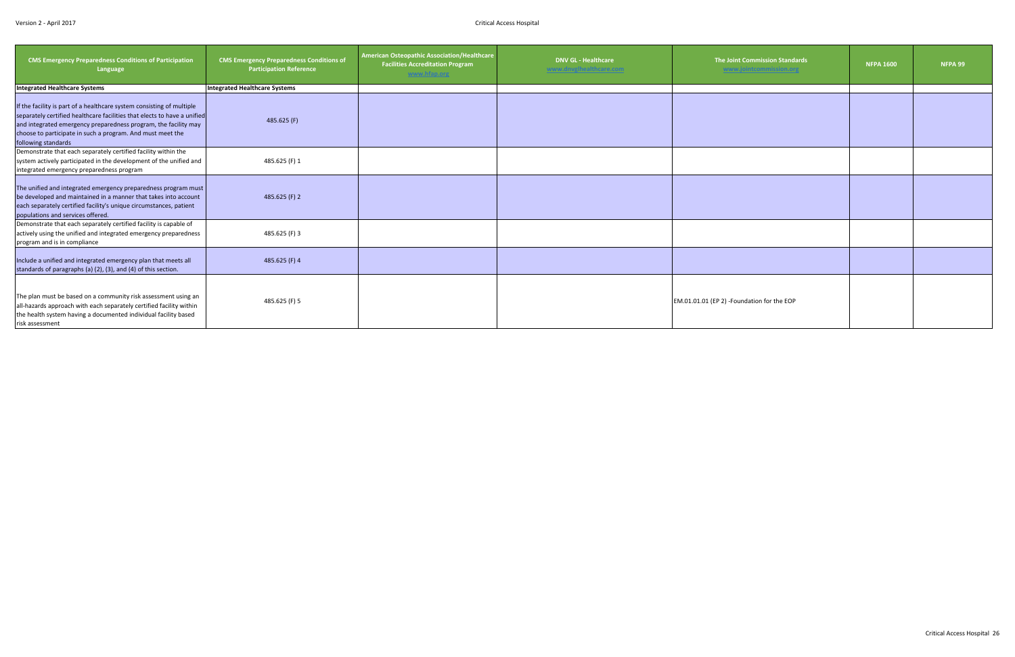| <b>CMS Emergency Preparedness Conditions of Participation</b><br>Language                                                                                                                                                                                                                                 | <b>CMS Emergency Preparedness Conditions of</b><br><b>Participation Reference</b> | <b>American Osteopathic Association/Healthcare</b><br><b>Facilities Accreditation Program</b><br>www.hfap.org | <b>DNV GL - Healthcare</b><br>www.dnvglhealthcare.com | <b>The Joint Commission Standards</b><br>www.jointcommission.org | <b>NFPA 1600</b> | NFPA 99 |
|-----------------------------------------------------------------------------------------------------------------------------------------------------------------------------------------------------------------------------------------------------------------------------------------------------------|-----------------------------------------------------------------------------------|---------------------------------------------------------------------------------------------------------------|-------------------------------------------------------|------------------------------------------------------------------|------------------|---------|
| <b>Integrated Healthcare Systems</b>                                                                                                                                                                                                                                                                      | Integrated Healthcare Systems                                                     |                                                                                                               |                                                       |                                                                  |                  |         |
| If the facility is part of a healthcare system consisting of multiple<br>separately certified healthcare facilities that elects to have a unified<br>and integrated emergency preparedness program, the facility may<br>choose to participate in such a program. And must meet the<br>following standards | 485.625 (F)                                                                       |                                                                                                               |                                                       |                                                                  |                  |         |
| Demonstrate that each separately certified facility within the<br>system actively participated in the development of the unified and<br>integrated emergency preparedness program                                                                                                                         | 485.625 (F) 1                                                                     |                                                                                                               |                                                       |                                                                  |                  |         |
| The unified and integrated emergency preparedness program must<br>be developed and maintained in a manner that takes into account<br>each separately certified facility's unique circumstances, patient<br>populations and services offered.                                                              | 485.625 (F) 2                                                                     |                                                                                                               |                                                       |                                                                  |                  |         |
| Demonstrate that each separately certified facility is capable of<br>actively using the unified and integrated emergency preparedness<br>program and is in compliance                                                                                                                                     | 485.625 (F) 3                                                                     |                                                                                                               |                                                       |                                                                  |                  |         |
| Include a unified and integrated emergency plan that meets all<br>standards of paragraphs (a) (2), (3), and (4) of this section.                                                                                                                                                                          | 485.625 (F) 4                                                                     |                                                                                                               |                                                       |                                                                  |                  |         |
| The plan must be based on a community risk assessment using an<br>all-hazards approach with each separately certified facility within<br>the health system having a documented individual facility based<br>risk assessment                                                                               | 485.625 (F) 5                                                                     |                                                                                                               |                                                       | EM.01.01.01 (EP 2) -Foundation for the EOP                       |                  |         |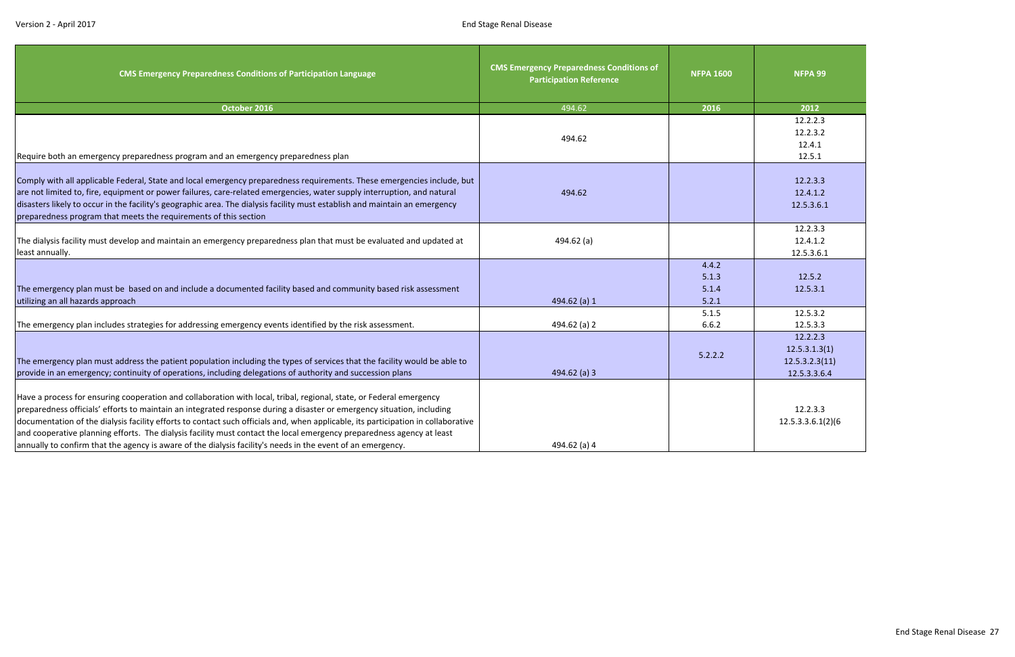<span id="page-27-0"></span>

| <b>CMS Emergency Preparedness Conditions of Participation Language</b>                                                                                                                                                                                                                                                                                                                                                                                                                                                                                                                                                     | <b>CMS Emergency Preparedness Conditions of</b><br><b>Participation Reference</b> | <b>NFPA 1600</b>                 | NFPA 99                                                     |
|----------------------------------------------------------------------------------------------------------------------------------------------------------------------------------------------------------------------------------------------------------------------------------------------------------------------------------------------------------------------------------------------------------------------------------------------------------------------------------------------------------------------------------------------------------------------------------------------------------------------------|-----------------------------------------------------------------------------------|----------------------------------|-------------------------------------------------------------|
| October 2016                                                                                                                                                                                                                                                                                                                                                                                                                                                                                                                                                                                                               | 494.62                                                                            | 2016                             | 2012                                                        |
| Require both an emergency preparedness program and an emergency preparedness plan                                                                                                                                                                                                                                                                                                                                                                                                                                                                                                                                          | 494.62                                                                            |                                  | 12.2.2.3<br>12.2.3.2<br>12.4.1<br>12.5.1                    |
| Comply with all applicable Federal, State and local emergency preparedness requirements. These emergencies include, but<br>are not limited to, fire, equipment or power failures, care-related emergencies, water supply interruption, and natural<br>disasters likely to occur in the facility's geographic area. The dialysis facility must establish and maintain an emergency<br>preparedness program that meets the requirements of this section                                                                                                                                                                      | 494.62                                                                            |                                  | 12.2.3.3<br>12.4.1.2<br>12.5.3.6.1                          |
| The dialysis facility must develop and maintain an emergency preparedness plan that must be evaluated and updated at<br>least annually.                                                                                                                                                                                                                                                                                                                                                                                                                                                                                    | 494.62 $(a)$                                                                      |                                  | 12.2.3.3<br>12.4.1.2<br>12.5.3.6.1                          |
| The emergency plan must be based on and include a documented facility based and community based risk assessment<br>utilizing an all hazards approach                                                                                                                                                                                                                                                                                                                                                                                                                                                                       | 494.62 (a) 1                                                                      | 4.4.2<br>5.1.3<br>5.1.4<br>5.2.1 | 12.5.2<br>12.5.3.1                                          |
| The emergency plan includes strategies for addressing emergency events identified by the risk assessment.                                                                                                                                                                                                                                                                                                                                                                                                                                                                                                                  | 494.62 (a) 2                                                                      | 5.1.5<br>6.6.2                   | 12.5.3.2<br>12.5.3.3                                        |
| The emergency plan must address the patient population including the types of services that the facility would be able to<br>provide in an emergency; continuity of operations, including delegations of authority and succession plans                                                                                                                                                                                                                                                                                                                                                                                    | $494.62$ (a) 3                                                                    | 5.2.2.2                          | 12.2.2.3<br>12.5.3.1.3(1)<br>12.5.3.2.3(11)<br>12.5.3.3.6.4 |
| Have a process for ensuring cooperation and collaboration with local, tribal, regional, state, or Federal emergency<br>preparedness officials' efforts to maintain an integrated response during a disaster or emergency situation, including<br>documentation of the dialysis facility efforts to contact such officials and, when applicable, its participation in collaborative<br>and cooperative planning efforts. The dialysis facility must contact the local emergency preparedness agency at least<br>annually to confirm that the agency is aware of the dialysis facility's needs in the event of an emergency. | 494.62 (a) 4                                                                      |                                  | 12.2.3.3<br>12.5.3.3.6.1(2)(6)                              |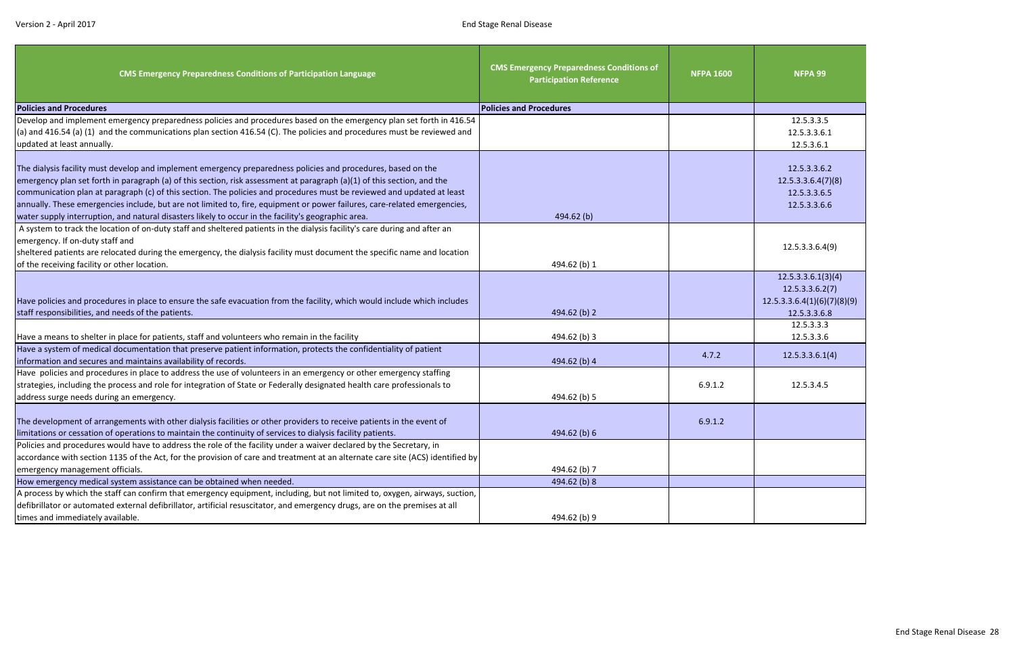| <b>CMS Emergency Preparedness Conditions of Participation Language</b>                                                                                                                                                                                                                                                                                                                                                                                                                          | <b>CMS Emergency Preparedness Conditions of</b><br><b>Participation Reference</b> | <b>NFPA 1600</b> | NFPA 99                                                            |
|-------------------------------------------------------------------------------------------------------------------------------------------------------------------------------------------------------------------------------------------------------------------------------------------------------------------------------------------------------------------------------------------------------------------------------------------------------------------------------------------------|-----------------------------------------------------------------------------------|------------------|--------------------------------------------------------------------|
| <b>Policies and Procedures</b>                                                                                                                                                                                                                                                                                                                                                                                                                                                                  | <b>Policies and Procedures</b>                                                    |                  |                                                                    |
| Develop and implement emergency preparedness policies and procedures based on the emergency plan set forth in 416.54                                                                                                                                                                                                                                                                                                                                                                            |                                                                                   |                  | 12.5.3.3.5                                                         |
| (a) and 416.54 (a) (1) and the communications plan section 416.54 (C). The policies and procedures must be reviewed and                                                                                                                                                                                                                                                                                                                                                                         |                                                                                   |                  | 12.5.3.3.6.1                                                       |
| updated at least annually.                                                                                                                                                                                                                                                                                                                                                                                                                                                                      |                                                                                   |                  | 12.5.3.6.1                                                         |
| The dialysis facility must develop and implement emergency preparedness policies and procedures, based on the<br>emergency plan set forth in paragraph (a) of this section, risk assessment at paragraph (a)(1) of this section, and the<br>communication plan at paragraph (c) of this section. The policies and procedures must be reviewed and updated at least<br>annually. These emergencies include, but are not limited to, fire, equipment or power failures, care-related emergencies, |                                                                                   |                  | 12.5.3.3.6.2<br>12.5.3.3.6.4(7)(8)<br>12.5.3.3.6.5<br>12.5.3.3.6.6 |
| water supply interruption, and natural disasters likely to occur in the facility's geographic area.                                                                                                                                                                                                                                                                                                                                                                                             | 494.62 (b)                                                                        |                  |                                                                    |
| A system to track the location of on-duty staff and sheltered patients in the dialysis facility's care during and after an<br>emergency. If on-duty staff and<br>sheltered patients are relocated during the emergency, the dialysis facility must document the specific name and location<br>of the receiving facility or other location.                                                                                                                                                      | 494.62 (b) 1                                                                      |                  | 12.5.3.3.6.4(9)                                                    |
|                                                                                                                                                                                                                                                                                                                                                                                                                                                                                                 |                                                                                   |                  | 12.5.3.3.6.1(3)(4)                                                 |
| Have policies and procedures in place to ensure the safe evacuation from the facility, which would include which includes<br>staff responsibilities, and needs of the patients.                                                                                                                                                                                                                                                                                                                 | 494.62 (b) 2                                                                      |                  | 12.5.3.3.6.2(7)<br>12.5.3.3.6.4(1)(6)(7)(8)(9)<br>12.5.3.3.6.8     |
|                                                                                                                                                                                                                                                                                                                                                                                                                                                                                                 |                                                                                   |                  | 12.5.3.3.3                                                         |
| Have a means to shelter in place for patients, staff and volunteers who remain in the facility                                                                                                                                                                                                                                                                                                                                                                                                  | 494.62 (b) 3                                                                      |                  | 12.5.3.3.6                                                         |
| Have a system of medical documentation that preserve patient information, protects the confidentiality of patient<br>information and secures and maintains availability of records.                                                                                                                                                                                                                                                                                                             | 494.62 (b) 4                                                                      | 4.7.2            | 12.5.3.3.6.1(4)                                                    |
| Have policies and procedures in place to address the use of volunteers in an emergency or other emergency staffing<br>strategies, including the process and role for integration of State or Federally designated health care professionals to<br>address surge needs during an emergency.                                                                                                                                                                                                      | 494.62 (b) 5                                                                      | 6.9.1.2          | 12.5.3.4.5                                                         |
| The development of arrangements with other dialysis facilities or other providers to receive patients in the event of<br>limitations or cessation of operations to maintain the continuity of services to dialysis facility patients.                                                                                                                                                                                                                                                           | 494.62 (b) 6                                                                      | 6.9.1.2          |                                                                    |
| Policies and procedures would have to address the role of the facility under a waiver declared by the Secretary, in                                                                                                                                                                                                                                                                                                                                                                             |                                                                                   |                  |                                                                    |
| accordance with section 1135 of the Act, for the provision of care and treatment at an alternate care site (ACS) identified by                                                                                                                                                                                                                                                                                                                                                                  |                                                                                   |                  |                                                                    |
| emergency management officials.                                                                                                                                                                                                                                                                                                                                                                                                                                                                 | 494.62 (b) 7                                                                      |                  |                                                                    |
| How emergency medical system assistance can be obtained when needed.                                                                                                                                                                                                                                                                                                                                                                                                                            | 494.62 (b) 8                                                                      |                  |                                                                    |
| A process by which the staff can confirm that emergency equipment, including, but not limited to, oxygen, airways, suction,                                                                                                                                                                                                                                                                                                                                                                     |                                                                                   |                  |                                                                    |
| defibrillator or automated external defibrillator, artificial resuscitator, and emergency drugs, are on the premises at all                                                                                                                                                                                                                                                                                                                                                                     |                                                                                   |                  |                                                                    |
| times and immediately available.                                                                                                                                                                                                                                                                                                                                                                                                                                                                | 494.62 (b) 9                                                                      |                  |                                                                    |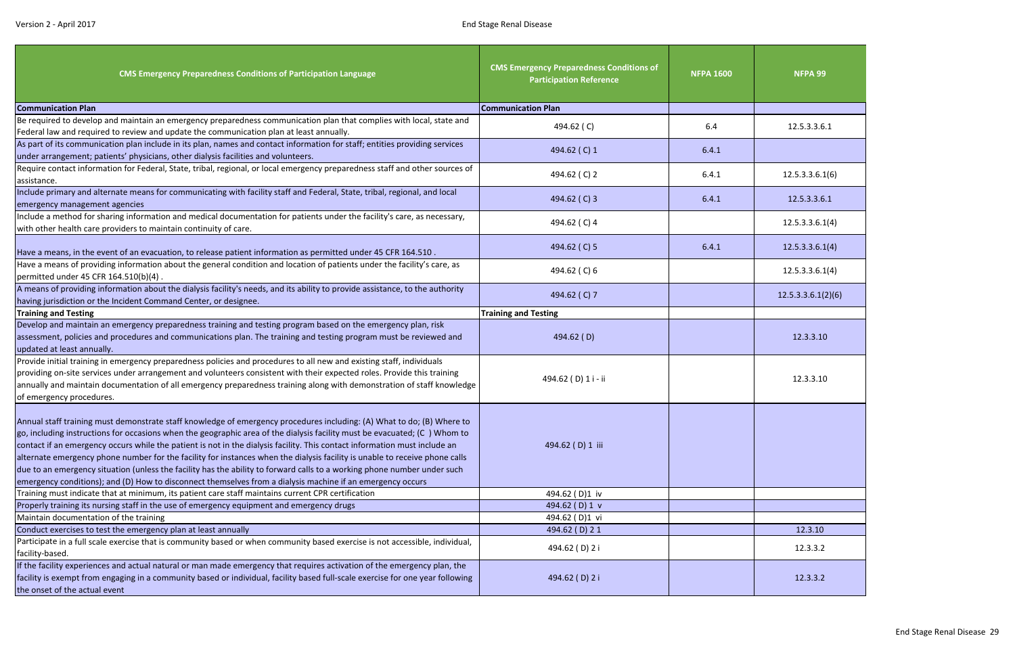| <b>CMS Emergency Preparedness Conditions of Participation Language</b>                                                                                                                                                                                                                                                                                                                                                                                                                                                                                                                                                                                                                                                                                     | <b>CMS Emergency Preparedness Conditions of</b><br><b>Participation Reference</b> | <b>NFPA 1600</b> | <b>NFPA 99</b>     |
|------------------------------------------------------------------------------------------------------------------------------------------------------------------------------------------------------------------------------------------------------------------------------------------------------------------------------------------------------------------------------------------------------------------------------------------------------------------------------------------------------------------------------------------------------------------------------------------------------------------------------------------------------------------------------------------------------------------------------------------------------------|-----------------------------------------------------------------------------------|------------------|--------------------|
| <b>Communication Plan</b>                                                                                                                                                                                                                                                                                                                                                                                                                                                                                                                                                                                                                                                                                                                                  | <b>Communication Plan</b>                                                         |                  |                    |
| Be required to develop and maintain an emergency preparedness communication plan that complies with local, state and                                                                                                                                                                                                                                                                                                                                                                                                                                                                                                                                                                                                                                       | 494.62 (C)                                                                        | 6.4              | 12.5.3.3.6.1       |
| Federal law and required to review and update the communication plan at least annually.                                                                                                                                                                                                                                                                                                                                                                                                                                                                                                                                                                                                                                                                    |                                                                                   |                  |                    |
| As part of its communication plan include in its plan, names and contact information for staff; entities providing services<br>under arrangement; patients' physicians, other dialysis facilities and volunteers.                                                                                                                                                                                                                                                                                                                                                                                                                                                                                                                                          | 494.62 (C) 1                                                                      | 6.4.1            |                    |
| Require contact information for Federal, State, tribal, regional, or local emergency preparedness staff and other sources of                                                                                                                                                                                                                                                                                                                                                                                                                                                                                                                                                                                                                               | 494.62 (C) 2                                                                      | 6.4.1            | 12.5.3.3.6.1(6)    |
| assistance.                                                                                                                                                                                                                                                                                                                                                                                                                                                                                                                                                                                                                                                                                                                                                |                                                                                   |                  |                    |
| Include primary and alternate means for communicating with facility staff and Federal, State, tribal, regional, and local                                                                                                                                                                                                                                                                                                                                                                                                                                                                                                                                                                                                                                  | 494.62 (C) 3                                                                      | 6.4.1            | 12.5.3.3.6.1       |
| emergency management agencies<br>Include a method for sharing information and medical documentation for patients under the facility's care, as necessary,                                                                                                                                                                                                                                                                                                                                                                                                                                                                                                                                                                                                  |                                                                                   |                  |                    |
| with other health care providers to maintain continuity of care.                                                                                                                                                                                                                                                                                                                                                                                                                                                                                                                                                                                                                                                                                           | 494.62 (C) 4                                                                      |                  | 12.5.3.3.6.1(4)    |
| Have a means, in the event of an evacuation, to release patient information as permitted under 45 CFR 164.510.                                                                                                                                                                                                                                                                                                                                                                                                                                                                                                                                                                                                                                             | 494.62 (C) 5                                                                      | 6.4.1            | 12.5.3.3.6.1(4)    |
| Have a means of providing information about the general condition and location of patients under the facility's care, as<br>permitted under 45 CFR 164.510(b)(4).                                                                                                                                                                                                                                                                                                                                                                                                                                                                                                                                                                                          | 494.62 (C) 6                                                                      |                  | 12.5.3.3.6.1(4)    |
| A means of providing information about the dialysis facility's needs, and its ability to provide assistance, to the authority<br>having jurisdiction or the Incident Command Center, or designee.                                                                                                                                                                                                                                                                                                                                                                                                                                                                                                                                                          | 494.62 (C) 7                                                                      |                  | 12.5.3.3.6.1(2)(6) |
| <b>Training and Testing</b>                                                                                                                                                                                                                                                                                                                                                                                                                                                                                                                                                                                                                                                                                                                                | <b>Training and Testing</b>                                                       |                  |                    |
| Develop and maintain an emergency preparedness training and testing program based on the emergency plan, risk                                                                                                                                                                                                                                                                                                                                                                                                                                                                                                                                                                                                                                              |                                                                                   |                  |                    |
| assessment, policies and procedures and communications plan. The training and testing program must be reviewed and                                                                                                                                                                                                                                                                                                                                                                                                                                                                                                                                                                                                                                         | 494.62 (D)                                                                        |                  | 12.3.3.10          |
| updated at least annually.<br>Provide initial training in emergency preparedness policies and procedures to all new and existing staff, individuals                                                                                                                                                                                                                                                                                                                                                                                                                                                                                                                                                                                                        |                                                                                   |                  |                    |
| providing on-site services under arrangement and volunteers consistent with their expected roles. Provide this training                                                                                                                                                                                                                                                                                                                                                                                                                                                                                                                                                                                                                                    |                                                                                   |                  |                    |
| annually and maintain documentation of all emergency preparedness training along with demonstration of staff knowledge                                                                                                                                                                                                                                                                                                                                                                                                                                                                                                                                                                                                                                     | 494.62 (D) 1 i - ii                                                               |                  | 12.3.3.10          |
| of emergency procedures.                                                                                                                                                                                                                                                                                                                                                                                                                                                                                                                                                                                                                                                                                                                                   |                                                                                   |                  |                    |
| Annual staff training must demonstrate staff knowledge of emergency procedures including: (A) What to do; (B) Where to<br>go, including instructions for occasions when the geographic area of the dialysis facility must be evacuated; (C) Whom to<br>contact if an emergency occurs while the patient is not in the dialysis facility. This contact information must include an<br>alternate emergency phone number for the facility for instances when the dialysis facility is unable to receive phone calls<br>due to an emergency situation (unless the facility has the ability to forward calls to a working phone number under such<br>emergency conditions); and (D) How to disconnect themselves from a dialysis machine if an emergency occurs | 494.62 (D) 1 iii                                                                  |                  |                    |
| Training must indicate that at minimum, its patient care staff maintains current CPR certification                                                                                                                                                                                                                                                                                                                                                                                                                                                                                                                                                                                                                                                         | 494.62 (D)1 iv                                                                    |                  |                    |
| Properly training its nursing staff in the use of emergency equipment and emergency drugs                                                                                                                                                                                                                                                                                                                                                                                                                                                                                                                                                                                                                                                                  | 494.62 (D) 1 v                                                                    |                  |                    |
| Maintain documentation of the training                                                                                                                                                                                                                                                                                                                                                                                                                                                                                                                                                                                                                                                                                                                     | 494.62 (D)1 vi                                                                    |                  |                    |
| Conduct exercises to test the emergency plan at least annually                                                                                                                                                                                                                                                                                                                                                                                                                                                                                                                                                                                                                                                                                             | 494.62 (D) 21                                                                     |                  | 12.3.10            |
| Participate in a full scale exercise that is community based or when community based exercise is not accessible, individual,<br>facility-based.                                                                                                                                                                                                                                                                                                                                                                                                                                                                                                                                                                                                            | 494.62 (D) 2 i                                                                    |                  | 12.3.3.2           |
| If the facility experiences and actual natural or man made emergency that requires activation of the emergency plan, the<br>facility is exempt from engaging in a community based or individual, facility based full-scale exercise for one year following<br>the onset of the actual event                                                                                                                                                                                                                                                                                                                                                                                                                                                                | 494.62 (D) 2 i                                                                    |                  | 12.3.3.2           |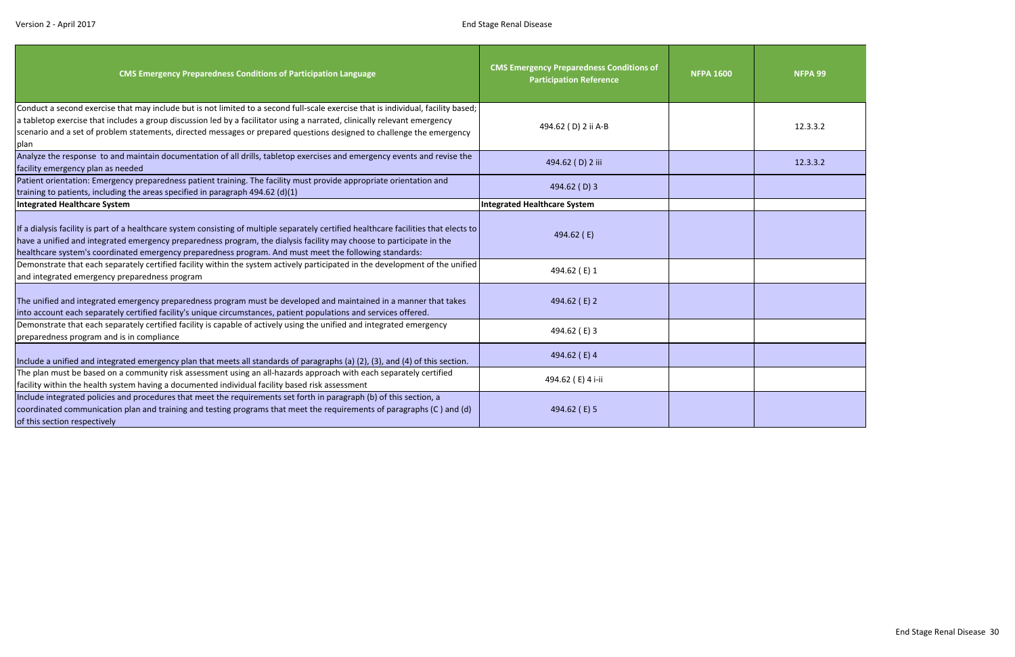| <b>CMS Emergency Preparedness Conditions of Participation Language</b>                                                                                                                                                                                                                                                                                                                          | <b>CMS Emergency Preparedness Conditions of</b><br><b>Participation Reference</b> | <b>NFPA 1600</b> | NFPA 99  |
|-------------------------------------------------------------------------------------------------------------------------------------------------------------------------------------------------------------------------------------------------------------------------------------------------------------------------------------------------------------------------------------------------|-----------------------------------------------------------------------------------|------------------|----------|
| Conduct a second exercise that may include but is not limited to a second full-scale exercise that is individual, facility based;<br>a tabletop exercise that includes a group discussion led by a facilitator using a narrated, clinically relevant emergency<br>scenario and a set of problem statements, directed messages or prepared questions designed to challenge the emergency<br>plan | 494.62 (D) 2 ii A-B                                                               |                  | 12.3.3.2 |
| Analyze the response to and maintain documentation of all drills, tabletop exercises and emergency events and revise the<br>facility emergency plan as needed                                                                                                                                                                                                                                   | 494.62 (D) 2 iii                                                                  |                  | 12.3.3.2 |
| Patient orientation: Emergency preparedness patient training. The facility must provide appropriate orientation and<br>training to patients, including the areas specified in paragraph 494.62 (d)(1)                                                                                                                                                                                           | 494.62 (D) 3                                                                      |                  |          |
| Integrated Healthcare System                                                                                                                                                                                                                                                                                                                                                                    | <b>Integrated Healthcare System</b>                                               |                  |          |
| If a dialysis facility is part of a healthcare system consisting of multiple separately certified healthcare facilities that elects to<br>have a unified and integrated emergency preparedness program, the dialysis facility may choose to participate in the<br>healthcare system's coordinated emergency preparedness program. And must meet the following standards:                        | 494.62 (E)                                                                        |                  |          |
| Demonstrate that each separately certified facility within the system actively participated in the development of the unified<br>and integrated emergency preparedness program                                                                                                                                                                                                                  | 494.62 (E) 1                                                                      |                  |          |
| The unified and integrated emergency preparedness program must be developed and maintained in a manner that takes<br>into account each separately certified facility's unique circumstances, patient populations and services offered.                                                                                                                                                          | 494.62 (E) 2                                                                      |                  |          |
| Demonstrate that each separately certified facility is capable of actively using the unified and integrated emergency<br>preparedness program and is in compliance                                                                                                                                                                                                                              | 494.62 (E) 3                                                                      |                  |          |
| Include a unified and integrated emergency plan that meets all standards of paragraphs (a) (2), (3), and (4) of this section.                                                                                                                                                                                                                                                                   | 494.62 (E) 4                                                                      |                  |          |
| The plan must be based on a community risk assessment using an all-hazards approach with each separately certified<br>facility within the health system having a documented individual facility based risk assessment                                                                                                                                                                           | 494.62 (E) 4 i-ii                                                                 |                  |          |
| Include integrated policies and procedures that meet the requirements set forth in paragraph (b) of this section, a<br>coordinated communication plan and training and testing programs that meet the requirements of paragraphs (C) and (d)<br>of this section respectively                                                                                                                    | 494.62 (E) 5                                                                      |                  |          |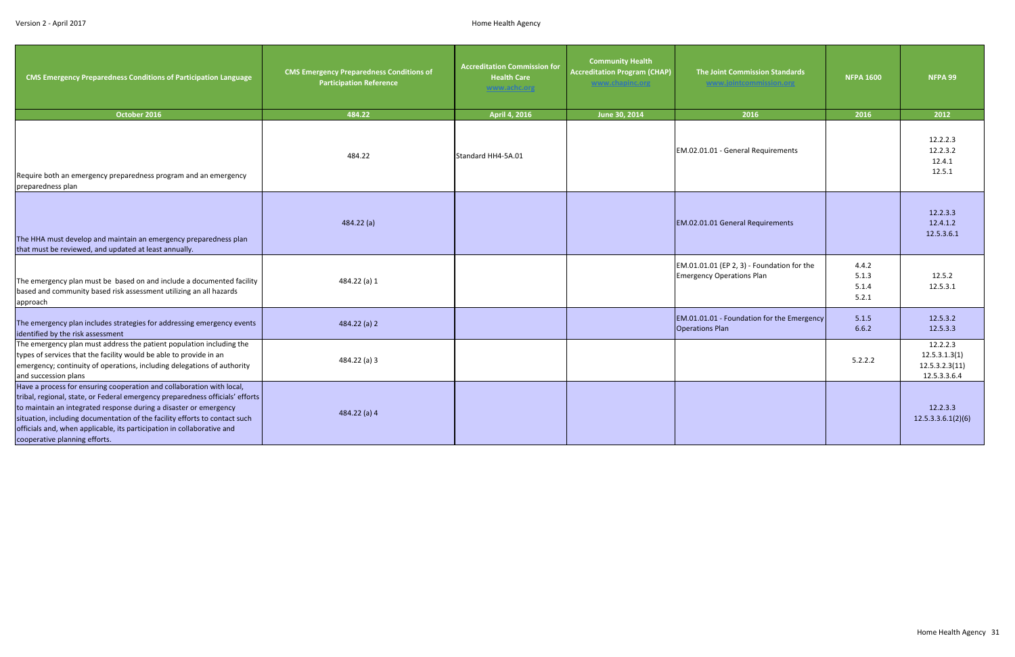<span id="page-31-0"></span>

| <b>CMS Emergency Preparedness Conditions of Participation Language</b>                                                                                                                                                                                                                                                                                                                                               | <b>CMS Emergency Preparedness Conditions of</b><br><b>Participation Reference</b> | <b>Accreditation Commission for</b><br><b>Health Care</b><br>www.achc.org | <b>Community Health</b><br><b>Accreditation Program (CHAP)</b><br>www.chapinc.org | <b>The Joint Commission Standards</b><br>www.jointcommission.org               | <b>NFPA 1600</b>                 | NFPA 99                                                     |
|----------------------------------------------------------------------------------------------------------------------------------------------------------------------------------------------------------------------------------------------------------------------------------------------------------------------------------------------------------------------------------------------------------------------|-----------------------------------------------------------------------------------|---------------------------------------------------------------------------|-----------------------------------------------------------------------------------|--------------------------------------------------------------------------------|----------------------------------|-------------------------------------------------------------|
| October 2016                                                                                                                                                                                                                                                                                                                                                                                                         | 484.22                                                                            | April 4, 2016                                                             | June 30, 2014                                                                     | 2016                                                                           | 2016                             | 2012                                                        |
| Require both an emergency preparedness program and an emergency<br>preparedness plan                                                                                                                                                                                                                                                                                                                                 | 484.22                                                                            | Standard HH4-5A.01                                                        |                                                                                   | EM.02.01.01 - General Requirements                                             |                                  | 12.2.2.3<br>12.2.3.2<br>12.4.1<br>12.5.1                    |
| The HHA must develop and maintain an emergency preparedness plan<br>that must be reviewed, and updated at least annually.                                                                                                                                                                                                                                                                                            | 484.22(a)                                                                         |                                                                           |                                                                                   | EM.02.01.01 General Requirements                                               |                                  | 12.2.3.3<br>12.4.1.2<br>12.5.3.6.1                          |
| The emergency plan must be based on and include a documented facility<br>based and community based risk assessment utilizing an all hazards<br>approach                                                                                                                                                                                                                                                              | 484.22 (a) 1                                                                      |                                                                           |                                                                                   | EM.01.01.01 (EP 2, 3) - Foundation for the<br><b>Emergency Operations Plan</b> | 4.4.2<br>5.1.3<br>5.1.4<br>5.2.1 | 12.5.2<br>12.5.3.1                                          |
| The emergency plan includes strategies for addressing emergency events<br>identified by the risk assessment                                                                                                                                                                                                                                                                                                          | 484.22 (a) 2                                                                      |                                                                           |                                                                                   | EM.01.01.01 - Foundation for the Emergency<br><b>Operations Plan</b>           | 5.1.5<br>6.6.2                   | 12.5.3.2<br>12.5.3.3                                        |
| The emergency plan must address the patient population including the<br>types of services that the facility would be able to provide in an<br>emergency; continuity of operations, including delegations of authority<br>and succession plans                                                                                                                                                                        | 484.22 (a) 3                                                                      |                                                                           |                                                                                   |                                                                                | 5.2.2.2                          | 12.2.2.3<br>12.5.3.1.3(1)<br>12.5.3.2.3(11)<br>12.5.3.3.6.4 |
| Have a process for ensuring cooperation and collaboration with local,<br>tribal, regional, state, or Federal emergency preparedness officials' efforts<br>to maintain an integrated response during a disaster or emergency<br>situation, including documentation of the facility efforts to contact such<br>officials and, when applicable, its participation in collaborative and<br>cooperative planning efforts. | 484.22 (a) 4                                                                      |                                                                           |                                                                                   |                                                                                |                                  | 12.2.3.3<br>12.5.3.3.6.1(2)(6)                              |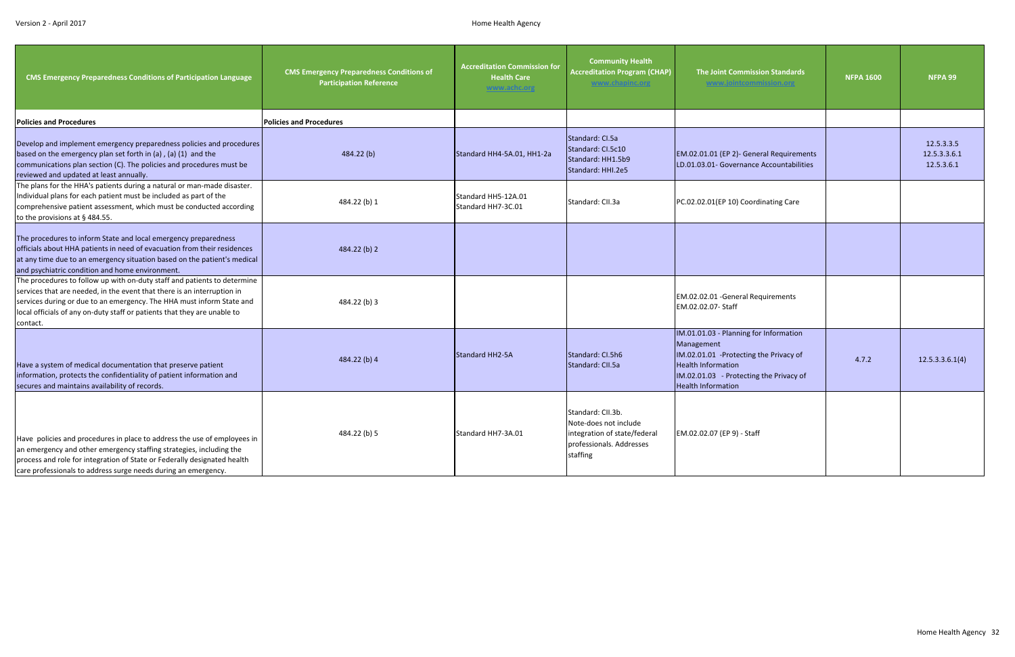| <b>CMS Emergency Preparedness Conditions of Participation Language</b>                                                                                                                                                                                                                                               | <b>CMS Emergency Preparedness Conditions of</b><br><b>Participation Reference</b> | <b>Accreditation Commission for</b><br><b>Health Care</b><br>www.achc.org | <b>Community Health</b><br><b>Accreditation Program (CHAP)</b><br>www.chapinc.org                                  | <b>The Joint Commission Standards</b><br>www.jointcommission.org                                                                                                                                    | <b>NFPA 1600</b> | NFPA 99                                  |
|----------------------------------------------------------------------------------------------------------------------------------------------------------------------------------------------------------------------------------------------------------------------------------------------------------------------|-----------------------------------------------------------------------------------|---------------------------------------------------------------------------|--------------------------------------------------------------------------------------------------------------------|-----------------------------------------------------------------------------------------------------------------------------------------------------------------------------------------------------|------------------|------------------------------------------|
| <b>Policies and Procedures</b>                                                                                                                                                                                                                                                                                       | <b>Policies and Procedures</b>                                                    |                                                                           |                                                                                                                    |                                                                                                                                                                                                     |                  |                                          |
| Develop and implement emergency preparedness policies and procedures<br>based on the emergency plan set forth in (a), (a) (1) and the<br>communications plan section (C). The policies and procedures must be<br>reviewed and updated at least annually.                                                             | 484.22(b)                                                                         | Standard HH4-5A.01, HH1-2a                                                | Standard: CI.5a<br>Standard: CI.5c10<br>Standard: HH1.5b9<br>Standard: HHI.2e5                                     | EM.02.01.01 (EP 2)- General Requirements<br>LD.01.03.01- Governance Accountabilities                                                                                                                |                  | 12.5.3.3.5<br>12.5.3.3.6.1<br>12.5.3.6.1 |
| The plans for the HHA's patients during a natural or man-made disaster.<br>Individual plans for each patient must be included as part of the<br>comprehensive patient assessment, which must be conducted according<br>to the provisions at § 484.55.                                                                | 484.22 (b) 1                                                                      | Standard HH5-12A.01<br>Standard HH7-3C.01                                 | Standard: CII.3a                                                                                                   | PC.02.02.01(EP 10) Coordinating Care                                                                                                                                                                |                  |                                          |
| The procedures to inform State and local emergency preparedness<br>officials about HHA patients in need of evacuation from their residences<br>at any time due to an emergency situation based on the patient's medical<br>and psychiatric condition and home environment.                                           | 484.22 (b) 2                                                                      |                                                                           |                                                                                                                    |                                                                                                                                                                                                     |                  |                                          |
| The procedures to follow up with on-duty staff and patients to determine<br>services that are needed, in the event that there is an interruption in<br>services during or due to an emergency. The HHA must inform State and<br>local officials of any on-duty staff or patients that they are unable to<br>contact. | 484.22 (b) 3                                                                      |                                                                           |                                                                                                                    | EM.02.02.01 - General Requirements<br>EM.02.02.07- Staff                                                                                                                                            |                  |                                          |
| Have a system of medical documentation that preserve patient<br>information, protects the confidentiality of patient information and<br>secures and maintains availability of records.                                                                                                                               | 484.22 (b) 4                                                                      | Standard HH2-5A                                                           | Standard: CI.5h6<br>Standard: CII.5a                                                                               | IM.01.01.03 - Planning for Information<br>Management<br>IM.02.01.01 -Protecting the Privacy of<br><b>Health Information</b><br>IM.02.01.03 - Protecting the Privacy of<br><b>Health Information</b> | 4.7.2            | 12.5.3.3.6.1(4)                          |
| Have policies and procedures in place to address the use of employees in<br>an emergency and other emergency staffing strategies, including the<br>process and role for integration of State or Federally designated health<br>care professionals to address surge needs during an emergency.                        | 484.22 (b) 5                                                                      | Standard HH7-3A.01                                                        | Standard: CII.3b.<br>Note-does not include<br>integration of state/federal<br>professionals. Addresses<br>staffing | EM.02.02.07 (EP 9) - Staff                                                                                                                                                                          |                  |                                          |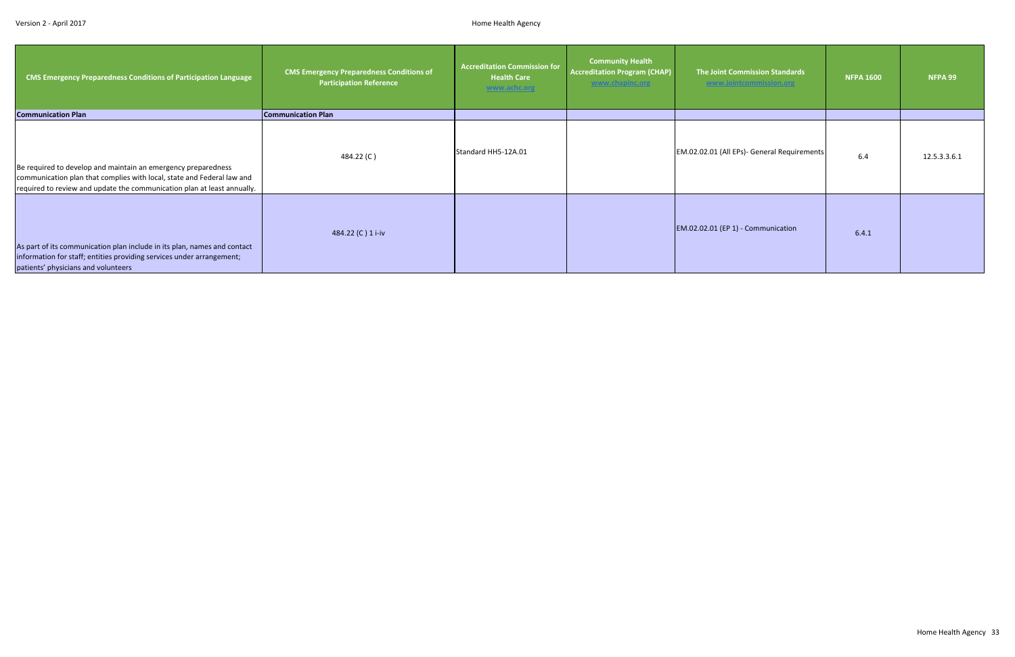| <b>CMS Emergency Preparedness Conditions of Participation Language</b>                                                                                                                                             | <b>CMS Emergency Preparedness Conditions of</b><br><b>Participation Reference</b> | <b>Accreditation Commission for</b><br><b>Health Care</b><br>www.achc.org | <b>Community Health</b><br><b>Accreditation Program (CHAP)</b><br>www.chapinc.org | <b>The Joint Commission Standards</b><br>www.jointcommission.org | <b>NFPA 1600</b> | NFPA 99      |
|--------------------------------------------------------------------------------------------------------------------------------------------------------------------------------------------------------------------|-----------------------------------------------------------------------------------|---------------------------------------------------------------------------|-----------------------------------------------------------------------------------|------------------------------------------------------------------|------------------|--------------|
| <b>Communication Plan</b>                                                                                                                                                                                          | <b>Communication Plan</b>                                                         |                                                                           |                                                                                   |                                                                  |                  |              |
| Be required to develop and maintain an emergency preparedness<br>communication plan that complies with local, state and Federal law and<br>required to review and update the communication plan at least annually. | 484.22 (C)                                                                        | Standard HH5-12A.01                                                       |                                                                                   | EM.02.02.01 (All EPs)- General Requirements                      | 6.4              | 12.5.3.3.6.1 |
| As part of its communication plan include in its plan, names and contact<br>information for staff; entities providing services under arrangement;<br>patients' physicians and volunteers                           | 484.22 (C) 1 i-iv                                                                 |                                                                           |                                                                                   | EM.02.02.01 (EP 1) - Communication                               | 6.4.1            |              |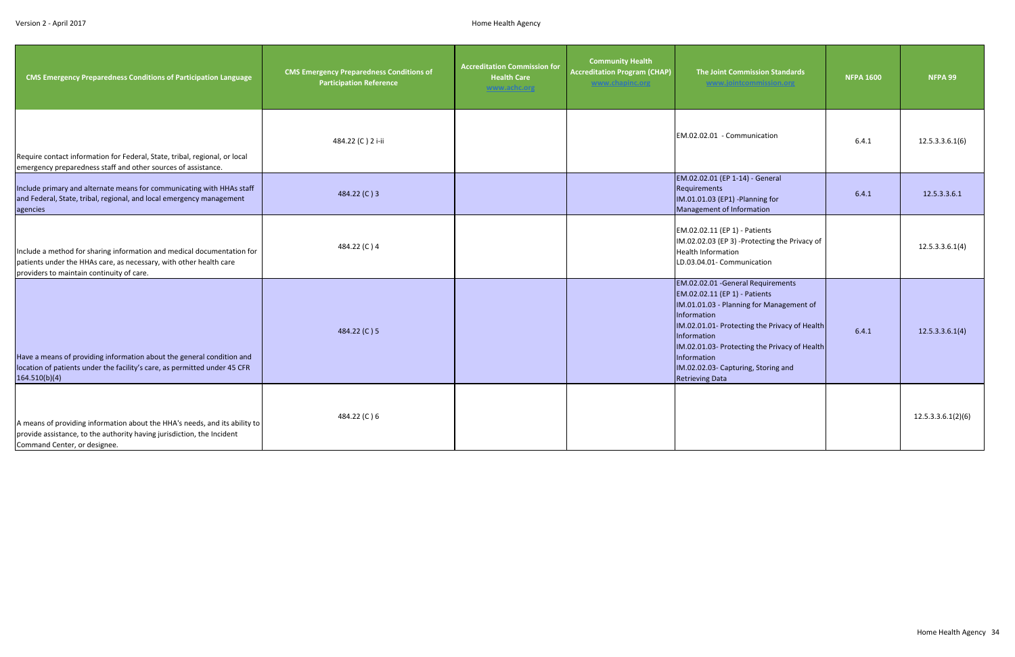| <b>CMS Emergency Preparedness Conditions of Participation Language</b>                                                                                                                    | <b>CMS Emergency Preparedness Conditions of</b><br><b>Participation Reference</b> | <b>Accreditation Commission for</b><br><b>Health Care</b><br>www.achc.org | <b>Community Health</b><br><b>Accreditation Program (CHAP)</b><br>www.chapinc.org | The Joint Commission Standards<br>www.jointcommission.org                                                                                                                                                                                                                                                                       | <b>NFPA 1600</b> | NFPA 99            |
|-------------------------------------------------------------------------------------------------------------------------------------------------------------------------------------------|-----------------------------------------------------------------------------------|---------------------------------------------------------------------------|-----------------------------------------------------------------------------------|---------------------------------------------------------------------------------------------------------------------------------------------------------------------------------------------------------------------------------------------------------------------------------------------------------------------------------|------------------|--------------------|
| Require contact information for Federal, State, tribal, regional, or local<br>emergency preparedness staff and other sources of assistance.                                               | 484.22 (C) 2 i-ii                                                                 |                                                                           |                                                                                   | EM.02.02.01 - Communication                                                                                                                                                                                                                                                                                                     | 6.4.1            | 12.5.3.3.6.1(6)    |
| Include primary and alternate means for communicating with HHAs staff<br>and Federal, State, tribal, regional, and local emergency management<br>agencies                                 | 484.22 (C) 3                                                                      |                                                                           |                                                                                   | EM.02.02.01 (EP 1-14) - General<br>Requirements<br>IM.01.01.03 (EP1) -Planning for<br>Management of Information                                                                                                                                                                                                                 | 6.4.1            | 12.5.3.3.6.1       |
| Include a method for sharing information and medical documentation for<br>patients under the HHAs care, as necessary, with other health care<br>providers to maintain continuity of care. | 484.22 (C) 4                                                                      |                                                                           |                                                                                   | EM.02.02.11 (EP 1) - Patients<br>IM.02.02.03 (EP 3) -Protecting the Privacy of<br><b>Health Information</b><br>LD.03.04.01- Communication                                                                                                                                                                                       |                  | 12.5.3.3.6.1(4)    |
| Have a means of providing information about the general condition and<br>location of patients under the facility's care, as permitted under 45 CFR<br>164.510(b)(4)                       | 484.22 (C) 5                                                                      |                                                                           |                                                                                   | EM.02.02.01 - General Requirements<br>EM.02.02.11 (EP 1) - Patients<br>IM.01.01.03 - Planning for Management of<br>Information<br>IM.02.01.01- Protecting the Privacy of Health<br>Information<br>IM.02.01.03- Protecting the Privacy of Health<br>Information<br>IM.02.02.03- Capturing, Storing and<br><b>Retrieving Data</b> | 6.4.1            | 12.5.3.3.6.1(4)    |
| A means of providing information about the HHA's needs, and its ability to<br>provide assistance, to the authority having jurisdiction, the Incident<br>Command Center, or designee.      | 484.22 (C) 6                                                                      |                                                                           |                                                                                   |                                                                                                                                                                                                                                                                                                                                 |                  | 12.5.3.3.6.1(2)(6) |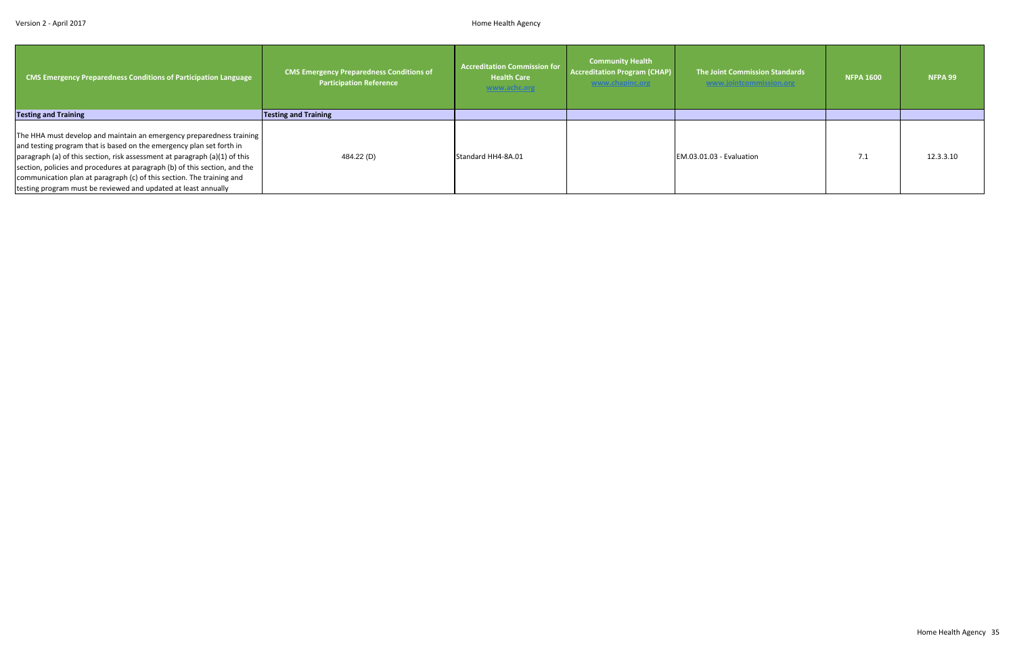| <b>CMS Emergency Preparedness Conditions of Participation Language</b>                                                                                                                                                                                                                                                                                                                                                                              | <b>CMS Emergency Preparedness Conditions of</b><br><b>Participation Reference</b> | <b>Accreditation Commission for</b><br><b>Health Care</b><br>www.achc.org | <b>Community Health</b><br><b>Accreditation Program (CHAP)</b><br>www.chapinc.org | The Joint Commission Standards<br>www.jointcommission.org | <b>NFPA 1600</b> | NFPA 99   |
|-----------------------------------------------------------------------------------------------------------------------------------------------------------------------------------------------------------------------------------------------------------------------------------------------------------------------------------------------------------------------------------------------------------------------------------------------------|-----------------------------------------------------------------------------------|---------------------------------------------------------------------------|-----------------------------------------------------------------------------------|-----------------------------------------------------------|------------------|-----------|
| <b>Testing and Training</b>                                                                                                                                                                                                                                                                                                                                                                                                                         | <b>Testing and Training</b>                                                       |                                                                           |                                                                                   |                                                           |                  |           |
| The HHA must develop and maintain an emergency preparedness training<br>and testing program that is based on the emergency plan set forth in<br>paragraph (a) of this section, risk assessment at paragraph (a)(1) of this<br>section, policies and procedures at paragraph (b) of this section, and the<br>communication plan at paragraph (c) of this section. The training and<br>testing program must be reviewed and updated at least annually | 484.22 (D)                                                                        | Standard HH4-8A.01                                                        |                                                                                   | EM.03.01.03 - Evaluation                                  | 7.1              | 12.3.3.10 |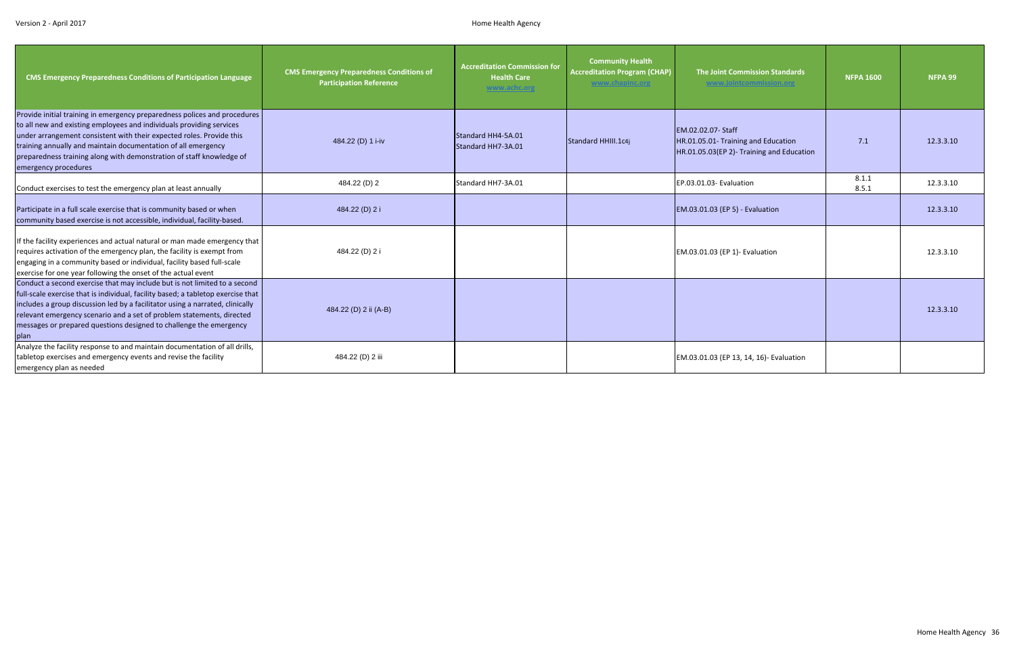| <b>CMS Emergency Preparedness Conditions of Participation Language</b>                                                                                                                                                                                                                                                                                                                                | <b>CMS Emergency Preparedness Conditions of</b><br><b>Participation Reference</b> | <b>Accreditation Commission for</b><br><b>Health Care</b><br>www.achc.org | <b>Community Health</b><br><b>Accreditation Program (CHAP)</b><br>www.chapinc.org | <b>The Joint Commission Standards</b><br>www.jointcommission.org                                       | <b>NFPA 1600</b> | <b>NFPA 99</b> |
|-------------------------------------------------------------------------------------------------------------------------------------------------------------------------------------------------------------------------------------------------------------------------------------------------------------------------------------------------------------------------------------------------------|-----------------------------------------------------------------------------------|---------------------------------------------------------------------------|-----------------------------------------------------------------------------------|--------------------------------------------------------------------------------------------------------|------------------|----------------|
| Provide initial training in emergency preparedness polices and procedures<br>to all new and existing employees and individuals providing services<br>under arrangement consistent with their expected roles. Provide this<br>training annually and maintain documentation of all emergency<br>preparedness training along with demonstration of staff knowledge of<br>emergency procedures            | 484.22 (D) 1 i-iv                                                                 | Standard HH4-5A.01<br>Standard HH7-3A.01                                  | Standard HHIII.1c4j                                                               | EM.02.02.07- Staff<br>HR.01.05.01- Training and Education<br>HR.01.05.03(EP 2)- Training and Education | 7.1              | 12.3.3.10      |
| Conduct exercises to test the emergency plan at least annually                                                                                                                                                                                                                                                                                                                                        | 484.22 (D) 2                                                                      | Standard HH7-3A.01                                                        |                                                                                   | EP.03.01.03- Evaluation                                                                                | 8.1.1<br>8.5.1   | 12.3.3.10      |
| Participate in a full scale exercise that is community based or when<br>community based exercise is not accessible, individual, facility-based.                                                                                                                                                                                                                                                       | 484.22 (D) 2 i                                                                    |                                                                           |                                                                                   | EM.03.01.03 (EP 5) - Evaluation                                                                        |                  | 12.3.3.10      |
| If the facility experiences and actual natural or man made emergency that<br>requires activation of the emergency plan, the facility is exempt from<br>engaging in a community based or individual, facility based full-scale<br>exercise for one year following the onset of the actual event                                                                                                        | 484.22 (D) 2 i                                                                    |                                                                           |                                                                                   | EM.03.01.03 (EP 1)- Evaluation                                                                         |                  | 12.3.3.10      |
| Conduct a second exercise that may include but is not limited to a second<br>full-scale exercise that is individual, facility based; a tabletop exercise that<br>includes a group discussion led by a facilitator using a narrated, clinically<br>relevant emergency scenario and a set of problem statements, directed<br>messages or prepared questions designed to challenge the emergency<br>plan | 484.22 (D) 2 ii (A-B)                                                             |                                                                           |                                                                                   |                                                                                                        |                  | 12.3.3.10      |
| Analyze the facility response to and maintain documentation of all drills,<br>tabletop exercises and emergency events and revise the facility<br>emergency plan as needed                                                                                                                                                                                                                             | 484.22 (D) 2 iii                                                                  |                                                                           |                                                                                   | EM.03.01.03 (EP 13, 14, 16)- Evaluation                                                                |                  |                |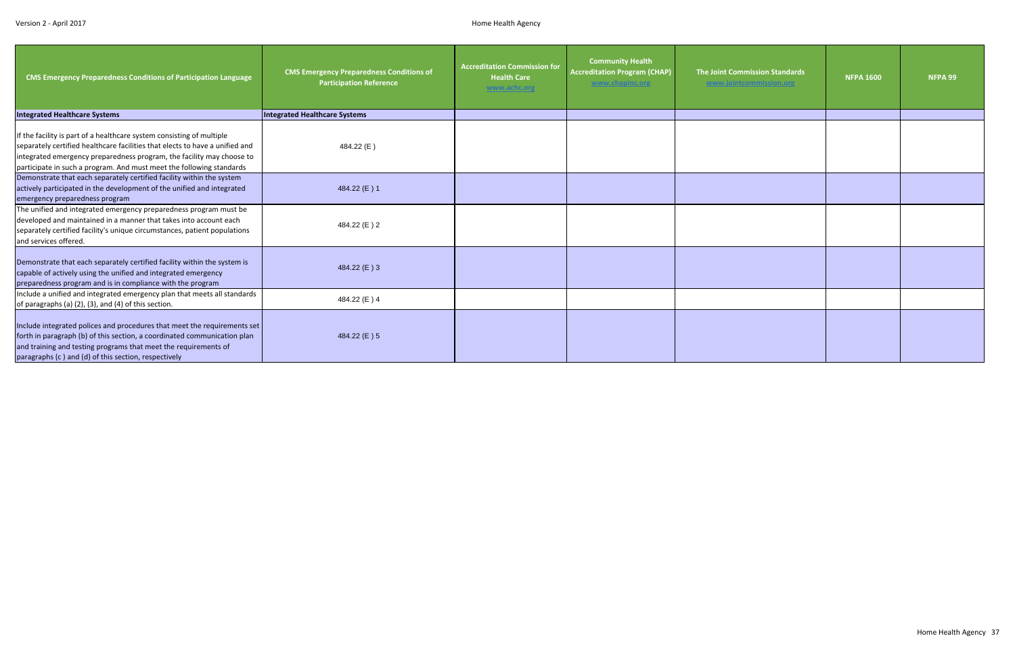| <b>CMS Emergency Preparedness Conditions of Participation Language</b>                                                                                                                                                                                                                                 | <b>CMS Emergency Preparedness Conditions of</b><br><b>Participation Reference</b> | <b>Accreditation Commission for</b><br><b>Health Care</b><br>www.achc.org | <b>Community Health</b><br><b>Accreditation Program (CHAP)</b><br>www.chapinc.org | <b>The Joint Commission Standards</b><br>www.jointcommission.org | <b>NFPA 1600</b> | NFPA 99 |
|--------------------------------------------------------------------------------------------------------------------------------------------------------------------------------------------------------------------------------------------------------------------------------------------------------|-----------------------------------------------------------------------------------|---------------------------------------------------------------------------|-----------------------------------------------------------------------------------|------------------------------------------------------------------|------------------|---------|
| <b>Integrated Healthcare Systems</b>                                                                                                                                                                                                                                                                   | <b>Integrated Healthcare Systems</b>                                              |                                                                           |                                                                                   |                                                                  |                  |         |
| If the facility is part of a healthcare system consisting of multiple<br>separately certified healthcare facilities that elects to have a unified and<br>integrated emergency preparedness program, the facility may choose to<br>participate in such a program. And must meet the following standards | 484.22 (E)                                                                        |                                                                           |                                                                                   |                                                                  |                  |         |
| Demonstrate that each separately certified facility within the system<br>actively participated in the development of the unified and integrated<br>emergency preparedness program                                                                                                                      | 484.22 (E) 1                                                                      |                                                                           |                                                                                   |                                                                  |                  |         |
| The unified and integrated emergency preparedness program must be<br>developed and maintained in a manner that takes into account each<br>separately certified facility's unique circumstances, patient populations<br>and services offered.                                                           | 484.22 (E) 2                                                                      |                                                                           |                                                                                   |                                                                  |                  |         |
| Demonstrate that each separately certified facility within the system is<br>capable of actively using the unified and integrated emergency<br>preparedness program and is in compliance with the program                                                                                               | 484.22 (E) 3                                                                      |                                                                           |                                                                                   |                                                                  |                  |         |
| Include a unified and integrated emergency plan that meets all standards<br>of paragraphs (a) (2), (3), and (4) of this section.                                                                                                                                                                       | 484.22 (E) 4                                                                      |                                                                           |                                                                                   |                                                                  |                  |         |
| Include integrated polices and procedures that meet the requirements set<br>forth in paragraph (b) of this section, a coordinated communication plan<br>and training and testing programs that meet the requirements of<br>paragraphs (c) and (d) of this section, respectively                        | 484.22 (E) 5                                                                      |                                                                           |                                                                                   |                                                                  |                  |         |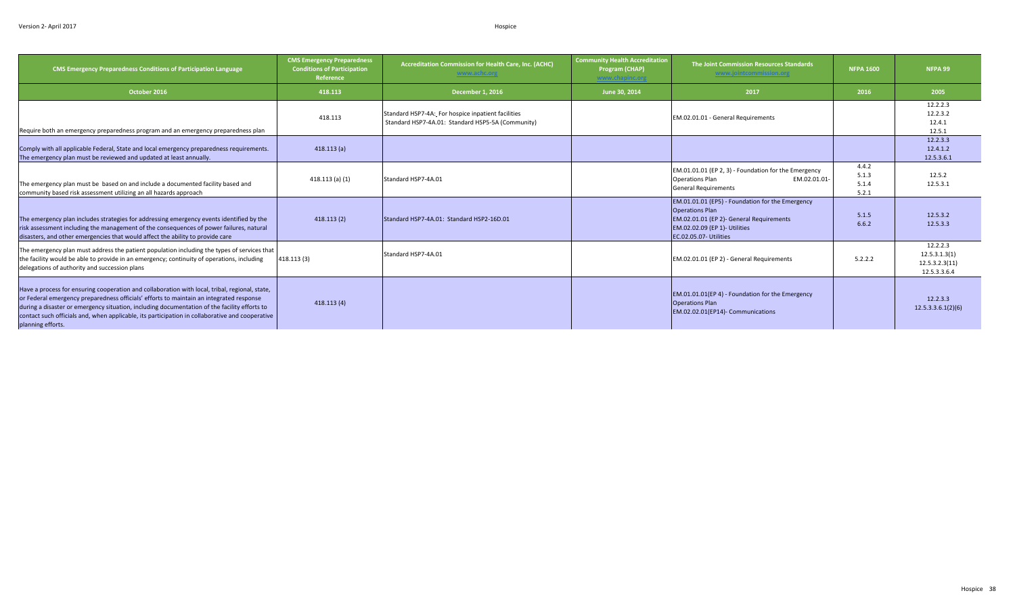| <b>CMS Emergency Preparedness Conditions of Participation Language</b>                                                                                                                                                                                                                                                                                                                                            | <b>CMS Emergency Preparedness</b><br><b>Conditions of Participation</b><br>Reference | <b>Accreditation Commission for Health Care, Inc. (ACHC)</b><br>www.achc.org                            | <b>Community Health Accreditation</b><br>Program (CHAP)<br>www.chapinc.org | The Joint Commission Resources Standards<br>www.jointcommission.org                                                                                                               | <b>NFPA 1600</b>                 | NFPA 99                                                     |
|-------------------------------------------------------------------------------------------------------------------------------------------------------------------------------------------------------------------------------------------------------------------------------------------------------------------------------------------------------------------------------------------------------------------|--------------------------------------------------------------------------------------|---------------------------------------------------------------------------------------------------------|----------------------------------------------------------------------------|-----------------------------------------------------------------------------------------------------------------------------------------------------------------------------------|----------------------------------|-------------------------------------------------------------|
| October 2016                                                                                                                                                                                                                                                                                                                                                                                                      | 418.113                                                                              | <b>December 1, 2016</b>                                                                                 | June 30, 2014                                                              | 2017                                                                                                                                                                              | 2016                             | 2005                                                        |
| Require both an emergency preparedness program and an emergency preparedness plan                                                                                                                                                                                                                                                                                                                                 | 418.113                                                                              | Standard HSP7-4A: For hospice inpatient facilities<br>Standard HSP7-4A.01: Standard HSP5-5A (Community) |                                                                            | EM.02.01.01 - General Requirements                                                                                                                                                |                                  | 12.2.2.3<br>12.2.3.2<br>12.4.1<br>12.5.1                    |
| Comply with all applicable Federal, State and local emergency preparedness requirements.<br>The emergency plan must be reviewed and updated at least annually.                                                                                                                                                                                                                                                    | 418.113(a)                                                                           |                                                                                                         |                                                                            |                                                                                                                                                                                   |                                  | 12.2.3.3<br>12.4.1.2<br>12.5.3.6.1                          |
| The emergency plan must be based on and include a documented facility based and<br>community based risk assessment utilizing an all hazards approach                                                                                                                                                                                                                                                              | $418.113(a)$ (1)                                                                     | Standard HSP7-4A.01                                                                                     |                                                                            | EM.01.01.01 (EP 2, 3) - Foundation for the Emergency<br><b>Operations Plan</b><br>EM.02.01.01-<br><b>General Requirements</b>                                                     | 4.4.2<br>5.1.3<br>5.1.4<br>5.2.1 | 12.5.2<br>12.5.3.1                                          |
| The emergency plan includes strategies for addressing emergency events identified by the<br>risk assessment including the management of the consequences of power failures, natural<br>disasters, and other emergencies that would affect the ability to provide care                                                                                                                                             | 418.113(2)                                                                           | Standard HSP7-4A.01: Standard HSP2-16D.01                                                               |                                                                            | EM.01.01.01 (EP5) - Foundation for the Emergency<br><b>Operations Plan</b><br>EM.02.01.01 (EP 2)- General Requirements<br>EM.02.02.09 (EP 1)- Utilities<br>EC.02.05.07- Utilities | 5.1.5<br>6.6.2                   | 12.5.3.2<br>12.5.3.3                                        |
| The emergency plan must address the patient population including the types of services that<br>the facility would be able to provide in an emergency; continuity of operations, including<br>delegations of authority and succession plans                                                                                                                                                                        | 418.113 (3)                                                                          | Standard HSP7-4A.01                                                                                     |                                                                            | EM.02.01.01 (EP 2) - General Requirements                                                                                                                                         | 5.2.2.2                          | 12.2.2.3<br>12.5.3.1.3(1)<br>12.5.3.2.3(11)<br>12.5.3.3.6.4 |
| Have a process for ensuring cooperation and collaboration with local, tribal, regional, state,<br>or Federal emergency preparedness officials' efforts to maintain an integrated response<br>during a disaster or emergency situation, including documentation of the facility efforts to<br>contact such officials and, when applicable, its participation in collaborative and cooperative<br>planning efforts. | 418.113(4)                                                                           |                                                                                                         |                                                                            | EM.01.01.01(EP 4) - Foundation for the Emergency<br><b>Operations Plan</b><br>EM.02.02.01(EP14)- Communications                                                                   |                                  | 12.2.3.3<br>12.5.3.3.6.1(2)(6)                              |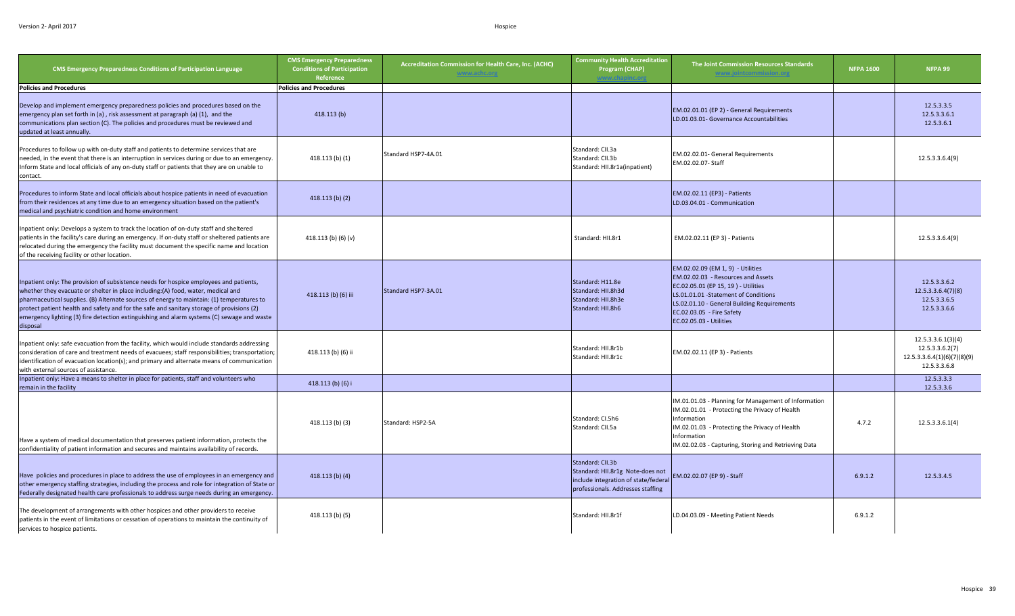| <b>CMS Emergency Preparedness Conditions of Participation Language</b>                                                                                                                                                                                                                                                                                                                                                                                                         | <b>CMS Emergency Preparedness</b><br><b>Conditions of Participation</b><br>Reference | Accreditation Commission for Health Care, Inc. (ACHC)<br>www.achc.org | <b>Community Health Accreditation</b><br>Program (CHAP)                                                                           | The Joint Commission Resources Standards<br>www.jointcommission.org                                                                                                                                                                                            | <b>NFPA 1600</b> | NFPA 99                                                                              |
|--------------------------------------------------------------------------------------------------------------------------------------------------------------------------------------------------------------------------------------------------------------------------------------------------------------------------------------------------------------------------------------------------------------------------------------------------------------------------------|--------------------------------------------------------------------------------------|-----------------------------------------------------------------------|-----------------------------------------------------------------------------------------------------------------------------------|----------------------------------------------------------------------------------------------------------------------------------------------------------------------------------------------------------------------------------------------------------------|------------------|--------------------------------------------------------------------------------------|
| <b>Policies and Procedures</b>                                                                                                                                                                                                                                                                                                                                                                                                                                                 | <b>Policies and Procedures</b>                                                       |                                                                       |                                                                                                                                   |                                                                                                                                                                                                                                                                |                  |                                                                                      |
| Develop and implement emergency preparedness policies and procedures based on the<br>emergency plan set forth in (a), risk assessment at paragraph (a) (1), and the<br>communications plan section (C). The policies and procedures must be reviewed and<br>updated at least annually.                                                                                                                                                                                         | 418.113(b)                                                                           |                                                                       |                                                                                                                                   | EM.02.01.01 (EP 2) - General Requirements<br>LD.01.03.01- Governance Accountabilities                                                                                                                                                                          |                  | 12.5.3.3.5<br>12.5.3.3.6.1<br>12.5.3.6.1                                             |
| Procedures to follow up with on-duty staff and patients to determine services that are<br>needed, in the event that there is an interruption in services during or due to an emergency.<br>Inform State and local officials of any on-duty staff or patients that they are on unable to<br>contact.                                                                                                                                                                            | 418.113 (b) (1)                                                                      | Standard HSP7-4A.01                                                   | Standard: CII.3a<br>Standard: CII.3b<br>Standard: HII.8r1a(inpatient)                                                             | EM.02.02.01- General Requirements<br>EM.02.02.07- Staff                                                                                                                                                                                                        |                  | 12.5.3.3.6.4(9)                                                                      |
| Procedures to inform State and local officials about hospice patients in need of evacuation<br>from their residences at any time due to an emergency situation based on the patient's<br>medical and psychiatric condition and home environment                                                                                                                                                                                                                                | 418.113(b)(2)                                                                        |                                                                       |                                                                                                                                   | EM.02.02.11 (EP3) - Patients<br>LD.03.04.01 - Communication                                                                                                                                                                                                    |                  |                                                                                      |
| Inpatient only: Develops a system to track the location of on-duty staff and sheltered<br>patients in the facility's care during an emergency. If on-duty staff or sheltered patients are<br>relocated during the emergency the facility must document the specific name and location<br>of the receiving facility or other location.                                                                                                                                          | 418.113 (b) (6) (v)                                                                  |                                                                       | Standard: HII.8r1                                                                                                                 | EM.02.02.11 (EP 3) - Patients                                                                                                                                                                                                                                  |                  | 12.5.3.3.6.4(9)                                                                      |
| Inpatient only: The provision of subsistence needs for hospice employees and patients,<br>whether they evacuate or shelter in place including:(A) food, water, medical and<br>pharmaceutical supplies. (B) Alternate sources of energy to maintain: (1) temperatures to<br>protect patient health and safety and for the safe and sanitary storage of provisions (2)<br>emergency lighting (3) fire detection extinguishing and alarm systems (C) sewage and waste<br>disposal | 418.113 (b) (6) iii                                                                  | Standard HSP7-3A.01                                                   | Standard: H11.8e<br>Standard: HII.8h3d<br>Standard: HII.8h3e<br>Standard: HII.8h6                                                 | EM.02.02.09 (EM 1, 9) - Utilities<br>EM.02.02.03 - Resources and Assets<br>EC.02.05.01 (EP 15, 19) - Utilities<br>LS.01.01.01 - Statement of Conditions<br>LS.02.01.10 - General Building Requirements<br>EC.02.03.05 - Fire Safety<br>EC.02.05.03 - Utilities |                  | 12.5.3.3.6.2<br>12.5.3.3.6.4(7)(8)<br>12.5.3.3.6.5<br>12.5.3.3.6.6                   |
| Inpatient only: safe evacuation from the facility, which would include standards addressing<br>consideration of care and treatment needs of evacuees; staff responsibilities; transportation;<br>identification of evacuation location(s); and primary and alternate means of communication<br>with external sources of assistance.                                                                                                                                            | 418.113 (b) (6) ii                                                                   |                                                                       | Standard: HII.8r1b<br>Standard: HII.8r1c                                                                                          | EM.02.02.11 (EP 3) - Patients                                                                                                                                                                                                                                  |                  | 12.5.3.3.6.1(3)(4)<br>12.5.3.3.6.2(7)<br>12.5.3.3.6.4(1)(6)(7)(8)(9)<br>12.5.3.3.6.8 |
| Inpatient only: Have a means to shelter in place for patients, staff and volunteers who<br>remain in the facility                                                                                                                                                                                                                                                                                                                                                              | 418.113 (b) (6) i                                                                    |                                                                       |                                                                                                                                   |                                                                                                                                                                                                                                                                |                  | 12.5.3.3.3<br>12.5.3.3.6                                                             |
| Have a system of medical documentation that preserves patient information, protects the<br>confidentiality of patient information and secures and maintains availability of records.                                                                                                                                                                                                                                                                                           | 418.113 (b) (3)                                                                      | Standard: HSP2-5A                                                     | Standard: CI.5h6<br>Standard: CII.5a                                                                                              | IM.01.01.03 - Planning for Management of Information<br>IM.02.01.01 - Protecting the Privacy of Health<br>Information<br>IM.02.01.03 - Protecting the Privacy of Health<br>Information<br>IM.02.02.03 - Capturing, Storing and Retrieving Data                 | 4.7.2            | 12.5.3.3.6.1(4)                                                                      |
| Have policies and procedures in place to address the use of employees in an emergency and<br>other emergency staffing strategies, including the process and role for integration of State or<br>Federally designated health care professionals to address surge needs during an emergency.                                                                                                                                                                                     | 418.113(b) (4)                                                                       |                                                                       | Standard: CII.3b<br>Standard: HII.8r1g Note-does not<br>include integration of state/federal<br>professionals. Addresses staffing | EM.02.02.07 (EP 9) - Staff                                                                                                                                                                                                                                     | 6.9.1.2          | 12.5.3.4.5                                                                           |
| The development of arrangements with other hospices and other providers to receive<br>patients in the event of limitations or cessation of operations to maintain the continuity of<br>services to hospice patients.                                                                                                                                                                                                                                                           | 418.113 (b) (5)                                                                      |                                                                       | Standard: HII.8r1f                                                                                                                | LD.04.03.09 - Meeting Patient Needs                                                                                                                                                                                                                            | 6.9.1.2          |                                                                                      |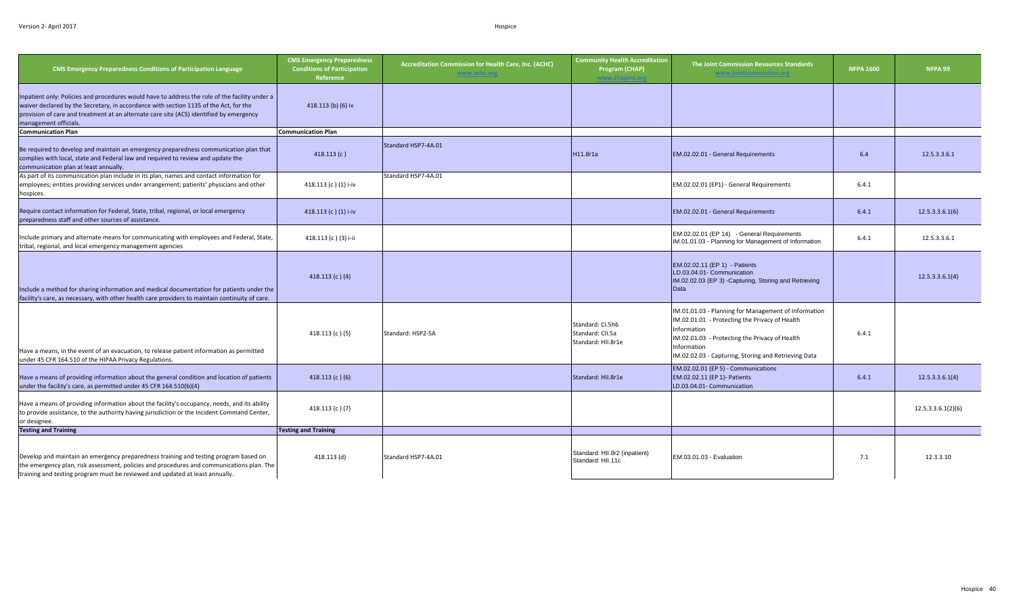| <b>CMS Emergency Preparedness Conditions of Participation Language</b>                                                                                                                                                                                                                                      | <b>CMS Emergency Preparedness</b><br><b>Conditions of Participation</b><br>Reference | Accreditation Commission for Health Care, Inc. (ACHC)<br>www.achc.org | <b>Community Health Accreditation</b><br>Program (CHAP)    | The Joint Commission Resources Standards<br><u>www.jointcommission.org</u>                                                                                                                                                                     | <b>NFPA 1600</b> | NFPA 99            |
|-------------------------------------------------------------------------------------------------------------------------------------------------------------------------------------------------------------------------------------------------------------------------------------------------------------|--------------------------------------------------------------------------------------|-----------------------------------------------------------------------|------------------------------------------------------------|------------------------------------------------------------------------------------------------------------------------------------------------------------------------------------------------------------------------------------------------|------------------|--------------------|
| Inpatient only: Policies and procedures would have to address the role of the facility under a<br>waiver declared by the Secretary, in accordance with section 1135 of the Act, for the<br>provision of care and treatment at an alternate care site (ACS) identified by emergency<br>management officials. | 418.113 (b) (6) iv                                                                   |                                                                       |                                                            |                                                                                                                                                                                                                                                |                  |                    |
| <b>Communication Plan</b>                                                                                                                                                                                                                                                                                   | <b>Communication Plan</b>                                                            |                                                                       |                                                            |                                                                                                                                                                                                                                                |                  |                    |
| Be required to develop and maintain an emergency preparedness communication plan that<br>complies with local, state and Federal law and required to review and update the<br>communication plan at least annually.                                                                                          | 418.113(c)                                                                           | Standard HSP7-4A.01                                                   | H11.8r1a                                                   | EM.02.02.01 - General Requirements                                                                                                                                                                                                             | 6.4              | 12.5.3.3.6.1       |
| As part of its communication plan include in its plan, names and contact information for<br>employees; entities providing services under arrangement; patients' physicians and other<br>hospices.                                                                                                           | 418.113 (c) (1) i-iv                                                                 | Standard HSP7-4A.01                                                   |                                                            | EM.02.02.01 (EP1) - General Requirements                                                                                                                                                                                                       | 6.4.1            |                    |
| Require contact information for Federal, State, tribal, regional, or local emergency<br>preparedness staff and other sources of assistance.                                                                                                                                                                 | 418.113 (c) (1) i-iv                                                                 |                                                                       |                                                            | EM.02.02.01 - General Requirements                                                                                                                                                                                                             | 6.4.1            | 12.5.3.3.6.1(6)    |
| nclude primary and alternate means for communicating with employees and Federal, State,<br>tribal, regional, and local emergency management agencies                                                                                                                                                        | 418.113 (c) (3) i-ii                                                                 |                                                                       |                                                            | EM.02.02.01 (EP 14) - General Requirements<br>IM.01.01.03 - Planning for Management of Information                                                                                                                                             | 6.4.1            | 12.5.3.3.6.1       |
| Include a method for sharing information and medical documentation for patients under the<br>facility's care, as necessary, with other health care providers to maintain continuity of care.                                                                                                                | 418.113 $(c)$ $(4)$                                                                  |                                                                       |                                                            | EM.02.02.11 (EP 1) - Patients<br>LD.03.04.01- Communication<br>IM.02.02.03 (EP 3) -Capturing, Storing and Retrieving<br>Data                                                                                                                   |                  | 12.5.3.3.6.1(4)    |
| Have a means, in the event of an evacuation, to release patient information as permitted<br>under 45 CFR 164.510 of the HIPAA Privacy Regulations.                                                                                                                                                          | 418.113 (c) $(5)$                                                                    | Standard: HSP2-5A                                                     | Standard: CI.5h6<br>Standard: CII.5a<br>Standard: HII.8r1e | IM.01.01.03 - Planning for Management of Information<br>IM.02.01.01 - Protecting the Privacy of Health<br>Information<br>IM.02.01.03 - Protecting the Privacy of Health<br>Information<br>IM.02.02.03 - Capturing, Storing and Retrieving Data | 6.4.1            |                    |
| Have a means of providing information about the general condition and location of patients<br>under the facility's care, as permitted under 45 CFR 164.510(b)(4)                                                                                                                                            | 418.113 (c) (6)                                                                      |                                                                       | Standard: HII.8r1e                                         | EM.02.02.01 (EP 5) - Communications<br>EM.02.02.11 (EP 1)- Patients<br>LD.03.04.01- Communication                                                                                                                                              | 6.4.1            | 12.5.3.3.6.1(4)    |
| Have a means of providing information about the facility's occupancy, needs, and its ability<br>to provide assistance, to the authority having jurisdiction or the Incident Command Center,<br>or designee.                                                                                                 | 418.113 $(c)$ $(7)$                                                                  |                                                                       |                                                            |                                                                                                                                                                                                                                                |                  | 12.5.3.3.6.1(2)(6) |
| <b>Testing and Training</b>                                                                                                                                                                                                                                                                                 | <b>Testing and Training</b>                                                          |                                                                       |                                                            |                                                                                                                                                                                                                                                |                  |                    |
| Develop and maintain an emergency preparedness training and testing program based on<br>the emergency plan, risk assessment, policies and procedures and communications plan. The<br>training and testing program must be reviewed and updated at least annually.                                           | 418.113 (d)                                                                          | Standard HSP7-4A.01                                                   | Standard: HII.8r2 (inpatient)<br>Standard: HII.11c         | EM.03.01.03 - Evaluation                                                                                                                                                                                                                       | 7.1              | 12.3.3.10          |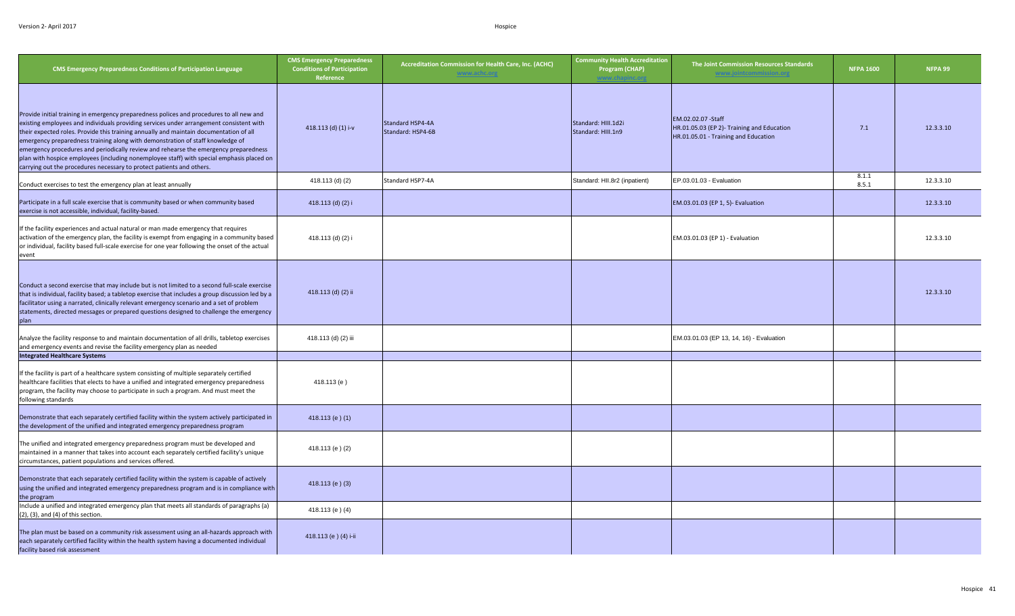| <b>CMS Emergency Preparedness Conditions of Participation Language</b>                                                                                                                                                                                                                                                                                                                                                                                                                                                                                                                                                        | <b>CMS Emergency Preparedness</b><br><b>Conditions of Participation</b><br>Reference | Accreditation Commission for Health Care, Inc. (ACHC)<br>www.achc.org | <b>Community Health Accreditation</b><br>Program (CHAP) | The Joint Commission Resources Standards<br>www.iointcommission.or                                        | <b>NFPA 1600</b> | NFPA 99   |
|-------------------------------------------------------------------------------------------------------------------------------------------------------------------------------------------------------------------------------------------------------------------------------------------------------------------------------------------------------------------------------------------------------------------------------------------------------------------------------------------------------------------------------------------------------------------------------------------------------------------------------|--------------------------------------------------------------------------------------|-----------------------------------------------------------------------|---------------------------------------------------------|-----------------------------------------------------------------------------------------------------------|------------------|-----------|
| Provide initial training in emergency preparedness polices and procedures to all new and<br>existing employees and individuals providing services under arrangement consistent with<br>their expected roles. Provide this training annually and maintain documentation of all<br>emergency preparedness training along with demonstration of staff knowledge of<br>emergency procedures and periodically review and rehearse the emergency preparedness<br>plan with hospice employees (including nonemployee staff) with special emphasis placed on<br>carrying out the procedures necessary to protect patients and others. | 418.113 (d) (1) i-v                                                                  | Standard HSP4-4A<br>Standard: HSP4-6B                                 | Standard: HIII.1d2i<br>Standard: HIII.1n9               | EM.02.02.07 - Staff<br>HR.01.05.03 (EP 2)- Training and Education<br>HR.01.05.01 - Training and Education | 7.1              | 12.3.3.10 |
| Conduct exercises to test the emergency plan at least annually                                                                                                                                                                                                                                                                                                                                                                                                                                                                                                                                                                | 418.113 (d) (2)                                                                      | Standard HSP7-4A                                                      | Standard: HII.8r2 (inpatient)                           | EP.03.01.03 - Evaluation                                                                                  | 8.1.1<br>8.5.1   | 12.3.3.10 |
| Participate in a full scale exercise that is community based or when community based<br>exercise is not accessible, individual, facility-based.                                                                                                                                                                                                                                                                                                                                                                                                                                                                               | 418.113 (d) (2) i                                                                    |                                                                       |                                                         | EM.03.01.03 (EP 1, 5)- Evaluation                                                                         |                  | 12.3.3.10 |
| If the facility experiences and actual natural or man made emergency that requires<br>activation of the emergency plan, the facility is exempt from engaging in a community based<br>or individual, facility based full-scale exercise for one year following the onset of the actual<br>event                                                                                                                                                                                                                                                                                                                                | 418.113 (d) (2) i                                                                    |                                                                       |                                                         | EM.03.01.03 (EP 1) - Evaluation                                                                           |                  | 12.3.3.10 |
| Conduct a second exercise that may include but is not limited to a second full-scale exercise<br>that is individual, facility based; a tabletop exercise that includes a group discussion led by a<br>facilitator using a narrated, clinically relevant emergency scenario and a set of problem<br>statements, directed messages or prepared questions designed to challenge the emergency<br>plan                                                                                                                                                                                                                            | 418.113 (d) (2) ii                                                                   |                                                                       |                                                         |                                                                                                           |                  | 12.3.3.10 |
| Analyze the facility response to and maintain documentation of all drills, tabletop exercises<br>and emergency events and revise the facility emergency plan as needed                                                                                                                                                                                                                                                                                                                                                                                                                                                        | 418.113 (d) (2) iii                                                                  |                                                                       |                                                         | EM.03.01.03 (EP 13, 14, 16) - Evaluation                                                                  |                  |           |
| <b>Integrated Healthcare Systems</b>                                                                                                                                                                                                                                                                                                                                                                                                                                                                                                                                                                                          |                                                                                      |                                                                       |                                                         |                                                                                                           |                  |           |
| If the facility is part of a healthcare system consisting of multiple separately certified<br>healthcare facilities that elects to have a unified and integrated emergency preparedness<br>program, the facility may choose to participate in such a program. And must meet the<br>following standards                                                                                                                                                                                                                                                                                                                        | 418.113 (e)                                                                          |                                                                       |                                                         |                                                                                                           |                  |           |
| Demonstrate that each separately certified facility within the system actively participated in<br>the development of the unified and integrated emergency preparedness program                                                                                                                                                                                                                                                                                                                                                                                                                                                | 418.113 (e) $(1)$                                                                    |                                                                       |                                                         |                                                                                                           |                  |           |
| The unified and integrated emergency preparedness program must be developed and<br>maintained in a manner that takes into account each separately certified facility's unique<br>circumstances, patient populations and services offered.                                                                                                                                                                                                                                                                                                                                                                                     | 418.113 (e) (2)                                                                      |                                                                       |                                                         |                                                                                                           |                  |           |
| Demonstrate that each separately certified facility within the system is capable of actively<br>using the unified and integrated emergency preparedness program and is in compliance with<br>the program                                                                                                                                                                                                                                                                                                                                                                                                                      | 418.113 (e) (3)                                                                      |                                                                       |                                                         |                                                                                                           |                  |           |
| Include a unified and integrated emergency plan that meets all standards of paragraphs (a)<br>$(2)$ , $(3)$ , and $(4)$ of this section.                                                                                                                                                                                                                                                                                                                                                                                                                                                                                      | 418.113 (e) (4)                                                                      |                                                                       |                                                         |                                                                                                           |                  |           |
| The plan must be based on a community risk assessment using an all-hazards approach with<br>each separately certified facility within the health system having a documented individual<br>facility based risk assessment                                                                                                                                                                                                                                                                                                                                                                                                      | 418.113 (e) (4) i-ii                                                                 |                                                                       |                                                         |                                                                                                           |                  |           |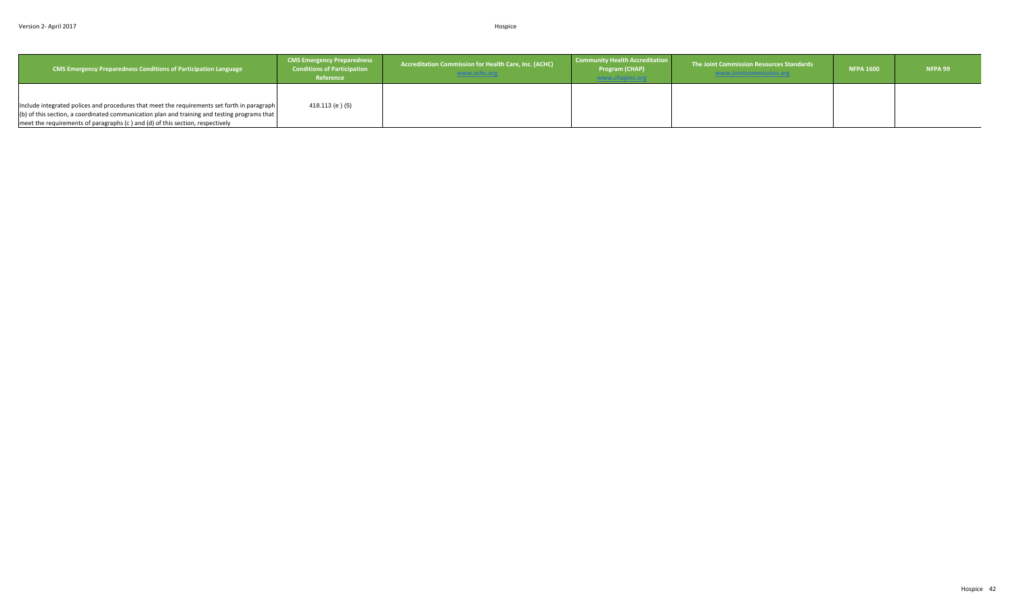| <b>CMS Emergency Preparedness Conditions of Participation Language</b>                       | <b>CMS Emergency Preparedness</b><br><b>Conditions of Participation</b><br>Reference | <b>Accreditation Commission for Health Care, Inc. (ACHC)</b><br>www.achc.org | Community Health Accreditation<br>Program (CHAP)<br>www.chapinc.org | The Joint Commission Resources Standards | <b>NFPA 1600</b> | NFPA 99 |
|----------------------------------------------------------------------------------------------|--------------------------------------------------------------------------------------|------------------------------------------------------------------------------|---------------------------------------------------------------------|------------------------------------------|------------------|---------|
|                                                                                              |                                                                                      |                                                                              |                                                                     |                                          |                  |         |
| Include integrated polices and procedures that meet the requirements set forth in paragraph  | 418.113 (e) (5)                                                                      |                                                                              |                                                                     |                                          |                  |         |
| (b) of this section, a coordinated communication plan and training and testing programs that |                                                                                      |                                                                              |                                                                     |                                          |                  |         |
| meet the requirements of paragraphs (c ) and (d) of this section, respectively               |                                                                                      |                                                                              |                                                                     |                                          |                  |         |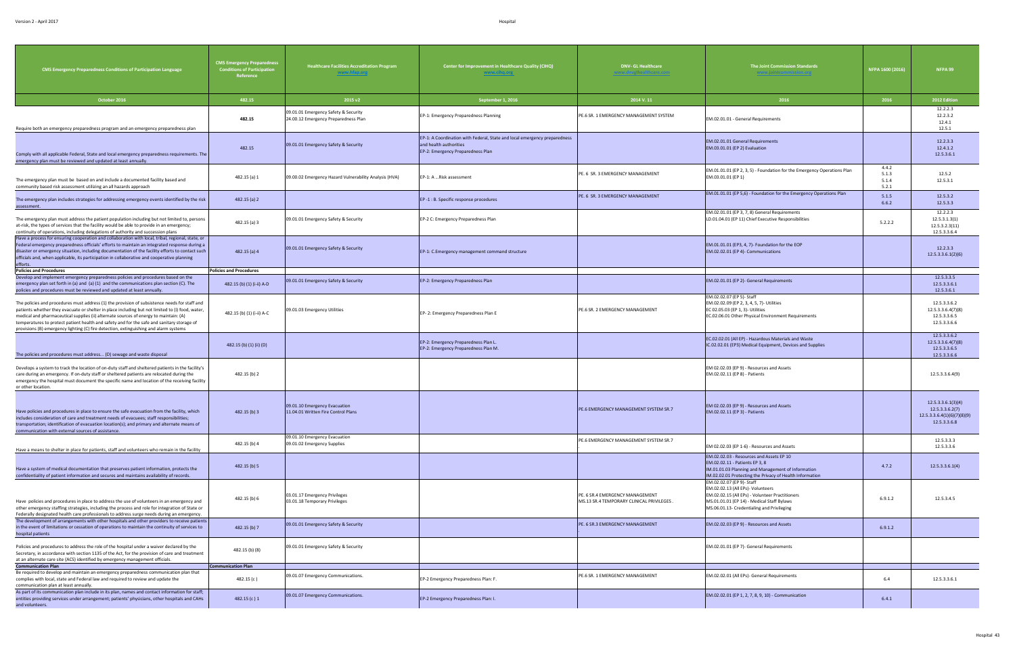| <b>CMS Emergency Preparedness Conditions of Participation Language</b>                                                                                                                                                                                                                                                                                                                                                                                                            | <b>CMS Emergency Preparedness</b><br><b>Conditions of Participation</b><br>Reference | <b>Healthcare Facilities Accreditation Program</b><br>www.hfap.org           | Center for Improvement in Healthcare Quality (CIHQ)<br>www.cihq.org                                                                      | <b>DNV-GL Healthcare</b><br><u>vww.dnvglhealthcare.com</u>                   | The Joint Commission Standards<br>www.jointcommission.org                                                                                                                                                     | NFPA 1600 (2016)                 | NFPA 99                                                                              |
|-----------------------------------------------------------------------------------------------------------------------------------------------------------------------------------------------------------------------------------------------------------------------------------------------------------------------------------------------------------------------------------------------------------------------------------------------------------------------------------|--------------------------------------------------------------------------------------|------------------------------------------------------------------------------|------------------------------------------------------------------------------------------------------------------------------------------|------------------------------------------------------------------------------|---------------------------------------------------------------------------------------------------------------------------------------------------------------------------------------------------------------|----------------------------------|--------------------------------------------------------------------------------------|
| October 2016                                                                                                                                                                                                                                                                                                                                                                                                                                                                      | 482.15                                                                               | 2015 v2                                                                      | September 1, 2016                                                                                                                        | 2014 V.11                                                                    | 2016                                                                                                                                                                                                          | 2016                             | 2012 Edition                                                                         |
| Require both an emergency preparedness program and an emergency preparedness plan                                                                                                                                                                                                                                                                                                                                                                                                 | 482.15                                                                               | 09.01.01 Emergency Safety & Security<br>24.00.12 Emergency Preparedness Plan | EP-1: Emergency Preparedness Planning                                                                                                    | PE.6 SR. 1 EMERGENCY MANAGEMENT SYSTEM                                       | EM.02.01.01 - General Requirements                                                                                                                                                                            |                                  | 12.2.2.3<br>12.2.3.2<br>12.4.1<br>12.5.1                                             |
| Comply with all applicable Federal, State and local emergency preparedness requirements. The<br>emergency plan must be reviewed and updated at least annually.                                                                                                                                                                                                                                                                                                                    | 482.15                                                                               | 09.01.01 Emergency Safety & Security                                         | EP-1: A Coordination with Federal, State and local emergency preparedness<br>and health authorities<br>EP-2: Emergency Preparedness Plan |                                                                              | EM.02.01.01 General Requirements<br>EM.03.01.01 (EP 2) Evaluation                                                                                                                                             |                                  | 12.2.3.3<br>12.4.1.2<br>12.5.3.6.1                                                   |
| The emergency plan must be based on and include a documented facility based and<br>community based risk assessment utilizing an all hazards approach                                                                                                                                                                                                                                                                                                                              | 482.15 (a) 1                                                                         | 09.00.02 Emergency Hazard Vulnerability Analysis (HVA)                       | EP-1: A  Risk assessment                                                                                                                 | PE. 6 SR. 3 EMERGENCY MANAGEMENT                                             | EM.01.01.01 (EP 2, 3, 5) - Foundation for the Emergency Operations Plan<br>EM.03.01.01 (EP 1)                                                                                                                 | 4.4.2<br>5.1.3<br>5.1.4<br>5.2.1 | 12.5.2<br>12.5.3.1                                                                   |
| The emergency plan includes strategies for addressing emergency events identified by the risk<br>assessment.                                                                                                                                                                                                                                                                                                                                                                      | 482.15 (a) 2                                                                         |                                                                              | EP-1 : B. Specific response procedures                                                                                                   | PE. 6 SR. 3 EMERGENCY MANAGEMENT                                             | EM.01.01.01 (EP 5,6) - Foundation for the Emergency Operations Plan                                                                                                                                           | 5.1.5<br>6.6.2                   | 12.5.3.2<br>12.5.3.3                                                                 |
| The emergency plan must address the patient population including but not limited to, persons<br>at-risk, the types of services that the facility would be able to provide in an emergency;<br>continuity of operations, including delegations of authority and succession plans                                                                                                                                                                                                   | 482.15 (a) 3                                                                         | 09.01.01 Emergency Safety & Security                                         | EP-2 C: Emergency Preparedness Plan                                                                                                      |                                                                              | EM.02.01.01 (EP 3, 7, 8) General Requirements<br>LD.01.04.01 (EP 11) Chief Executive Responsibilities                                                                                                         | 5.2.2.2                          | 12.2.2.3<br>12.5.3.1.3(1)<br>12.5.3.2.3(11)<br>12.5.3.3.6.4                          |
| Have a process for ensuring cooperation and collaboration with local, tribal, regional, state, or<br>Federal emergency preparedness officials' efforts to maintain an integrated response during a<br>disaster or emergency situation, including documentation of the facility efforts to contact such<br>officials and, when applicable, its participation in collaborative and cooperative planning<br>efforts.                                                                 | 482.15 (a) 4                                                                         | 09.01.01 Emergency Safety & Security                                         | EP-1: C.Emergency management command structure                                                                                           |                                                                              | EM.01.01.01 (EP3, 4, 7)- Foundation for the EOP<br>EM.02.02.01 (EP 4)- Communications                                                                                                                         |                                  | 12.2.3.3<br>12.5.3.3.6.1(2)(6)                                                       |
| <b>Policies and Procedures</b>                                                                                                                                                                                                                                                                                                                                                                                                                                                    | <b>Policies and Procedures</b>                                                       |                                                                              |                                                                                                                                          |                                                                              |                                                                                                                                                                                                               |                                  |                                                                                      |
| Develop and implement emergency preparedness policies and procedures based on the<br>emergency plan set forth in (a) and (a) $(1)$ and the communications plan section $(C)$ . The<br>policies and procedures must be reviewed and updated at least annually.                                                                                                                                                                                                                     | 482.15 (b) (1) (i-ii) A-D                                                            | 09.01.01 Emergency Safety & Security                                         | EP-2: Emergency Preparedness Plan                                                                                                        |                                                                              | EM.02.01.01 (EP 2)- General Requirements                                                                                                                                                                      |                                  | 12.5.3.3.5<br>12.5.3.3.6.1<br>12.5.3.6.1                                             |
| The policies and procedures must address (1) the provision of subsistence needs for staff and<br>patients whether they evacuate or shelter in place including but not limited to (i) food, water,<br>medical and pharmaceutical supplies (ii) alternate sources of energy to maintain: (A)<br>temperatures to protect patient health and safety and for the safe and sanitary storage of<br>provisions (B) emergency lighting (C) fire detection, extinguishing and alarm systems | 482.15 (b) (1) (i-ii) A-C                                                            | 09.01.03 Emergency Utilities                                                 | EP-2: Emergency Preparedness Plan E                                                                                                      | PE.6 SR. 2 EMERGENCY MANAGEMENT                                              | EM.02.02.07 (EP 5)- Staff<br>EM.02.02.09 (EP 2, 3, 4, 5, 7)- Utilities<br>EC 02.05.03 (EP 1, 3)- Utilities<br>EC.02.06.01 Other Physical Environment Requirements                                             |                                  | 12.5.3.3.6.2<br>12.5.3.3.6.4(7)(8)<br>12.5.3.3.6.5<br>12.5.3.3.6.6                   |
| The policies and procedures must address (D) sewage and waste disposal                                                                                                                                                                                                                                                                                                                                                                                                            | 482.15 (b) (1) (ii) (D)                                                              |                                                                              | EP-2: Emergency Preparedness Plan L.<br>EP-2: Emergency Preparedness Plan M.                                                             |                                                                              | EC.02.02.01 (All EP) - Hazardous Materials and Waste<br>IC.02.02.01 (EP3) Medical Equipment, Devices and Supplies                                                                                             |                                  | 12.5.3.3.6.2<br>12.5.3.3.6.4(7)(8)<br>12.5.3.3.6.5<br>12.5.3.3.6.6                   |
| Develops a system to track the location of on-duty staff and sheltered patients in the facility's<br>care during an emergency. If on-duty staff or sheltered patients are relocated during the<br>emergency the hospital must document the specific name and location of the receiving facility<br>or other location.                                                                                                                                                             | 482.15 (b) 2                                                                         |                                                                              |                                                                                                                                          |                                                                              | EM 02.02.03 (EP 9) - Resources and Assets<br>EM.02.02.11 (EP 8) - Patients                                                                                                                                    |                                  | 12.5.3.3.6.4(9)                                                                      |
| Have policies and procedures in place to ensure the safe evacuation from the facility, which<br>includes consideration of care and treatment needs of evacuees; staff responsibilities;<br>transportation; identification of evacuation location(s); and primary and alternate means of<br>communication with external sources of assistance.                                                                                                                                     | 482.15 (b) 3                                                                         | 09.01.10 Emergency Evacuation<br>11.04.01 Written Fire Control Plans         |                                                                                                                                          | PE.6 EMERGENCY MANAGEMENT SYSTEM SR.7                                        | EM 02.02.03 (EP 9) - Resources and Assets<br>EM.02.02.11 (EP 3) - Patients                                                                                                                                    |                                  | 12.5.3.3.6.1(3)(4)<br>12.5.3.3.6.2(7)<br>12.5.3.3.6.4(1)(6)(7)(8)(9)<br>12.5.3.3.6.8 |
| Have a means to shelter in place for patients, staff and volunteers who remain in the facility                                                                                                                                                                                                                                                                                                                                                                                    | 482.15 (b) 4                                                                         | 09.01.10 Emergency Evacuation<br>09.01.02 Emergency Supplies                 |                                                                                                                                          | PE.6 EMERGENCY MANAGEMENT SYSTEM SR.7                                        | EM 02.02.03 (EP 1-6) - Resources and Assets                                                                                                                                                                   |                                  | 12.5.3.3.3<br>12.5.3.3.6                                                             |
| Have a system of medical documentation that preserves patient information, protects the<br>confidentiality of patient information and secures and maintains availability of records.                                                                                                                                                                                                                                                                                              | 482.15 (b) 5                                                                         |                                                                              |                                                                                                                                          |                                                                              | EM.02.02.03 - Resources and Assets EP 10<br>EM.02.02.11 - Patients EP 3, 8<br>IM.01.01.03 Planning and Management of Information<br>IM.02.02.01 Protecting the Privacy of Health Information                  | 4.7.2                            | 12.5.3.3.6.1(4)                                                                      |
| Have policies and procedures in place to address the use of volunteers in an emergency and<br>other emergency staffing strategies, including the process and role for integration of State or<br>Federally designated health care professionals to address surge needs during an emergency.                                                                                                                                                                                       | 482.15 (b) 6                                                                         | 03.01.17 Emergency Privileges<br>03.01.18 Temporary Privileges               |                                                                                                                                          | PE. 6 SR.4 EMERGENCY MANAGEMENT<br>MS.13 SR.4 TEMPORARY CLINICAL PRIVILEGES. | EM.02.02.07 (EP 9)- Staff<br>EM.02.02.13 (All EPs)- Volunteers<br>EM.02.02.15 (All EPs) - Volunteer Practitioners<br>MS.01.01.01 (EP 14) - Medical Staff Bylaws<br>MS.06.01.13- Credentialing and Privileging | 6.9.1.2                          | 12.5.3.4.5                                                                           |
| The development of arrangements with other hospitals and other providers to receive patients<br>in the event of limitations or cessation of operations to maintain the continuity of services to<br>hospital patients                                                                                                                                                                                                                                                             | 482.15 (b) 7                                                                         | 09.01.01 Emergency Safety & Security                                         |                                                                                                                                          | PE. 6 SR.3 EMERGENCY MANAGEMENT                                              | EM.02.02.03 (EP 9) - Resources and Assets                                                                                                                                                                     | 6.9.1.2                          |                                                                                      |
| Policies and procedures to address the role of the hospital under a waiver declared by the<br>Secretary, in accordance with section 1135 of the Act, for the provision of care and treatment<br>at an alternate care site (ACS) identified by emergency management officials.                                                                                                                                                                                                     | 482.15 (b) (8)                                                                       | 09.01.01 Emergency Safety & Security                                         |                                                                                                                                          |                                                                              | EM.02.01.01 (EP 7)- General Requirements                                                                                                                                                                      |                                  |                                                                                      |
| <b>Communication Plan</b>                                                                                                                                                                                                                                                                                                                                                                                                                                                         | <b>Communication Plan</b>                                                            |                                                                              |                                                                                                                                          |                                                                              |                                                                                                                                                                                                               |                                  |                                                                                      |
| Be required to develop and maintain an emergency preparedness communication plan that<br>complies with local, state and Federal law and required to review and update the<br>communication plan at least annually.                                                                                                                                                                                                                                                                | 482.15 (c)                                                                           | 09.01.07 Emergency Communications.                                           | EP-2 Emergency Preparedness Plan: F.                                                                                                     | PE.6 SR. 1 EMERGENCY MANAGEMENT                                              | EM.02.02.01 (All EPs)- General Requirements                                                                                                                                                                   | 6.4                              | 12.5.3.3.6.1                                                                         |
| As part of its communication plan include in its plan, names and contact information for staff;<br>entities providing services under arrangement; patients' physicians, other hospitals and CAHs<br>and volunteers.                                                                                                                                                                                                                                                               | 482.15 $(c)$ 1                                                                       | 09.01.07 Emergency Communications.                                           | EP-2 Emergency Preparedness Plan: I.                                                                                                     |                                                                              | EM.02.02.01 (EP 1, 2, 7, 8, 9, 10) - Communication                                                                                                                                                            | 6.4.1                            |                                                                                      |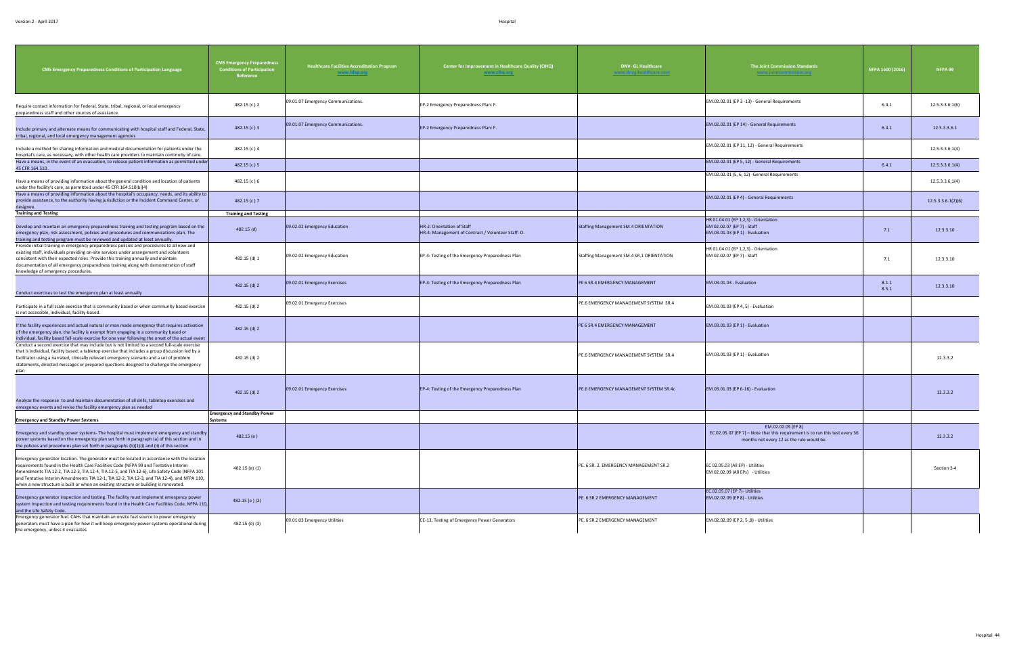| <b>CMS Emergency Preparedness Conditions of Participation Language</b>                                                                                                                                                                                                                                                                                                                                                                                                      | <b>CMS Emergency Preparedness</b><br><b>Conditions of Participation</b><br>Reference | <b>Healthcare Facilities Accreditation Program</b><br>www.hfap.org | Center for Improvement in Healthcare Quality (CIHQ)<br>www.cihq.org             | <b>DNV-GL Healthcare</b><br>ww.dnvglhealthcare.com | The Joint Commission Standards<br>www.jointcommission.org                                                                 | NFPA 1600 (2016) | NFPA 99            |
|-----------------------------------------------------------------------------------------------------------------------------------------------------------------------------------------------------------------------------------------------------------------------------------------------------------------------------------------------------------------------------------------------------------------------------------------------------------------------------|--------------------------------------------------------------------------------------|--------------------------------------------------------------------|---------------------------------------------------------------------------------|----------------------------------------------------|---------------------------------------------------------------------------------------------------------------------------|------------------|--------------------|
| Require contact information for Federal, State, tribal, regional, or local emergency<br>preparedness staff and other sources of assistance.                                                                                                                                                                                                                                                                                                                                 | 482.15 (c) 2                                                                         | 09.01.07 Emergency Communications.                                 | EP-2 Emergency Preparedness Plan: F.                                            |                                                    | EM.02.02.01 (EP 3 -13) - General Requirements                                                                             | 6.4.1            | 12.5.3.3.6.1(6)    |
| Include primary and alternate means for communicating with hospital staff and Federal, State,<br>tribal, regional, and local emergency management agencies                                                                                                                                                                                                                                                                                                                  | 482.15(c)3                                                                           | 09.01.07 Emergency Communications.                                 | EP-2 Emergency Preparedness Plan: F.                                            |                                                    | EM.02.02.01 (EP 14) - General Requirements                                                                                | 6.4.1            | 12.5.3.3.6.1       |
| Include a method for sharing information and medical documentation for patients under the<br>hospital's care, as necessary, with other health care providers to maintain continuity of care.                                                                                                                                                                                                                                                                                | 482.15 (c) 4                                                                         |                                                                    |                                                                                 |                                                    | EM.02.02.01 (EP 11, 12) - General Requirements                                                                            |                  | 12.5.3.3.6.1(4)    |
| Have a means, in the event of an evacuation, to release patient information as permitted under<br>45 CFR 164.510.                                                                                                                                                                                                                                                                                                                                                           | 482.15(c)5                                                                           |                                                                    |                                                                                 |                                                    | EM.02.02.01 (EP 5, 12) - General Requirements                                                                             | 6.4.1            | 12.5.3.3.6.1(4)    |
| Have a means of providing information about the general condition and location of patients<br>under the facility's care, as permitted under 45 CFR 164.510(b)(4)                                                                                                                                                                                                                                                                                                            | 482.15 (c) 6                                                                         |                                                                    |                                                                                 |                                                    | EM.02.02.01 (5, 6, 12) -General Requirements                                                                              |                  | 12.5.3.3.6.1(4)    |
| Have a means of providing information about the hospital's occupancy, needs, and its ability to<br>provide assistance, to the authority having jurisdiction or the Incident Command Center, or<br>designee.                                                                                                                                                                                                                                                                 | 482.15 (c) 7                                                                         |                                                                    |                                                                                 |                                                    | EM.02.02.01 (EP 4) - General Requirements                                                                                 |                  | 12.5.3.3.6.1(2)(6) |
| <b>Training and Testing</b>                                                                                                                                                                                                                                                                                                                                                                                                                                                 | <b>Training and Testing</b>                                                          |                                                                    |                                                                                 |                                                    |                                                                                                                           |                  |                    |
| Develop and maintain an emergency preparedness training and testing program based on the<br>emergency plan, risk assessment, policies and procedures and communications plan. The<br>training and testing program must be reviewed and updated at least annually.                                                                                                                                                                                                           | 482.15 (d)                                                                           | 09.02.02 Emergency Education                                       | HR-2: Orientation of Staff<br>HR-4: Management of Contract / Volunteer Staff-D. | <b>Staffing Management SM.4 ORIENTATION</b>        | HR 01.04.01 (EP 1,2,3) - Orientation<br>EM 02.02.07 (EP 7) - Staff<br>EM.03.01.03 (EP 1) - Evaluation                     | 7.1              | 12.3.3.10          |
| Provide initial training in emergency preparedness policies and procedures to all new and<br>existing staff, individuals providing on-site services under arrangement and volunteers<br>consistent with their expected roles. Provide this training annually and maintain<br>documentation of all emergency preparedness training along with demonstration of staff<br>knowledge of emergency procedures.                                                                   | 482.15 (d) 1                                                                         | 09.02.02 Emergency Education                                       | EP-4: Testing of the Emergency Preparedness Plan                                | Staffing Management SM.4 SR.1 ORIENTATION          | HR 01.04.01 (EP 1,2,3) - Orientation<br>EM 02.02.07 (EP 7) - Staff                                                        | 7.1              | 12.3.3.10          |
| Conduct exercises to test the emergency plan at least annually                                                                                                                                                                                                                                                                                                                                                                                                              | 482.15 (d) 2                                                                         | 09.02.01 Emergency Exercises                                       | EP-4: Testing of the Emergency Preparedness Plan                                | PE 6 SR.4 EMERGENCY MANAGEMENT                     | EM.03.01.03 - Evaluation                                                                                                  | 8.1.1<br>8.5.1   | 12.3.3.10          |
| Participate in a full scale exercise that is community based or when community based exercise<br>is not accessible, individual, facility-based                                                                                                                                                                                                                                                                                                                              | 482.15 (d) 2                                                                         | 09.02.01 Emergency Exercises                                       |                                                                                 | PE.6 EMERGENCY MANAGEMENT SYSTEM SR.4              | EM.03.01.03 (EP 4, 5) - Evaluation                                                                                        |                  |                    |
| If the facility experiences and actual natural or man made emergency that requires activation<br>of the emergency plan, the facility is exempt from engaging in a community based or<br>individual, facility based full-scale exercise for one year following the onset of the actual event                                                                                                                                                                                 | 482.15 (d) 2                                                                         |                                                                    |                                                                                 | PE 6 SR.4 EMERGENCY MANAGEMENT                     | EM.03.01.03 (EP 1) - Evaluation                                                                                           |                  |                    |
| Conduct a second exercise that may include but is not limited to a second full-scale exercise<br>that is individual, facility based; a tabletop exercise that includes a group discussion led by a<br>facilitator using a narrated, clinically relevant emergency scenario and a set of problem<br>statements, directed messages or prepared questions designed to challenge the emergency<br>plan                                                                          | 482.15 (d) 2                                                                         |                                                                    |                                                                                 | PE.6 EMERGENCY MANAGEMENT SYSTEM SR.4              | EM.03.01.03 (EP 1) - Evaluation                                                                                           |                  | 12.3.3.2           |
| Analyze the response to and maintain documentation of all drills, tabletop exercises and<br>emergency events and revise the facility emergency plan as needed                                                                                                                                                                                                                                                                                                               | 482.15 (d) 2                                                                         | 09.02.01 Emergency Exercises                                       | EP-4: Testing of the Emergency Preparedness Plan                                | PE.6 EMERGENCY MANAGEMENT SYSTEM SR.4c             | EM.03.01.03 (EP 6-16) - Evaluation                                                                                        |                  | 12.3.3.2           |
|                                                                                                                                                                                                                                                                                                                                                                                                                                                                             | <b>Emergency and Standby Power</b>                                                   |                                                                    |                                                                                 |                                                    |                                                                                                                           |                  |                    |
| <b>Emergency and Standby Power Systems</b>                                                                                                                                                                                                                                                                                                                                                                                                                                  | <b>Systems</b>                                                                       |                                                                    |                                                                                 |                                                    | EM.02.02.09 (EP 8)                                                                                                        |                  |                    |
| Emergency and standby power systems- The hospital must implement emergency and standby<br>power systems based on the emergency plan set forth in paragraph (a) of this section and in<br>the policies and procedures plan set forth in paragraphs (b)(1)(i) and (ii) of this section                                                                                                                                                                                        | 482.15(e)                                                                            |                                                                    |                                                                                 |                                                    | EC.02.05.07 (EP 7) - Note that this requirement is to run this test every 36<br>months not every 12 as the rule would be. |                  | 12.3.3.2           |
| Emergency generator location. The generator must be located in accordance with the location<br>requirements found in the Health Care Facilities Code (NFPA 99 and Tentative Interim<br>Amendments TIA 12-2, TIA 12-3, TIA 12-4, TIA 12-5, and TIA 12-6), Life Safety Code (NFPA 101<br>and Tentative Interim Amendments TIA 12-1, TIA 12-2, TIA 12-3, and TIA 12-4), and NFPA 110,<br>when a new structure is built or when an existing structure or building is renovated. | 482.15 (e) (1)                                                                       |                                                                    |                                                                                 | PE. 6 SR. 2. EMERGENCY MANAGEMENT SR.2             | EC 02.05.03 (All EP) - Utilities<br>EM 02.02.09 (All EPs) - Utilities                                                     |                  | Section 3-4        |
| Emergency generator inspection and testing. The facility must implement emergency power<br>system inspection and testing requirements found in the Health Care Facilities Code, NFPA 110,<br>and the Life Safety Code.                                                                                                                                                                                                                                                      | 482.15 (e)(2)                                                                        |                                                                    |                                                                                 | PE. 6 SR.2 EMERGENCY MANAGEMENT                    | EC.02.05.07 (EP 7)- Utilities<br>EM.02.02.09 (EP 8) - Utilities                                                           |                  |                    |
| Emergency generator fuel. CAHs that maintain an onsite fuel source to power emergency<br>generators must have a plan for how it will keep emergency power systems operational during<br>the emergency, unless it evacuates                                                                                                                                                                                                                                                  | 482.15 (e) (3)                                                                       | 09.01.03 Emergency Utilities                                       | CE-13: Testing of Emergency Power Generators                                    | PE. 6 SR.2 EMERGENCY MANAGEMENT                    | EM.02.02.09 (EP 2, 5,8) - Utilities                                                                                       |                  |                    |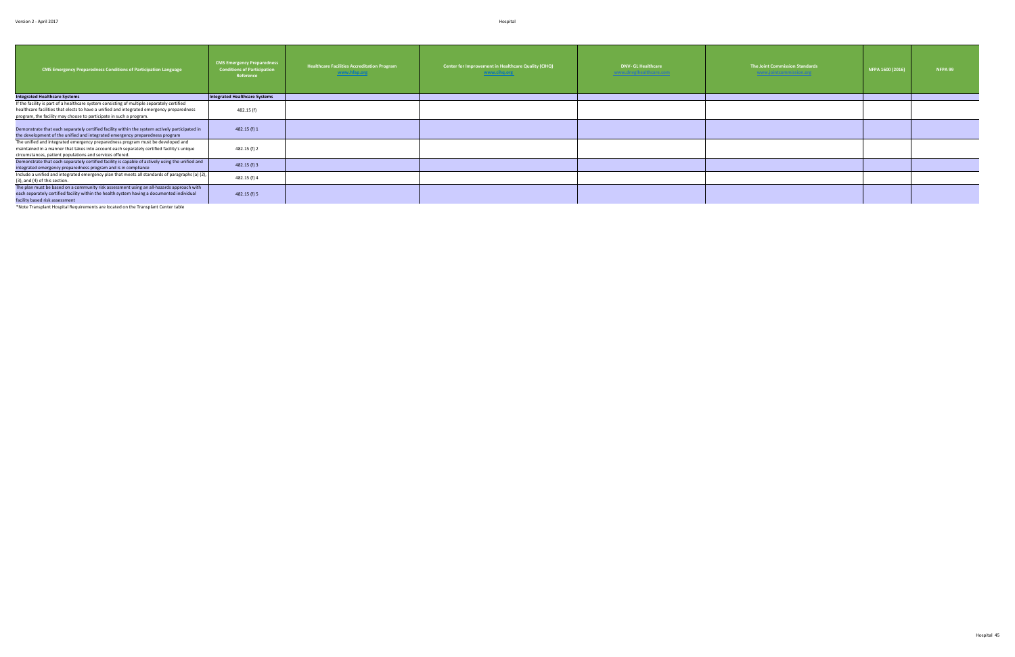| <b>Integrated Healthcare Systems</b><br><b>Integrated Healthcare Systems</b><br>If the facility is part of a healthcare system consisting of multiple separately certified<br>482.15 (f)<br>healthcare facilities that elects to have a unified and integrated emergency preparedness                                         | Center for Improvement in Healthcare Quality (CIHQ)<br><b>DNV- GL Healthcare</b><br>The Joint Commission Standards<br><b>NFPA 99</b><br>NFPA 1600 (2016)<br>www.dnvglhealthcare.com<br>www.cihq.org<br>www.jointcommission.org | <b>CMS Emergency Preparedness</b><br><b>Healthcare Facilities Accreditation Program</b><br><b>Conditions of Participation</b><br><b>CMS Emergency Preparedness Conditions of Participation Language</b><br>www.hfap.org<br>Reference |
|-------------------------------------------------------------------------------------------------------------------------------------------------------------------------------------------------------------------------------------------------------------------------------------------------------------------------------|--------------------------------------------------------------------------------------------------------------------------------------------------------------------------------------------------------------------------------|--------------------------------------------------------------------------------------------------------------------------------------------------------------------------------------------------------------------------------------|
|                                                                                                                                                                                                                                                                                                                               |                                                                                                                                                                                                                                |                                                                                                                                                                                                                                      |
| program, the facility may choose to participate in such a program.                                                                                                                                                                                                                                                            |                                                                                                                                                                                                                                |                                                                                                                                                                                                                                      |
| 482.15 (f) 1<br>Demonstrate that each separately certified facility within the system actively participated in<br>the development of the unified and integrated emergency preparedness program                                                                                                                                |                                                                                                                                                                                                                                |                                                                                                                                                                                                                                      |
| The unified and integrated emergency preparedness program must be developed and<br>482.15 (f) 2<br>maintained in a manner that takes into account each separately certified facility's unique<br>circumstances, patient populations and services offered.                                                                     |                                                                                                                                                                                                                                |                                                                                                                                                                                                                                      |
| Demonstrate that each separately certified facility is capable of actively using the unified and<br>482.15 (f) 3<br>integrated emergency preparedness program and is in compliance                                                                                                                                            |                                                                                                                                                                                                                                |                                                                                                                                                                                                                                      |
| Include a unified and integrated emergency plan that meets all standards of paragraphs (a) (2),<br>482.15 (f) 4<br>(3), and (4) of this section.                                                                                                                                                                              |                                                                                                                                                                                                                                |                                                                                                                                                                                                                                      |
| The plan must be based on a community risk assessment using an all-hazards approach with<br>482.15 (f) 5<br>each separately certified facility within the health system having a documented individual<br>facility based risk assessment<br>*Note Transplant Hospital Requirements are located on the Transplant Center table |                                                                                                                                                                                                                                |                                                                                                                                                                                                                                      |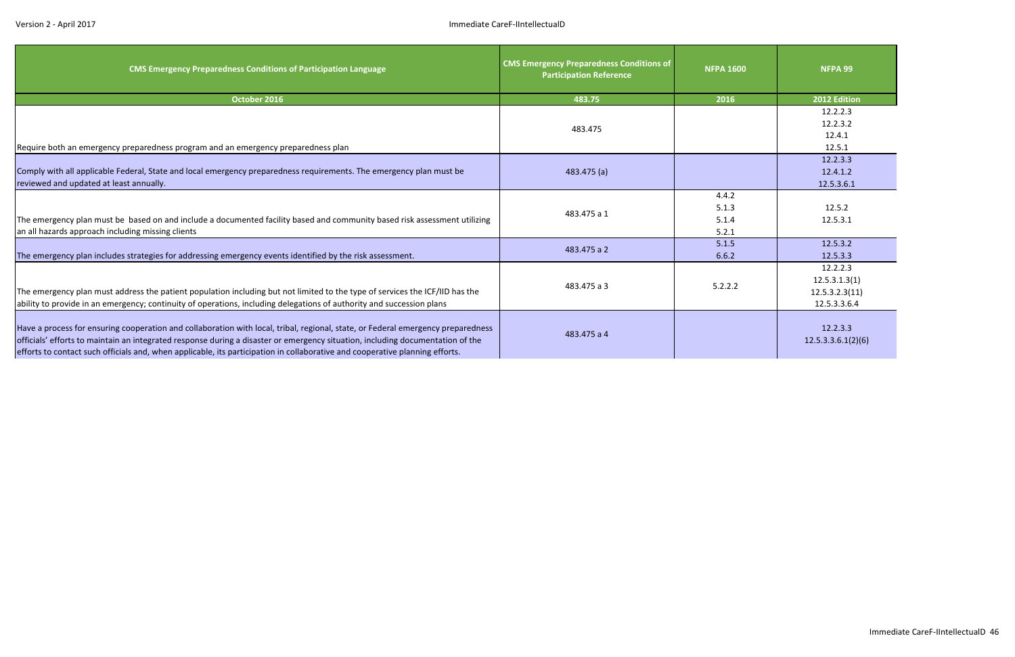| <b>CMS Emergency Preparedness Conditions of Participation Language</b>                                                                                                                                                                                                                                                                                                                             | <b>CMS Emergency Preparedness Conditions of</b><br><b>Participation Reference</b> | <b>NFPA 1600</b> | NFPA 99                        |
|----------------------------------------------------------------------------------------------------------------------------------------------------------------------------------------------------------------------------------------------------------------------------------------------------------------------------------------------------------------------------------------------------|-----------------------------------------------------------------------------------|------------------|--------------------------------|
| October 2016                                                                                                                                                                                                                                                                                                                                                                                       | 483.75                                                                            | 2016             | 2012 Edition                   |
|                                                                                                                                                                                                                                                                                                                                                                                                    |                                                                                   |                  | 12.2.2.3                       |
|                                                                                                                                                                                                                                                                                                                                                                                                    | 483.475                                                                           |                  | 12.2.3.2                       |
|                                                                                                                                                                                                                                                                                                                                                                                                    |                                                                                   |                  | 12.4.1                         |
| Require both an emergency preparedness program and an emergency preparedness plan                                                                                                                                                                                                                                                                                                                  |                                                                                   |                  | 12.5.1                         |
|                                                                                                                                                                                                                                                                                                                                                                                                    |                                                                                   |                  | 12.2.3.3                       |
| Comply with all applicable Federal, State and local emergency preparedness requirements. The emergency plan must be                                                                                                                                                                                                                                                                                | 483.475(a)                                                                        |                  | 12.4.1.2                       |
| reviewed and updated at least annually.                                                                                                                                                                                                                                                                                                                                                            |                                                                                   |                  | 12.5.3.6.1                     |
|                                                                                                                                                                                                                                                                                                                                                                                                    |                                                                                   | 4.4.2            |                                |
|                                                                                                                                                                                                                                                                                                                                                                                                    | 483.475 a 1                                                                       | 5.1.3            | 12.5.2                         |
| The emergency plan must be based on and include a documented facility based and community based risk assessment utilizing                                                                                                                                                                                                                                                                          |                                                                                   | 5.1.4            | 12.5.3.1                       |
| an all hazards approach including missing clients                                                                                                                                                                                                                                                                                                                                                  |                                                                                   | 5.2.1            |                                |
|                                                                                                                                                                                                                                                                                                                                                                                                    | 483.475 a 2                                                                       | 5.1.5            | 12.5.3.2                       |
| The emergency plan includes strategies for addressing emergency events identified by the risk assessment.                                                                                                                                                                                                                                                                                          |                                                                                   | 6.6.2            | 12.5.3.3                       |
|                                                                                                                                                                                                                                                                                                                                                                                                    |                                                                                   |                  | 12.2.2.3                       |
|                                                                                                                                                                                                                                                                                                                                                                                                    | 483.475 a 3                                                                       | 5.2.2.2          | 12.5.3.1.3(1)                  |
| The emergency plan must address the patient population including but not limited to the type of services the ICF/IID has the                                                                                                                                                                                                                                                                       |                                                                                   |                  | 12.5.3.2.3(11)                 |
| ability to provide in an emergency; continuity of operations, including delegations of authority and succession plans                                                                                                                                                                                                                                                                              |                                                                                   |                  | 12.5.3.3.6.4                   |
| Have a process for ensuring cooperation and collaboration with local, tribal, regional, state, or Federal emergency preparedness<br>officials' efforts to maintain an integrated response during a disaster or emergency situation, including documentation of the<br>efforts to contact such officials and, when applicable, its participation in collaborative and cooperative planning efforts. | 483.475 a 4                                                                       |                  | 12.2.3.3<br>12.5.3.3.6.1(2)(6) |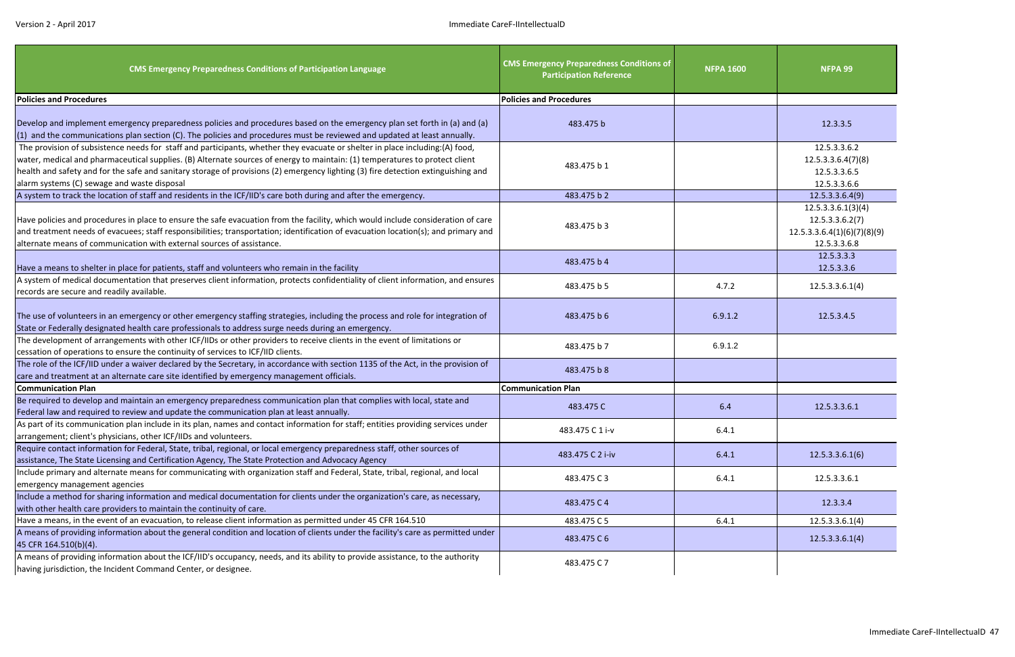| <b>CMS Emergency Preparedness Conditions of Participation Language</b>                                                                                                                                                                                                                                                                                                                                                                          | <b>CMS Emergency Preparedness Conditions of</b><br><b>Participation Reference</b> | <b>NFPA 1600</b> | <b>NFPA 99</b>                                                                       |
|-------------------------------------------------------------------------------------------------------------------------------------------------------------------------------------------------------------------------------------------------------------------------------------------------------------------------------------------------------------------------------------------------------------------------------------------------|-----------------------------------------------------------------------------------|------------------|--------------------------------------------------------------------------------------|
| <b>Policies and Procedures</b>                                                                                                                                                                                                                                                                                                                                                                                                                  | <b>Policies and Procedures</b>                                                    |                  |                                                                                      |
| Develop and implement emergency preparedness policies and procedures based on the emergency plan set forth in (a) and (a)<br>(1) and the communications plan section (C). The policies and procedures must be reviewed and updated at least annually.                                                                                                                                                                                           | 483.475 b                                                                         |                  | 12.3.3.5                                                                             |
| The provision of subsistence needs for staff and participants, whether they evacuate or shelter in place including:(A) food,<br>water, medical and pharmaceutical supplies. (B) Alternate sources of energy to maintain: (1) temperatures to protect client<br>health and safety and for the safe and sanitary storage of provisions (2) emergency lighting (3) fire detection extinguishing and<br>alarm systems (C) sewage and waste disposal | 483.475 b 1                                                                       |                  | 12.5.3.3.6.2<br>12.5.3.3.6.4(7)(8)<br>12.5.3.3.6.5<br>12.5.3.3.6.6                   |
| A system to track the location of staff and residents in the ICF/IID's care both during and after the emergency.                                                                                                                                                                                                                                                                                                                                | 483.475 b 2                                                                       |                  | 12.5.3.3.6.4(9)                                                                      |
| Have policies and procedures in place to ensure the safe evacuation from the facility, which would include consideration of care<br>and treatment needs of evacuees; staff responsibilities; transportation; identification of evacuation location(s); and primary and<br>alternate means of communication with external sources of assistance.                                                                                                 | 483.475 b 3                                                                       |                  | 12.5.3.3.6.1(3)(4)<br>12.5.3.3.6.2(7)<br>12.5.3.3.6.4(1)(6)(7)(8)(9)<br>12.5.3.3.6.8 |
| Have a means to shelter in place for patients, staff and volunteers who remain in the facility                                                                                                                                                                                                                                                                                                                                                  | 483.475 b 4                                                                       |                  | 12.5.3.3.3<br>12.5.3.3.6                                                             |
| A system of medical documentation that preserves client information, protects confidentiality of client information, and ensures<br>records are secure and readily available.                                                                                                                                                                                                                                                                   | 483.475 b 5                                                                       | 4.7.2            | 12.5.3.3.6.1(4)                                                                      |
| The use of volunteers in an emergency or other emergency staffing strategies, including the process and role for integration of<br>State or Federally designated health care professionals to address surge needs during an emergency.                                                                                                                                                                                                          | 483.475 b 6                                                                       | 6.9.1.2          | 12.5.3.4.5                                                                           |
| The development of arrangements with other ICF/IIDs or other providers to receive clients in the event of limitations or<br>cessation of operations to ensure the continuity of services to ICF/IID clients.                                                                                                                                                                                                                                    | 483.475 b 7                                                                       | 6.9.1.2          |                                                                                      |
| The role of the ICF/IID under a waiver declared by the Secretary, in accordance with section 1135 of the Act, in the provision of<br>care and treatment at an alternate care site identified by emergency management officials.                                                                                                                                                                                                                 | 483.475 b 8                                                                       |                  |                                                                                      |
| <b>Communication Plan</b>                                                                                                                                                                                                                                                                                                                                                                                                                       | <b>Communication Plan</b>                                                         |                  |                                                                                      |
| Be required to develop and maintain an emergency preparedness communication plan that complies with local, state and<br>Federal law and required to review and update the communication plan at least annually.                                                                                                                                                                                                                                 | 483.475 C                                                                         | 6.4              | 12.5.3.3.6.1                                                                         |
| As part of its communication plan include in its plan, names and contact information for staff; entities providing services under<br>arrangement; client's physicians, other ICF/IIDs and volunteers.                                                                                                                                                                                                                                           | 483.475 C 1 i-v                                                                   | 6.4.1            |                                                                                      |
| Require contact information for Federal, State, tribal, regional, or local emergency preparedness staff, other sources of<br>assistance, The State Licensing and Certification Agency, The State Protection and Advocacy Agency                                                                                                                                                                                                                 | 483.475 C 2 i-iv                                                                  | 6.4.1            | 12.5.3.3.6.1(6)                                                                      |
| Include primary and alternate means for communicating with organization staff and Federal, State, tribal, regional, and local<br>emergency management agencies                                                                                                                                                                                                                                                                                  | 483.475 C3                                                                        | 6.4.1            | 12.5.3.3.6.1                                                                         |
| Include a method for sharing information and medical documentation for clients under the organization's care, as necessary,<br>with other health care providers to maintain the continuity of care.                                                                                                                                                                                                                                             | 483.475 C 4                                                                       |                  | 12.3.3.4                                                                             |
| Have a means, in the event of an evacuation, to release client information as permitted under 45 CFR 164.510                                                                                                                                                                                                                                                                                                                                    | 483.475 C 5                                                                       | 6.4.1            | 12.5.3.3.6.1(4)                                                                      |
| A means of providing information about the general condition and location of clients under the facility's care as permitted under<br>45 CFR 164.510(b)(4).                                                                                                                                                                                                                                                                                      | 483.475 C 6                                                                       |                  | 12.5.3.3.6.1(4)                                                                      |
| A means of providing information about the ICF/IID's occupancy, needs, and its ability to provide assistance, to the authority<br>having jurisdiction, the Incident Command Center, or designee.                                                                                                                                                                                                                                                | 483.475 C 7                                                                       |                  |                                                                                      |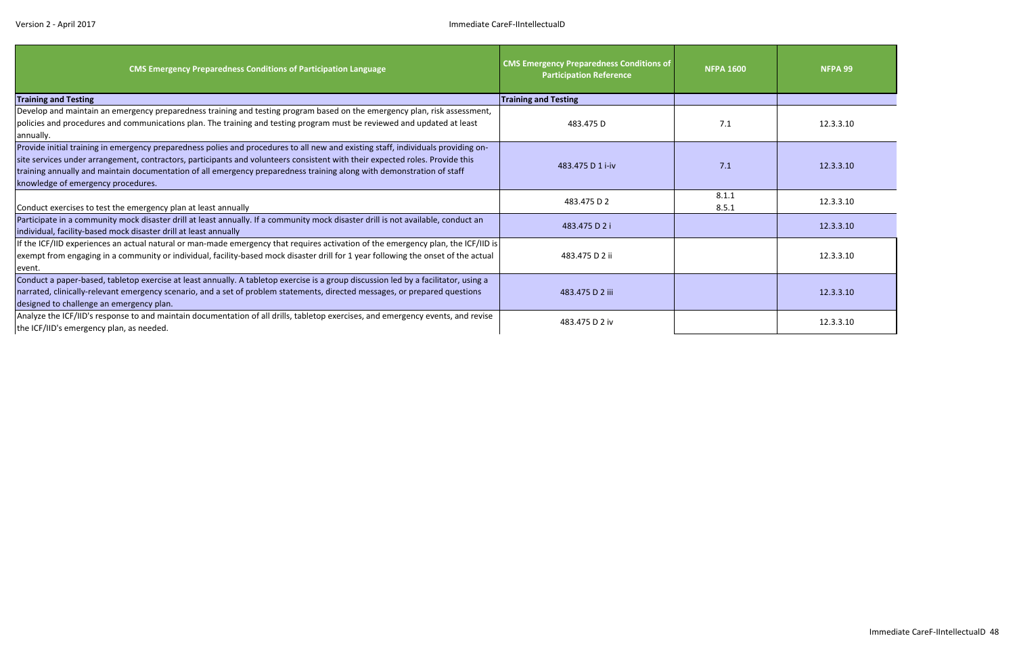| <b>CMS Emergency Preparedness Conditions of Participation Language</b>                                                                                                                                                                                                                                                                                                                                                           | <b>CMS Emergency Preparedness Conditions of</b><br><b>Participation Reference</b> | <b>NFPA 1600</b> | NFPA 99   |
|----------------------------------------------------------------------------------------------------------------------------------------------------------------------------------------------------------------------------------------------------------------------------------------------------------------------------------------------------------------------------------------------------------------------------------|-----------------------------------------------------------------------------------|------------------|-----------|
| <b>Training and Testing</b>                                                                                                                                                                                                                                                                                                                                                                                                      | <b>Training and Testing</b>                                                       |                  |           |
| Develop and maintain an emergency preparedness training and testing program based on the emergency plan, risk assessment,                                                                                                                                                                                                                                                                                                        |                                                                                   |                  |           |
| policies and procedures and communications plan. The training and testing program must be reviewed and updated at least                                                                                                                                                                                                                                                                                                          | 483.475 D                                                                         | 7.1              | 12.3.3.10 |
| annually.                                                                                                                                                                                                                                                                                                                                                                                                                        |                                                                                   |                  |           |
| Provide initial training in emergency preparedness polies and procedures to all new and existing staff, individuals providing on-<br>site services under arrangement, contractors, participants and volunteers consistent with their expected roles. Provide this<br>training annually and maintain documentation of all emergency preparedness training along with demonstration of staff<br>knowledge of emergency procedures. | 483.475 D 1 i-iv                                                                  | 7.1              | 12.3.3.10 |
| Conduct exercises to test the emergency plan at least annually                                                                                                                                                                                                                                                                                                                                                                   | 483.475 D 2                                                                       | 8.1.1<br>8.5.1   | 12.3.3.10 |
| Participate in a community mock disaster drill at least annually. If a community mock disaster drill is not available, conduct an<br>individual, facility-based mock disaster drill at least annually                                                                                                                                                                                                                            | 483.475 D 2 i                                                                     |                  | 12.3.3.10 |
| If the ICF/IID experiences an actual natural or man-made emergency that requires activation of the emergency plan, the ICF/IID is<br>exempt from engaging in a community or individual, facility-based mock disaster drill for 1 year following the onset of the actual<br>event.                                                                                                                                                | 483.475 D 2 ii                                                                    |                  | 12.3.3.10 |
| Conduct a paper-based, tabletop exercise at least annually. A tabletop exercise is a group discussion led by a facilitator, using a<br>narrated, clinically-relevant emergency scenario, and a set of problem statements, directed messages, or prepared questions<br>designed to challenge an emergency plan.                                                                                                                   | 483.475 D 2 iii                                                                   |                  | 12.3.3.10 |
| Analyze the ICF/IID's response to and maintain documentation of all drills, tabletop exercises, and emergency events, and revise<br>the ICF/IID's emergency plan, as needed.                                                                                                                                                                                                                                                     | 483.475 D 2 iv                                                                    |                  | 12.3.3.10 |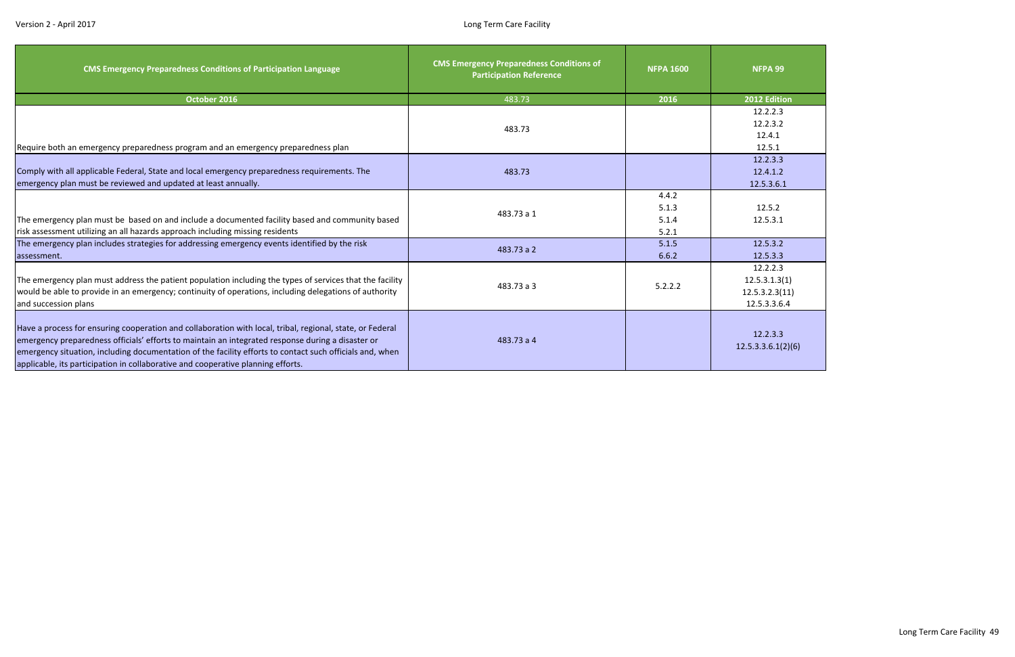| <b>CMS Emergency Preparedness Conditions of Participation Language</b>                                                                                                                                                                                                                                                                                                                                         | <b>CMS Emergency Preparedness Conditions of</b><br><b>Participation Reference</b> | <b>NFPA 1600</b>                 | NFPA 99                                                     |
|----------------------------------------------------------------------------------------------------------------------------------------------------------------------------------------------------------------------------------------------------------------------------------------------------------------------------------------------------------------------------------------------------------------|-----------------------------------------------------------------------------------|----------------------------------|-------------------------------------------------------------|
| October 2016                                                                                                                                                                                                                                                                                                                                                                                                   | 483.73                                                                            | 2016                             | 2012 Edition                                                |
| Require both an emergency preparedness program and an emergency preparedness plan                                                                                                                                                                                                                                                                                                                              | 483.73                                                                            |                                  | 12.2.2.3<br>12.2.3.2<br>12.4.1<br>12.5.1                    |
| Comply with all applicable Federal, State and local emergency preparedness requirements. The<br>emergency plan must be reviewed and updated at least annually.                                                                                                                                                                                                                                                 | 483.73                                                                            |                                  | 12.2.3.3<br>12.4.1.2<br>12.5.3.6.1                          |
| The emergency plan must be based on and include a documented facility based and community based<br>risk assessment utilizing an all hazards approach including missing residents                                                                                                                                                                                                                               | 483.73 a 1                                                                        | 4.4.2<br>5.1.3<br>5.1.4<br>5.2.1 | 12.5.2<br>12.5.3.1                                          |
| The emergency plan includes strategies for addressing emergency events identified by the risk<br>assessment.                                                                                                                                                                                                                                                                                                   | 483.73 a 2                                                                        | 5.1.5<br>6.6.2                   | 12.5.3.2<br>12.5.3.3                                        |
| The emergency plan must address the patient population including the types of services that the facility<br>would be able to provide in an emergency; continuity of operations, including delegations of authority<br>and succession plans                                                                                                                                                                     | 483.73 a 3                                                                        | 5.2.2.2                          | 12.2.2.3<br>12.5.3.1.3(1)<br>12.5.3.2.3(11)<br>12.5.3.3.6.4 |
| Have a process for ensuring cooperation and collaboration with local, tribal, regional, state, or Federal<br>emergency preparedness officials' efforts to maintain an integrated response during a disaster or<br>emergency situation, including documentation of the facility efforts to contact such officials and, when<br>applicable, its participation in collaborative and cooperative planning efforts. | 483.73 a 4                                                                        |                                  | 12.2.3.3<br>12.5.3.3.6.1(2)(6)                              |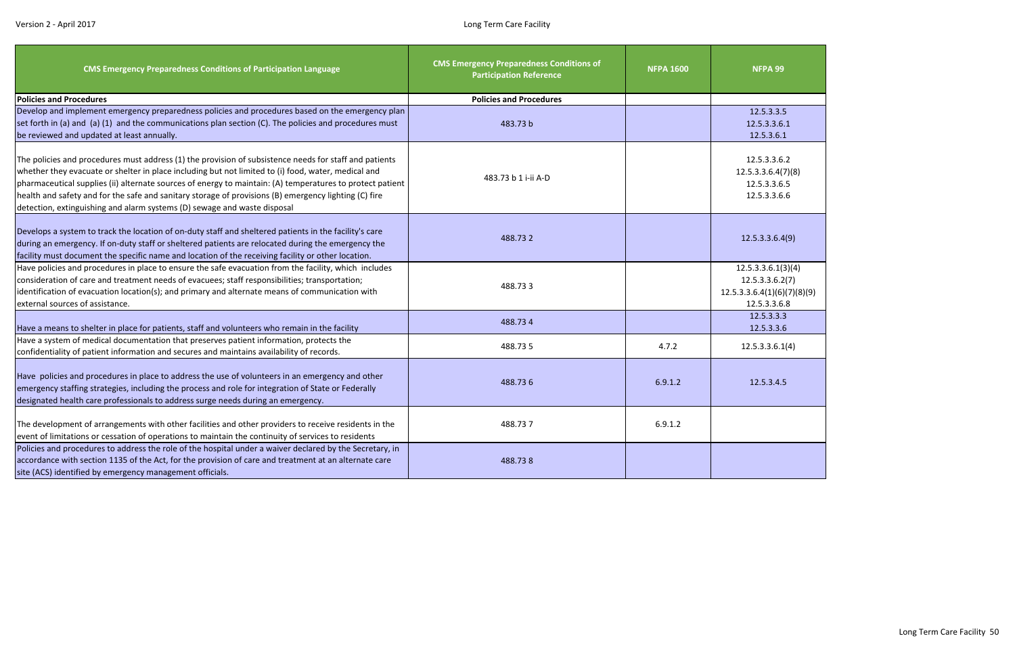| <b>CMS Emergency Preparedness Conditions of Participation Language</b>                                                                                                                                                                                                                                                                                                                                                                                                                                          | <b>CMS Emergency Preparedness Conditions of</b><br><b>Participation Reference</b> | <b>NFPA 1600</b> | NFPA 99                                                                              |
|-----------------------------------------------------------------------------------------------------------------------------------------------------------------------------------------------------------------------------------------------------------------------------------------------------------------------------------------------------------------------------------------------------------------------------------------------------------------------------------------------------------------|-----------------------------------------------------------------------------------|------------------|--------------------------------------------------------------------------------------|
| <b>Policies and Procedures</b>                                                                                                                                                                                                                                                                                                                                                                                                                                                                                  | <b>Policies and Procedures</b>                                                    |                  |                                                                                      |
| Develop and implement emergency preparedness policies and procedures based on the emergency plan<br>set forth in (a) and (a) (1) and the communications plan section (C). The policies and procedures must<br>be reviewed and updated at least annually.                                                                                                                                                                                                                                                        | 483.73 b                                                                          |                  | 12.5.3.3.5<br>12.5.3.3.6.1<br>12.5.3.6.1                                             |
| The policies and procedures must address (1) the provision of subsistence needs for staff and patients<br>whether they evacuate or shelter in place including but not limited to (i) food, water, medical and<br>pharmaceutical supplies (ii) alternate sources of energy to maintain: (A) temperatures to protect patient<br>health and safety and for the safe and sanitary storage of provisions (B) emergency lighting (C) fire<br>detection, extinguishing and alarm systems (D) sewage and waste disposal | 483.73 b 1 i-ii A-D                                                               |                  | 12.5.3.3.6.2<br>12.5.3.3.6.4(7)(8)<br>12.5.3.3.6.5<br>12.5.3.3.6.6                   |
| Develops a system to track the location of on-duty staff and sheltered patients in the facility's care<br>during an emergency. If on-duty staff or sheltered patients are relocated during the emergency the<br>facility must document the specific name and location of the receiving facility or other location.                                                                                                                                                                                              | 488.732                                                                           |                  | 12.5.3.3.6.4(9)                                                                      |
| Have policies and procedures in place to ensure the safe evacuation from the facility, which includes<br>consideration of care and treatment needs of evacuees; staff responsibilities; transportation;<br>identification of evacuation location(s); and primary and alternate means of communication with<br>external sources of assistance.                                                                                                                                                                   | 488.733                                                                           |                  | 12.5.3.3.6.1(3)(4)<br>12.5.3.3.6.2(7)<br>12.5.3.3.6.4(1)(6)(7)(8)(9)<br>12.5.3.3.6.8 |
| Have a means to shelter in place for patients, staff and volunteers who remain in the facility                                                                                                                                                                                                                                                                                                                                                                                                                  | 488.734                                                                           |                  | 12.5.3.3.3<br>12.5.3.3.6                                                             |
| Have a system of medical documentation that preserves patient information, protects the<br>confidentiality of patient information and secures and maintains availability of records.                                                                                                                                                                                                                                                                                                                            | 488.735                                                                           | 4.7.2            | 12.5.3.3.6.1(4)                                                                      |
| Have policies and procedures in place to address the use of volunteers in an emergency and other<br>emergency staffing strategies, including the process and role for integration of State or Federally<br>designated health care professionals to address surge needs during an emergency.                                                                                                                                                                                                                     | 488.736                                                                           | 6.9.1.2          | 12.5.3.4.5                                                                           |
| The development of arrangements with other facilities and other providers to receive residents in the<br>event of limitations or cessation of operations to maintain the continuity of services to residents                                                                                                                                                                                                                                                                                                    | 488.737                                                                           | 6.9.1.2          |                                                                                      |
| Policies and procedures to address the role of the hospital under a waiver declared by the Secretary, in<br>accordance with section 1135 of the Act, for the provision of care and treatment at an alternate care<br>site (ACS) identified by emergency management officials.                                                                                                                                                                                                                                   | 488.738                                                                           |                  |                                                                                      |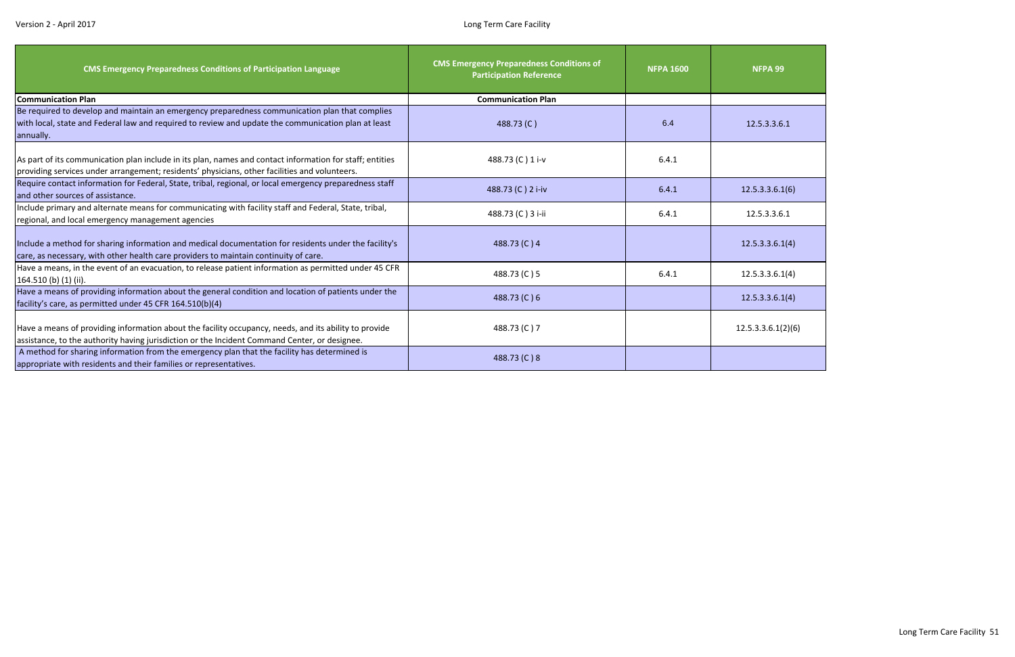| <b>CMS Emergency Preparedness Conditions of Participation Language</b>                                                                                                                                             | <b>CMS Emergency Preparedness Conditions of</b><br><b>Participation Reference</b> | <b>NFPA 1600</b> | <b>NFPA 99</b>     |
|--------------------------------------------------------------------------------------------------------------------------------------------------------------------------------------------------------------------|-----------------------------------------------------------------------------------|------------------|--------------------|
| <b>Communication Plan</b>                                                                                                                                                                                          | <b>Communication Plan</b>                                                         |                  |                    |
| Be required to develop and maintain an emergency preparedness communication plan that complies<br>with local, state and Federal law and required to review and update the communication plan at least<br>annually. | 488.73 (C)                                                                        | 6.4              | 12.5.3.3.6.1       |
| As part of its communication plan include in its plan, names and contact information for staff; entities<br>providing services under arrangement; residents' physicians, other facilities and volunteers.          | 488.73 (C) 1 i-v                                                                  | 6.4.1            |                    |
| Require contact information for Federal, State, tribal, regional, or local emergency preparedness staff<br>and other sources of assistance.                                                                        | 488.73 (C) 2 i-iv                                                                 | 6.4.1            | 12.5.3.3.6.1(6)    |
| Include primary and alternate means for communicating with facility staff and Federal, State, tribal,<br>regional, and local emergency management agencies                                                         | 488.73 (C) 3 i-ii                                                                 | 6.4.1            | 12.5.3.3.6.1       |
| Include a method for sharing information and medical documentation for residents under the facility's<br>care, as necessary, with other health care providers to maintain continuity of care.                      | 488.73 (C) 4                                                                      |                  | 12.5.3.3.6.1(4)    |
| Have a means, in the event of an evacuation, to release patient information as permitted under 45 CFR<br>$164.510$ (b) $(1)$ (ii).                                                                                 | 488.73 (C) 5                                                                      | 6.4.1            | 12.5.3.3.6.1(4)    |
| Have a means of providing information about the general condition and location of patients under the<br>facility's care, as permitted under 45 CFR 164.510(b)(4)                                                   | 488.73 (C) 6                                                                      |                  | 12.5.3.3.6.1(4)    |
| Have a means of providing information about the facility occupancy, needs, and its ability to provide<br>assistance, to the authority having jurisdiction or the Incident Command Center, or designee.             | 488.73 (C) 7                                                                      |                  | 12.5.3.3.6.1(2)(6) |
| A method for sharing information from the emergency plan that the facility has determined is<br>appropriate with residents and their families or representatives.                                                  | 488.73 (C) 8                                                                      |                  |                    |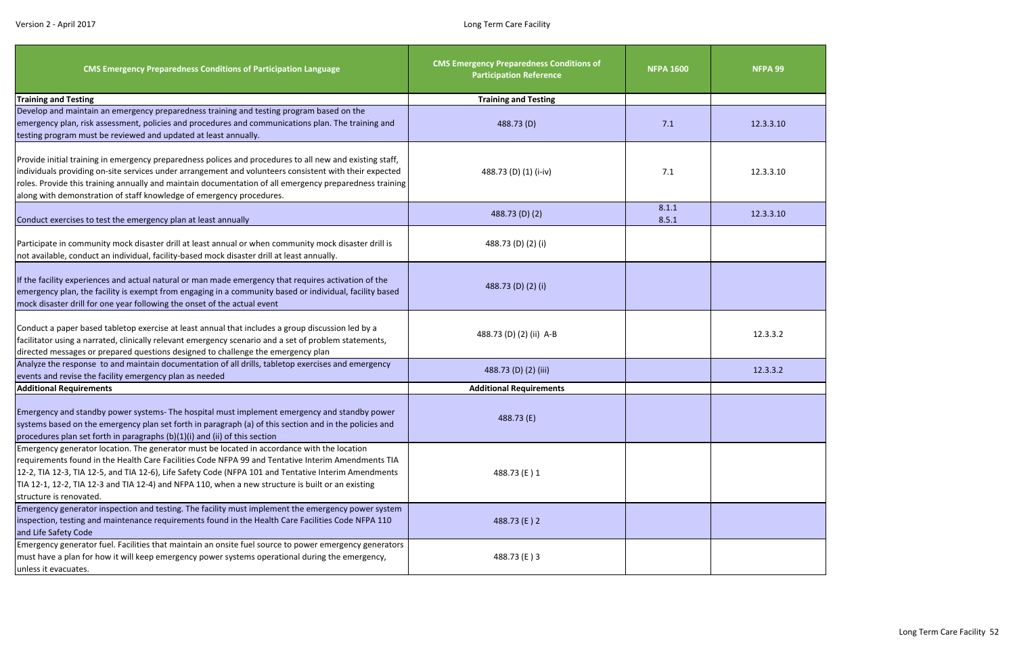

| <b>CMS Emergency Preparedness Conditions of Participation Language</b>                                                                                                                                                                                                                                                                                                                                                                    | <b>CMS Emergency Preparedness Conditions of</b><br><b>Participation Reference</b> | <b>NFPA 1600</b> | NFPA 99   |
|-------------------------------------------------------------------------------------------------------------------------------------------------------------------------------------------------------------------------------------------------------------------------------------------------------------------------------------------------------------------------------------------------------------------------------------------|-----------------------------------------------------------------------------------|------------------|-----------|
| <b>Training and Testing</b>                                                                                                                                                                                                                                                                                                                                                                                                               | <b>Training and Testing</b>                                                       |                  |           |
| Develop and maintain an emergency preparedness training and testing program based on the                                                                                                                                                                                                                                                                                                                                                  |                                                                                   |                  |           |
| emergency plan, risk assessment, policies and procedures and communications plan. The training and                                                                                                                                                                                                                                                                                                                                        | 488.73 (D)                                                                        | 7.1              | 12.3.3.10 |
| testing program must be reviewed and updated at least annually.                                                                                                                                                                                                                                                                                                                                                                           |                                                                                   |                  |           |
| Provide initial training in emergency preparedness polices and procedures to all new and existing staff,<br>individuals providing on-site services under arrangement and volunteers consistent with their expected<br>roles. Provide this training annually and maintain documentation of all emergency preparedness training<br>along with demonstration of staff knowledge of emergency procedures.                                     | 488.73 (D) (1) (i-iv)                                                             | 7.1              | 12.3.3.10 |
| Conduct exercises to test the emergency plan at least annually                                                                                                                                                                                                                                                                                                                                                                            | 488.73 (D) (2)                                                                    | 8.1.1<br>8.5.1   | 12.3.3.10 |
| Participate in community mock disaster drill at least annual or when community mock disaster drill is<br>not available, conduct an individual, facility-based mock disaster drill at least annually.                                                                                                                                                                                                                                      | 488.73 (D) (2) (i)                                                                |                  |           |
| If the facility experiences and actual natural or man made emergency that requires activation of the<br>emergency plan, the facility is exempt from engaging in a community based or individual, facility based<br>mock disaster drill for one year following the onset of the actual event                                                                                                                                               | 488.73 (D) (2) (i)                                                                |                  |           |
| Conduct a paper based tabletop exercise at least annual that includes a group discussion led by a<br>facilitator using a narrated, clinically relevant emergency scenario and a set of problem statements,<br>directed messages or prepared questions designed to challenge the emergency plan                                                                                                                                            | 488.73 (D) (2) (ii) A-B                                                           |                  | 12.3.3.2  |
| Analyze the response to and maintain documentation of all drills, tabletop exercises and emergency<br>events and revise the facility emergency plan as needed                                                                                                                                                                                                                                                                             | 488.73 (D) (2) (iii)                                                              |                  | 12.3.3.2  |
| <b>Additional Requirements</b>                                                                                                                                                                                                                                                                                                                                                                                                            | <b>Additional Requirements</b>                                                    |                  |           |
| Emergency and standby power systems- The hospital must implement emergency and standby power<br>systems based on the emergency plan set forth in paragraph (a) of this section and in the policies and<br>procedures plan set forth in paragraphs (b)(1)(i) and (ii) of this section                                                                                                                                                      | 488.73 (E)                                                                        |                  |           |
| Emergency generator location. The generator must be located in accordance with the location<br>requirements found in the Health Care Facilities Code NFPA 99 and Tentative Interim Amendments TIA<br>12-2, TIA 12-3, TIA 12-5, and TIA 12-6), Life Safety Code (NFPA 101 and Tentative Interim Amendments<br>TIA 12-1, 12-2, TIA 12-3 and TIA 12-4) and NFPA 110, when a new structure is built or an existing<br>structure is renovated. | 488.73 (E) 1                                                                      |                  |           |
| Emergency generator inspection and testing. The facility must implement the emergency power system<br>inspection, testing and maintenance requirements found in the Health Care Facilities Code NFPA 110<br>and Life Safety Code                                                                                                                                                                                                          | 488.73 (E) 2                                                                      |                  |           |
| Emergency generator fuel. Facilities that maintain an onsite fuel source to power emergency generators<br>must have a plan for how it will keep emergency power systems operational during the emergency,<br>unless it evacuates.                                                                                                                                                                                                         | 488.73 (E) 3                                                                      |                  |           |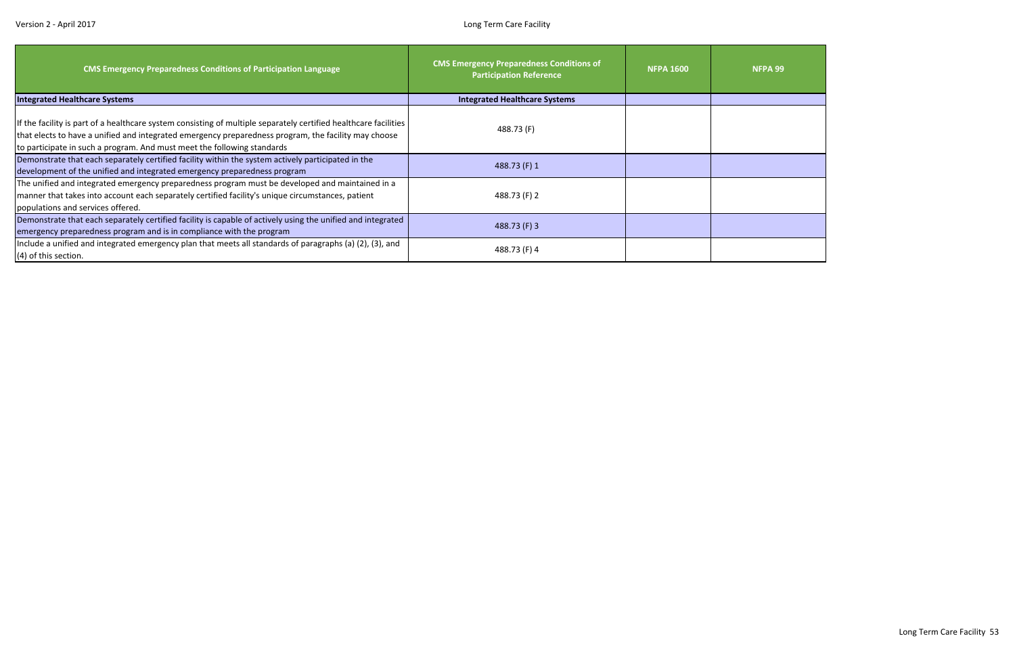| <b>CMS Emergency Preparedness Conditions of Participation Language</b>                                                                                                                                                                                                                              | <b>CMS Emergency Preparedness Conditions of</b><br><b>Participation Reference</b> | <b>NFPA 1600</b> | <b>NFPA 99</b> |
|-----------------------------------------------------------------------------------------------------------------------------------------------------------------------------------------------------------------------------------------------------------------------------------------------------|-----------------------------------------------------------------------------------|------------------|----------------|
| <b>Integrated Healthcare Systems</b>                                                                                                                                                                                                                                                                | <b>Integrated Healthcare Systems</b>                                              |                  |                |
| If the facility is part of a healthcare system consisting of multiple separately certified healthcare facilities<br>that elects to have a unified and integrated emergency preparedness program, the facility may choose<br>to participate in such a program. And must meet the following standards | 488.73 (F)                                                                        |                  |                |
| Demonstrate that each separately certified facility within the system actively participated in the<br>development of the unified and integrated emergency preparedness program                                                                                                                      | 488.73 (F) 1                                                                      |                  |                |
| The unified and integrated emergency preparedness program must be developed and maintained in a<br>manner that takes into account each separately certified facility's unique circumstances, patient<br>populations and services offered.                                                           | 488.73 (F) 2                                                                      |                  |                |
| Demonstrate that each separately certified facility is capable of actively using the unified and integrated<br>emergency preparedness program and is in compliance with the program                                                                                                                 | 488.73 (F) 3                                                                      |                  |                |
| Include a unified and integrated emergency plan that meets all standards of paragraphs (a) (2), (3), and<br>(4) of this section.                                                                                                                                                                    | 488.73 (F) 4                                                                      |                  |                |

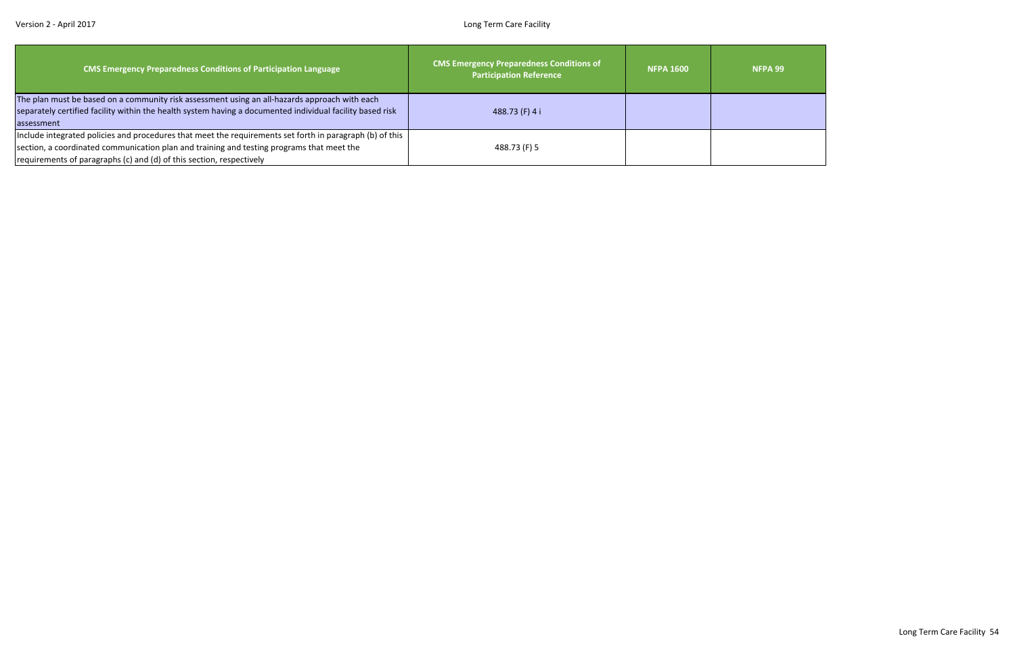| <b>CMS Emergency Preparedness Conditions of Participation Language</b>                                                                                                                                                                                                        | <b>CMS Emergency Preparedness Conditions of</b><br><b>Participation Reference</b> | <b>NFPA 1600</b> | NFPA <sub>99</sub> |
|-------------------------------------------------------------------------------------------------------------------------------------------------------------------------------------------------------------------------------------------------------------------------------|-----------------------------------------------------------------------------------|------------------|--------------------|
| The plan must be based on a community risk assessment using an all-hazards approach with each<br>separately certified facility within the health system having a documented individual facility based risk<br>assessment                                                      | 488.73 (F) 4 i                                                                    |                  |                    |
| Include integrated policies and procedures that meet the requirements set forth in paragraph (b) of this<br>section, a coordinated communication plan and training and testing programs that meet the<br>requirements of paragraphs (c) and (d) of this section, respectively | 488.73 (F) 5                                                                      |                  |                    |

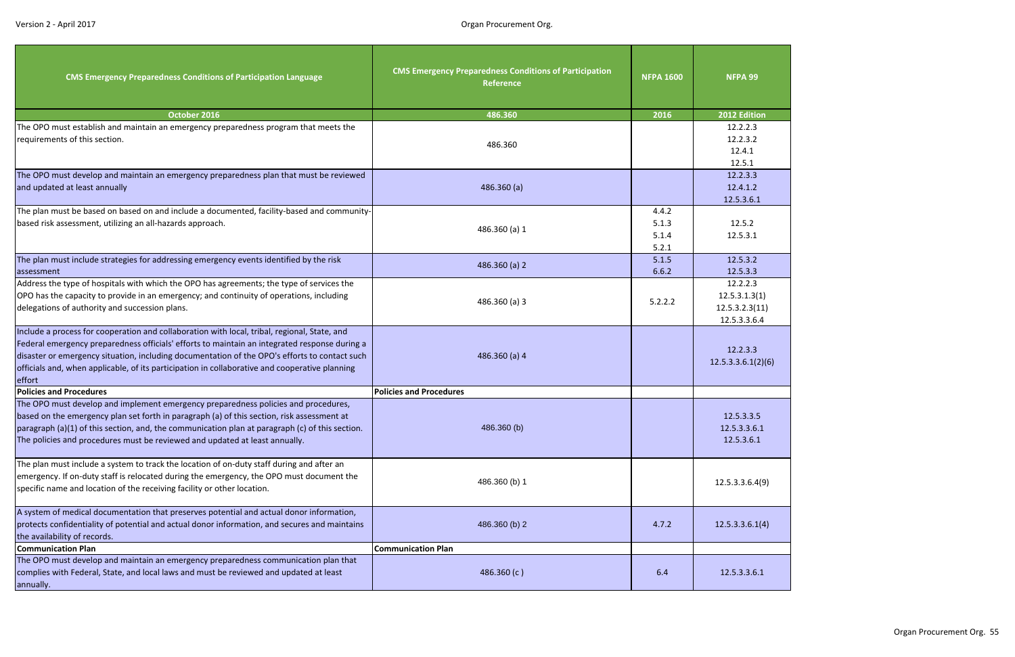| <b>FPA 99</b>                                                             |
|---------------------------------------------------------------------------|
| 2 Edition<br>2.2.2.3<br>2.2.3.2<br>12.4.1<br>12.5.1<br>2.2.3.3<br>2.4.1.2 |
| .5.3.6.1<br>12.5.2<br>2.5.3.1<br>2.5.3.2<br>2.5.3.3<br>2.2.2.3            |
| 5.3.1.3(1)<br>.3.2.3(11)<br>5.3.3.6.4<br>2.2.3.3<br>.3.6.1(2)(6)          |
| 5.3.3.5<br>5.3.3.6.1<br>.5.3.6.1                                          |
| .3.3.6.4(9)                                                               |
| .3.3.6.1(4)                                                               |
| 5.3.3.6.1                                                                 |

| <b>CMS Emergency Preparedness Conditions of Participation Language</b>                                                                                                                                                                                                                                                                                                                                     | <b>CMS Emergency Preparedness Conditions of Participation</b><br><b>Reference</b> | <b>NFPA 1600</b>                 | NFPA 99                                                     |
|------------------------------------------------------------------------------------------------------------------------------------------------------------------------------------------------------------------------------------------------------------------------------------------------------------------------------------------------------------------------------------------------------------|-----------------------------------------------------------------------------------|----------------------------------|-------------------------------------------------------------|
| October 2016                                                                                                                                                                                                                                                                                                                                                                                               | 486.360                                                                           | 2016                             | 2012 Edition                                                |
| The OPO must establish and maintain an emergency preparedness program that meets the<br>requirements of this section.                                                                                                                                                                                                                                                                                      | 486.360                                                                           |                                  | 12.2.2.3<br>12.2.3.2<br>12.4.1<br>12.5.1                    |
| The OPO must develop and maintain an emergency preparedness plan that must be reviewed<br>and updated at least annually                                                                                                                                                                                                                                                                                    | 486.360(a)                                                                        |                                  | 12.2.3.3<br>12.4.1.2<br>12.5.3.6.1                          |
| The plan must be based on based on and include a documented, facility-based and community-<br>based risk assessment, utilizing an all-hazards approach.                                                                                                                                                                                                                                                    | 486.360 (a) 1                                                                     | 4.4.2<br>5.1.3<br>5.1.4<br>5.2.1 | 12.5.2<br>12.5.3.1                                          |
| The plan must include strategies for addressing emergency events identified by the risk<br>assessment                                                                                                                                                                                                                                                                                                      | 486.360 (a) 2                                                                     | 5.1.5<br>6.6.2                   | 12.5.3.2<br>12.5.3.3                                        |
| Address the type of hospitals with which the OPO has agreements; the type of services the<br>OPO has the capacity to provide in an emergency; and continuity of operations, including<br>delegations of authority and succession plans.                                                                                                                                                                    | 486.360 (a) 3                                                                     | 5.2.2.2                          | 12.2.2.3<br>12.5.3.1.3(1)<br>12.5.3.2.3(11)<br>12.5.3.3.6.4 |
| Include a process for cooperation and collaboration with local, tribal, regional, State, and<br>Federal emergency preparedness officials' efforts to maintain an integrated response during a<br>disaster or emergency situation, including documentation of the OPO's efforts to contact such<br>officials and, when applicable, of its participation in collaborative and cooperative planning<br>effort | 486.360 (a) 4                                                                     |                                  | 12.2.3.3<br>12.5.3.3.6.1(2)(6)                              |
| <b>Policies and Procedures</b>                                                                                                                                                                                                                                                                                                                                                                             | <b>Policies and Procedures</b>                                                    |                                  |                                                             |
| The OPO must develop and implement emergency preparedness policies and procedures,<br>based on the emergency plan set forth in paragraph (a) of this section, risk assessment at<br>paragraph (a)(1) of this section, and, the communication plan at paragraph (c) of this section.<br>The policies and procedures must be reviewed and updated at least annually.                                         | 486.360 (b)                                                                       |                                  | 12.5.3.3.5<br>12.5.3.3.6.1<br>12.5.3.6.1                    |
| The plan must include a system to track the location of on-duty staff during and after an<br>emergency. If on-duty staff is relocated during the emergency, the OPO must document the<br>specific name and location of the receiving facility or other location.                                                                                                                                           | 486.360 (b) 1                                                                     |                                  | 12.5.3.3.6.4(9)                                             |
| A system of medical documentation that preserves potential and actual donor information,<br>protects confidentiality of potential and actual donor information, and secures and maintains<br>the availability of records.                                                                                                                                                                                  | 486.360 (b) 2                                                                     | 4.7.2                            | 12.5.3.3.6.1(4)                                             |
| <b>Communication Plan</b>                                                                                                                                                                                                                                                                                                                                                                                  | <b>Communication Plan</b>                                                         |                                  |                                                             |
| The OPO must develop and maintain an emergency preparedness communication plan that<br>complies with Federal, State, and local laws and must be reviewed and updated at least<br>annually.                                                                                                                                                                                                                 | 486.360 (c)                                                                       | 6.4                              | 12.5.3.3.6.1                                                |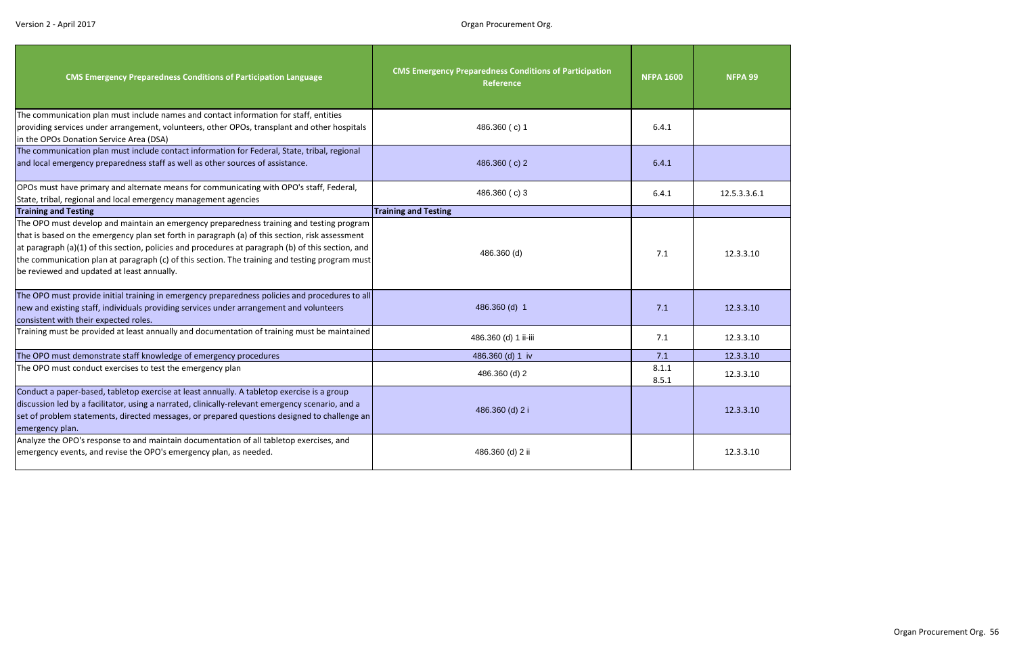| <b>CMS Emergency Preparedness Conditions of Participation Language</b>                                                                                                                                                                                                                                                                                                                                                                            | <b>CMS Emergency Preparedness Conditions of Participation</b><br>Reference | <b>NFPA 1600</b> | NFPA 99      |
|---------------------------------------------------------------------------------------------------------------------------------------------------------------------------------------------------------------------------------------------------------------------------------------------------------------------------------------------------------------------------------------------------------------------------------------------------|----------------------------------------------------------------------------|------------------|--------------|
| The communication plan must include names and contact information for staff, entities<br>providing services under arrangement, volunteers, other OPOs, transplant and other hospitals<br>in the OPOs Donation Service Area (DSA)                                                                                                                                                                                                                  | 486.360 (c) 1                                                              | 6.4.1            |              |
| The communication plan must include contact information for Federal, State, tribal, regional<br>and local emergency preparedness staff as well as other sources of assistance.                                                                                                                                                                                                                                                                    | 486.360 (c) 2                                                              | 6.4.1            |              |
| OPOs must have primary and alternate means for communicating with OPO's staff, Federal,<br>State, tribal, regional and local emergency management agencies                                                                                                                                                                                                                                                                                        | 486.360 (c) 3                                                              | 6.4.1            | 12.5.3.3.6.1 |
| <b>Training and Testing</b>                                                                                                                                                                                                                                                                                                                                                                                                                       | <b>Training and Testing</b>                                                |                  |              |
| The OPO must develop and maintain an emergency preparedness training and testing program<br>that is based on the emergency plan set forth in paragraph (a) of this section, risk assessment<br>at paragraph (a)(1) of this section, policies and procedures at paragraph (b) of this section, and<br>the communication plan at paragraph (c) of this section. The training and testing program must<br>be reviewed and updated at least annually. | 486.360 (d)                                                                | 7.1              | 12.3.3.10    |
| The OPO must provide initial training in emergency preparedness policies and procedures to all<br>new and existing staff, individuals providing services under arrangement and volunteers<br>consistent with their expected roles.                                                                                                                                                                                                                | 486.360 (d) 1                                                              | 7.1              | 12.3.3.10    |
| Training must be provided at least annually and documentation of training must be maintained                                                                                                                                                                                                                                                                                                                                                      | 486.360 (d) 1 ii-iii                                                       | 7.1              | 12.3.3.10    |
| The OPO must demonstrate staff knowledge of emergency procedures                                                                                                                                                                                                                                                                                                                                                                                  | 486.360 (d) 1 iv                                                           | 7.1              | 12.3.3.10    |
| The OPO must conduct exercises to test the emergency plan                                                                                                                                                                                                                                                                                                                                                                                         | 486.360 (d) 2                                                              | 8.1.1<br>8.5.1   | 12.3.3.10    |
| Conduct a paper-based, tabletop exercise at least annually. A tabletop exercise is a group<br>discussion led by a facilitator, using a narrated, clinically-relevant emergency scenario, and a<br>set of problem statements, directed messages, or prepared questions designed to challenge an<br>emergency plan.                                                                                                                                 | 486.360 (d) 2 i                                                            |                  | 12.3.3.10    |
| Analyze the OPO's response to and maintain documentation of all tabletop exercises, and<br>emergency events, and revise the OPO's emergency plan, as needed.                                                                                                                                                                                                                                                                                      | 486.360 (d) 2 ii                                                           |                  | 12.3.3.10    |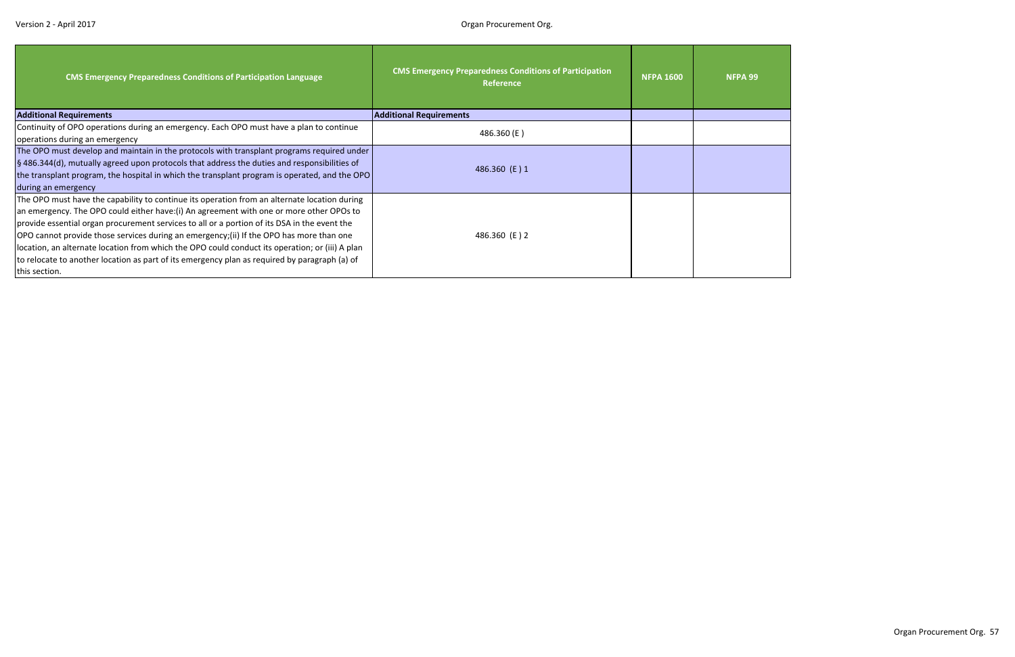| <b>CMS Emergency Preparedness Conditions of Participation Language</b>                                                                                                                                                                                                                                                                                                                                                                                                                                                                                                                                    | <b>CMS Emergency Preparedness Conditions of Participation</b><br>Reference | <b>NFPA 1600</b> | <b>NFPA 99</b> |
|-----------------------------------------------------------------------------------------------------------------------------------------------------------------------------------------------------------------------------------------------------------------------------------------------------------------------------------------------------------------------------------------------------------------------------------------------------------------------------------------------------------------------------------------------------------------------------------------------------------|----------------------------------------------------------------------------|------------------|----------------|
| <b>Additional Requirements</b>                                                                                                                                                                                                                                                                                                                                                                                                                                                                                                                                                                            | <b>Additional Requirements</b>                                             |                  |                |
| Continuity of OPO operations during an emergency. Each OPO must have a plan to continue<br>operations during an emergency                                                                                                                                                                                                                                                                                                                                                                                                                                                                                 | 486.360 (E)                                                                |                  |                |
| The OPO must develop and maintain in the protocols with transplant programs required under<br>§ 486.344(d), mutually agreed upon protocols that address the duties and responsibilities of<br>the transplant program, the hospital in which the transplant program is operated, and the OPO<br>during an emergency                                                                                                                                                                                                                                                                                        | 486.360 (E) 1                                                              |                  |                |
| The OPO must have the capability to continue its operation from an alternate location during<br>an emergency. The OPO could either have: (i) An agreement with one or more other OPOs to<br>provide essential organ procurement services to all or a portion of its DSA in the event the<br>OPO cannot provide those services during an emergency; (ii) If the OPO has more than one<br>location, an alternate location from which the OPO could conduct its operation; or (iii) A plan<br>to relocate to another location as part of its emergency plan as required by paragraph (a) of<br>this section. | 486.360 (E) 2                                                              |                  |                |

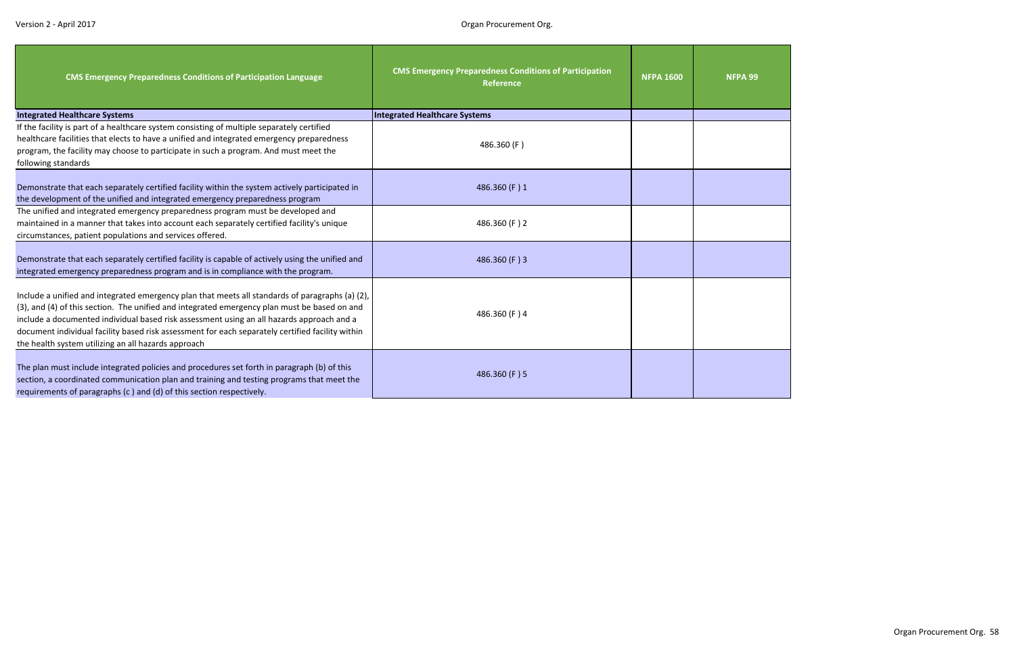| <b>CMS Emergency Preparedness Conditions of Participation Language</b>                                                                                                                                                                                                                                                                                                                                                                                  | <b>CMS Emergency Preparedness Conditions of Participation</b><br><b>Reference</b> | <b>NFPA 1600</b> | NFPA 99 |
|---------------------------------------------------------------------------------------------------------------------------------------------------------------------------------------------------------------------------------------------------------------------------------------------------------------------------------------------------------------------------------------------------------------------------------------------------------|-----------------------------------------------------------------------------------|------------------|---------|
| <b>Integrated Healthcare Systems</b>                                                                                                                                                                                                                                                                                                                                                                                                                    | <b>Integrated Healthcare Systems</b>                                              |                  |         |
| If the facility is part of a healthcare system consisting of multiple separately certified<br>healthcare facilities that elects to have a unified and integrated emergency preparedness<br>program, the facility may choose to participate in such a program. And must meet the<br>following standards                                                                                                                                                  | 486.360 (F)                                                                       |                  |         |
| Demonstrate that each separately certified facility within the system actively participated in<br>the development of the unified and integrated emergency preparedness program                                                                                                                                                                                                                                                                          | 486.360 (F) 1                                                                     |                  |         |
| The unified and integrated emergency preparedness program must be developed and<br>maintained in a manner that takes into account each separately certified facility's unique<br>circumstances, patient populations and services offered.                                                                                                                                                                                                               | 486.360 (F) 2                                                                     |                  |         |
| Demonstrate that each separately certified facility is capable of actively using the unified and<br>integrated emergency preparedness program and is in compliance with the program.                                                                                                                                                                                                                                                                    | 486.360 (F) 3                                                                     |                  |         |
| Include a unified and integrated emergency plan that meets all standards of paragraphs (a) (2),<br>(3), and (4) of this section. The unified and integrated emergency plan must be based on and<br>include a documented individual based risk assessment using an all hazards approach and a<br>document individual facility based risk assessment for each separately certified facility within<br>the health system utilizing an all hazards approach | 486.360 (F) 4                                                                     |                  |         |
| The plan must include integrated policies and procedures set forth in paragraph (b) of this<br>section, a coordinated communication plan and training and testing programs that meet the<br>requirements of paragraphs (c ) and (d) of this section respectively.                                                                                                                                                                                       | 486.360 (F) 5                                                                     |                  |         |

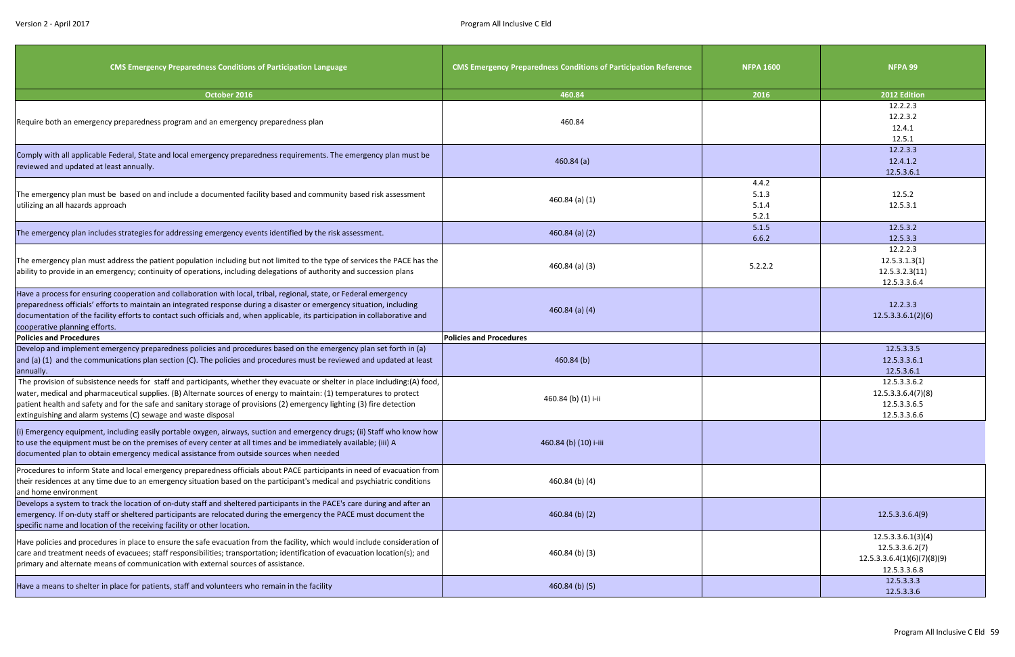| <b>CMS Emergency Preparedness Conditions of Participation Language</b>                                                                                                                                                                                                                                                                                                                                                                            | <b>CMS Emergency Preparedness Conditions of Participation Reference</b> | <b>NFPA 1600</b>                 | NFPA 99                                                                              |
|---------------------------------------------------------------------------------------------------------------------------------------------------------------------------------------------------------------------------------------------------------------------------------------------------------------------------------------------------------------------------------------------------------------------------------------------------|-------------------------------------------------------------------------|----------------------------------|--------------------------------------------------------------------------------------|
| October 2016                                                                                                                                                                                                                                                                                                                                                                                                                                      | 460.84                                                                  | 2016                             | 2012 Edition                                                                         |
| Require both an emergency preparedness program and an emergency preparedness plan                                                                                                                                                                                                                                                                                                                                                                 | 460.84                                                                  |                                  | 12.2.2.3<br>12.2.3.2<br>12.4.1<br>12.5.1                                             |
| Comply with all applicable Federal, State and local emergency preparedness requirements. The emergency plan must be<br>reviewed and updated at least annually.                                                                                                                                                                                                                                                                                    | $460.84$ (a)                                                            |                                  | 12.2.3.3<br>12.4.1.2<br>12.5.3.6.1                                                   |
| The emergency plan must be based on and include a documented facility based and community based risk assessment<br>utilizing an all hazards approach                                                                                                                                                                                                                                                                                              | 460.84 (a) (1)                                                          | 4.4.2<br>5.1.3<br>5.1.4<br>5.2.1 | 12.5.2<br>12.5.3.1                                                                   |
| The emergency plan includes strategies for addressing emergency events identified by the risk assessment.                                                                                                                                                                                                                                                                                                                                         | $460.84$ (a) (2)                                                        | 5.1.5<br>6.6.2                   | 12.5.3.2<br>12.5.3.3                                                                 |
| The emergency plan must address the patient population including but not limited to the type of services the PACE has the<br>ability to provide in an emergency; continuity of operations, including delegations of authority and succession plans                                                                                                                                                                                                | 460.84 (a) (3)                                                          | 5.2.2.2                          | 12.2.2.3<br>12.5.3.1.3(1)<br>12.5.3.2.3(11)<br>12.5.3.3.6.4                          |
| Have a process for ensuring cooperation and collaboration with local, tribal, regional, state, or Federal emergency<br>preparedness officials' efforts to maintain an integrated response during a disaster or emergency situation, including<br>documentation of the facility efforts to contact such officials and, when applicable, its participation in collaborative and<br>cooperative planning efforts.                                    | $460.84$ (a) (4)                                                        |                                  | 12.2.3.3<br>12.5.3.3.6.1(2)(6)                                                       |
| <b>Policies and Procedures</b>                                                                                                                                                                                                                                                                                                                                                                                                                    | <b>Policies and Procedures</b>                                          |                                  |                                                                                      |
| Develop and implement emergency preparedness policies and procedures based on the emergency plan set forth in (a)<br>and (a) (1) and the communications plan section (C). The policies and procedures must be reviewed and updated at least<br>annually.                                                                                                                                                                                          | 460.84(b)                                                               |                                  | 12.5.3.3.5<br>12.5.3.3.6.1<br>12.5.3.6.1                                             |
| The provision of subsistence needs for staff and participants, whether they evacuate or shelter in place including: (A) food,<br>water, medical and pharmaceutical supplies. (B) Alternate sources of energy to maintain: (1) temperatures to protect<br>patient health and safety and for the safe and sanitary storage of provisions (2) emergency lighting (3) fire detection<br>extinguishing and alarm systems (C) sewage and waste disposal | 460.84 (b) (1) i-ii                                                     |                                  | 12.5.3.3.6.2<br>12.5.3.3.6.4(7)(8)<br>12.5.3.3.6.5<br>12.5.3.3.6.6                   |
| (i) Emergency equipment, including easily portable oxygen, airways, suction and emergency drugs; (ii) Staff who know how<br>to use the equipment must be on the premises of every center at all times and be immediately available; (iii) A<br>documented plan to obtain emergency medical assistance from outside sources when needed                                                                                                            | 460.84 (b) (10) i-iii                                                   |                                  |                                                                                      |
| Procedures to inform State and local emergency preparedness officials about PACE participants in need of evacuation from<br>their residences at any time due to an emergency situation based on the participant's medical and psychiatric conditions<br>and home environment                                                                                                                                                                      | 460.84 (b) (4)                                                          |                                  |                                                                                      |
| Develops a system to track the location of on-duty staff and sheltered participants in the PACE's care during and after an<br>emergency. If on-duty staff or sheltered participants are relocated during the emergency the PACE must document the<br>specific name and location of the receiving facility or other location.                                                                                                                      | $460.84$ (b) (2)                                                        |                                  | 12.5.3.3.6.4(9)                                                                      |
| Have policies and procedures in place to ensure the safe evacuation from the facility, which would include consideration of<br>care and treatment needs of evacuees; staff responsibilities; transportation; identification of evacuation location(s); and<br>primary and alternate means of communication with external sources of assistance.                                                                                                   | $460.84$ (b) (3)                                                        |                                  | 12.5.3.3.6.1(3)(4)<br>12.5.3.3.6.2(7)<br>12.5.3.3.6.4(1)(6)(7)(8)(9)<br>12.5.3.3.6.8 |
| Have a means to shelter in place for patients, staff and volunteers who remain in the facility                                                                                                                                                                                                                                                                                                                                                    | $460.84$ (b) $(5)$                                                      |                                  | 12.5.3.3.3<br>12.5.3.3.6                                                             |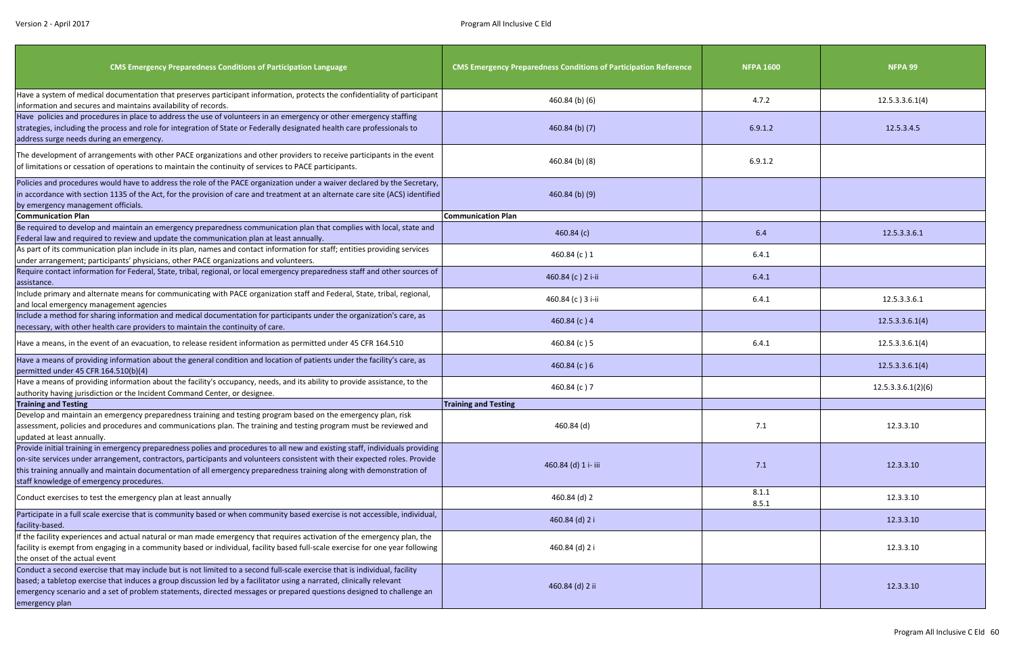| <b>CMS Emergency Preparedness Conditions of Participation Language</b>                                                                                                                                                                                                                                                                                                                                                          | <b>CMS Emergency Preparedness Conditions of Participation Reference</b> | <b>NFPA 1600</b> | NFPA 99            |
|---------------------------------------------------------------------------------------------------------------------------------------------------------------------------------------------------------------------------------------------------------------------------------------------------------------------------------------------------------------------------------------------------------------------------------|-------------------------------------------------------------------------|------------------|--------------------|
| Have a system of medical documentation that preserves participant information, protects the confidentiality of participant<br>information and secures and maintains availability of records.                                                                                                                                                                                                                                    | $460.84$ (b) (6)                                                        | 4.7.2            | 12.5.3.3.6.1(4)    |
| Have policies and procedures in place to address the use of volunteers in an emergency or other emergency staffing<br>strategies, including the process and role for integration of State or Federally designated health care professionals to<br>address surge needs during an emergency.                                                                                                                                      | $460.84$ (b) (7)                                                        | 6.9.1.2          | 12.5.3.4.5         |
| The development of arrangements with other PACE organizations and other providers to receive participants in the event<br>of limitations or cessation of operations to maintain the continuity of services to PACE participants.                                                                                                                                                                                                | 460.84 (b) (8)                                                          | 6.9.1.2          |                    |
| Policies and procedures would have to address the role of the PACE organization under a waiver declared by the Secretary,<br>in accordance with section 1135 of the Act, for the provision of care and treatment at an alternate care site (ACS) identified<br>by emergency management officials.                                                                                                                               | $460.84$ (b) (9)                                                        |                  |                    |
| <b>Communication Plan</b>                                                                                                                                                                                                                                                                                                                                                                                                       | <b>Communication Plan</b>                                               |                  |                    |
| Be required to develop and maintain an emergency preparedness communication plan that complies with local, state and<br>Federal law and required to review and update the communication plan at least annually.                                                                                                                                                                                                                 | 460.84(c)                                                               | 6.4              | 12.5.3.3.6.1       |
| As part of its communication plan include in its plan, names and contact information for staff; entities providing services<br>under arrangement; participants' physicians, other PACE organizations and volunteers.                                                                                                                                                                                                            | 460.84 (c) 1                                                            | 6.4.1            |                    |
| Require contact information for Federal, State, tribal, regional, or local emergency preparedness staff and other sources of<br>assistance.                                                                                                                                                                                                                                                                                     | 460.84 (c) 2 i-ii                                                       | 6.4.1            |                    |
| Include primary and alternate means for communicating with PACE organization staff and Federal, State, tribal, regional,<br>and local emergency management agencies                                                                                                                                                                                                                                                             | 460.84 (c) 3 i-ii                                                       | 6.4.1            | 12.5.3.3.6.1       |
| Include a method for sharing information and medical documentation for participants under the organization's care, as<br>necessary, with other health care providers to maintain the continuity of care.                                                                                                                                                                                                                        | 460.84 $(c)$ 4                                                          |                  | 12.5.3.3.6.1(4)    |
| Have a means, in the event of an evacuation, to release resident information as permitted under 45 CFR 164.510                                                                                                                                                                                                                                                                                                                  | 460.84 (c) 5                                                            | 6.4.1            | 12.5.3.3.6.1(4)    |
| Have a means of providing information about the general condition and location of patients under the facility's care, as<br>permitted under 45 CFR 164.510(b)(4)                                                                                                                                                                                                                                                                | 460.84 $(c)$ 6                                                          |                  | 12.5.3.3.6.1(4)    |
| Have a means of providing information about the facility's occupancy, needs, and its ability to provide assistance, to the<br>authority having jurisdiction or the Incident Command Center, or designee.                                                                                                                                                                                                                        | 460.84 (c) 7                                                            |                  | 12.5.3.3.6.1(2)(6) |
| <b>Training and Testing</b>                                                                                                                                                                                                                                                                                                                                                                                                     | <b>Training and Testing</b>                                             |                  |                    |
| Develop and maintain an emergency preparedness training and testing program based on the emergency plan, risk<br>assessment, policies and procedures and communications plan. The training and testing program must be reviewed and<br>updated at least annually.                                                                                                                                                               | 460.84 (d)                                                              | 7.1              | 12.3.3.10          |
| Provide initial training in emergency preparedness polies and procedures to all new and existing staff, individuals providing<br>on-site services under arrangement, contractors, participants and volunteers consistent with their expected roles. Provide<br>this training annually and maintain documentation of all emergency preparedness training along with demonstration of<br>staff knowledge of emergency procedures. | 460.84 (d) 1 i- iii                                                     | 7.1              | 12.3.3.10          |
| Conduct exercises to test the emergency plan at least annually                                                                                                                                                                                                                                                                                                                                                                  | 460.84 (d) 2                                                            | 8.1.1<br>8.5.1   | 12.3.3.10          |
| Participate in a full scale exercise that is community based or when community based exercise is not accessible, individual,<br>facility-based.                                                                                                                                                                                                                                                                                 | 460.84 (d) 2 i                                                          |                  | 12.3.3.10          |
| If the facility experiences and actual natural or man made emergency that requires activation of the emergency plan, the<br>facility is exempt from engaging in a community based or individual, facility based full-scale exercise for one year following<br>the onset of the actual event                                                                                                                                     | 460.84 (d) 2 i                                                          |                  | 12.3.3.10          |
| Conduct a second exercise that may include but is not limited to a second full-scale exercise that is individual, facility<br>based; a tabletop exercise that induces a group discussion led by a facilitator using a narrated, clinically relevant<br>emergency scenario and a set of problem statements, directed messages or prepared questions designed to challenge an<br>emergency plan                                   | 460.84 (d) 2 ii                                                         |                  | 12.3.3.10          |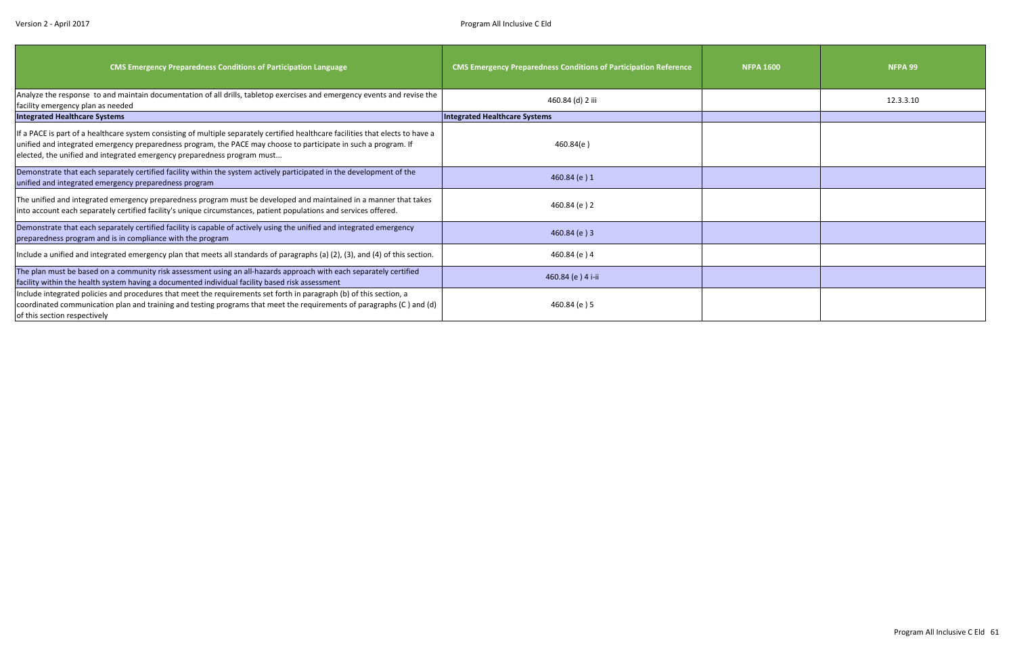| <b>CMS Emergency Preparedness Conditions of Participation Language</b>                                                                                                                                                                                                                                                         | <b>CMS Emergency Preparedness Conditions of Participation Reference</b> | <b>NFPA 1600</b> | NFPA 99   |
|--------------------------------------------------------------------------------------------------------------------------------------------------------------------------------------------------------------------------------------------------------------------------------------------------------------------------------|-------------------------------------------------------------------------|------------------|-----------|
| Analyze the response to and maintain documentation of all drills, tabletop exercises and emergency events and revise the<br>facility emergency plan as needed                                                                                                                                                                  | 460.84 (d) 2 iii                                                        |                  | 12.3.3.10 |
| <b>Integrated Healthcare Systems</b>                                                                                                                                                                                                                                                                                           | Integrated Healthcare Systems                                           |                  |           |
| If a PACE is part of a healthcare system consisting of multiple separately certified healthcare facilities that elects to have a<br>unified and integrated emergency preparedness program, the PACE may choose to participate in such a program. If<br>elected, the unified and integrated emergency preparedness program must | 460.84(e)                                                               |                  |           |
| Demonstrate that each separately certified facility within the system actively participated in the development of the<br>unified and integrated emergency preparedness program                                                                                                                                                 | 460.84 (e) 1                                                            |                  |           |
| The unified and integrated emergency preparedness program must be developed and maintained in a manner that takes<br>into account each separately certified facility's unique circumstances, patient populations and services offered.                                                                                         | 460.84 (e) 2                                                            |                  |           |
| Demonstrate that each separately certified facility is capable of actively using the unified and integrated emergency<br>preparedness program and is in compliance with the program                                                                                                                                            | 460.84(e)3                                                              |                  |           |
| Include a unified and integrated emergency plan that meets all standards of paragraphs (a) (2), (3), and (4) of this section.                                                                                                                                                                                                  | 460.84 (e) 4                                                            |                  |           |
| The plan must be based on a community risk assessment using an all-hazards approach with each separately certified<br>facility within the health system having a documented individual facility based risk assessment                                                                                                          | 460.84 (e) 4 i-ii                                                       |                  |           |
| Include integrated policies and procedures that meet the requirements set forth in paragraph (b) of this section, a<br>coordinated communication plan and training and testing programs that meet the requirements of paragraphs (C) and (d)<br>of this section respectively                                                   | 460.84 (e) 5                                                            |                  |           |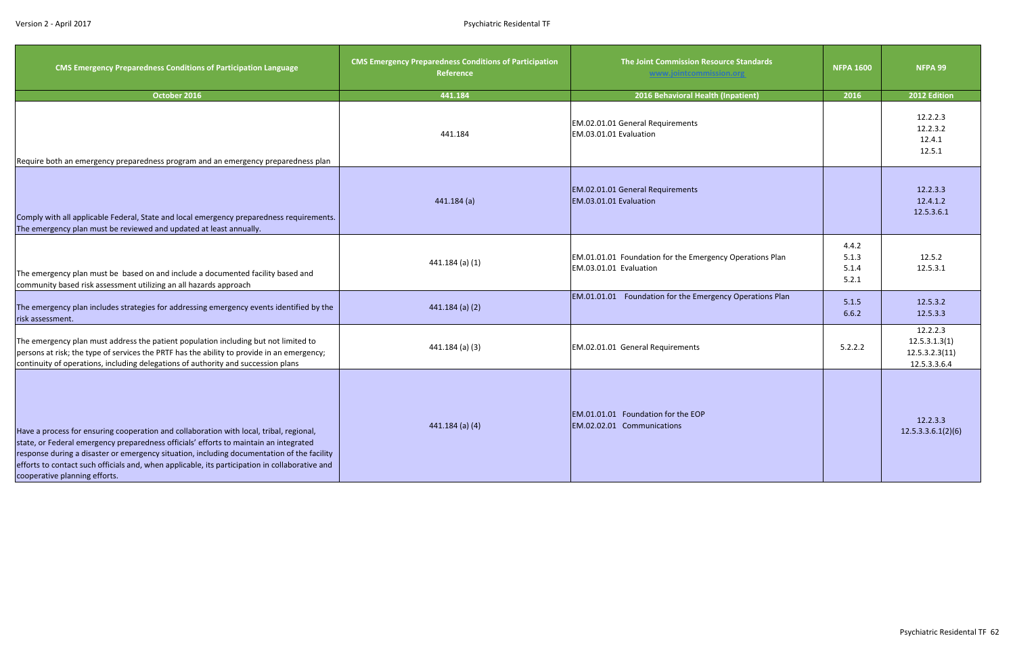| <b>CMS Emergency Preparedness Conditions of Participation Language</b>                                                                                                                                                                                                                                                                                                                                            | <b>CMS Emergency Preparedness Conditions of Participation</b><br>Reference | The Joint Commission Resource Standards<br>www.jointcommission.org                 | <b>NFPA 1600</b>                 | NFPA 99                                                     |
|-------------------------------------------------------------------------------------------------------------------------------------------------------------------------------------------------------------------------------------------------------------------------------------------------------------------------------------------------------------------------------------------------------------------|----------------------------------------------------------------------------|------------------------------------------------------------------------------------|----------------------------------|-------------------------------------------------------------|
| October 2016                                                                                                                                                                                                                                                                                                                                                                                                      | 441.184                                                                    | 2016 Behavioral Health (Inpatient)                                                 | 2016                             | 2012 Edition                                                |
| Require both an emergency preparedness program and an emergency preparedness plan                                                                                                                                                                                                                                                                                                                                 | 441.184                                                                    | EM.02.01.01 General Requirements<br>EM.03.01.01 Evaluation                         |                                  | 12.2.2.3<br>12.2.3.2<br>12.4.1<br>12.5.1                    |
| Comply with all applicable Federal, State and local emergency preparedness requirements.<br>The emergency plan must be reviewed and updated at least annually.                                                                                                                                                                                                                                                    | 441.184(a)                                                                 | EM.02.01.01 General Requirements<br>EM.03.01.01 Evaluation                         |                                  | 12.2.3.3<br>12.4.1.2<br>12.5.3.6.1                          |
| The emergency plan must be based on and include a documented facility based and<br>community based risk assessment utilizing an all hazards approach                                                                                                                                                                                                                                                              | 441.184 (a) (1)                                                            | EM.01.01.01 Foundation for the Emergency Operations Plan<br>EM.03.01.01 Evaluation | 4.4.2<br>5.1.3<br>5.1.4<br>5.2.1 | 12.5.2<br>12.5.3.1                                          |
| The emergency plan includes strategies for addressing emergency events identified by the<br>risk assessment.                                                                                                                                                                                                                                                                                                      | $441.184$ (a) (2)                                                          | EM.01.01.01 Foundation for the Emergency Operations Plan                           | 5.1.5<br>6.6.2                   | 12.5.3.2<br>12.5.3.3                                        |
| The emergency plan must address the patient population including but not limited to<br>persons at risk; the type of services the PRTF has the ability to provide in an emergency;<br>continuity of operations, including delegations of authority and succession plans                                                                                                                                            | 441.184 (a) (3)                                                            | EM.02.01.01 General Requirements                                                   | 5.2.2.2                          | 12.2.2.3<br>12.5.3.1.3(1)<br>12.5.3.2.3(11)<br>12.5.3.3.6.4 |
| Have a process for ensuring cooperation and collaboration with local, tribal, regional,<br>state, or Federal emergency preparedness officials' efforts to maintain an integrated<br>response during a disaster or emergency situation, including documentation of the facility<br>efforts to contact such officials and, when applicable, its participation in collaborative and<br>cooperative planning efforts. | $441.184$ (a) (4)                                                          | EM.01.01.01 Foundation for the EOP<br>EM.02.02.01 Communications                   |                                  | 12.2.3.3<br>12.5.3.3.6.1(2)(6)                              |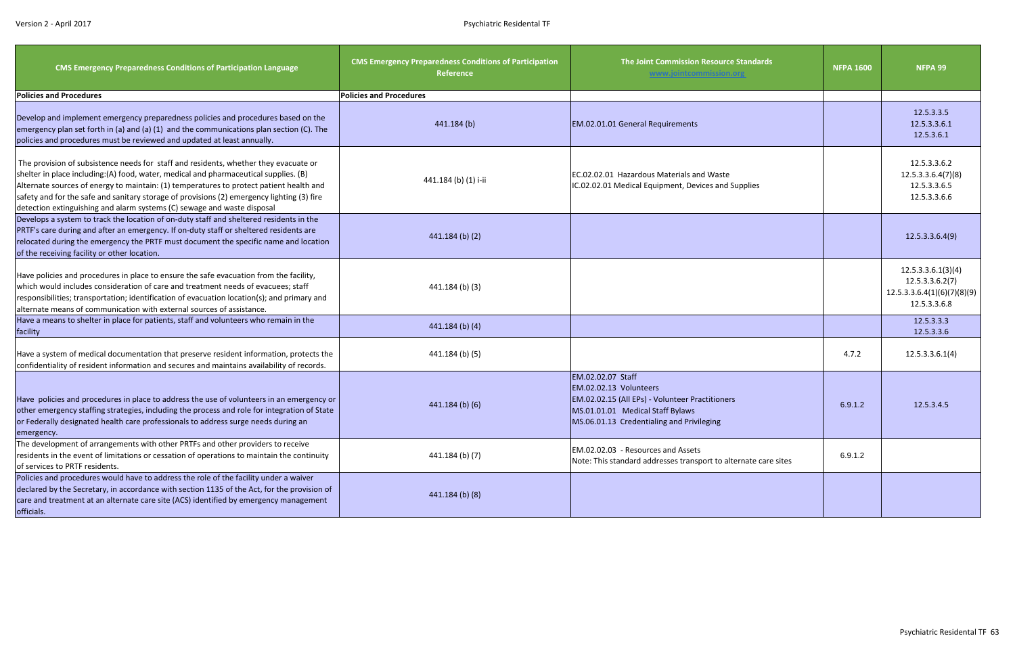| <b>CMS Emergency Preparedness Conditions of Participation Language</b>                                                                                                                                                                                                                                                                                                                                                                           | <b>CMS Emergency Preparedness Conditions of Participation</b><br>Reference | The Joint Commission Resource Standards<br>www.jointcommission.org                                                                                                              | <b>NFPA 1600</b> | NFPA 99                                                                              |
|--------------------------------------------------------------------------------------------------------------------------------------------------------------------------------------------------------------------------------------------------------------------------------------------------------------------------------------------------------------------------------------------------------------------------------------------------|----------------------------------------------------------------------------|---------------------------------------------------------------------------------------------------------------------------------------------------------------------------------|------------------|--------------------------------------------------------------------------------------|
| <b>Policies and Procedures</b>                                                                                                                                                                                                                                                                                                                                                                                                                   | <b>Policies and Procedures</b>                                             |                                                                                                                                                                                 |                  |                                                                                      |
| Develop and implement emergency preparedness policies and procedures based on the<br>emergency plan set forth in (a) and (a) (1) and the communications plan section (C). The<br>policies and procedures must be reviewed and updated at least annually.                                                                                                                                                                                         | 441.184 (b)                                                                | EM.02.01.01 General Requirements                                                                                                                                                |                  | 12.5.3.3.5<br>12.5.3.3.6.1<br>12.5.3.6.1                                             |
| The provision of subsistence needs for staff and residents, whether they evacuate or<br>shelter in place including:(A) food, water, medical and pharmaceutical supplies. (B)<br>Alternate sources of energy to maintain: (1) temperatures to protect patient health and<br>safety and for the safe and sanitary storage of provisions (2) emergency lighting (3) fire<br>detection extinguishing and alarm systems (C) sewage and waste disposal | 441.184 (b) (1) i-ii                                                       | EC.02.02.01 Hazardous Materials and Waste<br>IC.02.02.01 Medical Equipment, Devices and Supplies                                                                                |                  | 12.5.3.3.6.2<br>12.5.3.3.6.4(7)(8)<br>12.5.3.3.6.5<br>12.5.3.3.6.6                   |
| Develops a system to track the location of on-duty staff and sheltered residents in the<br>PRTF's care during and after an emergency. If on-duty staff or sheltered residents are<br>relocated during the emergency the PRTF must document the specific name and location<br>of the receiving facility or other location.                                                                                                                        | $441.184$ (b) (2)                                                          |                                                                                                                                                                                 |                  | 12.5.3.3.6.4(9)                                                                      |
| Have policies and procedures in place to ensure the safe evacuation from the facility,<br>which would includes consideration of care and treatment needs of evacuees; staff<br>responsibilities; transportation; identification of evacuation location(s); and primary and<br>alternate means of communication with external sources of assistance.                                                                                              | 441.184 (b) (3)                                                            |                                                                                                                                                                                 |                  | 12.5.3.3.6.1(3)(4)<br>12.5.3.3.6.2(7)<br>12.5.3.3.6.4(1)(6)(7)(8)(9)<br>12.5.3.3.6.8 |
| Have a means to shelter in place for patients, staff and volunteers who remain in the<br>facility                                                                                                                                                                                                                                                                                                                                                | $441.184$ (b) (4)                                                          |                                                                                                                                                                                 |                  | 12.5.3.3.3<br>12.5.3.3.6                                                             |
| Have a system of medical documentation that preserve resident information, protects the<br>confidentiality of resident information and secures and maintains availability of records.                                                                                                                                                                                                                                                            | 441.184 (b) (5)                                                            |                                                                                                                                                                                 | 4.7.2            | 12.5.3.3.6.1(4)                                                                      |
| Have policies and procedures in place to address the use of volunteers in an emergency or<br>other emergency staffing strategies, including the process and role for integration of State<br>or Federally designated health care professionals to address surge needs during an<br>emergency.                                                                                                                                                    | 441.184 (b) (6)                                                            | EM.02.02.07 Staff<br>EM.02.02.13 Volunteers<br>EM.02.02.15 (All EPs) - Volunteer Practitioners<br>MS.01.01.01 Medical Staff Bylaws<br>MS.06.01.13 Credentialing and Privileging | 6.9.1.2          | 12.5.3.4.5                                                                           |
| The development of arrangements with other PRTFs and other providers to receive<br>residents in the event of limitations or cessation of operations to maintain the continuity<br>of services to PRTF residents.                                                                                                                                                                                                                                 | 441.184 (b) (7)                                                            | EM.02.02.03 - Resources and Assets<br>Note: This standard addresses transport to alternate care sites                                                                           | 6.9.1.2          |                                                                                      |
| Policies and procedures would have to address the role of the facility under a waiver<br>declared by the Secretary, in accordance with section 1135 of the Act, for the provision of<br>care and treatment at an alternate care site (ACS) identified by emergency management<br>officials.                                                                                                                                                      | 441.184 (b) (8)                                                            |                                                                                                                                                                                 |                  |                                                                                      |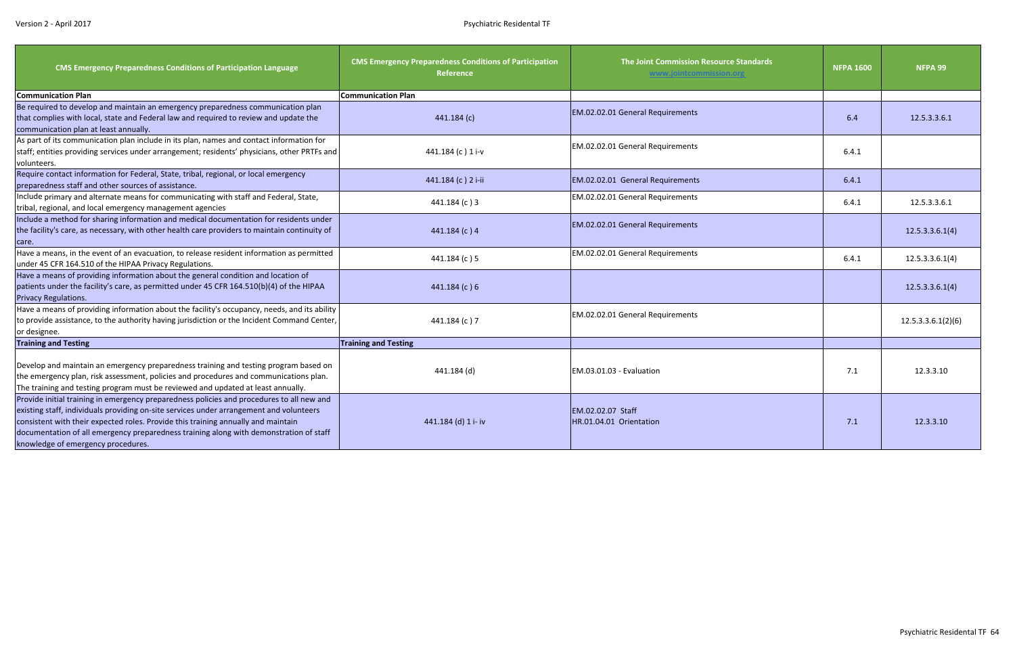| <b>CMS Emergency Preparedness Conditions of Participation Language</b>                                                                                                                                                                                                                                                                                                                                    | <b>CMS Emergency Preparedness Conditions of Participation</b><br><b>Reference</b> | The Joint Commission Resource Standards<br>www.jointcommission.org | <b>NFPA 1600</b> | NFPA 99            |
|-----------------------------------------------------------------------------------------------------------------------------------------------------------------------------------------------------------------------------------------------------------------------------------------------------------------------------------------------------------------------------------------------------------|-----------------------------------------------------------------------------------|--------------------------------------------------------------------|------------------|--------------------|
| <b>Communication Plan</b>                                                                                                                                                                                                                                                                                                                                                                                 | <b>Communication Plan</b>                                                         |                                                                    |                  |                    |
| Be required to develop and maintain an emergency preparedness communication plan<br>that complies with local, state and Federal law and required to review and update the<br>communication plan at least annually.                                                                                                                                                                                        | 441.184(c)                                                                        | EM.02.02.01 General Requirements                                   | 6.4              | 12.5.3.3.6.1       |
| As part of its communication plan include in its plan, names and contact information for<br>staff; entities providing services under arrangement; residents' physicians, other PRTFs and<br>volunteers.                                                                                                                                                                                                   | 441.184 (c) 1 i-v                                                                 | EM.02.02.01 General Requirements                                   | 6.4.1            |                    |
| Require contact information for Federal, State, tribal, regional, or local emergency<br>preparedness staff and other sources of assistance.                                                                                                                                                                                                                                                               | 441.184 (c) 2 i-ii                                                                | EM.02.02.01 General Requirements                                   | 6.4.1            |                    |
| Include primary and alternate means for communicating with staff and Federal, State,<br>tribal, regional, and local emergency management agencies                                                                                                                                                                                                                                                         | 441.184 (c) 3                                                                     | EM.02.02.01 General Requirements                                   | 6.4.1            | 12.5.3.3.6.1       |
| Include a method for sharing information and medical documentation for residents under<br>the facility's care, as necessary, with other health care providers to maintain continuity of<br>care.                                                                                                                                                                                                          | 441.184(c)4                                                                       | EM.02.02.01 General Requirements                                   |                  | 12.5.3.3.6.1(4)    |
| Have a means, in the event of an evacuation, to release resident information as permitted<br>under 45 CFR 164.510 of the HIPAA Privacy Regulations.                                                                                                                                                                                                                                                       | 441.184 (c) 5                                                                     | EM.02.02.01 General Requirements                                   | 6.4.1            | 12.5.3.3.6.1(4)    |
| Have a means of providing information about the general condition and location of<br>patients under the facility's care, as permitted under 45 CFR 164.510(b)(4) of the HIPAA<br>Privacy Regulations.                                                                                                                                                                                                     | 441.184(c)6                                                                       |                                                                    |                  | 12.5.3.3.6.1(4)    |
| Have a means of providing information about the facility's occupancy, needs, and its ability<br>to provide assistance, to the authority having jurisdiction or the Incident Command Center,<br>or designee.                                                                                                                                                                                               | 441.184 (c) 7                                                                     | EM.02.02.01 General Requirements                                   |                  | 12.5.3.3.6.1(2)(6) |
| <b>Training and Testing</b>                                                                                                                                                                                                                                                                                                                                                                               | <b>Training and Testing</b>                                                       |                                                                    |                  |                    |
| Develop and maintain an emergency preparedness training and testing program based on<br>the emergency plan, risk assessment, policies and procedures and communications plan.<br>The training and testing program must be reviewed and updated at least annually.                                                                                                                                         | 441.184 (d)                                                                       | EM.03.01.03 - Evaluation                                           | 7.1              | 12.3.3.10          |
| Provide initial training in emergency preparedness policies and procedures to all new and<br>existing staff, individuals providing on-site services under arrangement and volunteers<br>consistent with their expected roles. Provide this training annually and maintain<br>documentation of all emergency preparedness training along with demonstration of staff<br>knowledge of emergency procedures. | 441.184 (d) 1 i- iv                                                               | EM.02.02.07 Staff<br>HR.01.04.01 Orientation                       | 7.1              | 12.3.3.10          |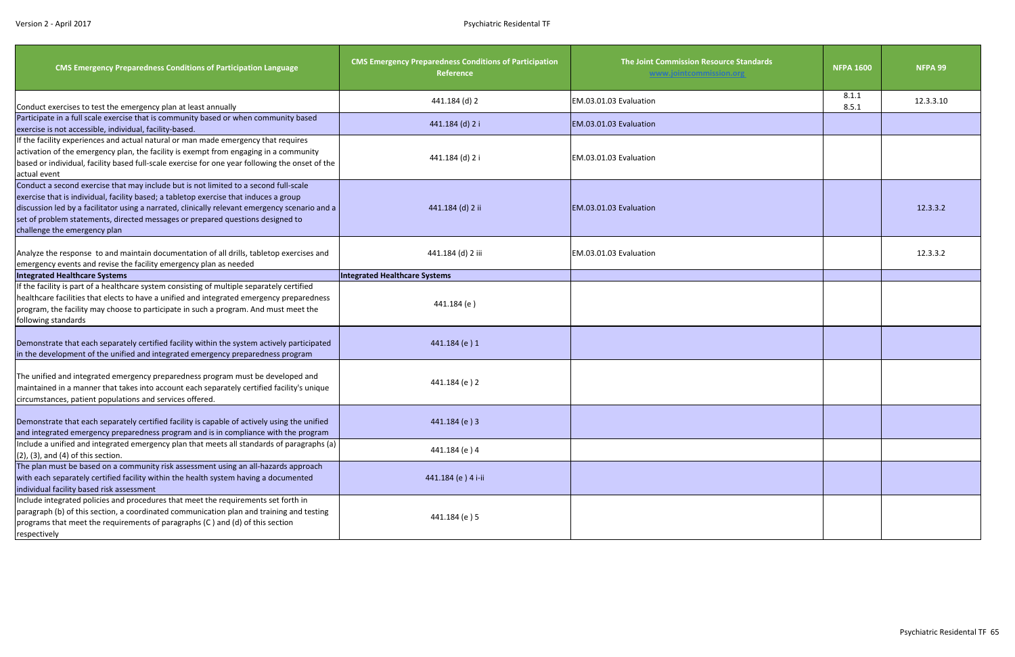| <b>CMS Emergency Preparedness Conditions of Participation Language</b>                                                                                                                                                                                                                                                                                                                            | <b>CMS Emergency Preparedness Conditions of Participation</b><br>Reference | The Joint Commission Resource Standards<br>www.jointcommission.org | <b>NFPA 1600</b> | NFPA 99   |
|---------------------------------------------------------------------------------------------------------------------------------------------------------------------------------------------------------------------------------------------------------------------------------------------------------------------------------------------------------------------------------------------------|----------------------------------------------------------------------------|--------------------------------------------------------------------|------------------|-----------|
| Conduct exercises to test the emergency plan at least annually                                                                                                                                                                                                                                                                                                                                    | 441.184 (d) 2                                                              | EM.03.01.03 Evaluation                                             | 8.1.1<br>8.5.1   | 12.3.3.10 |
| Participate in a full scale exercise that is community based or when community based<br>exercise is not accessible, individual, facility-based.                                                                                                                                                                                                                                                   | 441.184 (d) 2 i                                                            | EM.03.01.03 Evaluation                                             |                  |           |
| If the facility experiences and actual natural or man made emergency that requires<br>activation of the emergency plan, the facility is exempt from engaging in a community<br>based or individual, facility based full-scale exercise for one year following the onset of the<br>actual event                                                                                                    | 441.184 (d) 2 i                                                            | EM.03.01.03 Evaluation                                             |                  |           |
| Conduct a second exercise that may include but is not limited to a second full-scale<br>exercise that is individual, facility based; a tabletop exercise that induces a group<br>discussion led by a facilitator using a narrated, clinically relevant emergency scenario and a<br>set of problem statements, directed messages or prepared questions designed to<br>challenge the emergency plan | 441.184 (d) 2 ii                                                           | EM.03.01.03 Evaluation                                             |                  | 12.3.3.2  |
| Analyze the response to and maintain documentation of all drills, tabletop exercises and<br>emergency events and revise the facility emergency plan as needed                                                                                                                                                                                                                                     | 441.184 (d) 2 iii                                                          | EM.03.01.03 Evaluation                                             |                  | 12.3.3.2  |
| <b>Integrated Healthcare Systems</b>                                                                                                                                                                                                                                                                                                                                                              | <b>Integrated Healthcare Systems</b>                                       |                                                                    |                  |           |
| If the facility is part of a healthcare system consisting of multiple separately certified<br>healthcare facilities that elects to have a unified and integrated emergency preparedness<br>program, the facility may choose to participate in such a program. And must meet the<br>following standards                                                                                            | 441.184 (e)                                                                |                                                                    |                  |           |
| Demonstrate that each separately certified facility within the system actively participated<br>in the development of the unified and integrated emergency preparedness program                                                                                                                                                                                                                    | 441.184 (e) 1                                                              |                                                                    |                  |           |
| The unified and integrated emergency preparedness program must be developed and<br>maintained in a manner that takes into account each separately certified facility's unique<br>circumstances, patient populations and services offered.                                                                                                                                                         | 441.184 (e) 2                                                              |                                                                    |                  |           |
| Demonstrate that each separately certified facility is capable of actively using the unified<br>and integrated emergency preparedness program and is in compliance with the program                                                                                                                                                                                                               | 441.184 (e) 3                                                              |                                                                    |                  |           |
| Include a unified and integrated emergency plan that meets all standards of paragraphs (a)<br>$(2)$ , $(3)$ , and $(4)$ of this section.                                                                                                                                                                                                                                                          | 441.184 (e) 4                                                              |                                                                    |                  |           |
| The plan must be based on a community risk assessment using an all-hazards approach<br>with each separately certified facility within the health system having a documented<br>individual facility based risk assessment                                                                                                                                                                          | 441.184 (e) 4 i-ii                                                         |                                                                    |                  |           |
| Include integrated policies and procedures that meet the requirements set forth in<br>paragraph (b) of this section, a coordinated communication plan and training and testing<br>programs that meet the requirements of paragraphs (C) and (d) of this section<br>respectively                                                                                                                   | 441.184 (e) 5                                                              |                                                                    |                  |           |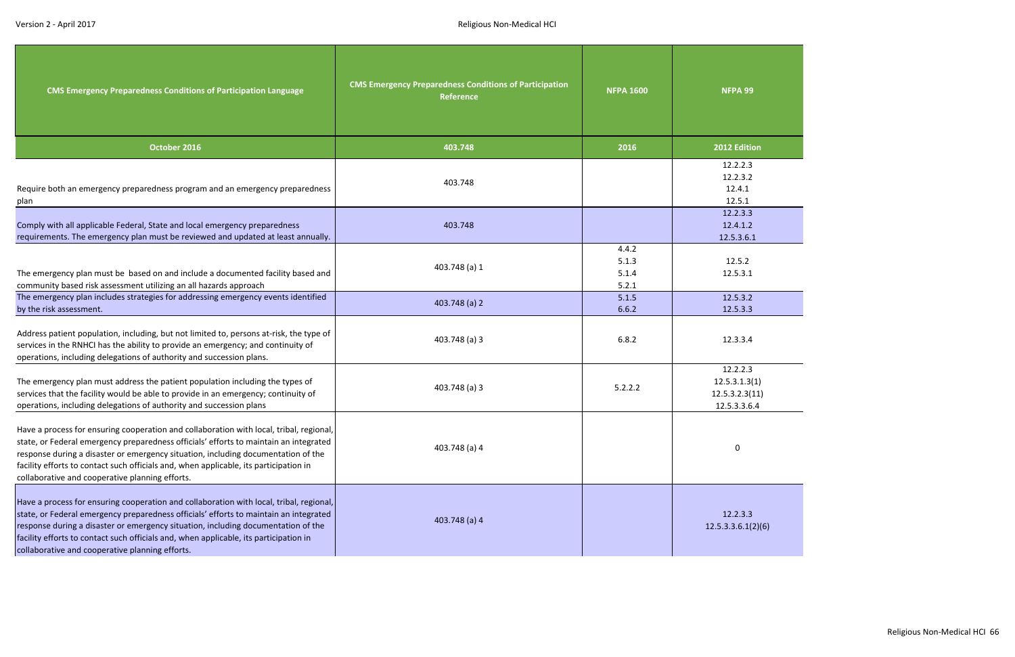| <b>CMS Emergency Preparedness Conditions of Participation Language</b>                                                                                                                                                                                                                                                                                                                                            | <b>CMS Emergency Preparedness Conditions of Participation</b><br><b>Reference</b> | <b>NFPA 1600</b>                 | NFPA 99                                                     |
|-------------------------------------------------------------------------------------------------------------------------------------------------------------------------------------------------------------------------------------------------------------------------------------------------------------------------------------------------------------------------------------------------------------------|-----------------------------------------------------------------------------------|----------------------------------|-------------------------------------------------------------|
| October 2016                                                                                                                                                                                                                                                                                                                                                                                                      | 403.748                                                                           | 2016                             | 2012 Edition                                                |
| Require both an emergency preparedness program and an emergency preparedness<br>plan                                                                                                                                                                                                                                                                                                                              | 403.748                                                                           |                                  | 12.2.2.3<br>12.2.3.2<br>12.4.1<br>12.5.1                    |
| Comply with all applicable Federal, State and local emergency preparedness<br>requirements. The emergency plan must be reviewed and updated at least annually.                                                                                                                                                                                                                                                    | 403.748                                                                           |                                  | 12.2.3.3<br>12.4.1.2<br>12.5.3.6.1                          |
| The emergency plan must be based on and include a documented facility based and<br>community based risk assessment utilizing an all hazards approach                                                                                                                                                                                                                                                              | 403.748 (a) 1                                                                     | 4.4.2<br>5.1.3<br>5.1.4<br>5.2.1 | 12.5.2<br>12.5.3.1                                          |
| The emergency plan includes strategies for addressing emergency events identified<br>by the risk assessment.                                                                                                                                                                                                                                                                                                      | 403.748 (a) 2                                                                     | 5.1.5<br>6.6.2                   | 12.5.3.2<br>12.5.3.3                                        |
| Address patient population, including, but not limited to, persons at-risk, the type of<br>services in the RNHCI has the ability to provide an emergency; and continuity of<br>operations, including delegations of authority and succession plans.                                                                                                                                                               | 403.748 (a) 3                                                                     | 6.8.2                            | 12.3.3.4                                                    |
| The emergency plan must address the patient population including the types of<br>services that the facility would be able to provide in an emergency; continuity of<br>operations, including delegations of authority and succession plans                                                                                                                                                                        | 403.748 (a) 3                                                                     | 5.2.2.2                          | 12.2.2.3<br>12.5.3.1.3(1)<br>12.5.3.2.3(11)<br>12.5.3.3.6.4 |
| Have a process for ensuring cooperation and collaboration with local, tribal, regional,<br>state, or Federal emergency preparedness officials' efforts to maintain an integrated<br>response during a disaster or emergency situation, including documentation of the<br>facility efforts to contact such officials and, when applicable, its participation in<br>collaborative and cooperative planning efforts. | 403.748 (a) 4                                                                     |                                  | 0                                                           |
| Have a process for ensuring cooperation and collaboration with local, tribal, regional,<br>state, or Federal emergency preparedness officials' efforts to maintain an integrated<br>response during a disaster or emergency situation, including documentation of the<br>facility efforts to contact such officials and, when applicable, its participation in<br>collaborative and cooperative planning efforts. | 403.748 (a) 4                                                                     |                                  | 12.2.3.3<br>12.5.3.3.6.1(2)(6)                              |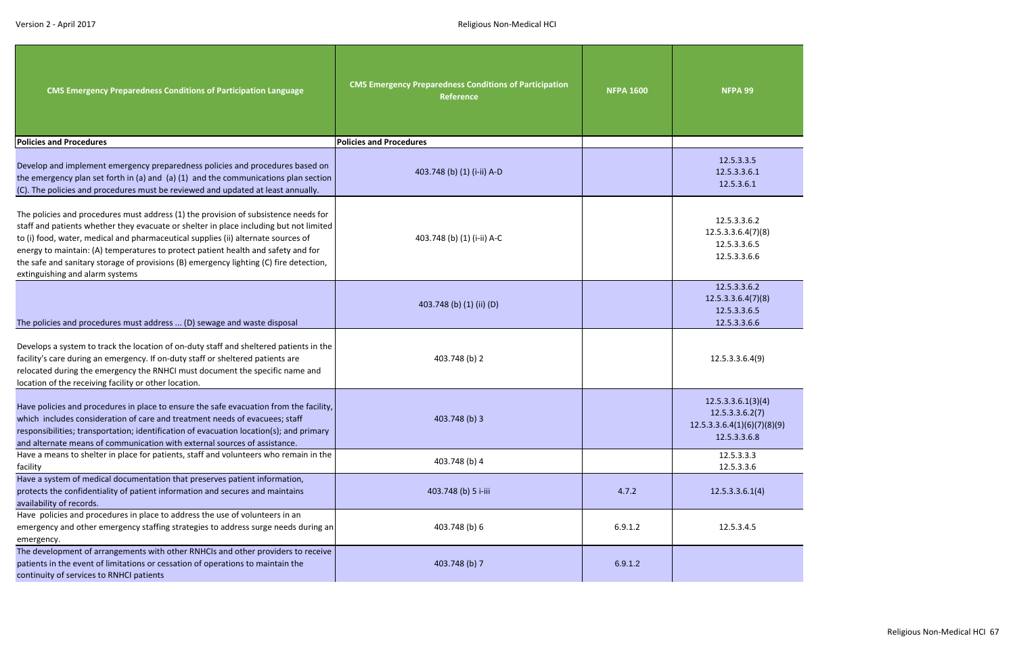| <b>CMS Emergency Preparedness Conditions of Participation Language</b>                                                                                                                                                                                                                                                                                                                                                                                                               | <b>CMS Emergency Preparedness Conditions of Participation</b><br><b>Reference</b> | <b>NFPA 1600</b> | NFPA 99                                                                              |
|--------------------------------------------------------------------------------------------------------------------------------------------------------------------------------------------------------------------------------------------------------------------------------------------------------------------------------------------------------------------------------------------------------------------------------------------------------------------------------------|-----------------------------------------------------------------------------------|------------------|--------------------------------------------------------------------------------------|
| <b>Policies and Procedures</b>                                                                                                                                                                                                                                                                                                                                                                                                                                                       | <b>Policies and Procedures</b>                                                    |                  |                                                                                      |
| Develop and implement emergency preparedness policies and procedures based on<br>the emergency plan set forth in (a) and (a) (1) and the communications plan section<br>(C). The policies and procedures must be reviewed and updated at least annually.                                                                                                                                                                                                                             | 403.748 (b) (1) (i-ii) A-D                                                        |                  | 12.5.3.3.5<br>12.5.3.3.6.1<br>12.5.3.6.1                                             |
| The policies and procedures must address (1) the provision of subsistence needs for<br>staff and patients whether they evacuate or shelter in place including but not limited<br>to (i) food, water, medical and pharmaceutical supplies (ii) alternate sources of<br>energy to maintain: (A) temperatures to protect patient health and safety and for<br>the safe and sanitary storage of provisions (B) emergency lighting (C) fire detection,<br>extinguishing and alarm systems | 403.748 (b) (1) (i-ii) A-C                                                        |                  | 12.5.3.3.6.2<br>12.5.3.3.6.4(7)(8)<br>12.5.3.3.6.5<br>12.5.3.3.6.6                   |
| The policies and procedures must address  (D) sewage and waste disposal                                                                                                                                                                                                                                                                                                                                                                                                              | 403.748 (b) (1) (ii) (D)                                                          |                  | 12.5.3.3.6.2<br>12.5.3.3.6.4(7)(8)<br>12.5.3.3.6.5<br>12.5.3.3.6.6                   |
| Develops a system to track the location of on-duty staff and sheltered patients in the<br>facility's care during an emergency. If on-duty staff or sheltered patients are<br>relocated during the emergency the RNHCI must document the specific name and<br>location of the receiving facility or other location.                                                                                                                                                                   | 403.748 (b) 2                                                                     |                  | 12.5.3.3.6.4(9)                                                                      |
| Have policies and procedures in place to ensure the safe evacuation from the facility,<br>which includes consideration of care and treatment needs of evacuees; staff<br>responsibilities; transportation; identification of evacuation location(s); and primary<br>and alternate means of communication with external sources of assistance.                                                                                                                                        | 403.748 (b) 3                                                                     |                  | 12.5.3.3.6.1(3)(4)<br>12.5.3.3.6.2(7)<br>12.5.3.3.6.4(1)(6)(7)(8)(9)<br>12.5.3.3.6.8 |
| Have a means to shelter in place for patients, staff and volunteers who remain in the                                                                                                                                                                                                                                                                                                                                                                                                | 403.748 (b) 4                                                                     |                  | 12.5.3.3.3                                                                           |
| facility<br>Have a system of medical documentation that preserves patient information,<br>protects the confidentiality of patient information and secures and maintains<br>availability of records.                                                                                                                                                                                                                                                                                  | 403.748 (b) 5 i-iii                                                               | 4.7.2            | 12.5.3.3.6<br>12.5.3.3.6.1(4)                                                        |
| Have policies and procedures in place to address the use of volunteers in an<br>emergency and other emergency staffing strategies to address surge needs during an<br>emergency.                                                                                                                                                                                                                                                                                                     | 403.748 (b) 6                                                                     | 6.9.1.2          | 12.5.3.4.5                                                                           |
| The development of arrangements with other RNHCIs and other providers to receive<br>patients in the event of limitations or cessation of operations to maintain the<br>continuity of services to RNHCI patients                                                                                                                                                                                                                                                                      | 403.748 (b) 7                                                                     | 6.9.1.2          |                                                                                      |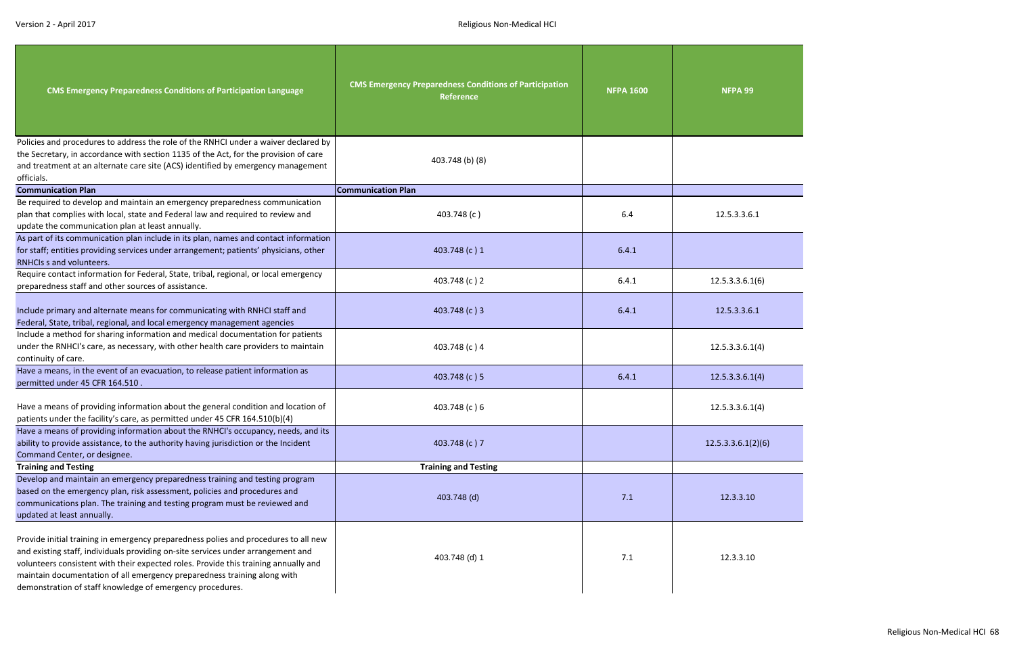| <b>CMS Emergency Preparedness Conditions of Participation Language</b>                                                                                                                                                                                                                                                                                                                                  | <b>CMS Emergency Preparedness Conditions of Participation</b><br><b>Reference</b> | <b>NFPA 1600</b> | NFPA 99            |
|---------------------------------------------------------------------------------------------------------------------------------------------------------------------------------------------------------------------------------------------------------------------------------------------------------------------------------------------------------------------------------------------------------|-----------------------------------------------------------------------------------|------------------|--------------------|
| Policies and procedures to address the role of the RNHCI under a waiver declared by<br>the Secretary, in accordance with section 1135 of the Act, for the provision of care<br>and treatment at an alternate care site (ACS) identified by emergency management<br>officials.                                                                                                                           | 403.748 (b) (8)                                                                   |                  |                    |
| <b>Communication Plan</b>                                                                                                                                                                                                                                                                                                                                                                               | <b>Communication Plan</b>                                                         |                  |                    |
| Be required to develop and maintain an emergency preparedness communication<br>plan that complies with local, state and Federal law and required to review and<br>update the communication plan at least annually.                                                                                                                                                                                      | 403.748 (c)                                                                       | 6.4              | 12.5.3.3.6.1       |
| As part of its communication plan include in its plan, names and contact information<br>for staff; entities providing services under arrangement; patients' physicians, other<br>RNHCls s and volunteers.                                                                                                                                                                                               | 403.748 (c) 1                                                                     | 6.4.1            |                    |
| Require contact information for Federal, State, tribal, regional, or local emergency<br>preparedness staff and other sources of assistance.                                                                                                                                                                                                                                                             | 403.748 (c) 2                                                                     | 6.4.1            | 12.5.3.3.6.1(6)    |
| Include primary and alternate means for communicating with RNHCI staff and<br>Federal, State, tribal, regional, and local emergency management agencies                                                                                                                                                                                                                                                 | 403.748 (c) 3                                                                     | 6.4.1            | 12.5.3.3.6.1       |
| Include a method for sharing information and medical documentation for patients<br>under the RNHCI's care, as necessary, with other health care providers to maintain<br>continuity of care.                                                                                                                                                                                                            | 403.748 (c) 4                                                                     |                  | 12.5.3.3.6.1(4)    |
| Have a means, in the event of an evacuation, to release patient information as<br>permitted under 45 CFR 164.510.                                                                                                                                                                                                                                                                                       | 403.748 (c) 5                                                                     | 6.4.1            | 12.5.3.3.6.1(4)    |
| Have a means of providing information about the general condition and location of<br>patients under the facility's care, as permitted under 45 CFR 164.510(b)(4)                                                                                                                                                                                                                                        | 403.748 (c) 6                                                                     |                  | 12.5.3.3.6.1(4)    |
| Have a means of providing information about the RNHCI's occupancy, needs, and its<br>ability to provide assistance, to the authority having jurisdiction or the Incident<br>Command Center, or designee.                                                                                                                                                                                                | 403.748 (c) 7                                                                     |                  | 12.5.3.3.6.1(2)(6) |
| <b>Training and Testing</b>                                                                                                                                                                                                                                                                                                                                                                             | <b>Training and Testing</b>                                                       |                  |                    |
| Develop and maintain an emergency preparedness training and testing program<br>based on the emergency plan, risk assessment, policies and procedures and<br>communications plan. The training and testing program must be reviewed and<br>updated at least annually.                                                                                                                                    | 403.748 (d)                                                                       | 7.1              | 12.3.3.10          |
| Provide initial training in emergency preparedness polies and procedures to all new<br>and existing staff, individuals providing on-site services under arrangement and<br>volunteers consistent with their expected roles. Provide this training annually and<br>maintain documentation of all emergency preparedness training along with<br>demonstration of staff knowledge of emergency procedures. | 403.748 (d) 1                                                                     | 7.1              | 12.3.3.10          |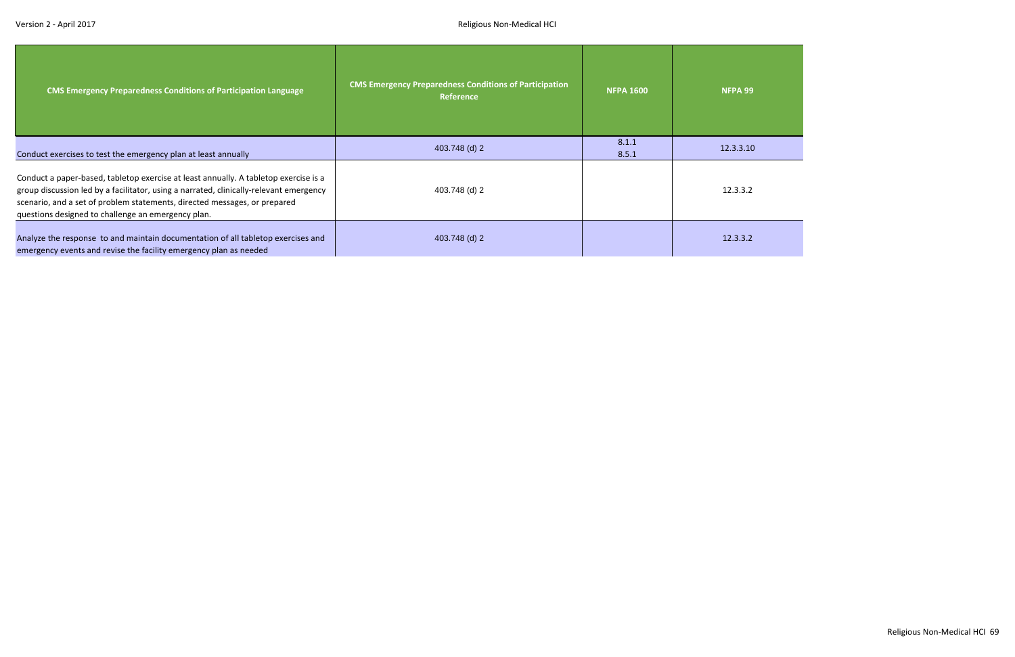| <b>CMS Emergency Preparedness Conditions of Participation Language</b>                                                                                                                                                                                                                                            | <b>CMS Emergency Preparedness Conditions of Participation</b><br><b>Reference</b> | <b>NFPA 1600</b> | NFPA 99   |
|-------------------------------------------------------------------------------------------------------------------------------------------------------------------------------------------------------------------------------------------------------------------------------------------------------------------|-----------------------------------------------------------------------------------|------------------|-----------|
| Conduct exercises to test the emergency plan at least annually                                                                                                                                                                                                                                                    | 403.748 (d) 2                                                                     | 8.1.1<br>8.5.1   | 12.3.3.10 |
| Conduct a paper-based, tabletop exercise at least annually. A tabletop exercise is a<br>group discussion led by a facilitator, using a narrated, clinically-relevant emergency<br>scenario, and a set of problem statements, directed messages, or prepared<br>questions designed to challenge an emergency plan. | 403.748 (d) 2                                                                     |                  | 12.3.3.2  |
| Analyze the response to and maintain documentation of all tabletop exercises and<br>emergency events and revise the facility emergency plan as needed                                                                                                                                                             | 403.748 (d) 2                                                                     |                  | 12.3.3.2  |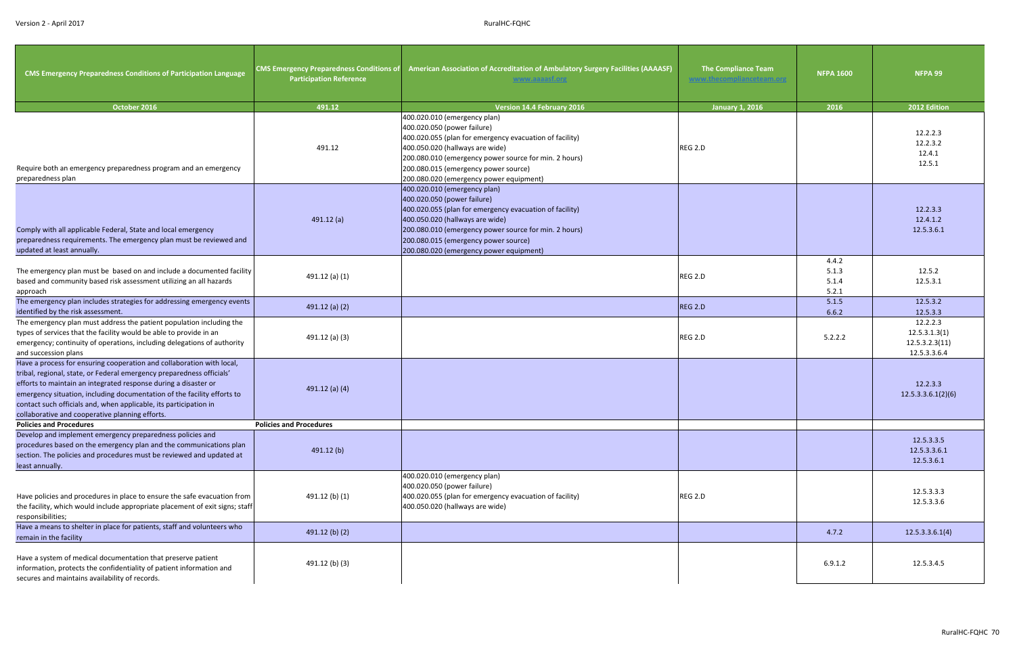| <b>CMS Emergency Preparedness Conditions of Participation Language</b>                                                                                                                                                                                                                                                                                                                                               | <b>CMS Emergency Preparedness Conditions of</b><br><b>Participation Reference</b> | American Association of Accreditation of Ambulatory Surgery Facilities (AAAASF)<br>www.aaaasf.org                                                                                                                                                                                                     | <b>The Compliance Team</b> | <b>NFPA 1600</b>                 | NFPA 99                                                     |
|----------------------------------------------------------------------------------------------------------------------------------------------------------------------------------------------------------------------------------------------------------------------------------------------------------------------------------------------------------------------------------------------------------------------|-----------------------------------------------------------------------------------|-------------------------------------------------------------------------------------------------------------------------------------------------------------------------------------------------------------------------------------------------------------------------------------------------------|----------------------------|----------------------------------|-------------------------------------------------------------|
| October 2016                                                                                                                                                                                                                                                                                                                                                                                                         | 491.12                                                                            | <b>Version 14.4 February 2016</b>                                                                                                                                                                                                                                                                     | <b>January 1, 2016</b>     | 2016                             | 2012 Edition                                                |
| Require both an emergency preparedness program and an emergency<br>preparedness plan                                                                                                                                                                                                                                                                                                                                 | 491.12                                                                            | 400.020.010 (emergency plan)<br>400.020.050 (power failure)<br>400.020.055 (plan for emergency evacuation of facility)<br>400.050.020 (hallways are wide)<br>200.080.010 (emergency power source for min. 2 hours)<br>200.080.015 (emergency power source)<br>200.080.020 (emergency power equipment) | REG 2.D                    |                                  | 12.2.2.3<br>12.2.3.2<br>12.4.1<br>12.5.1                    |
| Comply with all applicable Federal, State and local emergency<br>preparedness requirements. The emergency plan must be reviewed and<br>updated at least annually.                                                                                                                                                                                                                                                    | 491.12(a)                                                                         | 400.020.010 (emergency plan)<br>400.020.050 (power failure)<br>400.020.055 (plan for emergency evacuation of facility)<br>400.050.020 (hallways are wide)<br>200.080.010 (emergency power source for min. 2 hours)<br>200.080.015 (emergency power source)<br>200.080.020 (emergency power equipment) |                            |                                  | 12.2.3.3<br>12.4.1.2<br>12.5.3.6.1                          |
| The emergency plan must be based on and include a documented facility<br>based and community based risk assessment utilizing an all hazards<br>approach                                                                                                                                                                                                                                                              | 491.12 (a) (1)                                                                    |                                                                                                                                                                                                                                                                                                       | REG 2.D                    | 4.4.2<br>5.1.3<br>5.1.4<br>5.2.1 | 12.5.2<br>12.5.3.1                                          |
| The emergency plan includes strategies for addressing emergency events<br>identified by the risk assessment.                                                                                                                                                                                                                                                                                                         | 491.12 (a) $(2)$                                                                  |                                                                                                                                                                                                                                                                                                       | REG 2.D                    | 5.1.5<br>6.6.2                   | 12.5.3.2<br>12.5.3.3                                        |
| The emergency plan must address the patient population including the<br>types of services that the facility would be able to provide in an<br>emergency; continuity of operations, including delegations of authority<br>and succession plans                                                                                                                                                                        | 491.12 (a) (3)                                                                    |                                                                                                                                                                                                                                                                                                       | REG 2.D                    | 5.2.2.2                          | 12.2.2.3<br>12.5.3.1.3(1)<br>12.5.3.2.3(11)<br>12.5.3.3.6.4 |
| Have a process for ensuring cooperation and collaboration with local,<br>tribal, regional, state, or Federal emergency preparedness officials'<br>efforts to maintain an integrated response during a disaster or<br>emergency situation, including documentation of the facility efforts to<br>contact such officials and, when applicable, its participation in<br>collaborative and cooperative planning efforts. | 491.12 (a) (4)                                                                    |                                                                                                                                                                                                                                                                                                       |                            |                                  | 12.2.3.3<br>12.5.3.3.6.1(2)(6)                              |
| <b>Policies and Procedures</b>                                                                                                                                                                                                                                                                                                                                                                                       | <b>Policies and Procedures</b>                                                    |                                                                                                                                                                                                                                                                                                       |                            |                                  |                                                             |
| Develop and implement emergency preparedness policies and<br>procedures based on the emergency plan and the communications plan<br>section. The policies and procedures must be reviewed and updated at<br>least annually.                                                                                                                                                                                           | 491.12(b)                                                                         |                                                                                                                                                                                                                                                                                                       |                            |                                  | 12.5.3.3.5<br>12.5.3.3.6.1<br>12.5.3.6.1                    |
| Have policies and procedures in place to ensure the safe evacuation from<br>the facility, which would include appropriate placement of exit signs; staff<br>responsibilities;                                                                                                                                                                                                                                        | 491.12 (b) (1)                                                                    | 400.020.010 (emergency plan)<br>400.020.050 (power failure)<br>400.020.055 (plan for emergency evacuation of facility)<br>400.050.020 (hallways are wide)                                                                                                                                             | REG 2.D                    |                                  | 12.5.3.3.3<br>12.5.3.3.6                                    |
| Have a means to shelter in place for patients, staff and volunteers who<br>remain in the facility                                                                                                                                                                                                                                                                                                                    | 491.12 (b) (2)                                                                    |                                                                                                                                                                                                                                                                                                       |                            | 4.7.2                            | 12.5.3.3.6.1(4)                                             |
| Have a system of medical documentation that preserve patient<br>information, protects the confidentiality of patient information and<br>secures and maintains availability of records.                                                                                                                                                                                                                               | 491.12 (b) (3)                                                                    |                                                                                                                                                                                                                                                                                                       |                            | 6.9.1.2                          | 12.5.3.4.5                                                  |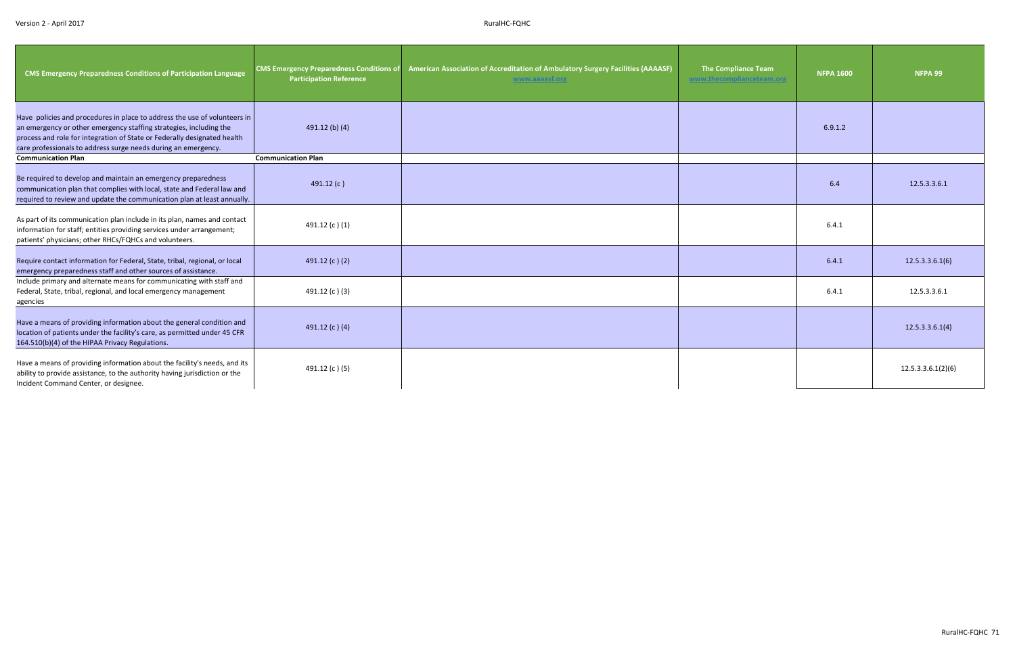| <b>CMS Emergency Preparedness Conditions of Participation Language</b>                                                                                                                                                                                                                        | <b>CMS Emergency Preparedness Conditions of</b><br><b>Participation Reference</b> | American Association of Accreditation of Ambulatory Surgery Facilities (AAAASF)<br>www.aaaasf.org | <b>The Compliance Team</b> | <b>NFPA 1600</b> | NFPA 99            |
|-----------------------------------------------------------------------------------------------------------------------------------------------------------------------------------------------------------------------------------------------------------------------------------------------|-----------------------------------------------------------------------------------|---------------------------------------------------------------------------------------------------|----------------------------|------------------|--------------------|
| Have policies and procedures in place to address the use of volunteers in<br>an emergency or other emergency staffing strategies, including the<br>process and role for integration of State or Federally designated health<br>care professionals to address surge needs during an emergency. | 491.12 (b) (4)                                                                    |                                                                                                   |                            | 6.9.1.2          |                    |
| <b>Communication Plan</b>                                                                                                                                                                                                                                                                     | <b>Communication Plan</b>                                                         |                                                                                                   |                            |                  |                    |
| Be required to develop and maintain an emergency preparedness<br>communication plan that complies with local, state and Federal law and<br>required to review and update the communication plan at least annually.                                                                            | 491.12 $(c)$                                                                      |                                                                                                   |                            | 6.4              | 12.5.3.3.6.1       |
| As part of its communication plan include in its plan, names and contact<br>information for staff; entities providing services under arrangement;<br>patients' physicians; other RHCs/FQHCs and volunteers.                                                                                   | 491.12 (c)(1)                                                                     |                                                                                                   |                            | 6.4.1            |                    |
| Require contact information for Federal, State, tribal, regional, or local<br>emergency preparedness staff and other sources of assistance.                                                                                                                                                   | 491.12 (c)(2)                                                                     |                                                                                                   |                            | 6.4.1            | 12.5.3.3.6.1(6)    |
| Include primary and alternate means for communicating with staff and<br>Federal, State, tribal, regional, and local emergency management<br>agencies                                                                                                                                          | 491.12 (c)(3)                                                                     |                                                                                                   |                            | 6.4.1            | 12.5.3.3.6.1       |
| Have a means of providing information about the general condition and<br>location of patients under the facility's care, as permitted under 45 CFR<br>164.510(b)(4) of the HIPAA Privacy Regulations.                                                                                         | 491.12 (c) (4)                                                                    |                                                                                                   |                            |                  | 12.5.3.3.6.1(4)    |
| Have a means of providing information about the facility's needs, and its<br>ability to provide assistance, to the authority having jurisdiction or the<br>Incident Command Center, or designee.                                                                                              | 491.12 (c) (5)                                                                    |                                                                                                   |                            |                  | 12.5.3.3.6.1(2)(6) |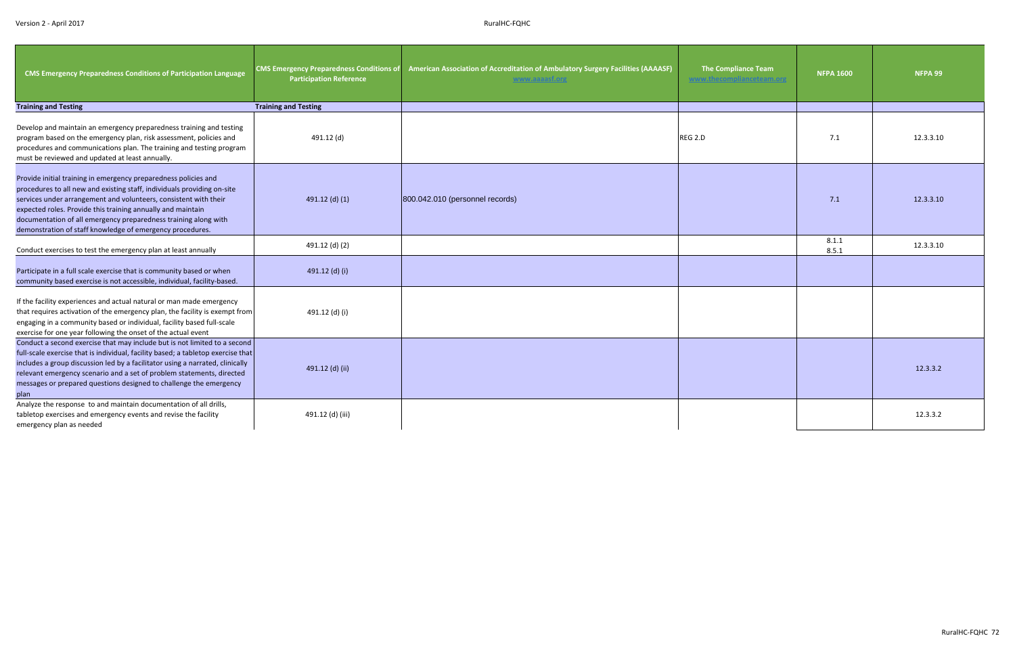| <b>CMS Emergency Preparedness Conditions of Participation Language</b>                                                                                                                                                                                                                                                                                                                                        | <b>CMS Emergency Preparedness Conditions of</b><br><b>Participation Reference</b> | American Association of Accreditation of Ambulatory Surgery Facilities (AAAASF)<br>www.aaaasf.org | <b>The Compliance Team</b><br>www.thecomplianceteam.org | <b>NFPA 1600</b> | NFPA 99   |
|---------------------------------------------------------------------------------------------------------------------------------------------------------------------------------------------------------------------------------------------------------------------------------------------------------------------------------------------------------------------------------------------------------------|-----------------------------------------------------------------------------------|---------------------------------------------------------------------------------------------------|---------------------------------------------------------|------------------|-----------|
| <b>Training and Testing</b>                                                                                                                                                                                                                                                                                                                                                                                   | <b>Training and Testing</b>                                                       |                                                                                                   |                                                         |                  |           |
| Develop and maintain an emergency preparedness training and testing<br>program based on the emergency plan, risk assessment, policies and<br>procedures and communications plan. The training and testing program<br>must be reviewed and updated at least annually.                                                                                                                                          | 491.12 (d)                                                                        |                                                                                                   | REG 2.D                                                 | 7.1              | 12.3.3.10 |
| Provide initial training in emergency preparedness policies and<br>procedures to all new and existing staff, individuals providing on-site<br>services under arrangement and volunteers, consistent with their<br>expected roles. Provide this training annually and maintain<br>documentation of all emergency preparedness training along with<br>demonstration of staff knowledge of emergency procedures. | $491.12$ (d) (1)                                                                  | 800.042.010 (personnel records)                                                                   |                                                         | 7.1              | 12.3.3.10 |
| Conduct exercises to test the emergency plan at least annually                                                                                                                                                                                                                                                                                                                                                | 491.12 (d) (2)                                                                    |                                                                                                   |                                                         | 8.1.1<br>8.5.1   | 12.3.3.10 |
| Participate in a full scale exercise that is community based or when<br>community based exercise is not accessible, individual, facility-based.                                                                                                                                                                                                                                                               | 491.12 (d) (i)                                                                    |                                                                                                   |                                                         |                  |           |
| If the facility experiences and actual natural or man made emergency<br>that requires activation of the emergency plan, the facility is exempt from<br>engaging in a community based or individual, facility based full-scale<br>exercise for one year following the onset of the actual event                                                                                                                | 491.12 (d) (i)                                                                    |                                                                                                   |                                                         |                  |           |
| Conduct a second exercise that may include but is not limited to a second<br>full-scale exercise that is individual, facility based; a tabletop exercise that<br>includes a group discussion led by a facilitator using a narrated, clinically<br>relevant emergency scenario and a set of problem statements, directed<br>messages or prepared questions designed to challenge the emergency<br>plan         | 491.12 (d) (ii)                                                                   |                                                                                                   |                                                         |                  | 12.3.3.2  |
| Analyze the response to and maintain documentation of all drills,<br>tabletop exercises and emergency events and revise the facility<br>emergency plan as needed                                                                                                                                                                                                                                              | 491.12 (d) (iii)                                                                  |                                                                                                   |                                                         |                  | 12.3.3.2  |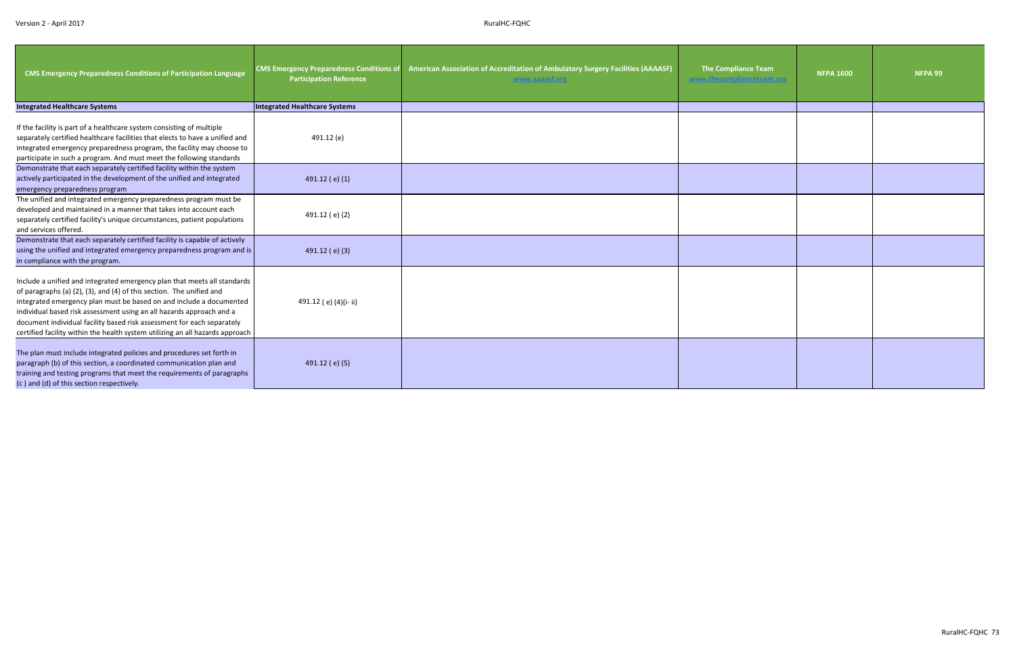| <b>CMS Emergency Preparedness Conditions of Participation Language</b>                                                                                                                                                                                                                                                                                                                                                                                     | <b>CMS Emergency Preparedness Conditions of</b><br><b>Participation Reference</b> | American Association of Accreditation of Ambulatory Surgery Facilities (AAAASF)<br>www.aaaasf.org | The Compliance Team | <b>NFPA 1600</b> | NFPA 99 |
|------------------------------------------------------------------------------------------------------------------------------------------------------------------------------------------------------------------------------------------------------------------------------------------------------------------------------------------------------------------------------------------------------------------------------------------------------------|-----------------------------------------------------------------------------------|---------------------------------------------------------------------------------------------------|---------------------|------------------|---------|
| <b>Integrated Healthcare Systems</b>                                                                                                                                                                                                                                                                                                                                                                                                                       | Integrated Healthcare Systems                                                     |                                                                                                   |                     |                  |         |
| If the facility is part of a healthcare system consisting of multiple<br>separately certified healthcare facilities that elects to have a unified and<br>integrated emergency preparedness program, the facility may choose to<br>participate in such a program. And must meet the following standards                                                                                                                                                     | 491.12 (e)                                                                        |                                                                                                   |                     |                  |         |
| Demonstrate that each separately certified facility within the system<br>actively participated in the development of the unified and integrated<br>emergency preparedness program                                                                                                                                                                                                                                                                          | 491.12 (e) (1)                                                                    |                                                                                                   |                     |                  |         |
| The unified and integrated emergency preparedness program must be<br>developed and maintained in a manner that takes into account each<br>separately certified facility's unique circumstances, patient populations<br>and services offered.                                                                                                                                                                                                               | 491.12 (e)(2)                                                                     |                                                                                                   |                     |                  |         |
| Demonstrate that each separately certified facility is capable of actively<br>using the unified and integrated emergency preparedness program and is<br>in compliance with the program.                                                                                                                                                                                                                                                                    | 491.12 (e) (3)                                                                    |                                                                                                   |                     |                  |         |
| Include a unified and integrated emergency plan that meets all standards<br>of paragraphs (a) (2), (3), and (4) of this section. The unified and<br>integrated emergency plan must be based on and include a documented<br>individual based risk assessment using an all hazards approach and a<br>document individual facility based risk assessment for each separately<br>certified facility within the health system utilizing an all hazards approach | 491.12 (e) (4)(i-ii)                                                              |                                                                                                   |                     |                  |         |
| The plan must include integrated policies and procedures set forth in<br>paragraph (b) of this section, a coordinated communication plan and<br>training and testing programs that meet the requirements of paragraphs<br>(c) and (d) of this section respectively.                                                                                                                                                                                        | 491.12 (e) (5)                                                                    |                                                                                                   |                     |                  |         |